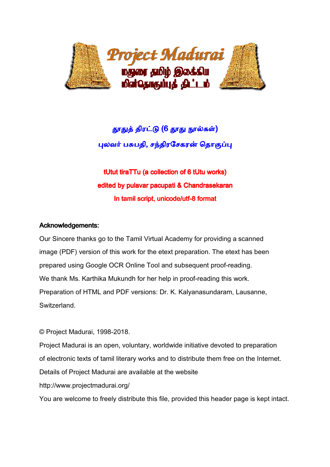

# தூதுத் திரட்டு (6 தூது நூல்கள்) புலவர் பசுபதி, சந்திரசேகரன் தொகுப்ப<mark>ு</mark>

tUtut tiraTTu (a collection of 6 tUtu works) edited by pulavar pacupati & Chandrasekaran In tamil script, unicode/utf-8 format

## Acknowledgements:

Our Sincere thanks go to the Tamil Virtual Academy for providing a scanned image (PDF) version of this work for the etext preparation. The etext has been prepared using Google OCR Online Tool and subsequent proof-reading.<br>We thank Ms. Karthika Mukundh for her help in proof-reading this work. We thank Ms. Karthika Mukundh for her help in proof-reading this work. Preparation of HTML and PDF versions: Dr. K. Kalyanasundaram, Lausanne, Switzerland.

© Project Madurai, 1998-2018. 2018.

Project Madurai is an open, voluntary, worldwide initiative devoted to preparation of electronic texts of tamil literary works and to distribute them free on the Internet. Details of Project Madurai are available at the website http://www.projectmadurai.org/

You are welcome to freely distribute this file, provided this header page is kept intact.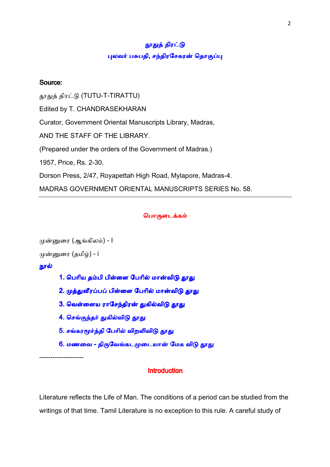## தூதுத் திரட்டு புலவர் பசுபதி, சந்திரசேகரன் தொகுப்பு

## Source:

தூதுத் திரட்டு (TUTU-T-TIRATTU) Edited by T. CHANDRASEKHARAN Curator, Government Oriental Manuscripts Library, Madras, AND THE STAFF OF THE LIBRARY. (Prepared under the orders of the Government of Madras.) 1957, Price, Rs. 2-30. Dorson Press, 2/47, Royapettah High Road, Mylapore, Madras-4. MADRAS GOVERNMENT ORIENTAL MANUSCRIPTS SERIES No. 58.

#### பொருளடக்கம்

```
முன்னுரை (ஆங்கிலம்) - I
முன்னுரை (தமிழ்) - i
நூல்
      1. பெரிய தம்பி பிள்ளை பேரில் மான்விடு தூது
      2. முத்துவீரப்பப் பிள்ளை பேரில் மான்விடு தூது
      3. வெள்ளைய ராசேந்திரன் துகில்விடு தூத<mark>ு</mark>
      4. செங்குந்தர் துகில்விடு தூது
      5. சங்கரமூர்த்தி பேரில் விறலிவிடு தூது
      6. மணவை - திருவேங்கடமுடையான் மேக விடு தூது
```
--------------------

## **Introduction**

Literature reflects the Life of Man. The conditions of a period can be studied from the writings of that time. Tamil Literature is no exception to this rule. A careful study of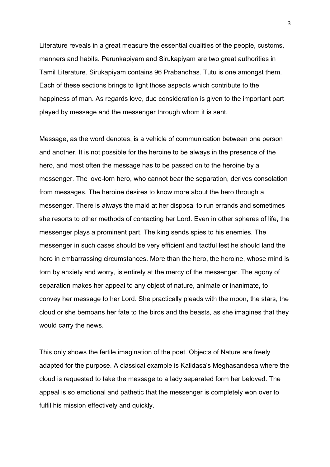Literature reveals in a great measure the essential qualities of the people, customs, manners and habits. Perunkapiyam and Sirukapiyam are two great authorities in Tamil Literature. Sirukapiyam contains 96 Prabandhas. Tutu is one amongst them. Each of these sections brings to light those aspects which contribute to the happiness of man. As regards love, due consideration is given to the important part played by message and the messenger through whom it is sent.

Message, as the word denotes, is a vehicle of communication between one person and another. It is not possible for the heroine to be always in the presence of the hero, and most often the message has to be passed on to the heroine by a messenger. The love-lorn hero, who cannot bear the separation, derives consolation from messages. The heroine desires to know more about the hero through a messenger. There is always the maid at her disposal to run errands and sometimes she resorts to other methods of contacting her Lord. Even in other spheres of life, the messenger plays a prominent part. The king sends spies to his enemies. The messenger in such cases should be very efficient and tactful lest he should land the hero in embarrassing circumstances. More than the hero, the heroine, whose mind is torn by anxiety and worry, is entirely at the mercy of the messenger. The agony of separation makes her appeal to any object of nature, animate or inanimate, to convey her message to her Lord. She practically pleads with the moon, the stars, the cloud or she bemoans her fate to the birds and the beasts, as she imagines that they would carry the news.

This only shows the fertile imagination of the poet. Objects of Nature are freely adapted for the purpose. A classical example is Kalidasa's Meghasandesa where the cloud is requested to take the message to a lady separated form her beloved. The appeal is so emotional and pathetic that the messenger is completely won over to fulfil his mission effectively and quickly.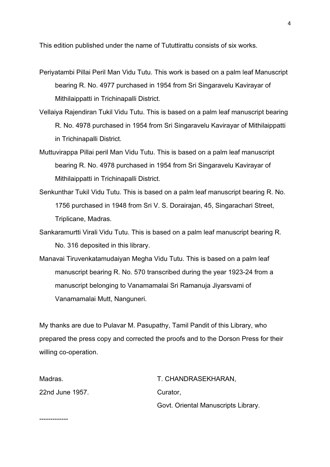This edition published under the name of Tututtirattu consists of six works.

- Periyatambi Pillai Peril Man Vidu Tutu. This work is based on a palm leaf Manuscript bearing R. No. 4977 purchased in 1954 from Sri Singaravelu Kavirayar of Mithilaippatti in Trichinapalli District.
- Vellaiya Rajendiran Tukil Vidu Tutu. This is based on a palm leaf manuscript bearing R. No. 4978 purchased in 1954 from Sri Singaravelu Kavirayar of Mithilaippatti in Trichinapalli District.
- Muttuvirappa Pillai peril Man Vidu Tutu. This is based on a palm leaf manuscript bearing R. No. 4978 purchased in 1954 from Sri Singaravelu Kavirayar of Mithilaippatti in Trichinapalli District.
- Senkunthar Tukil Vidu Tutu. This is based on a palm leaf manuscript bearing R. No. 1756 purchased in 1948 from Sri V. S. Dorairajan, 45, Singarachari Street, Triplicane, Madras.
- Sankaramurtti Virali Vidu Tutu. This is based on a palm leaf manuscript bearing R. No. 316 deposited in this library.
- Manavai Tiruvenkatamudaiyan Megha Vidu Tutu. This is based on a palm leaf manuscript bearing R. No. 570 transcribed during the year 1923-24 from a manuscript belonging to Vanamamalai Sri Ramanuja Jiyarsvami of Vanamamalai Mutt, Nanguneri.

My thanks are due to Pulavar M. Pasupathy, Tamil Pandit of this Library, who prepared the press copy and corrected the proofs and to the Dorson Press for their willing co-operation.

| Madras.         | T. CHANDRASEKHARAN,                 |
|-----------------|-------------------------------------|
| 22nd June 1957. | Curator.                            |
|                 | Govt. Oriental Manuscripts Library. |

-------------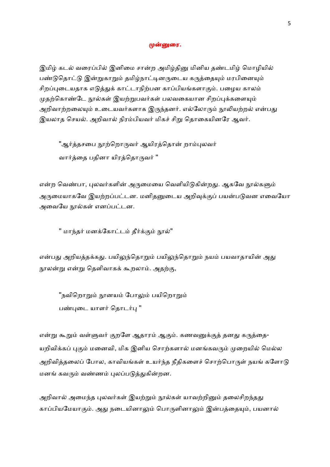#### முன்னுரை.

இமிழ் கடல் வரைப்பில் இனிமை சான்ற அமிழ்தினு மினிய தண்டமிழ் மொழியில் பண்டுதொட்டு இன்றுகாறும் தமிழ்நாட்டினருடைய கருத்தையும் மரபினையும் சிறப்புடையதாக எடுத்துக் காட்டாநிற்பன காப்பியங்களாகும். பழைய காலம் முதற்கொண்டே நூல்கள் இயற்றுபவர்கள் பலவகையான சிறப்புக்களையும் அறிவாற்றலையும் உடையவர்களாக இருந்தனர். எல்லோரும் நூலியற்றல் என்பது இயலாத செயல். அறிவால் நிரம்பியவர் மிகச் சிறு தொகையினரே ஆவர்.

"ஆர்த்தசபை நூற்றொருவர் ஆயிரத்தொன் றாம்புலவர் வார்த்தை பதினா யிரத்தொருவர் ''

என்ற வெண்பா, புலவர்களின் அருமையை வெளியிடுகின்றது. ஆகவே நூல்களும் அருமையாகவே இயற்றப்பட்டன. மனிதனுடைய அறிவுக்குப் பயன்படுவன எவையோ அவையே நூல்கள் எனப்பட்டன.

'' மாந்தர் மனக்கோட்டம் தீர்க்கும் நூல்"

என்பது அறியத்தக்கது. பயிலுந்தொறும் பயிலுந்தொறும் நயம் பயவாதாயின் அது நூலன்று என்று தெளிவாகக் கூறலாம். அதற்கு,

"நவிறொறும் நூனயம் போலும் பயிறொறும் பண்புடை யாளர் தொடர்பு "

என்று கூறும் வள்ளுவர் குறளே ஆதாரம் ஆகும். கணவனுக்குத் தனது கருத்தை-யறிவிக்கப் புகும் மனைவி, மிக இனிய சொற்களால் மனங்கவரும் முறையில் மெல்ல அறிவித்தலைப் போல, காவியங்கள் உயர்ந்த நீதிகளைச் சொற்பொருள் நயங் களோடு மனங் கவரும் வண்ணம் புலப்படுத்துகின்றன.

அறிவால் அமைந்த புலவர்கள் இயற்றும் நூல்கள் யாவற்றினும் தலைசிறந்தது காப்பியமேயாகும். அது நடையினாலும் பொருளினாலும் இன்பத்தையும், பயனால்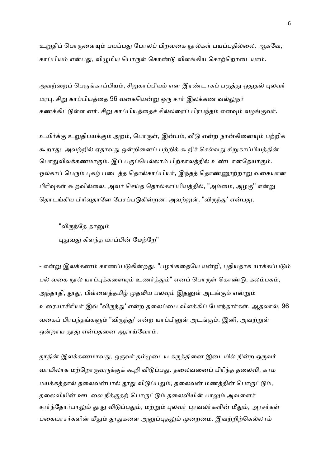உறுதிப் பொருளையும் பயப்பது போலப் பிறவகை நூல்கள் பயப்பதில்லை. ஆகவே, காப்பியம் என்பது, விழுமிய பொருள் கொண்டு விளங்கிய சொற்றொடையாம்.

அவற்றைப் பெருங்காப்பியம், சிறுகாப்பியம் என இரண்டாகப் பகுத்து ஓதுதல் புலவர் மரபு. சிறு காப்பியத்தை 96 வகையென்று ஒரு சார் இலக்கண வல்லுநர் கணக்கிட்டுள்ள னர். சிறு காப்பியத்தைச் சில்லரைப் பிரபந்தம் எனவும் வழங்குவர்.

உயிர்க்கு உறுதிபயக்கும் அறம், பொருள், இன்பம், வீடு என்ற நான்கினையும் பற்றிக் கூறாது, அவற்றில் ஏதாவது ஒன்றினைப் பற்றிக் கூறிச் செல்வது சிறுகாப்பியத்தின் பொதுவிலக்கணமாகும். இப் பகுப்பெல்லாம் பிற்காலத்தில் உண்டானதேயாகும். ஒல்காப் பெரும் புகழ் படைத்த தொல்காப்பியர், இந்தத் தொண்ணூற்றாறு வகையான பிரிவுகள் கூறவில்லை. அவர் செய்த தொல்காப்பியத்தில், "அம்மை, அழகு" என்று தொடங்கிய பிரிவுதானே பேசப்படுகின்றன. அவற்றுள், "விருந்து' என்பது,

"விருந்தே தானும் புதுவது கிளந்த யாப்பின் மேற்றே"

- என்று இலக்கணம் காணப்படுகின்றது. "பழங்கதையே யன்றி, புதியதாக யாக்கப்படும் பல் வகை நூல் யாப்புக்களையும் உணர்த்தும்" எனப் பொருள் கொண்டு, கலம்பகம், அந்தாதி, தூது, பிள்ளைத்தமிழ் முதலிய பலவும் இதனுள் அடங்கும் என்றும் உரையாசிரியர் இவ் "விருந்து' என்ற தலைப்பை விளக்கிப் போந்தார்கள். ஆதலால், 96 வகைப் பிரபந்தங்களும் "விருந்து' என்ற யாப்பினுள் அடங்கும். இனி, அவற்றுள் ஒன்றாய தூது என்பதனை ஆராய்வோம்.

தூதின் இலக்கணமாவது, ஒருவர் தம்முடைய கருத்தினை இடையில் நின்ற ஒருவர் வாயிலாக மற்றொருவருக்குக் கூறி விடுப்பது. தலைவனைப் பிரிந்த தலைவி, காம மயக்கத்தால் தலைவன்பால் தூது விடுப்பதும்; தலைவன் மணத்தின் பொருட்டும், தலைவியின் ஊடலை நீக்குதற் பொருட்டும் கலைவியின் பாலும் அவளைச் சார்ந்தோர்பாலும் தூது விடுப்பதும், மற்றும் புலவர் புரவலர்களின் மீதும், அரசர்கள் பகையரசர்களின் மீதும் தூதுகளை அனுப்புதலும் முறைமை. இவற்றிற்கெல்லாம்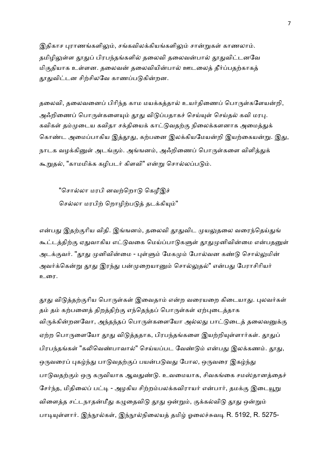இதிகாச புராணங்களிலும், சங்கவிலக்கியங்களிலும் சான்றுகள் காணலாம். தமிழிலுள்ள தூதுப் பிரபந்தங்களில் தலைவி தலைவன்பால் தூதுவிட்டனவே மிகுதியாக உள்ளன. தலைவன் தலைவியின்பால் ஊடலைத் தீர்ப்பதற்காகத் தூதுவிட்டன சிற்சிலவே காணப்படுகின்றன.

தலைவி, தலைவனைப் பிரிந்த காம மயக்கத்தால் உயர்திணைப் பொருள்களேயன்றி, அஃறிணைப் பொருள்களையும் தூது விடுப்பதாகச் செய்யுள் செய்தல் கவி மரபு. கவிகள் தம்முடைய கவிதா சக்தியைக் காட்டுவதற்கு நிலைக்களனாக அமைத்துக் கொண்ட அமைப்பாகிய இத்தூது, கற்பனை இலக்கியமேயன்றி இயற்கையன்று. இது, நாடக வழக்கினுள் அடங்கும். அங்ஙனம், அஃறிணைப் பொருள்களை விளித்துக் கூறுதல், "காமமிக்க கழிபடர் கிளவி" என்று சொல்லப்படும்.

"சொல்லா மரபி னவற்றொடு கெழீஇச் செல்லா மரபிற் றொழிற்படுத் தடக்கியும்''

என்பது இதற்குரிய விதி. இங்ஙனம், தலைவி தூதுவிட முயலுதலை வரைந்தெய்துங் கூட்டத்திற்கு ஏதுவாகிய எட்டுவகை மெய்ப்பாடுகளுள் தூதுமுனிவின்மை என்பதனுள் அடக்குவர். "தூது முனிவின்மை - புள்ளும் மேகமும் போல்வன கண்டு சொல்லுமின் அவர்க்கென்று தூது இரந்து பன்முறையானும் சொல்லுதல்" என்பது பேராசிரியர் உைர.

தூது விடுத்தற்குரிய பொருள்கள் இவைதாம் என்ற வரையறை கிடையாது. புலவர்கள் தம் தம் கற்பனைத் திறத்திற்கு எந்தெந்தப் பொருள்கள் ஏற்புடைத்தாக விருக்கின்றனவோ, அந்தந்தப் பொருள்களையோ அல்லது பாட்டுடைத் தலைவனுக்கு ஏற்ற பொருளையோ தூது விடுத்ததாக, பிரபந்தங்களை இயற்றியுள்ளார்கள். தூதுப் பிரபந்தங்கள் "கலிவெண்பாவால்" செய்யப்பட வேண்டும் என்பது இலக்கணம். தூது, ஒருவரைப் புகழ்ந்து பாடுவதற்குப் பயன்படுவது போல, ஒருவரை இகழ்ந்து பாடுவதற்கும் ஒரு கருவியாக ஆவதுண்டு. உவமையாக, சிவகங்கை சமஸ்தானத்தைச் சேர்ந்த, மிதிலைப் பட்டி - அழகிய சிற்றம்பலக்கவிராயர் என்பார், தமக்கு இடையூறு விளைத்த சட்டநாதன்மீது கழுதைவிடு தூது ஒன்றும், குக்கல்விடு தூது ஒன்றும் பாடியுள்ளார். இந்நூல்கள், இந்நூல்நிலையத் தமிழ் ஓலைச்சுவடி R. 5192, R. 5275-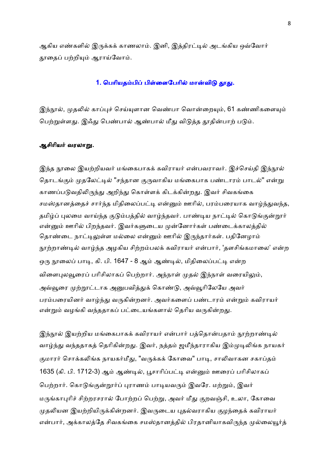ஆகிய எண்களில் இருக்கக் காணலாம். இனி, இத்திரட்டில் அடங்கிய ஒவ்வோர் தூதைப் பற்றியும் ஆராய்வோம்.

#### 1. பெரியதம்பிப் பிள்ளைபேரில் மான்விடு தூது.

இந்நூல், முதலில் காப்புச் செய்யுளான வெண்பா வொன்றையும், 61 கண்ணிகளையும் பெற்றுள்ளது. இஃது பெண்பால் ஆண்பால் மீது விடுத்த தூதின்பாற் படும்.

#### ஆசிரியர் வரலாறு.

இந்த நூலை இயற்றியவர் மங்கைபாகக் கவிராயர் என்பவராவர். இச்செய்தி இந்நூல் தொடங்கும் முதலேட்டில் "சந்தான குருவாகிய மங்கைபாக பண்டாரம் பாடல்" என்று காணப்படுவதிலிருந்து அறிந்து கொள்ளக் கிடக்கின்றது. இவர் சிவகங்கை சமஸ்தானத்தைச் சார்ந்த மிதிலைப்பட்டி என்னும் ஊரில், பரம்பரையாக வாழ்ந்துவந்த, தமிழ்ப் புலமை வாய்ந்த குடும்பத்தில் வாழ்ந்தவர். பாண்டிய நாட்டில் கொடுங்குன்றூர் என்னும் ஊரில் பிறந்தவர். இவர்களுடைய முன்னோர்கள் பண்டைக்காலத்தில் தொண்டை நாட்டிலுள்ள மல்லை என்னும் ஊரில் இருந்தார்கள். பதினேழாம் நூற்றாண்டில் வாழ்ந்த அழகிய சிற்றம்பலக் கவிராயர் என்பார், 'தளசிங்கமாலை' என்ற ஒரு நூலைப் பாடி, கி. பி. 1647 - 8 ஆம் ஆண்டில், மிதிலைப்பட்டி என்ற விளைபுலவூரைப் பரிசிலாகப் பெற்றார். அந்நாள் முதல் இந்நாள் வரையிலும், அவ்வூரை முற்றூட்டாக அனுபவித்துக் கொண்டு, அவ்வூரிலேயே அவர் பரம்பரையினர் வாழ்ந்து வருகின்றனர். அவர்களைப் பண்டாரம் என்றும் கவிராயர் என்றும் வழங்கி வந்ததாகப் பட்டையங்களால் தெரிய வருகின்றது.

இந்நூல் இயற்றிய மங்கைபாகக் கவிராயர் என்பார் பத்தொன்பதாம் நூற்றாண்டில் வாழ்ந்து வந்ததாகத் தெரிகின்றது. இவர், நத்தம் ஜமீந்தாராகிய இம்முடிலிங்க நாயகர் குமாரர் சொக்கலிங்க நாயகர்மீது, "வருக்கக் கோவை" பாடி, சாலிவாகன சகாப்தம் 1635 (கி. பி. 1712-3) ஆம் ஆண்டில், பூசாரிப்பட்டி என்னும் ஊரைப் பரிசிலாகப் பெற்றார். கொடுங்குன்றார்ப் புராணம் பாடியவரும் இவரே. மற்றும், இவர் மருங்காபுரிச் சிற்றரசரால் போற்றப் பெற்று, அவர் மீது குறவஞ்சி, உலா, கோவை முதலியன இயற்றியிருக்கின்றனர். இவருடைய புதல்வராகிய குழந்தைக் கவிராயர் என்பார், அக்காலத்தே சிவகங்கை சமஸ்தானத்தில் பிரதானியாகவிருந்த முல்லையூர்த்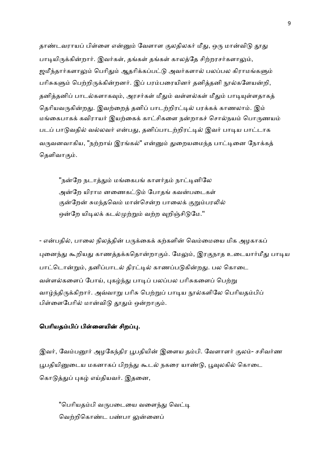தாண்டவராயப் பிள்ளை என்னும் வேளாள குலதிலகர் மீது, ஒரு மான்விடு தூது பாடியிருக்கின்றார். இவர்கள், தங்கள் தங்கள் காலத்தே சிற்றரசர்களாலும், ஜமீந்தார்களாலும் பெரிதும் ஆதரிக்கப்பட்டு அவர்களால் பலப்பல கிராமங்களும் பரிசுகளும் பெற்றிருக்கின்றனர். இப் பரம்பரையினர் தனித்தனி நூல்களேயன்றி, தனித்தனிப் பாடல்களாகவும், அரசர்கள் மீதும் வள்ளல்கள் மீதும் பாடியுள்ளதாகத் தெரியவருகின்றது. இவற்றைத் தனிப் பாடற்றிரட்டில் பரக்கக் காணலாம். இம் மங்கைபாகக் கவிராயர் இயற்கைக் காட்சிகளை நன்றாகச் சொல்நயம் பொருணயம் படப் பாடுவதில் வல்லவர் என்பது, தனிப்பாடற்றிரட்டில் இவர் பாடிய பாட்டாக வருவனவாகிய, "நற்றாய் இரங்கல்" என்னும் துறையமைந்த பாட்டினை நோக்கத் கெளிவாகும்.

"நன்றே நடாத்தும் மங்கைபங் காளர்தம் நாட்டினிலே அன்றே யிராம னணைகட்டும் போதங் கவன்படைகள் குன்றேன் சுமந்தவெம் மான்சென்ற பாலைக் குறும்பரலில் ஒன்றே யிடிலக் கடல்முற்றும் வற்ற வுறிஞ்சிடுமே."

- என்பதில், பாலை நிலத்தின் பருக்கைக் கற்களின் வெம்மையை மிக அழகாகப் புனைந்து கூறியது காணத்தக்கதொன்றாகும். மேலும், இரகுநாத உடையார்மீது பாடிய பாட்டொன்றும், தனிப்பாடல் திரட்டில் காணப்படுகின்றது. பல கொடை வள்ளல்களைப் போய், புகழ்ந்து பாடிப் பலப்பல பரிசுகளைப் பெற்று வாழ்ந்திருக்கிறார். அவ்வாறு பரிசு பெற்றுப் பாடிய நூல்களிலே பெரியதம்பிப் பிள்ளைபேரில் மான்விடு தூதும் ஒன்றாகும்.

#### பெரியதம்பிப் பிள்ளையின் சிறப்பு.

இவர், வேம்பனூர் அழகேந்திர பூபதியின் இளைய தம்பி. வேளாளர் குலம்- சசிவர்ண பூபதியினுடைய மகனாகப் பிறந்து கூடல் நகரை யாண்டு, பூவுலகில் கொடை கொடுத்துப் புகழ் எய்தியவர். இதனை,

"பெரியதம்பி வருபடையை வளைந்து வெட்டி வெற்றிகொண்ட பண்பா லுன்னைப்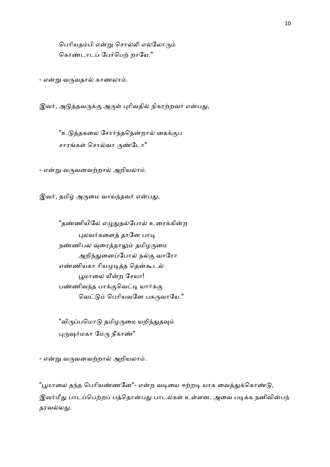பெரியதம்பி என்று சொல்லி எல்லோரும் கொண்டாடப் பேர்பெற் றாயே."

- என்று வருவதால் காணலாம்.

இவர், அடுத்தவருக்கு அருள் புரிவதில் நிகரற்றவர் என்பது,

"உடுத்தகலை சோர்ந்ததென்றால் கைக்குப சாரங்கள் சொல்வா ருண்டோ"

- என்று வருவனவற்றால் அறியலாம்.

இவர், தமிழ் அருமை வாய்ந்தவர் என்பது,

"தண்ணியிலே எழுதுதல்போல் உரைக்கின்ற புலவர்களைத் தானே பாடி நண்ணிபல வுரைத்தாலும் தமிழருமை அறிந்துனைப்போல் நல்கு வாரோ எண்ணியகா ரியமுடித்த தென்கூடல் பூமாலை யீன்ற சேயா! பண்ணிவந்த பாக்குவெட்டி யார்க்கு வெட்டும் பெரியவனே பகருவாயே."

"விருப்பமொடு தமிழருமை யறிந்துதவும் புருஷர்மகா மேரு நீகாண்"

- என்று வருவனவற்றால் அறியலாம்.

"பூமாலை தந்த பெரியண்ணனே"- என்ற வடியை ஈற்றடி யாக வைத்துக்கொண்டு, இவர்மீது பாடப்பெற்றப் பத்தொன்பது பாடல்கள் உள்ளன. அவை படிக்க நனிவின்பந் தரவல்லது.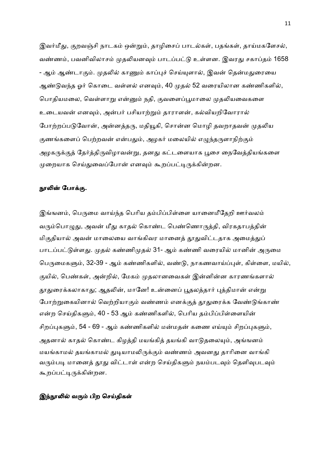இவர்மீது, குறவஞ்சி நாடகம் ஒன்றும், தாழிசைப் பாடல்கள், பதங்கள், தாய்மகளேசல், வண்ணம், பவனிவிலாசம் முதலியனவும் பாடப்பட்டு உள்ளன. இவரது சகாப்தம் 1658 - ஆம் ஆண்டாகும். முதலில் காணும் காப்புச் செய்யுளால், இவன் தென்மதுரையை ஆண்டுவந்த ஓர் கொடை வள்ளல் எனவும், 40 முதல் 52 வரையிலான கண்ணிகளில், பொதியமலை, வெள்ளாறு என்னும் நதி, குவளைப்பூமாலை முதலியவைகளை உடையவன் எனவும், அன்பர் பசியாற்றும் தாராளன், கல்வியறிவோரால் போற்றப்படுவோன், அன்னத்தரு, மதியூகி, சொன்ன மொழி தவறாதவன் முதலிய குணங்களைப் பெற்றவன் என்பதும், அழகர் மலையில் எழுந்தருளாநிற்கும் அழகருக்குத் தேர்த்திருவிழாவன்று, தனது கட்டளையாக பூசை நைவேத்தியங்களை முறையாக செய்துவைப்போன் எனவும் கூறப்பட்டிருக்கின்றன.

#### நூலின் போக்கு.

இங்ஙனம், பெருமை வாய்ந்த பெரிய தம்பிப்பிள்ளை யானைமீதேறி ஊர்வலம் வரும்பொழுது, அவன் மீது காதல் கொண்ட பெண்ணொருத்தி, விரகதாபத்தின் மிகுதியால் அவன் மாலையை வாங்கிவர மானைத் தூதுவிட்டதாக அமைத்துப் பாடப்பட்டுள்ளது. முதல் கண்ணிமுதல் 31- ஆம் கண்ணி வரையில் மானின் அருமை பெருமைகளும், 32-39 - ஆம் கண்ணிகளில், வண்டு, நாகணவாய்ப்புள், கிள்ளை, மயில், குயில், பெண்கள், அன்றில், மேகம் முதலானவைகள் இன்னின்ன காரணங்களால் தூதுரைக்கலாகாது; ஆதலின், மானே! உன்னைப் பூதலத்தார் புத்திமான் என்று போற்றுகையினால் வெற்றியாகும் வண்ணம் எனக்குத் தூதுரைக்க வேண்டுங்காண் என்ற செய்திகளும், 40 - 53 ஆம் கண்ணிகளில், பெரிய தம்பிப்பிள்ளையின் சிறப்புகளும், 54 - 69 - ஆம் கண்ணிகளில் மன்மதன் கணை எய்யும் சிறப்புகளும், அதனால் காதல் கொண்ட கிழத்தி மயங்கித் தயங்கி வாடுதலையும், அங்ஙனம் மயங்காமல் தயங்காமல் துடியாமலிருக்கும் வண்ணம் அவனது தாரினை வாங்கி வரும்படி மானைத் தூது விட்டாள் என்ற செய்திகளும் நயம்படவும் தெளிவுபடவும் கூறப்பட்டிருக்கின்றன.

#### இந்நூலில் வரும் பிற செய்திகள்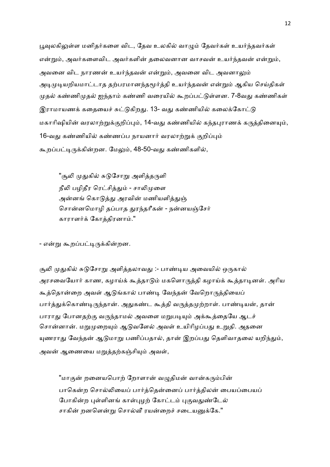பூவுலகிலுள்ள மனிதர்களை விட, தேவ உலகில் வாழும் தேவர்கள் உயர்ந்தவர்கள் என்றும், அவர்களைவிட அவர்களின் தலைவனான வாசவன் உயர்ந்தவன் என்றும், அவனை விட நாரணன் உயர்ந்தவன் என்றும், அவனை விட அவனாலும் அடிமுடியறியமாட்டாத தற்பரமானந்தமூர்த்தி உயர்ந்தவன் என்றும் ஆகிய செய்திகள் முதல் கண்ணிமுதல் ஐந்தாம் கண்ணி வரையில் கூறப்பட்டுள்ளன. 7-8வது கண்ணிகள் இராமாயணக் கதையைச் சுட்டுகிறது. 13- வது கண்ணியில் கலைக்கோட்டு மகாரிஷியின் வரலாற்றுக்குறிப்பும், 14-வது கண்ணியில் கந்தபுராணக் கருத்தினையும், 16-வது கண்ணியில் கண்ணப்ப நாயனார் வரலாற்றுக் குறிப்பும் கூறப்பட்டிருக்கின்றன. மேலும், 48-50-வது கண்ணிகளில்,

"சூலி முதுகில் சுடுசோறு அளித்தருளி நீலி பழிதீர ரெட்சித்தும் - சாலிமுளை அன்னங் கொடுத்து அரவின் மணியளித்துஞ் சொன்னமொழி தப்பாத துரந்தரீகன் - நன்னயஞ்சேர் காராளர்க் கோத்திரனாம்."

- என்று கூறப்பட்டிருக்கின்றன.

சூலி முதுகில் சுடுசோறு அளித்தலாவது :- பாண்டிய அவையில் ஒருகால் அரசவையோர் காண, கழாய்க் கூத்தாடும் மகளொருத்தி கழாய்க் கூத்தாடினள். அரிய கூத்தொன்றை அவள் ஆடுங்கால் பாண்டி வேந்தன் வேறொருத்தியைப் பார்த்துக்கொண்டிருந்தான். அதுகண்ட கூத்தி வருத்தமுற்றாள். பாண்டியன், தான் பாராது போனதற்கு வருந்தாமல் அவளை மறுபடியும் அக்கூத்தையே ஆடச் சொன்னான். மறுமுறையும் ஆடுவளேல் அவள் உயிரிழப்பது உறுதி. அதனை யுணராது வேந்தன் ஆடுமாறு பணிப்பதால், தான் இறப்பது தெளிவாதலை யறிந்தும், அவன் ஆணையை மறுத்தற்கஞ்சியும் அவள்,

"மாகுன் றனையபொற் றோளான் வழுதிமன் வான்கரும்பின் பாகென்ற சொல்லியைப் பார்த்தென்னைப் பார்த்திலன் பையப்பையப் போகின்ற புள்ளினங் காள்புழற் கோட்டம் புகுவதுண்டேல் சாகின் றனளென்று சொல்வீ ரயன்றைச் சடையனுக்கே."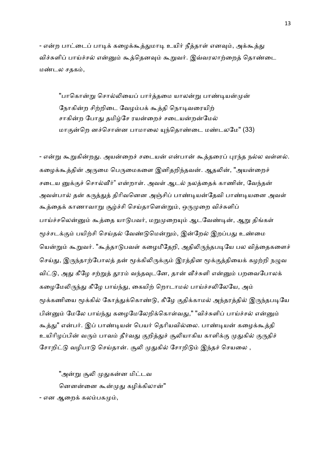- என்ற பாட்டைப் பாடிக் கழைக்கூத்துமாடி உயிர் நீத்தாள் எனவும், அக்கூத்து விச்சுளிப் பாய்ச்சல் என்னும் கூத்தெனவும் கூறுவர். இவ்வரலாற்றைத் தொண்டை மண்டல சதகம்,

"பாகொன்று சொல்லியைப் பார்த்தமை யாலன்று பாண்டியன்முன் நோகின்ற சிற்றிடை வேழம்பக் கூத்தி நொடிவரையிற் சாகின்ற போது தமிழ்சே ரயன்றைச் சடையன்றன்மேல் மாகுன்றெ னச்சொன்ன பாமாலை யுந்தொண்டை மண்டலமே" (33)

- என்று கூறுகின்றது. அயன்றைச் சடையன் என்பான் கூத்தரைப் புரந்த நல்ல வள்ளல். கழைக்கூத்தின் அருமை பெருமைகளை இனிதறிந்தவன். ஆதலின், "அயன்றைச் சடைய னுக்குச் சொல்வீர்" என்றாள். அவள் ஆடல் நலத்தைக் காணின், வேந்தன் அவள்பால் தன் கருத்துத் திரிவனென அஞ்சிப் பாண்டியன்தேவி பாண்டியனை அவள் கூத்தைக் காணாவாறு சூழ்ச்சி செய்தாளென்றும், ஒருமுறை விச்சுளிப் பாய்ச்சலென்னும் கூத்தை யாடுபவர், மறுமுறையும் ஆடவேண்டின், ஆறு திங்கள் மூச்சடக்கும் பயிற்சி செய்தல் வேண்டுமென்றும், இன்றேல் இறப்பது உண்மை யென்றும் கூறுவர். "கூத்தாடுபவள் கமைமீதேறி, அதிலிருந்தபடியே பல வித்தைகளைச் செய்து, இருந்தாற்போலத் தன் மூக்கிலிருக்கும் இரத்தின மூக்குத்தியைக் கழற்றி நழுவ விட்டு, அது கீழே சற்றுத் தூரம் வந்தவுடனே, தான் வீச்சுளி என்னும் பறவைபோலக் கழைமேலிருந்து கீழே பாய்ந்து, கையிற் றொடாமல் பாய்ச்சலிலேயே, அம் மூக்கணியை மூக்கில் கோத்துக்கொண்டு, கீழே குதிக்காமல் அந்தரத்தில் இருந்தபடியே பின்னும் மேலே பாய்ந்து கழைமேலேறிக்கொள்வது," "விச்சுளிப் பாய்ச்சல் என்னும் கூத்து" என்பர். இப் பாண்டியன் பெயர் தெரியவில்லை. பாண்டியன் கழைக்கூத்தி உயிரிழப்பின் வரும் பாவம் தீர்வது குறித்துச் சூலியாகிய காளிக்கு முதுகில் குருதிச் சோறிட்டு வழிபாடு செய்தான். சூலி முதுகில் சோறிடும் இந்தச் செயலை ,

"அன்று சூலி முதுகன்ன மிட்டவ னெனன்னை கூன்முது கழிக்கிலான்" - என ஆறைக் கலம்பகமும்,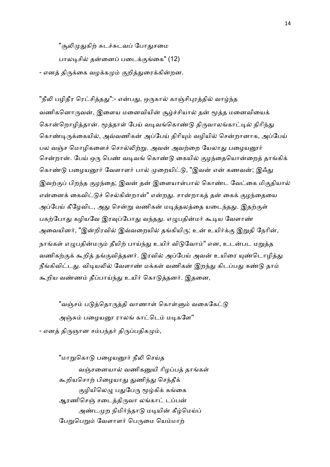"சூலிமுதுகிற் சுடச்சுடவப் போதுசமை

பாலடிசில் கன்னைப் படைக்குங்கை" (12)

- எனத் திருக்கை வழக்கமும் குறித்துரைக்கின்றன.

"நீலி பழிதீர ரெட்சித்தது":- என்பது, ஒருகால் காஞ்சிபுரத்தில் வாழ்ந்த வணிகனொருவன், இளைய மனைவியின் சூம்ச்சியால் தன் மூத்த மனைவியைக் கொன்றொழித்தான். மூத்தாள் பேய் வடிவங்கொண்டு திருவாலங்காட்டில் திரிந்து கொண்டிருக்கையில், அவ்வணிகன் அப்பேய் திரியும் வழியில் சென்றானாக, அப்பேய் பல வஞ்ச மொழிகளைச் சொல்லிற்று. அவன் அவற்றை யேலாது பழையனூர் சென்றான். பேய் ஒரு பெண் வடிவங் கொண்டு கையில் குழந்தையொன்றைக் காங்கிக் கொண்டு பழையனூர் வேளாளர் பால் முறையிட்டு, "இவன் என் கணவன்; இஃது இவற்குப் பிறந்த குழந்தை; இவன் தன் இளையாள்பால் கொண்ட வேட்கை மிகுதியால் என்னைக் கைவிட்டுச் செல்கின்றான்" என்றது. சான்றாகத் தன் கைக் குழந்தையை அப்பேய் கீழேவிட, அது சென்று வணிகன் மடித்தலத்தை யடைந்தது. இதற்குள் பகற்போது கழியவே இரவுப்போது வந்தது. எழுபதின்மர் கூடிய வேளாண் அவையினர், "இன்றிரவில் இவ்வறையில் தங்கியிரு; உன் உயிர்க்கு இறுதி நேரின், நாங்கள் எழுபதின்மரும் தீயிற் பாய்ந்து உயிர் விடுவோம்" என, உடன்பட மறுத்த வணிகற்குக் கூறித் தங்குவித்தனர். இரவில் அப்பேய் அவன் உயிரை யுண்டொழித்து நீங்கிவிட்டது. விடியலில் வேளாண் மக்கள் வணிகன் இறந்து கிடப்பது கண்டு தாம் கூறிய வண்ணம் தீப்பாய்ந்து உயிர் கொடுத்தனர். இதனை,

"வஞ்சம் படுத்தொருத்தி வாணாள் கொள்ளும் வகைகேட்டு அஞ்சும் பழையனூ ராலங் காட்டெம் மடிகளே" - எனத் திருஞான சம்பந்தர் திருப்பதிகமும்,

"மாறுகொடு பழையனூர் நீலி செய்த வஞ்சனையால் வணிகனுயி ரிழப்பத் தாங்கள் கூறியசொற் பிழையாது துணிந்து செந்தீக் குழியிலெழு பதுபேரு மூழ்கிக் கங்கை ஆரணிசெஞ் சடைத்திருவா லங்காட் டப்பன் அண்டமுற நிமிர்ந்தாடு மடியின் கீழ்மெய்ப் பேறுபெறும் வேளாளர் பெருமை யெம்மாற்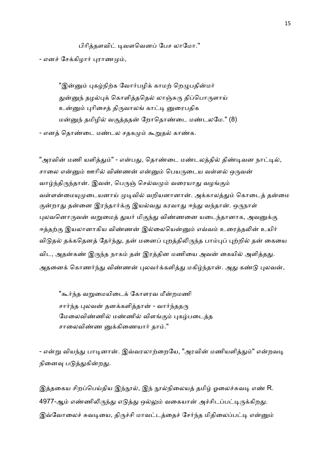பிரித்தளவிட் டிவளவெனப் பேச லாமோ.'' - எனச் சேக்கிழார் புராணமும்,

"இன்னும் புகழ்நிற்க வோர்பழிக் காமற் றெழுபதின்மர் துன்னுந் தழல்புக் கொளித்ததெல் லாஞ்சுரு திப்பொருளாய் உன்னும் புரிசைத் திருவாலங் காட்டி னுரைபதிக மன்னுந் தமிழில் வகுத்ததன் றோதொண்டை மண்டலமே." (8)

- எனத் தொண்டை மண்டல சதகமும் கூறுதல் காண்க.

"அரவின் மணி யளித்தும்" - என்பது, தொண்டை மண்டலத்தில் திண்டிவன நாட்டில், சாலை என்னும் ஊரில் விண்ணன் என்னும் பெயருடைய வள்ளல் ஒருவன் வாழ்ந்திருந்தான். இவன், பெருஞ் செல்வமும் வரையாது வழங்கும் வள்ளன்மையுமுடையனாய் முடிவில் வறியனானான். அக்காலத்தும் கொடைத் தன்மை குன்றாது தன்னை இரந்தார்க்கு இயல்வது கரவாது ஈந்து வந்தான். ஒருநாள் புலவனொருவன் வறுமைத் துயர் மிகுந்து விண்ணனை யடைந்தானாக, அவனுக்கு ஈத்தற்கு இயலானாகிய விண்ணன் இல்லையென்னும் எவ்வம் உரைத்தலின் உயிர் விடுதல் தக்கதெனத் தேர்ந்து, தன் மனைப் புறத்திலிருந்த பாம்புப் புற்றில் தன் கையை விட, அதன்கண் இருந்த நாகம் தன் இரத்தின மணியை அவன் கையில் அளித்தது. அதனைக் கொணர்ந்து விண்ணன் புலவர்க்களித்து மகிழ்ந்தான். அது கண்டு புலவன்,

"கூர்ந்த வறுமையிடைக் கோளரவ மீன்றமணி சார்ந்த புலவன் தனக்களித்தான் - வார்ந்ததரு மேலைவிண்ணில் மண்ணில் விளங்கும் புகழ்படைத்த சாலைவிண்ண னுக்கிணையார் தாம்."

- என்று வியந்து பாடினான். இவ்வரலாற்றையே, "அரவின் மணியளித்தும்" என்றவடி நினைவு படுத்துகின்றது.

இத்தகைய சிறப்பெய்திய இந்நூல், இந் நூல்நிலையத் தமிழ் ஓலைச்சுவடி எண் R. 4977-ஆம் எண்ணிலிருந்து எடுத்து ஒல்லும் வகையான் அச்சிடப்பட்டிருக்கிறது. இவ்வோலைச் சுவடியை, திருச்சி மாவட்டத்தைச் சேர்ந்த மிதிலைப்பட்டி என்னும்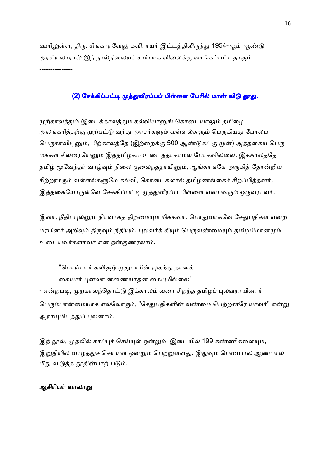ஊரிலுள்ள, திரு. சிங்காரவேலு கவிராயர் இட்டத்திலிருந்து 1954-ஆம் ஆண்டு அரசியலாரால் இந் நூல்நிலையச் சார்பாக விலைக்கு வாங்கப்பட்டதாகும். ---------------

## (2) சேக்கிப்பட்டி முத்துவீரப்பப் பிள்ளை பேரில் மான் விடு தூது.

முற்காலத்தும் இடைக்காலத்தும் கல்வியானுங் கொடையாலும் தமிழை அலங்கரித்தற்கு முற்பட்டு வந்து அரசர்களும் வள்ளல்களும் பெருகியது போலப் பெருகாவிடினும், பிற்காலத்தே (இற்றைக்கு 500 ஆண்டுகட்கு முன்) அத்தகைய பெரு மக்கள் சிலரையேனும் இத்தமிழகம் உடைத்தாகாமல் போகவில்லை. இக்காலத்தே தமிழ் மூவேந்தர் வாழ்வும் நிலை குலைந்ததாயினும், ஆங்காங்கே அருகித் தோன்றிய சிற்றரசரும் வள்ளல்களுமே கல்வி, கொடைகளால் தமிழணங்கைச் சிறப்பித்தனர். இத்தகையோருள்ளே சேக்கிப்பட்டி முத்துவீரப்ப பிள்ளை என்பவரும் ஒருவராவர்.

இவர், நீதிப்புலனும் நிர்வாகத் திறமையும் மிக்கவர். பொதுவாகவே சேதுபதிகள் என்ற மரபினர் அறிவும் திருவும் நீதியும், புலவர்க் கீயும் பெருவண்மையும் தமிழபிமானமும் உடையவர்களாவர் என நன்குணரலாம்.

"பொய்யார் கலிசூழ் முதுபாரின் முகந்து தானக் கையார் புனலா னணையாதன கையுமில்லை" - என்றபடி, முற்காலந்தொட்டு இக்காலம் வரை சிறந்த தமிழ்ப் புலவராயினார் பெரும்பான்மையாக எல்லோரும், "சேதுபதிகளின் வண்மை பெற்றனரே யாவர்" என்று ஆராயுமிடத்துப் புலனாம்.

இந் நூல், முதலில் காப்புச் செய்யுள் ஒன்றும், இடையில் 199 கண்ணிகளையும், இறுதியில் வாழ்த்துச் செய்யுள் ஒன்றும் பெற்றுள்ளது. இதுவும் பெண்பால் ஆண்பால் மீது விடுத்த தூதின்பாற் படும்.

#### ஆசிரியர் வரலாறு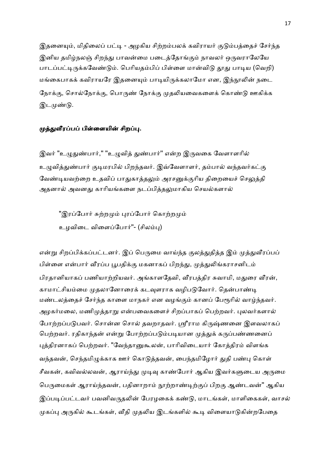இதனையும், மிதிலைப் பட்டி - அழகிய சிற்றம்பலக் கவிராயர் குடும்பத்தைச் சேர்ந்த இனிய தமிழ்நலஞ் சிறந்து பாவன்மை படைத்தோங்கும் நாவலர் ஒருவராலேயே பாடப்பட்டிருக்கவேண்டும். பெரியதம்பிப் பிள்ளை மான்விடு தூது பாடிய (வெறி) மங்கைபாகக் கவிராயரே இதனையும் பாடியிருக்கலாமோ என, இந்நூலின் நடை நோக்கு, சொல்நோக்கு, பொருண் நோக்கு முதலியவைகளைக் கொண்டு ஊகிக்க இடமுண்டு.

#### முத்துவீரப்பப் பிள்ளையின் சிறப்பு.

இவர் "உழுதுண்பார்," "உழுவித் துண்பார்" என்ற இருவகை வேளாளரில் உழுவித்துண்பார் குடிமரபில் பிறந்தவர். இவ்வேளாளர், தம்பால் வந்தவர்கட்கு வேண்டியவற்றை உதவிப் பாதுகாத்தலும் அரசனுக்குரிய திறையைச் செலுத்தி அதனால் அவனது காரியங்களை நடப்பித்தலுமாகிய செயல்களால்

"இரப்போர் சுற்றமும் புரப்போர் கொற்றமும் உழவிடை விளைப்போர்''- (சிலம்பு)

என்று சிறப்பிக்கப்பட்டனர். இப் பெருமை வாய்ந்த குலத்துதித்த இம் முத்துவீரப்பப் பிள்ளை என்பார் வீரப்ப பூபதிக்கு மகனாகப் பிறந்து, முத்துலிங்கராசனிடம் பிரதானியாகப் பணியாற்றியவர். அங்காளதேவி, வீரபத்திர சுவாமி, மதுரை வீரன், காமாட்சியம்மை முதலானோரைக் கடவுளராக வழிபடுவோர். தென்பாண்டி மண்டலத்தைச் சேர்ந்த காளை மாநகர் என வழங்கும் கானப் பேரூரில் வாழ்ந்தவர். அழகர்மலை, மணிமுத்தாறு என்பவைகளைச் சிறப்பாகப் பெற்றவர். புலவர்களால் போற்றப்படுபவர். சொன்ன சொல் தவறாதவர். ஸ்ரீராம கிருஷ்ணனை இளவலாகப் பெற்றவர். ரதிகாந்தன் என்று போற்றப்படும்படியான முத்துக் கருப்பண்ணனைப் புத்திரனாகப் பெற்றவர். "வேந்தானுகூலன், பாரிவிடையார் கோத்திரம் விளங்க வந்தவன், செந்தமிழுக்காக ஊர் கொடுத்தவன், பைந்தமிழோர் துதி பண்பு கொள் சீவகன், கவிவல்லவன், ஆராய்ந்து முடிவு காண்போர் ஆகிய இவர்களுடைய அருமை பெருமைகள் ஆராய்ந்தவன், பதினாறாம் நூற்றாண்டிற்குப் பிறகு ஆண்டவன்" ஆகிய இப்படிப்பட்டவர் பவனிவருதலின் பேரமகைக் கண்டு, மாடங்கள், மாளிகைகள், வாசல் முகப்பு அருகில் கூடங்கள், வீதி முதலிய இடங்களில் கூடி விளையாடுகின்றபேதை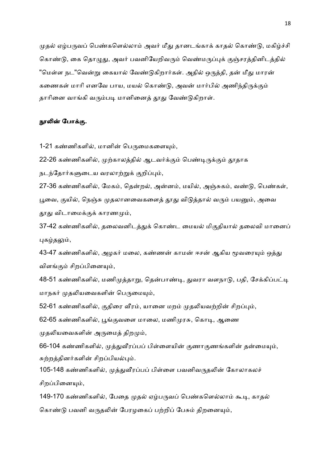முதல் ஏழ்பருவப் பெண்களெல்லாம் அவர் மீது தானடங்காக் காதல் கொண்டு, மகிழ்ச்சி கொண்டு, கை தொழுது, அவர் பவனியேறிவரும் வெண்மருப்புக் குஞ்சரத்தினிடத்தில் "மெள்ள நட"வென்று கையால் வேண்டுகிறார்கள். அதில் ஒருத்தி, தன் மீது மாரன் கணைகள் மாரி எனவே பாய, மயல் கொண்டு, அவன் மார்பில் அணிந்திருக்கும் தாரினை வாங்கி வரும்படி மானினைத் தூது வேண்டுகிறாள்.

#### நூலின் போக்கு.

1-21 கண்ணிகளில், மானின் பெருமைகளையும்,

22-26 கண்ணிகளில், முற்காலத்தில் ஆடவர்க்கும் பெண்டிருக்கும் தூதாக

நடந்தோர்களுடைய வரலாற்றுக் குறிப்பும்,

27-36 கண்ணிகளில், மேகம், தென்றல், அன்னம், மயில், அஞ்சுகம், வண்டு, பெண்கள், பூவை, குயில், நெஞ்சு முதலானவைகளைத் தூது விடுத்தால் வரும் பயனும், அவை தூது விடாமைக்குக் காரணமும்,

37-42 கண்ணிகளில், தலைவனிடத்துக் கொண்ட மையல் மிகுதியால் தலைவி மானைப் புகழ்தலும்,

43-47 கண்ணிகளில், அழகர் மலை, கண்ணன் காமன் ஈசன் ஆகிய மூவரையும் ஒத்து விளங்கும் சிறப்பினையும்,

48-51 கண்ணிகளில், மணிமுத்தாறு, தென்பாண்டி, துவரா வளநாடு, பதி, சேக்கிப்பட்டி மாநகர் முதலியவைகளின் பெருமையும்,

52-61 கண்ணிகளில், குதிரை வீரம், யானை மறம் முதலியவற்றின் சிறப்பும்,

62-65 கண்ணிகளில், பூங்குவளை மாலை, மணிமுரசு, கொடி, ஆணை

முதலியவைகளின் அருமைத் திறமும்,

66-104 கண்ணிகளில், முத்துவீரப்பப் பிள்ளையின் குணாகுணங்களின் தன்மையும், சுற்றத்தினர்களின் சிறப்பியல்பும்.

105-148 கண்ணிகளில், முத்துவீரப்பப் பிள்ளை பவனிவருதலின் கோலாகலச் சிறப்பினையும்,

149-170 கண்ணிகளில், பேதை முதல் ஏழ்பருவப் பெண்களெல்லாம் கூடி, காதல் கொண்டு பவனி வருதலின் பேரழகைப் பற்றிப் பேசும் திறனையும்,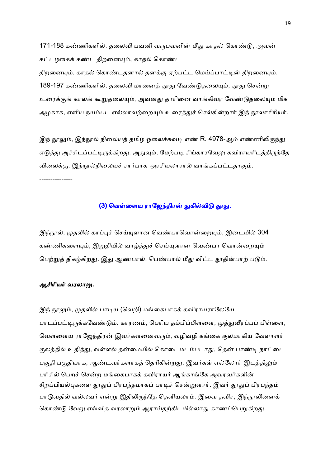171-188 கண்ணிகளில், தலைவி பவனி வருபவனின் மீது காதல் கொண்டு, அவன் கட்டழகைக் கண்ட திறனையும், காதல் கொண்ட

திறனையும், காதல் கொண்டதனால் தனக்கு ஏற்பட்ட மெய்ப்பாட்டின் திறனையும், 189-197 கண்ணிகளில், தலைவி மானைத் தூது வேண்டுதலையும், தூது சென்று உரைக்குங் காலங் கூறுதலையும், அவனது தாரினை வாங்கிவர வேண்டுதலையும் மிக அழகாக, எளிய நயம்பட எல்லாவற்றையும் உரைத்துச் செல்கின்றார் இந் நூலாசிரியர்.

இந் நூலும், இந்நூல் நிலையத் தமிழ் ஓலைச்சுவடி எண் R. 4978-ஆம் எண்ணிலிருந்து எடுத்து அச்சிடப்பட்டிருக்கிறது. அதுவும், மேற்படி சிங்காரவேலு கவிராயரிடத்திருந்தே விலைக்கு, இந்நூல்நிலையச் சார்பாக அரசியலாரால் வாங்கப்பட்டதாகும். ---------------

#### (3) வெள்ளைய ராஜேந்திரன் துகில்விடு தூது.

இந்நூல், முதலில் காப்புச் செய்யுளான வெண்பாவொன்றையும், இடையில் 304 கண்ணிகளையும், இறுதியில் வாழ்த்துச் செய்யுளான வெண்பா வொன்றையும் பெற்றுத் திகழ்கிறது. இது ஆண்பால், பெண்பால் மீது விட்ட தூதின்பாற் படும்.

#### ஆசிரியர் வரலாறு.

இந் நூலும், முதலில் பாடிய (வெறி) மங்கைபாகக் கவிராயராலேயே பாடப்பட்டிருக்கவேண்டும். காரணம், பெரிய தம்பிப்பிள்ளை, முத்துவீரப்பப் பிள்ளை, வெள்ளைய ராஜேந்திரன் இவர்களனைவரும், வழிவழி கங்கை குலமாகிய வேளாளர் குலத்தில் உதித்து, வள்ளல் தன்மையில் கொடைமடம்படாது, தென் பாண்டி நாட்டை பகுதி பகுதியாக, ஆண்டவர்களாகத் தெரிகின்றது. இவர்கள் எல்லோர் இடத்திலும் பரிசில் பெறச் சென்ற மங்கைபாகக் கவிராயர் ஆங்காங்கே அவரவர்களின் சிறப்பியல்புகளை தூதுப் பிரபந்தமாகப் பாடிச் சென்றுளார். இவர் தூதுப் பிரபந்தம் பாடுவதில் வல்லவர் என்று இதிலிருந்தே தெளியலாம். இவை தவிர, இந்நூலினைக் கொண்டு வேறு எவ்வித வரலாறும் ஆராய்தற்கிடமில்லாது காணப்பெறுகிறது.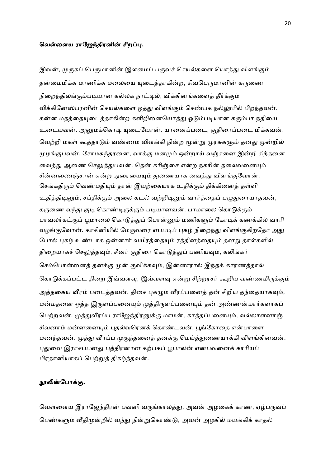#### வெள்ளைய ராஜேந்திரனின் சிறப்பு.

இவன், முருகப் பெருமானின் இளமைப் பருவச் செயல்களை யொத்து விளங்கும் தன்மைமிக்க மாணிக்க மலையை யுடைத்தாகின்ற, சிவபெருமானின் கருணை நிறைந்திலங்கும்படியான கல்லக நாட்டில், விக்கினங்களைத் தீர்க்கும் விக்கினேஸ்பரனின் செயல்களை ஒத்து விளங்கும் செண்பக நல்லூரில் பிறந்தவன். கன்ன மதத்தையுடைத்தாகின்ற களிறினையொத்து ஓடும்படியான கரும்பா நதியை உடையவன். அனுமக்கொடி யுடையோன். யானைப்படை, குதிரைப்படை மிக்கவன். வெற்றி மகள் கூத்தாடும் வண்ணம் விளங்கி நின்ற மூன்று முரசுகளும் தனது முன்றில் முழங்குபவன். சோமசுந்தரனை, வாக்கு மனமும் ஒன்றாய் வஞ்சனை இன்றி சிந்தனை வைத்து ஆணை செலுத்துபவன். தென் கரிஞ்சை என்ற நகரின் தலைவனையும் சின்னணைஞ்சான் என்ற துரையையும் துணையாக வைத்து விளங்குவோன். செங்கதிரும் வெண்மதியும் தான் இயற்கையாக உதிக்கும் திக்கினைத் தள்ளி உதித்திடினும், சப்திக்கும் அலை கடல் வற்றிடினும் வார்த்தைப் பழுதுரையாதவன், கருணை வந்து குடி கொண்டிருக்கும் படியானவன். பாமாலை கொடுக்கும் பாவலர்கட்குப் பூமாலை கொடுத்துப் பொன்னும் மணிகளும் கோடிக் கணக்கில் வாரி வழங்குவோன். காசினியில் மேருவரை எப்படிப் புகழ் நிறைந்து விளங்குகிறதோ அது போல் புகழ் உண்டாக ஒன்னார் வயிரத்தையும் ரத்தினத்தையும் தனது தாள்களில் திறையாகச் செலுத்தவும், சீனர் குதிரை கொடுத்துப் பணியவும், கலிங்கர் செம்பொன்னைத் தனக்கு முன் குவிக்கவும், இன்னாரால் இந்தக் காரணத்தால் கொடுக்கப்பட்ட திறை இவ்வளவு, இவ்வளவு என்று சிற்றரசர் கூறிய வண்ணமிருக்கும் அத்தகைய வீரம் படைத்தவன். திசை புகழும் வீரப்பனைத் தன் சிறிய தந்தையாகவும், மன்மதனை ஒத்த இருளப்பனையும் முத்திருளப்பனையும் தன் அண்ணன்மார்களாகப் பெற்றவன். முத்துவீரப்ப ராஜேந்திரனுக்கு மாமன், காத்தப்பனையும், வல்லாளனாஞ் சிவனாம் மன்னனையும் புதல்வரெனக் கொண்டவன். பூங்கோதை என்பாளை மணந்தவன். முத்து வீரப்ப முகுந்தனைத் தனக்கு மெய்த்துணையாக்கி விளங்கினவன். புதுவை இராசப்பனது புத்திரனான கற்பகப் பூபாலன் என்பவனைக் காரியப் பிரதானியாகப் பெற்றுத் திகழ்ந்தவன்.

#### நூலின்போக்கு.

வெள்ளைய இராஜேந்திரன் பவனி வருங்காலத்து, அவன் அழகைக் காண, ஏழ்பருவப் பெண்களும் வீதிமுன்றில் வந்து நின்றுகொண்டு, அவன் அழகில் மயங்கிக் காதல்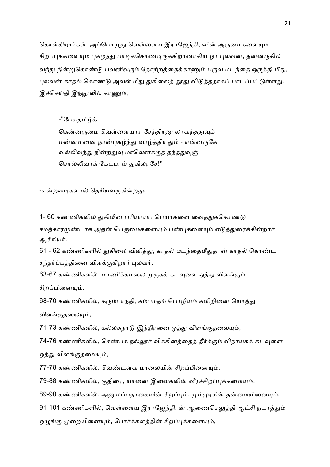கொள்கிறார்கள். அப்பொழுது வெள்ளைய இராஜேந்திரனின் அருமைகளையும் சிறப்புக்களையும் புகழ்ந்து பாடிக்கொண்டிருக்கிறானாகிய ஓர் புலவன், தன்னருகில் வந்து நின்றுகொண்டு பவனிவரும் தோற்றத்தைக்காணும் பருவ மடந்தை ஒருத்தி மீது, புலவன் காதல் கொண்டு அவள் மீது துகிலைத் தூது விடுத்ததாகப் பாடப்பட்டுள்ளது. இச்செய்தி இந்நூலில் காணும்,

-"பேசுகமிம்க்

கென்னருமை வெள்ளையரா சேந்திரனு லாவந்ததுவும் மன்னவனை நான்புகழ்ந்து வாழ்த்தியதும் - என்னருகே வல்லிவந்து நின்றதுவு மாலெனக்குத் தந்ததுவுஞ் சொல்லிவரக் கேட்பாய் துகிலரசே!''

-என்றவடிகளால் தெரியவருகின்றது.

1- 60 கண்ணிகளில் துகிலின் பரியாயப் பெயர்களை வைத்துக்கொண்டு சமத்காரமுண்டாக அதன் பெருமைகளையும் பண்புகளையும் எடுத்துரைக்கின்றார் ஆசிரியர்.

61 - 62 கண்ணிகளில் துகிலை விளித்து, காதல் மடந்தைமீதுதான் காதல் கொண்ட சந்தர்ப்பத்தினை விளக்குகிறார் புலவர்.

63-67 கண்ணிகளில், மாணிக்கமலை முருகக் கடவுளை ஒத்து விளங்கும்

சிறப்பினையும், '

68-70 கண்ணிகளில், கரும்பாநதி, கம்பமதம் பொழியும் களிறினை யொத்து விளங்குதலையும்,

71-73 கண்ணிகளில், கல்லகநாடு இந்திரனை ஒத்து விளங்குதலையும்,

74-76 கண்ணிகளில், செண்பக நல்லூர் விக்கினத்தைத் தீர்க்கும் விநாயகக் கடவுளை ஒத்து விளங்குதலையும்,

77-78 கண்ணிகளில், வெண்டளவ மாலையின் சிறப்பினையும்,

79-88 கண்ணிகளில், குதிரை, யானை இவைகளின் வீரச்சிறப்புக்களையும்,

89-90 கண்ணிகளில், அனுமப்பதாகையின் சிறப்பும், மும்முரசின் தன்மையினையும்,

91-101 கண்ணிகளில், வெள்ளைய இராஜேந்திரன் ஆணைசெலுத்தி ஆட்சி நடாத்தும் ஒழுங்கு முறையினையும், போர்க்களத்தின் சிறப்புக்களையும்,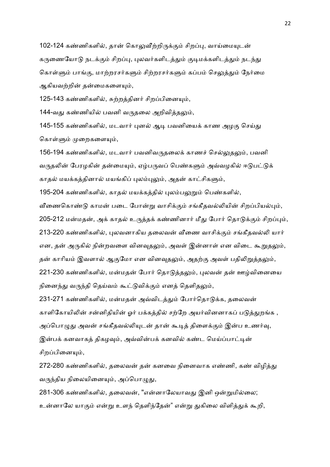102-124 கண்ணிகளில், தான் கொலுவீற்றிருக்கும் சிறப்பு, வாய்மையுடன் கருணையோடு நடக்கும் சிறப்பு, புலவர்களிடத்தும் குடிமக்களிடத்தும் நடந்து கொள்ளும் பாங்கு, மாற்றரசர்களும் சிற்றரசர்களும் கப்பம் செலுத்தும் நேர்மை ஆகியவற்றின் தன்மைகளையும்,

125-143 கண்ணிகளில், சுற்றத்தினர் சிறப்பினையும்,

144-வது கண்ணியில் பவனி வருதலை அறிவித்தலும்,

145-155 கண்ணிகளில், மடவார் புனல் ஆடி பவனியைக் காண அழகு செய்து கொள்ளும் முறைகளையும்,

156-194 கண்ணிகளில், மடவார் பவனிவருகலைக் காணச் செல்லுதலும், பவனி வருதலின் பேரழகின் தன்மையும், ஏழ்பருவப் பெண்களும் அவ்வழகில் ஈடுபட்டுக் காதல் மயக்கத்தினால் மயங்கிப் புலம்புலும், அதன் காட்சிகளும்,

195-204 கண்ணிகளில், காதல் மயக்கத்தில் புலம்பலுறும் பெண்களில்,

வீணைகொண்டு காமன் படை போன்று வாசிக்கும் சங்கீதவல்லியின் சிறப்பியல்பும், 205-212 மன்மதன், அக் காதல் உருத்தக் கண்ணினார் மீது போர் தொடுக்கும் சிறப்பும், 213-220 கண்ணிகளில், புலவனாகிய தலைவன் வீணை வாசிக்கும் சங்கீதவல்லி யார் என, தன் அருகில் நின்றவளை வினவுதலும், அவள் இன்னாள் என விடை கூறுதலும், தன் காரியம் இவளால் ஆகுமோ என வினவுதலும், அதற்கு அவள் பதிலிறுத்தலும், 221-230 கண்ணிகளில், மன்மதன் போர் தொடுத்தலும், புலவன் தன் ஊழ்வினையை நினைந்து வருந்தி தெய்வம் கூட்டுவிக்கும் எனத் தெளிதலும்,

231-271 கண்ணிகளில், மன்மதன் அவ்விடத்தும் போர்தொடுக்க, தலைவன் காளிகோயிலின் சன்னிதியின் ஓர் பக்கத்தில் சற்றே அயர்வினனாகப் படுத்துறங்க , அப்பொழுது அவன் சங்கீதவல்லியுடன் தான் கூடித் திளைக்கும் இன்ப உணர்வு, இன்பக் கனவாகத் திகழவும், அவ்வின்பக் கனவில் கண்ட மெய்ப்பாட்டின் சிறப்பினையும்,

272-280 கண்ணிகளில், தலைவன் தன் கனவை நினைவாக எண்ணி, கண் விழித்து வருந்திய நிலையினையும், அப்பொழுது,

281-306 கண்ணிகளில், தலைவன், "என்னாலேயாவது இனி ஒன்றுமில்லை; உன்னாலே யாகும் என்று உளந் தெளிந்தேன்" என்று துகிலை விளித்துக் கூறி,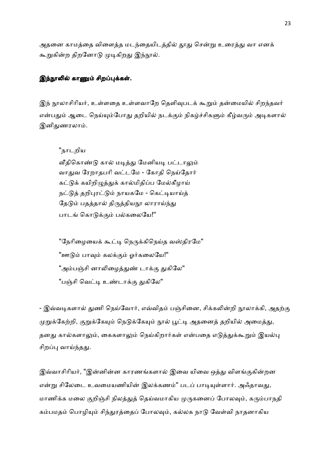அதனை காமத்தை விளைத்த மடந்தையிடத்தில் தூது சென்று உரைத்து வா எனக் கூறுகின்ற திறனோடு முடிகிறது இந்நூல்.

## இந்நூலில் காணும் சிறப்புக்கள்.

இந் நூலாசிரியர், உள்ளதை உள்ளவாறே தெளிவுபடக் கூறும் தன்மையில் சிறந்தவர் என்பதும் ஆடை நெய்யும்போது தறியில் நடக்கும் நிகழ்ச்சிகளும் கீழ்வரும் அடிகளால் இனிதுணரலாம்.

"நாடறிய

வீதிகொண்டு கால் மடித்து மேனியடி பட்டாலும் வாதுவ ரேறாதபரி வட்டமே - கோதி நெய்தோர் கட்டுக் கயிறிழுத்துக் கால்மிதிப்ப மேல்கீழாய் நட்டுத் தறிபுரட்டும் நாயகமே - கெட்டியாய்த் தேடும் பதத்தால் திருத்தியநூ லாராய்ந்து பாடங் கொடுக்கும் பல்கலையே!"

''நேரிழையைக் கூட்டி நெருக்கிநெய்த வஸ்திரமே'' <u>"ஊடும் பாவும் கலக்கும் ஓர்கலையே!"</u> "அம்பஞ்சி னாலிழைத்துண் டாக்கு துகிலே" "பஞ்சி வெட்டி உண்டாக்கு துகிலே"

- இவ்வடிகளால் துணி நெய்வோர், எவ்விதம் பஞ்சினை, சிக்கலின்றி நூலாக்கி, அதற்கு முறுக்கேற்றி, குறுக்கேயும் நெடுக்கேயும் நூல் பூட்டி அதனைத் தறியில் அமைத்து, தனது கால்களாலும், கைகளாலும் நெய்கிறார்கள் என்பதை எடுத்துக்கூறும் இயல்பு சிறப்பு வாய்ந்தது.

இவ்வாசிரியர், "இன்னின்ன காரணங்களால் இவை யிவை ஒத்து விளங்குகின்றன என்று சிலேடை உவமையணியின் இலக்கணம்'' படப் பாடியுள்ளார். அஃதாவது, மாணிக்க மலை குறிஞ்சி நிலத்துத் தெய்வமாகிய முருகனைப் போலவும், கரும்பாநதி கம்பமதம் பொழியும் சிந்துரத்தைப் போலவும், கல்லக நாடு வேள்வி நாதனாகிய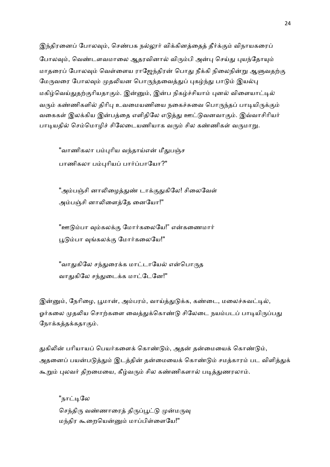இந்திரனைப் போலவும், செண்பக நல்லூர் விக்கினத்தைத் தீர்க்கும் விநாயகரைப் போலவும், வெண்டளவமாலை ஆதரவினால் விரும்பி அன்பு செய்து புயந்தோயும் மாதரைப் போலவும் வெள்ளைய ராஜேந்திரன் பொது நீக்கி நிலைநின்று ஆளுவதற்கு மேருவரை போலவும் முதலியன பொருந்தவைத்துப் புகழ்ந்து பாடும் இயல்பு மகிழ்வெய்துதற்குரியதாகும். இன்னும், இன்ப நிகழ்ச்சியாம் புனல் விளையாட்டில் வரும் கண்ணிகளில் திரிபு உவமையணியை நகைச்சுவை பொருந்தப் பாடியிருக்கும் வகைகள் இலக்கிய இன்பத்தை எளிதிலே எடுத்து ஊட்டுவனவாகும். இவ்வாசிரியர் பாடியதில் செம்மொழிச் சிலேடையணியாக வரும் சில கண்ணிகள் வருமாறு.

"வாணிகலா பம்புரிய வந்தாய்என் மீதுபஞ்ச பாணிகலா பம்புரியப் பார்ப்பாயோ?"

"அம்பஞ்சி னாலிழைத்துண் டாக்குதுகிலே! சிலைவேள் அம்பஞ்சி னாலிளைத்தே னையோ!"

"ஊடும்பா வம்கலக்கு மோர்கலையே!" என்கணைமார் பூடும்பா வங்கலக்கு மோர்கலையே!"

"வாதுகிலே சந்துரைக்க மாட்டாயேல் என்பொருத வாதுகிலே சந்துடைக்க மாட்டேனே!"

இன்னும், நேரிழை, பூமான், அம்பரம், வாய்த்துடுக்க, கண்டை, மலைச்சுவட்டில், ஓர்கலை முதலிய சொற்களை வைத்துக்கொண்டு சிலேடை நயம்படப் பாடியிருப்பது நோக்கத்தக்கதாகும்.

துகிலின் பரியாயப் பெயர்களைக் கொண்டும், அதன் தன்மையைக் கொண்டும், அதனைப் பயன்படுத்தும் இடத்தின் தன்மையைக் கொண்டும் சமத்காரம் பட விளித்துக் கூறும் புலவர் திறமையை, கீழ்வரும் சில கண்ணிகளால் படித்துணரலாம்.

"நாட்டிலே செந்திரு வண்ணாரைத் திருப்பூட்டு முன்மருவு மந்திர கூறையென்னும் மாப்பிள்ளையே!"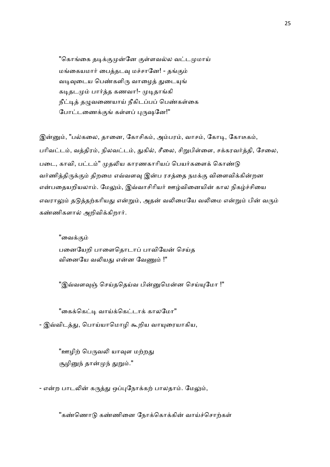"கொங்கை தடிக்குமுன்னே குள்ளவல்ல வட்டமுமாய் மங்கையமார் பைத்தடவு மச்சானே! - தங்கும் வடிவுடைய பெண்களிரு வாழைத் துடையுங் கடிதடமும் பார்த்த கணவா!- முடிதாங்கி நீட்டித் தழுவணையாய் நீகிடப்பப் பெண்கள்கை போட்டணைக்குங் கள்ளப் புருஷனே!"

இன்னும், "பல்கலை, தானை, கோசிகம், அம்பரம், வாசம், கோடி, கோடீகம், பரிவட்டம், வத்திரம், நிலவட்டம், துகில், சீலை, சிறுபிள்ளை, சக்கரவர்த்தி, சேலை, படை, காவி, பட்டம்" முதலிய காரணகாரியப் பெயர்களைக் கொண்டு வர்ணித்திருக்கும் திறமை எவ்வளவு இன்ப ரசத்தை நமக்கு விளைவிக்கின்றன என்பதையறியலாம். மேலும், இவ்வாசிரியர் ஊழ்வினையின் கால நிகழ்ச்சியை எவராலும் தடுத்தற்கரியது என்றும், அதன் வலிமையே வலிமை என்றும் பின் வரும் கண்ணிகளால் அறிவிக்கிறார்.

"வைக்கும் பனையேறி பாளைதொடாப் பாவியேன் செய்த வினையே வலியது என்ன வேணும் !"

"இவ்வளவுஞ் செய்ததெய்வ பின்னுமென்ன செய்யுமோ !"

"கைக்கெட்டி வாய்க்கெட்டாக் காலமோ"

- இவ்விடத்து, பொய்யாமொழி கூறிய வாயுரையாகிய,

"ஊழிற் பெருவலி யாவுள மற்றது சூழினுந் தான்முந் துறும்."

- என்ற பாடலின் கருத்து ஒப்புநோக்கற் பாலதாம். மேலும்,

"கண்ணொடு கண்ணினை நோக்கொக்கின் வாய்ச்சொற்கள்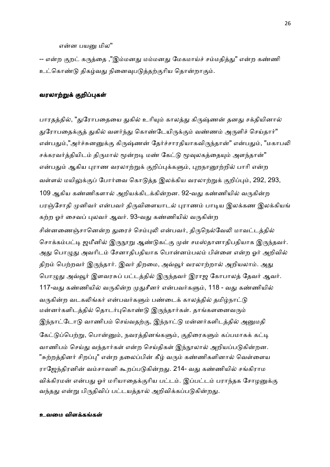என்ன பயனு மில"

-- என்ற குறட் கருத்தை ,"இம்மனது மம்மனது மேகமாய்ச் சம்மதித்து" என்ற கண்ணி உட்கொண்டு திகழ்வது நினைவுபடுத்தற்குரிய தொன்றாகும்.

#### வரலாற்றுக் குறிப்புகள்

பாரதத்தில், "துரோபதையை துகில் உரியும் காலத்து கிருஷ்ணன் தனது சக்தியினால் துரோபதைக்குத் துகில் வளர்ந்து கொண்டேயிருக்கும் வண்ணம் அருளிச் செய்தார்" என்பதும்,"அர்ச்சுனனுக்கு கிருஷ்ணன் தேர்ச்சாரதியாகவிருந்தான்" என்பதும், "மகாபலி சக்கரவர்த்தியிடம் திருமால் மூன்றடி மண் கேட்டு மூவுலகத்தையும் அளந்தான்" என்பதும் ஆகிய புராண வரலாற்றுக் குறிப்புக்களும், புறநானூற்றில் பாரி என்ற வள்ளல் மயிலுக்குப் போர்வை கொடுத்த இலக்கிய வரலாற்றுக் குறிப்பும், 292, 293, 109 ஆகிய கண்ணிகளால் அறியக்கிடக்கின்றன. 92-வது கண்ணியில் வருகின்ற பரஞ்சோதி முனிவர் என்பவர் திருவிளையாடல் புராணம் பாடிய இலக்கண இலக்கியங் கற்ற ஓர் சைவப் புலவர் ஆவர். 93-வது கண்ணியில் வருகின்ற சின்னணைஞ்சானென்ற துரைச் செம்புலி என்பவர், திருநெல்வேலி மாவட்டத்தில் சொக்கம்பட்டி ஜமீனில் இருநூறு ஆண்டுகட்கு முன் சமஸ்தானாதிபதியாக இருந்தவர். அது பொழுது அவரிடம் சேனாதிபதியாக பொன்னம்பலம் பிள்ளை என்ற ஓர் அறிவில் திறம் பெற்றவர் இருந்தார். இவர் திறமை, அவ்வூர் வரலாற்றால் அறியலாம். அது பொழுது அவ்வூர் இளவரசுப் பட்டத்தில் இருந்தவர் இராஜ கோபாலத் தேவர் ஆவர். 117-வது கண்ணியில் வருகின்ற முதுசீனர் என்பவர்களும், 118 - வது கண்ணியில் வருகின்ற வடகலிங்கர் என்பவர்களும் பண்டைக் காலத்தில் தமிழ்நாட்டு மன்னர்களிடத்தில் தொடர்புகொண்டு இருந்தார்கள். தாங்களனைவரும் இந்நாட்டோடு வாணிபம் செய்வதற்கு, இந்நாட்டு மன்னர்களிடத்தில் அனுமதி கேட்டுப்பெற்று, பொன்னும், நவரத்தினங்களும், குதிரைகளும் கப்பமாகக் கட்டி வாணிபம் செய்து வந்தார்கள் என்ற செய்திகள் இந்நூலால் அறியப்படுகின்றன. "சுற்றத்தினர் சிறப்பு" என்ற தலைப்பின் கீழ் வரும் கண்ணிகளினால் வெள்ளைய ராஜேந்திரனின் வம்சாவளி கூறப்படுகின்றது. 214- வது கண்ணியில் சங்கிராம விக்கிரமன் என்பது ஓர் மரியாதைக்குரிய பட்டம். இப்பட்டம் பராந்தக சோழனுக்கு வந்தது என்று பிருதிவிப் பட்டயத்தால் அறிவிக்கப்படுகின்றது.

#### உவமை விளக்கங்கள்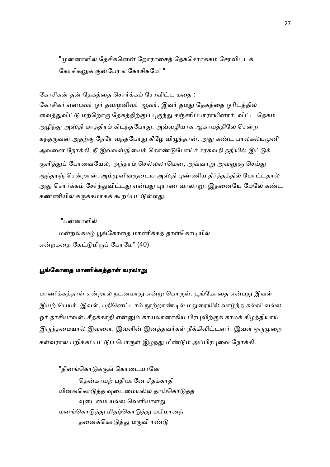"முன்னாளில் தேசிகனென் றோராசைத் தேகசொர்க்கம் சேரவிட்டக் கோசிகனுக் குன்போங் கோசிகமே! "

#### கோசிகன் தன் கேகக்கை சொர்க்கம் சேரவிட்ட கதை :

கோசிகர் என்பவர் ஓர் தவமுனிவர் ஆவர். இவர் தமது தேகத்தை ஓரிடத்தில் வைத்துவிட்டு மற்றொரு தேகத்திற்குப் புகுந்து சஞ்சரிப்பாராயினார். விட்ட தேகம் அழிந்து அஸ்தி மாத்திரம் கிடந்தபோது, அவ்வழியாக ஆகாயத்திலே சென்ற கந்தருவன் அதற்கு நேரே வந்தபோது கீழே விழுந்தான். அது கண்ட பாலகல்யமுனி அவனை நோக்கி, நீ இவ்வஸ்தியைக் கொண்டுபோய்ச் சரசுவதி நதியில் இட்டுக் குளித்துப் போவையேல், அந்தரம் செல்லலாமென, அவ்வாறு அவனுஞ் செய்து அந்தரஞ் சென்றான். அம்முனிவருடைய அஸ்தி புண்ணிய தீர்த்தத்தில் போட்டதால் அது சொர்க்கம் சேர்ந்துவிட்டது என்பது புராண வரலாறு. இதனையே மேலே கண்ட கண்ணியில் சுருக்கமாகக் கூறப்பட்டுள்ளது.

#### "பன்னாளில்

மன்றல்கமழ் பூங்கோதை மாணிக்கத் தாள்கொடியில் என்றகதை கேட்டுமிருப் போமே" (40)

#### பூங்கோதை மாணிக்கத்தாள் வரலாறு

மாணிக்கத்தாள் என்றால் நடனமாது என்று பொருள். பூங்கோதை என்பது இவள் இயற் பெயர். இவள், பதினெட்டாம் நூற்றாண்டில் மதுரையில் வாழ்ந்த கல்வி வல்ல ஓர் தாசியாவள். சீதக்காதி என்னும் காயலானாகிய பிரபுவிற்குக் காமக் கிழத்தியாய் இருந்தமையால் இவளை, இவளின் இனத்தவர்கள் நீக்கிவிட்டனர். இவள் ஒருமுறை கள்வரால் பறிக்கப்பட்டுப் பொருள் இழந்து மீண்டும் அப்பிரபுவை நோக்கி,

"தினங்கொடுக்குங் கொடையானே தென்காயற் பதியானே சீதக்காதி யினங்கொடுத்த வடைமையல்ல தாய்கொடுத்த வுடைமை யல்ல வெளியாளது மனங்கொடுத்து மிதழ்கொடுத்து மபிமானந் தனைக்கொடுத்து மருவி ரண்டு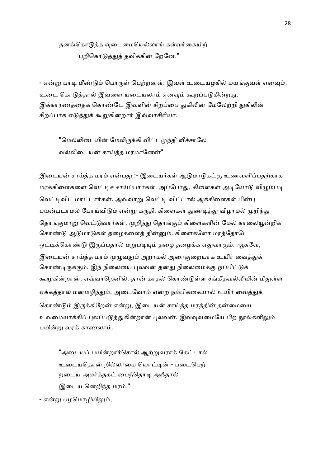தனங்கொடுத்த வுடைமையெல்லாங் கள்வர்கையிற் பறிகொடுத்துத் தவிக்கின் றேனே."

- என்று பாடி மீண்டும் பொருள் பெற்றனள். இவள் உடையழகில் மயங்குவள் எனவும், உடை கொடுத்தால் இவளை யடையலாம் எனவும் கூறப்படுகின்றது. இக்காரணத்தைக் கொண்டே இவளின் சிறப்பை துகிலின் மேலேற்றி துகிலின் சிறப்பாக எடுத்துக் கூறுகின்றார் இவ்வாசிரியர்.

"மெல்லிடையின் மேலிருக்கி விட்டமுந்தி வீச்சாலே வல்லிடையன் சாய்த்த மரமானேன்"

இடையன் சாய்த்த மரம் என்பது :- இடையர்கள் ஆடுமாடுகட்கு உணவளிப்பதற்காக மரக்கிளைகளை வெட்டிச் சாய்ப்பார்கள். அப்போது, கிளைகள் அடியோடு விழும்படி வெட்டிவிட மாட்டார்கள். அவ்வாறு வெட்டி விட்டால் அக்கிளைகள் பின்பு பயன்படாமல் போய்விடும் என்று கருதி, கிளைகள் துண்டித்து விழாமல் முறிந்து தொங்குமாறு வெட்டுவார்கள். முறிந்து தொங்கும் கிளைகளின் மேல் காலையூன்றிக் கொண்டு ஆடுமாடுகள் தழைகளைத் தின்னும். கிளைகளோ மரத்தோடே ஒட்டிக்கொண்டு இருப்பதால் மறுபடியும் தழை தழைக்க ஏதுவாகும். ஆகவே, இடையன் சாய்த்த மரம் முழுவதும் அறாமல் அரைகுறையாக உயிர் வைத்துக் கொண்டிருக்கும். இந் நிலையை புலவன் தனது நிலைமைக்கு ஒப்பிட்டுக் கூறுகின்றான். எவ்வாறெனில், தான் காதல் கொண்டுள்ள சங்கீதவல்லியின் மீதுள்ள ஏக்கத்தால் மனமழிந்தும், அடைவோம் என்ற நம்பிக்கையால் உயிர் வைத்துக் கொண்டும் இருக்கிறேன் என்று, இடையன் சாய்த்த மரத்தின் தன்மையை உவமையாக்கிப் புலப்படுத்துகின்றான் புலவன். இவ்வுவமையே பிற நூல்களிலும் பயின்று வரக் காணலாம்.

"அடையப் பயின்றார்சொல் ஆற்றுவராக் கேட்டால் உடையதொன் றில்லாமை யொட்டின் - படைபெற் றடைய அமர்த்தகட் பைந்தொடி அஃதால் இடைய னெறிந்த மரம்.''

- என்று பழமொழியிலும்,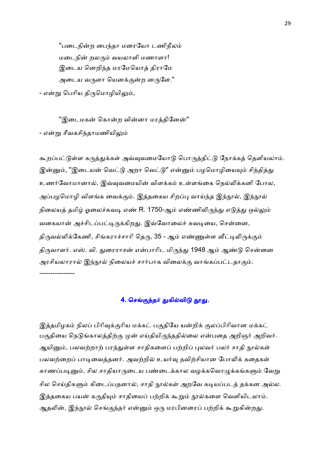"படைநின்ற பைந்தா மரையோ டணிநீலம் மடைநின் றலரும் வயலாளி மணாளா! இடைய னெறிந்த மரமேயொக் திராமே அடைய வருளா யெனக்குன்ற னருளே.''

- என்று பெரிய திருமொழியிலும்,

''இடைமகன் கொன்ற வின்னா மாக்கினேன்'' - என்று சீவகசிந்தாமணியிலும்

கூறப்பட்டுள்ள கருத்துக்கள் அவ்வுவமையோடு பொருத்திட்டு நோக்கத் தெளியலாம். இன்னும், "இடையன் வெட்டு அறா வெட்டு" என்னும் பழமொழியையும் சிந்தித்து உணர்வோமானால், இவ்வுவமையின் விளக்கம் உள்ளங்கை நெல்லிக்கனி போல, அப்பழமொழி விளங்க வைக்கும். இத்தகைய சிறப்பு வாய்ந்த இந்நூல், இந்நூல் நிலையத் தமிழ் ஓலைச்சுவடி எண் R. 1750-ஆம் எண்ணிலிருந்து எடுத்து ஒல்லும் வகையான் அச்சிடப்பட்டிருக்கிறது. இவ்வோலைச் சுவடியை, சென்னை, திருவல்லிக்கேணி, சிங்கராச்சாரி தெரு, 35 - ஆம் எண்ணுள்ள வீட்டிலிருக்கும் திருவாளர். எஸ். வி. துரைராசன் என்பாரிட மிருந்து 1948 ஆம் ஆண்டு சென்னை அரசியலாரால் இந்நூல் நிலையச் சார்பாக விலைக்கு வாங்கப்பட்டதாகும். ----------------

#### 4. செங்குந்தர் துகில்விடு தூது.

இத்தமிழகம் நிலப் பிரிவுக்குரிய மக்கட் பகுதியே யன்றிக் குலப்பிரிவான மக்கட் பகுதியை நெடுங்காலத்திற்கு முன் எய்தியிருந்ததில்லை என்பதை அறிஞர் அறிவர். ஆயினும், பலவற்றாற் பரந்துள்ள சாதிகளைப் பற்றிப் புலவர் பலர் சாதி நூல்கள் பலவற்றைப் பாடிவைத்தனர். அவற்றில் உயர்வு நவிற்சியான போலிக் கதைகள் காணப்படினும், சில சாதியாருடைய பண்டைக்கால வழக்கவொழுக்கங்களும் வேறு சில செய்திகளும் கிடைப்பதனால், சாதி நூல்கள் அறவே கடியப்படத் தக்கன அல்ல. இத்தகைய பயன் கருதியும் சாதியைப் பற்றிக் கூறும் நூல்களை வெளியிடலாம். ஆதலின், இந்நூல் செங்குந்தர் என்னும் ஒரு மரபினரைப் பற்றிக் கூறுகின்றது.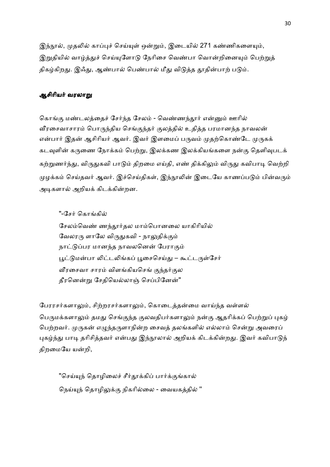இந்நூல், முதலில் காப்புச் செய்யுள் ஒன்றும், இடையில் 271 கண்ணிகளையும், இறுதியில் வாழ்த்துச் செய்யுளோடு நேரிசை வெண்பா வொன்றினையும் பெற்றுத் திகழ்கிறது. இஃது, ஆண்பால் பெண்பால் மீது விடுத்த தூதின்பாற் படும்.

#### ஆசிரியர் வரலாறு

கொங்கு மண்டலத்தைச் சேர்ந்த சேலம் - வெண்ணந்தூர் என்னும் ஊரில் வீரசைவாசாரம் பொருந்திய செங்குந்தர் குலத்தில் உதித்த பரமானந்த நாவலன் என்பார் இதன் ஆசிரியர் ஆவர். இவர் இளமைப் பருவம் முதற்கொண்டே முருகக் கடவுளின் கருணை நோக்கம் பெற்று, இலக்கண இலக்கியங்களை நன்கு தெளிவுபடக் கற்றுணர்ந்து, விருதுகவி பாடும் திறமை எய்தி, எண் திக்கிலும் விருது கவிபாடி வெற்றி முழக்கம் செய்தவர் ஆவர். இச்செய்திகள், இந்நூலின் இடையே காணப்படும் பின்வரும் அடிகளால் அறியக் கிடக்கின்றன.

"-சேர் கொங்கில் சேலம்வெண் ணந்தூர்தல மாம்பொனலை யாகிரியில் வேலரரு ளாலே விருதுகவி - நாலுதிக்கும் நாட்டுப்பர மானந்த நாவலனென் பேராகும் பூட்டுமன்பா லிட்டலிங்கப் பூசைசெய்து – கூட்டருள்சேர் வீரசைவா சாரம் விளங்கியசெங் குந்தர்குல தீரனென்று சேதியெல்லாஞ் செப்பினேன்"

பேரரசர்களாலும், சிற்றரசர்களாலும், கொடைத்தன்மை வாய்ந்த வள்ளல் பெருமக்களாலும் தமது செங்குந்த குலவதிபர்களாலும் நன்கு ஆதரிக்கப் பெற்றுப் புகழ் பெற்றவர். முருகன் எழுந்தருளாநின்ற சைவத் தலங்களில் எல்லாம் சென்று அவரைப் புகழ்ந்து பாடி தரிசித்தவர் என்பது இந்நூலால் அறியக் கிடக்கின்றது. இவர் கவிபாடுந் திறமையே யன்றி,

"செய்யுந் தொழிலைச் சீர்தூக்கிப் பார்க்குங்கால் நெய்யுந் தொழிலுக்கு நிகரில்லை - வையகத்தில் "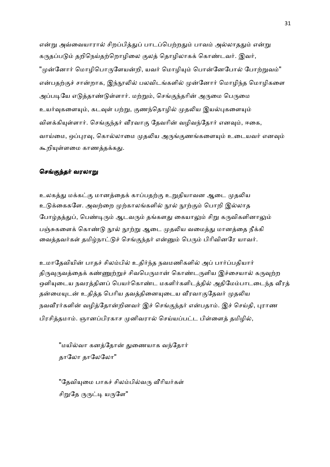என்று அவ்வையாரால் சிறப்பித்துப் பாடப்பெற்றதும் பாவம் அல்லாததும் என்று கருதப்படும் தறிநெய்தற்றொழிலை குலத் தொழிலாகக் கொண்டவர். இவர், "முன்னோர் மொழிபொருளேயன்றி, யவர் மொழியும் பொன்னேபோல் போற்றுவம்" என்பதற்குச் சான்றாக, இந்நூலில் பலவிடங்களில் முன்னோர் மொழிந்த மொழிகளை அப்படியே எடுத்தாண்டுள்ளார். மற்றும், செங்குந்தரின் அருமை பெருமை உயர்வுகளையும், கடவுள் பற்று, குணந்தொழில் முதலிய இயல்புகளையும் விளக்கியுள்ளார். செங்குந்தர் வீரவாகு தேவரின் வழிவந்தோர் எனவும், ஈகை, வாய்மை, ஒப்புரவு, கொல்லாமை முதலிய அருங்குணங்களையும் உடையவர் எனவும் கூறியுள்ளமை காணத்தக்கது.

#### செங்குந்தர் வரலாறு

உலகத்து மக்கட்கு மானத்தைக் காப்பதற்கு உறுதியாவன ஆடை முதலிய உடுக்கைகளே. அவற்றை முற்காலங்களில் நூல் நூற்கும் பொறி இல்லாத போழ்தத்துப், பெண்டிரும் ஆடவரும் தங்களது கையாலும் சிறு கருவிகளினாலும் பஞ்சுகளைக் கொண்டு நூல் நூற்று ஆடை முதலிய வமைத்து மானத்தை நீக்கி வைத்தவர்கள் தமிழ்நாட்டுச் செங்குந்தர் என்னும் பெரும் பிரிவினரே யாவர்.

உமாதேவியின் பாதச் சிலம்பில் உதிர்ந்த நவமணிகளில் அப் பார்ப்பதியார் திருவுருவத்தைக் கண்ணுற்றுச் சிவபெருமான் கொண்டருளிய இச்சையால் கருவுற்ற ஒளியுடைய நவரத்தினப் பெயர்கொண்ட மகளிர்களிடத்தில் அதிமேம்பாடடைந்த வீரத் தன்மையுடன் உதித்த பெரிய தவத்தினையுடைய வீரவாகுதேவர் முதலிய நவவீரர்களின் வழித்தோன்றினவர் இச் செங்குந்தர் என்பதாம். இச் செய்தி, புராண பிரசித்தமாம். ஞானப்பிரகாச முனிவரால் செய்யப்பட்ட பிள்ளைத் தமிழில்,

"மயில்வா கனத்தோன் துணையாக வந்தோர் தாலோ தாலேலோ"

"தேவியுமை பாகச் சிலம்பில்வரு வீரியர்கள் சிறுதே ருருட்டி யருளே"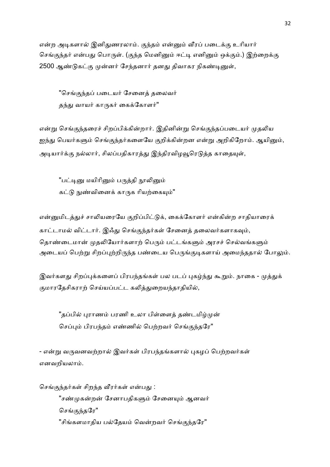என்ற அடிகளால் இனிதுணரலாம். குந்தம் என்னும் வீரப் படைக்கு உரியார் செங்குந்தர் என்பது பொருள். (குந்த மெனினும் ஈட்டி எனினும் ஒக்கும்.) இற்றைக்கு 2500 ஆண்டுகட்கு முன்னர் சேந்தனார் தனது திவாகர நிகண்டினுள்,

"செங்குந்தப் படையர் சேனைக் தலைவர் தந்து வாயர் காருகர் கைக்கோளர்"

என்று செங்குந்தரைச் சிறப்பிக்கின்றார். இதினின்று செங்குந்தப்படையர் முதலிய ஐந்து பெயர்களும் செங்குந்தர்களையே குறிக்கின்றன என்று அறிகிறோம். ஆயினும், அடியார்க்கு நல்லார், சிலப்பதிகாரத்து இந்திரவிழவூரெடுத்த காதையுள்,

"பட்டினு மயிரினும் பருத்தி நாலினும் கட்டு நுண்வினைக் காருக ரியற்கையும்"

என்னுமிடத்துச் சாலியரையே குறிப்பிட்டுக், கைக்கோளர் என்கின்ற சாதியாரைக் காட்டாமல் விட்டார். இஃது செங்குந்தர்கள் சேனைத் தலைவர்களாகவும், தொண்டைமான் முதலியோர்களாற் பெரும் பட்டங்களும் அரசச் செல்வங்களும் அடையப் பெற்று சிறப்புற்றிருந்த பண்டைய பெருங்குடிகளாய் அமைந்ததால் போலும்.

இவர்களது சிறப்புக்களைப் பிரபந்தங்கள் பல படப் புகழ்ந்து கூறும். நாகை - முத்துக் குமாரதேசிகராற் செய்யப்பட்ட கலித்துறையந்தாதியில்,

"தப்பில் புராணம் பரணி உலா பிள்ளைத் தண்டமிழ்முன் செப்பும் பிரபந்தம் எண்ணில் பெற்றவர் செங்குந்தரே"

- என்று வருவனவற்றால் இவர்கள் பிரபந்தங்களால் புகழப் பெற்றவர்கள் எனவறியலாம்.

செங்குந்தர்கள் சிறந்த வீரர்கள் என்பது :

"சண்முகன்றன் சேனாபதிகளும் சேனையும் ஆனவர் செங்குந்தரே" "சிங்களமாதிய பல்தேயம் வென்றவர் செங்குந்தரே"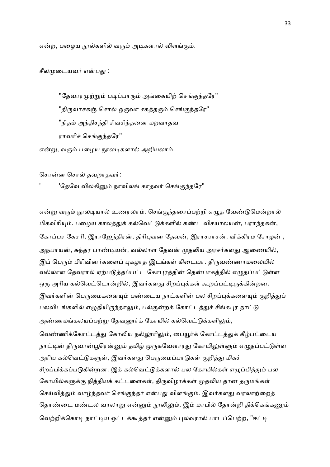என்ற, பழைய நூல்களில் வரும் அடிகளால் விளங்கும்.

சீலமுடையவர் என்பது :

"தேவாரமுற்றும் படிப்பாரும் அங்கையிற் செங்குந்தரே" ''திருவாசகஞ் சொல் ஒருவா சகத்தரும் செங்குந்தரே'' "நிதம் அந்திசந்தி சிவசிந்தனை மறவாதவ ராவரிச் செங்குந்தரே"

என்று, வரும் பழைய நூலடிகளால் அறியலாம்.

சொன்ன சொல் தவறாதவர்:

'தேவே விலகினும் நாவிலங் காதவர் செங்குந்தரே"

என்று வரும் நூலடியால் உணரலாம். செங்குந்தரைப்பற்றி எழுத வேண்டுமென்றால் மிகவிரியும். பழைய காலத்துக் கல்வெட்டுக்களில் கண்ட விசயாலயன், பராந்தகன், கோப்பர கேசரி, இராஜேந்திரன், திரிபுவன தேவன், இராசராசன், விக்கிரம சோழன், அநபாயன், சுந்தர பாண்டியன், வல்லாள தேவன் முதலிய அரசர்களது ஆணையில், இப் பெரும் பிரிவினர்களைப் புகழாத இடங்கள் கிடையா. திருவண்ணாமலையில் வல்லாள தேவரால் ஏற்படுத்தப்பட்ட கோபுரத்தின் தென்பாகத்தில் எழுதப்பட்டுள்ள ஒரு அரிய கல்வெட்டொன்றில், இவர்களது சிறப்புக்கள் கூறப்பட்டிருக்கின்றன. இவர்களின் பெருமைகளையும் பண்டைய நாட்களின் பல சிறப்புக்களையும் குறித்துப் பலவிடங்களில் எழுதியிருந்தாலும், பல்குன்றக் கோட்டத்துச் சிங்கபுர நாட்டு அண்ணமங்கலயப்பற்று தேவனூர்க் கோயில் கல்வெட்டுக்களிலும், வெண்ணிக்கோட்டத்து கோலிய நல்லூரிலும், பையூர்க் கோட்டத்துக் கீழ்பட்டைய நாட்டின் திருவான்பூரென்னும் தமிழ் முருகவேளாரது கோயிலுள்ளும் எழுதப்பட்டுள்ள அரிய கல்வெட்டுகளுள், இவர்களது பெருமைப்பாடுகள் குறித்து மிகச் சிறப்பிக்கப்படுகின்றன. இக் கல்வெட்டுக்களால் பல கோயில்கள் எழுப்பித்தும் பல கோயில்களுக்கு நித்தியக் கட்டளைகள், திருவிழாக்கள் முதலிய தான தருமங்கள் செய்வித்தும் வாழ்ந்தவர் செங்குந்தர் என்பது விளங்கும். இவர்களது வரலாற்றைத் தொண்டை மண்டல வரலாறு என்னும் நூலிலும், இம் மரபில் தோன்றி திக்கெங்கணும் வெற்றிக்கொடி நாட்டிய ஒட்டக்கூத்தர் என்னும் புலவரால் பாடப்பெற்ற, "ஈட்டி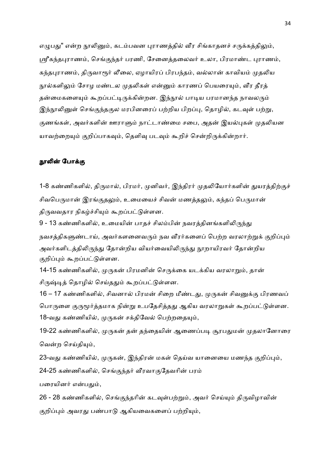எழுபது" என்ற நூலினும், கடம்பவன புராணத்தில் வீர சிங்காதனச் சருக்கத்திலும், ஸ்ரீகந்தபுராணம், செங்குந்தர் பரணி, சேனைத்தலைவர் உலா, பிரமாண்ட புராணம், கந்தபுராணம், திருவாரூர் லீலை, ஏழாயிரப் பிரபந்தம், வல்லான் காவியம் முதலிய நூல்களிலும் சோழ மண்டல முதலிகள் என்னும் காரணப் பெயரையும், வீர தீரத் தன்மைகளையும் கூறப்பட்டிருக்கின்றன. இந்நூல் பாடிய பரமானந்த நாவலரும் இந்நூலினுள் செங்குந்தகுல மரபினரைப் பற்றிய பிறப்பு, தொழில், கடவுள் பற்று, குணங்கள், அவர்களின் ஊராளும் நாட்டாண்மை சபை, அதன் இயல்புகள் முதலியன யாவற்றையும் குறிப்பாகவும், தெளிவு படவும் கூறிச் சென்றிருக்கின்றார்.

#### நூலின் போக்கு

1-8 கண்ணிகளில், திருமால், பிரமர், முனிவர், இந்திரர் முதலியோர்களின் துயரத்திற்குச் சிவபெருமான் இரங்குதலும், உமையைச் சிவன் மணத்தலும், கந்தப் பெருமான் திருவவதார நிகழ்ச்சியும் கூறப்பட்டுள்ளன.

9 - 13 கண்ணிகளில், உமையின் பாதச் சிலம்பின் நவரத்தினங்களிலிருந்து நவசத்திகளுண்டாய், அவர்களனைவரும் நவ வீரர்களைப் பெற்ற வரலாற்றுக் குறிப்பும் அவர்களிடத்திலிருந்து தோன்றிய வியர்வையிலிருந்து நூறாயிரவர் தோன்றிய குறிப்பும் கூறப்பட்டுள்ளன.

14-15 கண்ணிகளில், முருகன் பிரமனின் செருக்கை யடக்கிய வரலாறும், தான் சிருஷ்டித் தொழில் செய்ததும் கூறப்பட்டுள்ளன.

16 – 17 கண்ணிகளில், சிவனால் பிரமன் சிறை மீண்டது, முருகன் சிவனுக்கு பிரணவப் பொருளை குருமூர்த்தமாக நின்று உபதேசித்தது ஆகிய வரலாறுகள் கூறப்பட்டுள்ளன. 18-வது கண்ணியில், முருகன் சக்திவேல் பெற்றதையும்,

19-22 கண்ணிகளில், முருகன் தன் தந்தையின் ஆணைப்படி சூரபதுமன் முதலானோரை வென்ற செய்தியும்,

23-வது கண்ணியில், முருகன், இந்திரன் மகள் தெய்வ யானையை மணந்த குறிப்பும், 24-25 கண்ணிகளில், செங்குந்தர் வீரவாகுதேவரின் பரம் பரையினர் என்பதும்,

26 - 28 கண்ணிகளில், செங்குந்தரின் கடவுள்பற்றும், அவர் செய்யும் திருவிழாவின் குறிப்பும் அவரது பண்பாடு ஆகியவைகளைப் பற்றியும்,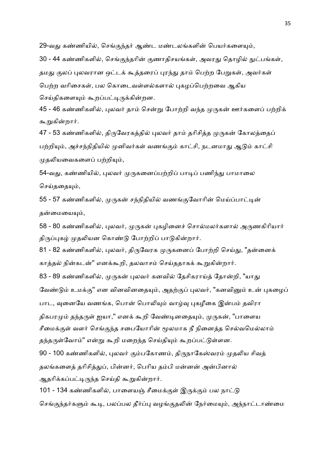29-வது கண்ணியில், செங்குந்தர் ஆண்ட மண்டலங்களின் பெயர்களையும், 30 - 44 கண்ணிகளில், செங்குந்தரின் குணாதிசயங்கள், அவரது தொழில் நுட்பங்கள், தமது குலப் புலவரான ஒட்டக் கூத்தரைப் புரந்து தாம் பெற்ற பேறுகள், அவர்கள் பெற்ற வரிசைகள், பல கொடைவள்ளல்களால் பகமப்பெற்றவை ஆகிய செய்திகளையும் கூறப்பட்டிருக்கின்றன.

45 - 46 கண்ணிகளில், புலவர் தாம் சென்று போற்றி வந்த முருகன் ஊர்களைப் பற்றிக் கூறுகின்றார்.

47 - 53 கண்ணிகளில், திருவேரகத்தில் புலவர் தாம் தரிசித்த முருகன் கோலத்தைப் பற்றியும், அச்சந்நிதியில் முனிவர்கள் வணங்கும் காட்சி, நடனமாது ஆடும் காட்சி முதலியவைகளைப் பற்றியும்,

54-வது, கண்ணியில், புலவர் முருகனைப்பற்றிப் பாடிப் பணிந்து பாமாலை செய்ககையும்,

55 - 57 கண்ணிகளில், முருகன் சந்நிதியில் வணங்குவோரின் மெய்ப்பாட்டின் தன்மையையும்,

58 - 80 கண்ணிகளில், புலவர், முருகன் புகழினைச் சொல்மலர்களால் அருணகிரியார் திருப்புகழ் முதலியன கொண்டு போற்றிப் பாடுகின்றார்.

81 - 82 கண்ணிகளில், புலவர், திருவேரக முருகனைப் போற்றி செய்து, "தன்னைக் காத்தல் நின்கடன்" எனக்கூறி, தலவாசம் செய்ததாகக் கூறுகின்றார்.

83 - 89 கண்ணிகளில், முருகன் புலவர் கனவில் தேசிகராய்த் தோன்றி, "யாது வேண்டும் உமக்கு'' என வினவினதையும், அதற்குப் புலவர், "கனவினும் உன் புகழைப் பாட, வுனையே வணங்க, பொன் பொலியும் வாழ்வு புகழீகை இன்பம் தவிரா திகபரமும் தந்தருள் ஐயா," எனக் கூறி வேண்டினதையும், முருகன், "பாளைய சீமைக்குள் வளர் செங்குந்த சபையோரின் மூலமாக நீ நினைத்த செல்வமெல்லாம் தந்தருள்வோம்" என்று கூறி மறைந்த செய்தியும் கூறப்பட்டுள்ளன.

90 - 100 கண்ணிகளில், புலவர் கும்பகோணம், திருநாகேஸ்வரம் முதலிய சிவத் தலங்களைத் தரிசித்துப், பின்னர், பெரிய தம்பி மன்னன் அன்பினால் ஆதரிக்கப்பட்டிருந்த செய்தி கூறுகின்றார்.

101 - 134 கண்ணிகளில், பாளையஞ் சீமைக்குள் இருக்கும் பல நாட்டு செங்குந்தர்களும் கூடி, பலப்பல தீர்ப்பு வழங்குதலின் நேர்மையும், அந்நாட்டாண்மை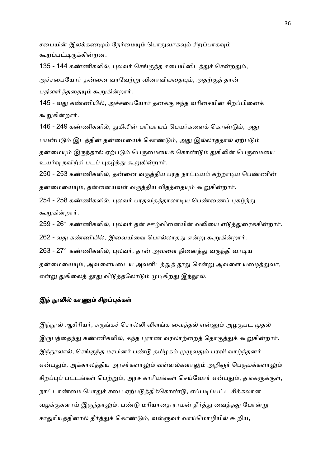சபையின் இலக்கணமும் நேர்மையும் பொதுவாகவும் சிறப்பாகவும் கூறப்பட்டிருக்கின்றன.

135 - 144 கண்ணிகளில், புலவர் செங்குந்த சபையினிடத்துச் சென்றதும்,

அச்சபையோர் தன்னை வரவேற்று வினாவியதையும், அதற்குத் தான் பதிலளித்ததையும் கூறுகின்றார்.

145 - வது கண்ணியில், அச்சபையோர் தனக்கு ஈந்த வரிசையின் சிறப்பினைக் கூறுகின்றார்.

146 - 249 கண்ணிகளில், துகிலின் பரியாயப் பெயர்களைக் கொண்டும், அது பயன்படும் இடத்தின் தன்மையைக் கொண்டும், அது இல்லாததால் ஏற்படும் தன்மையும் இருந்தால் ஏற்படும் பெருமையைக் கொண்டும் துகிலின் பெருமையை உயர்வு நவிற்சி படப் புகழ்ந்து கூறுகின்றார்.

250 - 253 கண்ணிகளில், தன்னை வருத்திய பரத நாட்டியம் கற்றாடிய பெண்ணின் தன்மையையும், தன்னையவள் வருத்திய விதத்தையும் கூறுகின்றார்.

254 - 258 கண்ணிகளில், புலவர் பரதவிதத்தாலாடிய பெண்ணைப் புகழ்ந்து கூறுகின்றார்.

259 - 261 கண்ணிகளில், புலவர் தன் ஊழ்வினையின் வலியை எடுத்துரைக்கின்றார்.

262 - வது கண்ணியில், இவையிவை பொல்லாதது என்று கூறுகின்றார்.

263 - 271 கண்ணிகளில், புலவர், தான் அவளை நினைத்து வருந்தி வாடிய

தன்மையையும், அவளையடைய அவளிடத்துத் தூது சென்று அவளை யழைத்துவா, என்று துகிலைத் தூது விடுத்தலோடும் முடிகிறது இந்நூல்.

#### இந் நூலில் காணும் சிறப்புக்கள்

இந்நூல் ஆசிரியர், சுருங்கச் சொல்லி விளங்க வைத்தல் என்னும் அழகுபட முதல் இருபத்தைந்து கண்ணிகளில், கந்த புராண வரலாற்றைத் தொகுத்துக் கூறுகின்றார். இந்நூலால், செங்குந்த மரபினர் பண்டு தமிழகம் முழுவதும் பரவி வாழ்ந்தனர் என்பதும், அக்காலத்திய அரசர்களாலும் வள்ளல்களாலும் அறிஞர் பெருமக்களாலும் சிறப்புப் பட்டங்கள் பெற்றும், அரச காரியங்கள் செய்வோர் என்பதும், தங்களுக்குள், நாட்டாண்மை பொதுச் சபை ஏற்படுத்திக்கொண்டு, எப்படிப்பட்ட சிக்கலான வழக்குகளாய் இருந்தாலும், பண்டு மரியாதை ராமன் தீர்த்து வைத்தது போன்று சாதுரியத்தினால் தீர்த்துக் கொண்டும், வள்ளுவர் வாய்மொழியில் கூறிய,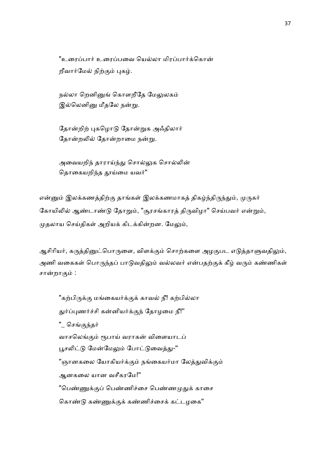"உரைப்பார் உரைப்பவை யெல்லா மிரப்பார்க்கொன் றீவார்மேல் நிற்கும் புகழ்.

நல்லா றெனினுங் கொளறீதே மேலுலகம் இல்லெனினு மீதலே நன்று.

தோன்றிற் புகமொடு தோன்றுக அஃதிலார் தோன்றலில் தோன்றாமை நன்று.

அவையறிந் தாராய்ந்து சொல்லுக சொல்லின் தொகையறிந்த தூய்மை யவர்"

என்னும் இலக்கணத்திற்கு தாங்கள் இலக்கணமாகத் திகழ்ந்திருந்தும், முருகர் கோயிலில் ஆண்டாண்டு தோறும், "சூரசங்காரத் திருவிழா" செய்பவர் என்றும், முதலாய செய்திகள் அறியக் கிடக்கின்றன. மேலும்,

ஆசிரியர், கருத்தினுட்பொருளை, விளக்கும் சொற்களை அழகுபட எடுத்தாளுவதிலும், அணி வகைகள் பொருந்தப் பாடுவதிலும் வல்லவர் என்பதற்குக் கீழ் வரும் கண்ணிகள் சான்றாகும் :

"கற்பிருக்கு மங்கையர்க்குக் காவல் நீ! கற்பில்லா துர்ப்புணர்ச்சி கன்னியர்க்குந் தோழமை நீ!'' " செங்குந்தர் வாசலெங்கும் ரூபாய் வராகன் விளையாடப் பூசலிட்டு மேன்மேலும் போட்டுவைத்து-'' "ஞானகலை யோகியர்க்கும் நங்கையர்மா லேத்துவிக்கும் ஆனகைல யான வசீகரேம!'' "பெண்ணுக்குப் பெண்ணிச்சை பெண்ணமுதுக் காசை கொண்டு கண்ணுக்குக் கண்ணிச்சைக் கட்டழகை"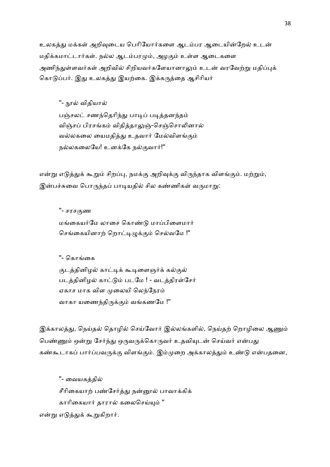உலகத்து மக்கள் அறிவுடைய பெரியோர்களை ஆடம்பர ஆடையின்றேல் உடன் மதிக்கமாட்டார்கள். நல்ல ஆடம்பரமும், அழகும் உள்ள ஆடைகளை அணிந்துள்ளவர்கள் அறிவில் சிறியவர்களேயானாலும் உடன் வரவேற்று மதிப்புக் கொடுப்பர். இது உலகத்து இயற்கை. இக்கருத்தை ஆசிரியர்

''- நூல் விதியால்

பஞ்சலட் சணந்தெரிந்து பாடிப் படித்தனந்தம் விஞ்சப் பிரசங்கம் விதித்தாலுஞ்-செஞ்சொலினால் வல்லகலை யைமதித்து உதவார் மேல்விளங்கும் நல்லகலையே! உனக்கே நல்குவார்!"

என்று எடுத்துக் கூறும் சிறப்பு, நமக்கு அறிவுக்கு விருந்தாக விளங்கும். மற்றும், இன்பச்சுவை பொருந்தப் பாடியதில் சில கண்ணிகள் வருமாறு:

''- சரச.ண மங்கையர்மே லாசை கொண்டு மாப்பிளைமார் செங்கையினாற் றொட்டிழுக்கும் செல்வமே !"

''- கொங்கை

குடத்தினிழல் காட்டிக் கூடிளைஞர்க் கல்குல் படத்தினிழல் காட்டும் படமே ! - வடத்திரள்சேர் ஏகாச மாக விள முலையி லெந்நேரம் வாகா யணைந்திருக்கும் வங்கணமே !"

இக்காலத்து, நெய்தல் தொழில் செய்வோர் இல்லங்களில், நெய்தற் றொழிலை ஆணும் பெண்ணும் ஒன்று சேர்ந்து ஒருவருக்கொருவர் உதவியுடன் செய்வர் என்பது கண்கூடாகப் பார்ப்பவருக்கு விளங்கும். இம்முறை அக்காலத்தும் உண்டு என்பதனை,

''- ைவயகதி சீரிகையாற் பண்சேர்த்து நன்னூல் பாவாக்கிக் காரிகையார் தாரால் கலைசெய்யும் " என்று எடுத்துக் கூறுகிறார்.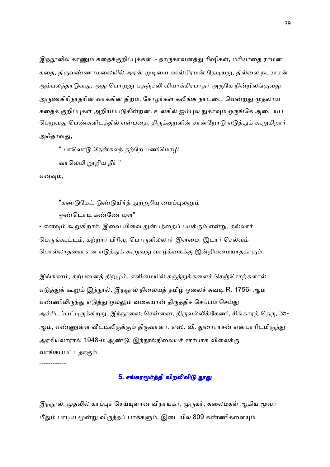இந்நூலில் காணும் கதைக்குறிப்புக்கள் :- தாருகாவனத்து ரிஷிகள், மரியாதை ராமன் கதை, திருவண்ணாமலையில் அரன் முடியை மால்பிரமன் தேடியது, தில்லை நடராசன் அம்பலத்தாடுவது, அது பொழுது பதஞ்சலி வியாக்கிரபாதர் அருகே நின்றிலங்குவது. அருணகிரிநாதரின் வாக்கின் திறம், சோழர்கள் கலிங்க நாட்டை வென்றது முதலாய கதைக் குறிப்புகள் அறியப்படுகின்றன. உலகில் ஐம்புல நுகர்வும் ஒருங்கே அடையப் பெறுவது பெண்களிடத்தில் என்பதை, திருக்குறளின் சான்றோடு எடுத்துக் கூறுகிறார். அஃதாவது,

'' பாலொடு கேன்கலந் தற்றே பணிமொழி

வாலெயி றாறிய நீர் ''

எனவும்,

"கண்டுகேட் டுண்டுயிர்த் துற்றறியு மைப்புலனும் ஒண்டொடி கண்ணே யுள" - எனவும் கூறுகிறார். இவை யிவை துன்பத்தைப் பயக்கும் என்று, கல்லார் பெருங்கூட்டம், கற்றார் பிரிவு, பொருளில்லார் இளமை, இடார் செல்வம் பொல்லாதவை என எடுத்துக் கூறுவது வாழ்க்கைக்கு இன்றியமையாததாகும்.

இங்ஙனம், கற்பனைத் திறமும், எளிமையில் கருத்துக்களைச் செஞ்சொற்களால் எடுத்துக் கூறும் இந்நூல், இந்நூல் நிலையத் தமிழ் ஓலைச் சுவடி R. 1756- ஆம் எண்ணிலிருந்து எடுத்து ஒல்லும் வகையான் திருத்திச் செப்பம் செய்து அச்சிடப்பட்டிருக்கிறது. இந்நூலை, சென்னை, திருவல்லிக்கேணி, சிங்காரத் தெரு, 35-ஆம், எண்ணுள்ள வீட்டிலிருக்கும் திருவாளர். எஸ். வி. துரைராசன் என்பாரிடமிருந்து அரசியலாரால் 1948-ம் ஆண்டு, இந்நூல்நிலையச் சார்பாக விலைக்கு வாங்கப்பட்டதாகும்.

------------

## 5. சங்கரமூர்த்தி விறலிவிடு தூது

இந்நூல், முதலில் காப்புச் செய்யுளான விநாயகர், முருகர், கலைமகள் ஆகிய மூவர் மீதும் பாடிய மூன்று விருத்தப் பாக்களும், இடையில் 809 கண்ணிகளையும்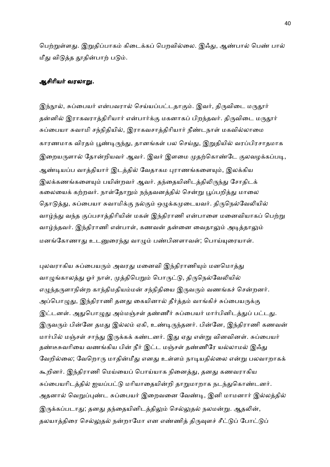பெற்றுள்ளது. இறுதிப்பாகம் கிடைக்கப் பெறவில்லை. இஃது, ஆண்பால் பெண் பால் மீது விடுத்த தூதின்பாற் படும்.

# ஆசிரியர் வரலாறு.

இந்நூல், சுப்பையர் என்பவரால் செய்யப்பட்டதாகும். இவர், திருவிடை மருதூர் தன்னில் இராகவராத்திரியார் என்பார்க்கு மகனாகப் பிறந்தவர். திருவிடை மருதூர் சுப்பையா சுவாமி சந்நிதியில், இராகவசாத்திரியார் நீண்டநாள் மகவில்லாமை காரணமாக விரதம் பூண்டிருந்து, தானங்கள் பல செய்து, இறுதியில் வரப்பிரசாதமாக இறையருளால் தோன்றியவர் ஆவர். இவர் இளமை முதற்கொண்டே குலவழக்கப்படி, ஆண்டியப்ப வாத்தியார் இடத்தில் வேதாகம புராணங்களையும், இலக்கிய இலக்கணங்களையும் பயின்றவர் ஆவர். தந்தையினிடத்திலிருந்து சோதிடக் கலையைக் கற்றவர். நாள்தோறும் நந்தவனத்தில் சென்று பூப்பறித்து மாலை தொடுத்து, சுப்பையா சுவாமிக்கு நல்கும் ஒழுக்கமுடையவர். திருநெல்வேலியில் வாழ்ந்து வந்த குப்பசாத்திரியின் மகள் இந்திராணி என்பாளை மனைவியாகப் பெற்று வாழ்ந்தவர். இந்திராணி என்பாள், கணவன் தன்னை வைதாலும் அடித்தாலும் மனங்கோணாது உடனுரைந்து வாழும் பண்பினளாவள்; பொய்யுரையாள்.

புலவராகிய சுப்பையரும் அவரது மனைவி இந்திராணியும் மனமொத்து வாழுங்காலத்து ஓர் நாள், முத்திபெறும் பொருட்டு, திருநெல்வேலியில் எழுந்தருளாநின்ற காந்திமதியம்மன் சந்நிதியை இருவரும் வணங்கச் சென்றனர். அப்பொழுது, இந்திராணி தனது கையினால் தீர்த்தம் வாங்கிச் சுப்பையருக்கு இட்டனள். அதுபொழுது அம்மஞ்சள் தண்ணீர் சுப்பையர் மார்பினிடத்துப் பட்டது. இருவரும் பின்னே தமது இல்லம் ஏகி, உண்டிருந்தனர். பின்னே, இந்திராணி கணவன் மார்பில் மஞ்சள் சாந்து இருக்கக் கண்டனர். இது ஏது என்று வினவினள். சுப்பையர் தண்டீசுவரியை வணங்கிய பின் நீர் இட்ட மஞ்சள் தண்ணீரே யல்லாமல் இஃது வேறில்லை; வேறொரு மாதின்மீது எனது உள்ளம் நாடியதில்லை என்று பலவாறாகக் கூறினர். இந்திராணி மெய்யைப் பொய்யாக நினைத்து, தனது கணவராகிய சுப்பையரிடத்தில் ஐயப்பட்டு மரியாதையின்றி தாறுமாறாக நடந்துகொண்டனர். அதனால் வெறுப்புண்ட சுப்பையர் இறைவனை வேண்டி, இனி மாமனார் இல்லத்தில் இருக்கப்படாது; தனது தந்தையினிடத்திலும் செல்லுதல் நலமன்று. ஆதலின், தலயாத்திரை செல்லுதல் நன்றாமோ என எண்ணித் திருவுளச் சீட்டுப் போட்டுப்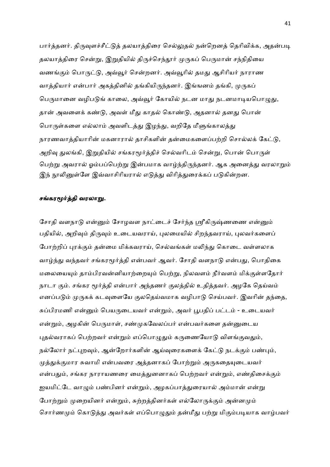பார்த்தனர். திருவுளச்சீட்டுத் தலயாத்திரை செல்லுதல் நன்றெனத் தெரிவிக்க, அதன்படி தலயாத்திரை சென்று, இறுதியில் திருச்செந்தூர் முருகப் பெருமான் சந்நிதியை வணங்கும் பொருட்டு, அவ்வூர் சென்றனர். அவ்வூரில் தமது ஆசிரியர் நாராண வாத்தியார் என்பார் அகத்தினில் தங்கியிருந்தனர். இங்ஙனம் தங்கி, முருகப் பெருமானை வழிபடுங் காலை, அவ்வூர் கோயில் நடன மாது நடனமாடியபொழுது, தான் அவளைக் கண்டு, அவள் மீது காதல் கொண்டு, அதனால் தனது பொன் பொருள்களை எல்லாம் அவளிடத்து இழந்து, வறிதே மீளுங்காலத்து நாரணவாத்தியாரின் மகனாரால் தாசிகளின் தன்மைகளைப்பற்றி சொல்லக் கேட்டு, அறிவு துலங்கி, இறுதியில் சங்கரமூர்த்திச் செல்வரிடம் சென்று, பொன் பொருள் பெற்று அவரால் ஓம்பப்பெற்று இன்பமாக வாழ்ந்திருந்தனர். ஆக அனைத்து வரலாறும் இந் நூலினுள்ளே இவ்வாசிரியரால் எடுத்து விரித்துரைக்கப் படுகின்றன.

#### சங்கரமூர்த்தி வரலாறு.

சோதி வளநாடு என்னும் சோழவள நாட்டைச் சேர்ந்த ஸ்ரீகிருஷ்ணணை என்னும் பதியில், அறிவும் திருவும் உடையவராய், புலமையில் சிறந்தவராய், புலவர்களைப் போற்றிப் புரக்கும் தன்மை மிக்கவராய், செல்வங்கள் மலிந்து கொடை வள்ளலாக வாழ்ந்து வந்தவர் சங்கரமூர்த்தி என்பவர் ஆவர். சோதி வளநாடு என்பது, பொதிகை மலையையும் தாம்பிரவன்னியாற்றையும் பெற்று, நிலவளம் நீர்வளம் மிக்குள்ளதோர் நாடா கும். சங்கர மூர்த்தி என்பார் அந்தணர் குலத்தில் உதித்தவர். அழகே தெய்வம் எனப்படும் முருகக் கடவுளையே குலதெய்வமாக வழிபாடு செய்பவர். இவரின் தந்தை, சுப்பிரமணி என்னும் பெயருடையவர் என்றும், அவர் பூபதிப் பட்டம் - உடையவர் என்றும், அழகின் பெருமாள், சண்முகவேலப்பர் என்பவர்களை தன்னுடைய புதல்வராகப் பெற்றவர் என்றும் எப்பொழுதும் கருணையோடு விளங்குவதும், நல்லோர் நட்புறவும், ஆன்றோர்களின் ஆய்வுரைகளைக் கேட்டு நடக்கும் பண்பும், முத்துக்குமார சுவாமி என்பவரை அத்தனாகப் போற்றும் அருகதையுடையவர் என்பதும், சங்கர நாராயணரை மைத்துனனாகப் பெற்றவர் என்றும், எண்திசைக்கும் ஐயமிட்டே வாழும் பண்பினர் என்றும், அழகப்பாத்துரையால் அம்மான் என்று போற்றும் முறையினர் என்றும், சுற்றத்தினர்கள் எல்லோருக்கும் அன்னமும் சொர்ணமும் கொடுத்து அவர்கள் எப்பொழுதும் தன்மீது பற்று மிகும்படியாக வாழ்பவர்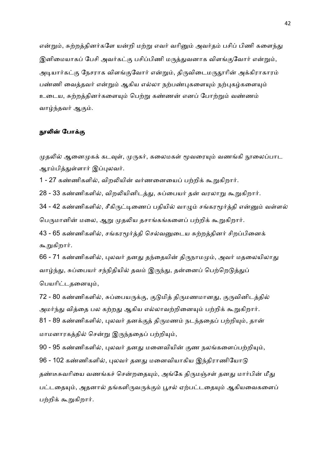என்றும், சுற்றத்தினர்களே யன்றி மற்று எவர் வரினும் அவர்தம் பசிப் பிணி களைந்து இனிமையாகப் பேசி அவர்கட்கு பசிப்பிணி மருத்துவனாக விளங்குவோர் என்றும், அடியார்கட்கு நேசராக விளங்குவோர் என்றும், திருவிடைமருதூரின் அக்கிராகாரம் பண்ணி வைத்தவர் என்றும் ஆகிய எல்லா நற்பண்புகளையும் நற்புகழ்களையும் உடைய, சுற்றத்தினர்களையும் பெற்று கண்ணன் எனப் போற்றும் வண்ணம் வாழ்ந்தவர் ஆகும்.

## நூலின் போக்கு

முதலில் ஆனைமுகக் கடவுள், முருகர், கலைமகள் மூவரையும் வணங்கி நூலைப்பாட ஆரம்பித்துள்ளார் இப்புலவர்.

1 - 27 கண்ணிகளில், விறலியின் வர்ணனையைப் பற்றிக் கூறுகிறார்.

28 - 33 கண்ணிகளில், விறலியினிடத்து, சுப்பையர் தன் வரலாறு கூறுகிறார்.

34 - 42 கண்ணிகளில், சீகிருட்டிணைப் பதியில் வாழும் சங்கரமூர்த்தி என்னும் வள்ளல் பெருமானின் மலை, ஆறு முதலிய தசாங்கங்களைப் பற்றிக் கூறுகிறார்.

43 - 65 கண்ணிகளில், சங்கரமூர்த்தி செல்வனுடைய சுற்றத்தினர் சிறப்பினைக் கூறுகிறார்.

66 - 71 கண்ணிகளில், புலவர் தனது தந்தையின் திருநாமமும், அவர் மதலையிலாது வாழ்ந்து, சுப்பையர் சந்நிதியில் தவம் இருந்து, தன்னைப் பெற்றெடுத்துப் பெயரிட்டதனையும்,

72 - 80 கண்ணிகளில், சுப்பையருக்கு, குடுமித் திருமணமானது, குருவினிடத்தில் அமர்ந்து வித்தை பல கற்றது ஆகிய எல்லாவற்றினையும் பற்றிக் கூறுகிறார். 81 - 89 கண்ணிகளில், புலவர் தனக்குத் திருமணம் நடந்ததைப் பற்றியும், தான் மாமனாரகத்தில் சென்று இருந்ததைப் பற்றியும்,

90 - 95 கண்ணிகளில், புலவர் தனது மனைவியின் குண நலங்களைப்பற்றியும், 96 - 102 கண்ணிகளில், புலவர் தனது மனைவியாகிய இந்திராணியோடு தண்டீசுவரியை வணங்கச் சென்றதையும், அங்கே திருமஞ்சள் தனது மார்பின் மீது பட்டதையும், அதனால் தங்களிருவருக்கும் பூசல் ஏற்பட்டதையும் ஆகியவைகளைப் பற்றிக் கூறுகிறார்.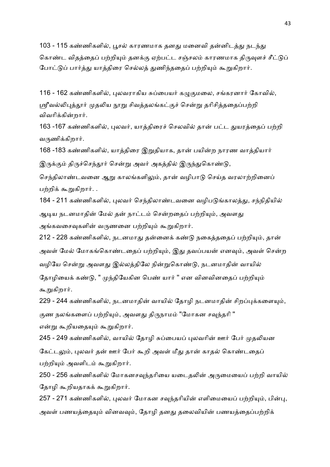103 - 115 கண்ணிகளில், பூசல் காரணமாக தனது மனைவி தன்னிடத்து நடந்து கொண்ட விதத்தைப் பற்றியும் தனக்கு ஏற்பட்ட சஞ்சலம் காரணமாக திருவுளச் சீட்டுப் போட்டுப் பார்த்து யாத்திரை செல்லத் துணிந்ததைப் பற்றியும் கூறுகிறார்.

116 - 162 கண்ணிகளில், புலவராகிய சுப்பையர் கமுகுமலை, சங்கரனார் கோவில், ஸ்ரீவல்லிபுத்தூர் முதலிய நூறு சிவத்தலங்கட்குச் சென்று தரிசித்ததைப்பற்றி விவரிக்கின்றார்.

163 -167 கண்ணிகளில், புலவர், யாத்திரைச் செலவில் தான் பட்ட துயரத்தைப் பற்றி வருணிக்கிறார்.

168 -183 கண்ணிகளில், யாத்திரை இறுதியாக, தான் பயின்ற நாரண வாத்தியார் இருக்கும் திருச்செந்தூர் சென்று அவர் அகத்தில் இருந்துகொண்டு,

செந்திலாண்டவனை ஆறு காலங்களிலும், தான் வழிபாடு செய்த வரலாற்றினைப் பற்றிக் கூறுகிறார். .

184 - 211 கண்ணிகளில், புலவர் செந்திலாண்டவனை வழிபடுங்காலத்து, சந்நிதியில் ஆடிய நடனமாதின் மேல் தன் நாட்டம் சென்றதைப் பற்றியும், அவளது அங்கவசைவுகளின் வருணனை பற்றியும் கூறுகிறார்.

212 - 228 கண்ணிகளில், நடனமாது தன்னைக் கண்டு நகைத்ததைப் பற்றியும், தான் அவள் மேல் மோகங்கொண்டதைப் பற்றியும், இது தவப்பயன் எனவும், அவள் சென்ற வழியே சென்று அவளது இல்லத்திலே நின்றுகொண்டு, நடனமாதின் வாயில் தோழியைக் கண்டு, " முந்தியேகின பெண் யார் " என வினவினதைப் பற்றியும் கூறுகிறார்.

229 - 244 கண்ணிகளில், நடனமாதின் வாயில் தோழி நடனமாதின் சிறப்புக்களையும், குண நலங்களைப் பற்றியும், அவளது திருநாமம் "மோகன சவுந்தரி " என்று கூறியதையும் கூறுகிறார்.

245 - 249 கண்ணிகளில், வாயில் தோழி சுப்பையப் புலவரின் ஊர் பேர் முதலியன கேட்டலும், புலவர் தன் ஊர் பேர் கூறி அவள் மீது தான் காதல் கொண்டதைப் பற்றியும் அவளிடம் கூறுகிறார்.

250 - 256 கண்ணிகளில் மோகனசவுந்தரியை யடைதலின் அருமையைப் பற்றி வாயில் தோமி கூறியதாகக் கூறுகிறார்.

257 - 271 கண்ணிகளில், புலவர் மோகன சவுந்தரியின் எளிமையைப் பற்றியும், பின்பு, அவள் பணயத்தையும் வினவவும், தோழி தனது தலைவியின் பணயத்தைப்பற்றிக்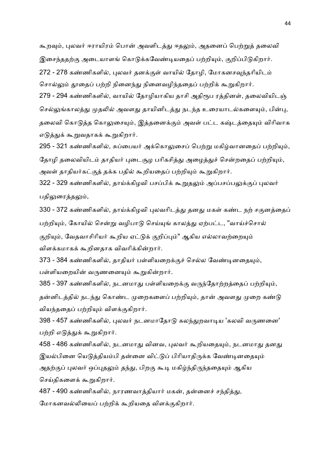கூறவும், புலவர் ஈராயிரம் பொன் அவளிடத்து ஈதலும், அதனைப் பெற்றுத் தலைவி இசைந்ததற்கு அடையாளங் கொடுக்கவேண்டியதைப் பற்றியும், குறிப்பிடுகிறார். 272 - 278 கண்ணிகளில், பலவர் தனக்குள் வாயில் தோழி, மோகனசவுந்தரியிடம் சொல்லும் தூதைப் பற்றி நினைந்து நினைவழிந்ததைப் பற்றிக் கூறுகிறார்.

279 - 294 கண்ணிகளில், வாயில் தோழியாகிய தாசி அதிரூப ரத்தினள், தலைவியிடஞ் செல்லுங்காலத்து முதலில் அவளது தாயினிடத்து நடந்த உரையாடல்களையும், பின்பு, தலைவி கொடுத்த கொலுசையும், இத்தனைக்கும் அவள் பட்ட கஷ்டத்தையும் விரிவாக எடுத்துக் கூறுவதாகக் கூறுகிறார்.

295 - 321 கண்ணிகளில், சுப்பையர் அக்கொலுசைப் பெற்று மகிழ்வானதைப் பற்றியும், தோழி தலைவியிடம் தாதியர் புடைசூழ பரிகசித்து அழைத்துச் சென்றதைப் பற்றியும், அவள் தாதியர்கட்குத் தக்க பதில் கூறியதைப் பற்றியும் கூறுகிறார்.

322 - 329 கண்ணிகளில், தாய்க்கிழவி பசப்பிக் கூறுதலும் அப்பசப்பலுக்குப் புலவர் பதிலுரைத்தலும்,

330 - 372 கண்ணிகளில், தாய்க்கிழவி புலவரிடத்து தனது மகள் கண்ட நற் சகுனத்தைப் பற்றியும், கோயில் சென்று வழிபாடு செய்யுங் காலத்து ஏற்பட்ட, "வாய்ச்சொல் குறியும், வேதவாசிரியர் கூறிய ஏட்டுக் குறிப்பும்" ஆகிய எல்லாவற்றையும் விளக்கமாகக் கூறினதாக விவரிக்கின்றார்.

373 - 384 கண்ணிகளில், தாதியர் பள்ளியறைக்குச் செல்ல வேண்டினதையும், பள்ளியறையின் வருணனையும் கூறுகின்றார்.

385 - 397 கண்ணிகளில், நடனமாது பள்ளியறைக்கு வருந்தோற்றத்தைப் பற்றியும், தன்னிடத்தில் நடந்து கொண்ட முறைகளைப் பற்றியும், தான் அவளது முறை கண்டு வியந்ததைப் பற்றியும் விளக்குகிறார்.

398 - 457 கண்ணிகளில், புலவர் நடனமாதோடு கலந்துறவாடிய 'கலவி வருணனை' பற்றி எடுத்துக் கூறுகிறார்.

458 - 486 கண்ணிகளில், நடனமாது வினவ, புலவர் கூறியதையும், நடனமாது தனது இயல்பினை யெடுக்கியம்பி கன்னை விட்டுப் பிரியாகிருக்க வேண்டினதையும் அதற்குப் புலவர் ஒப்புதலும் தந்து, பிறகு கூடி மகிழ்ந்திருந்ததையும் ஆகிய செய்கிகளைக் கூறுகிறார்.

487 - 490 கண்ணிகளில், நாரணவாத்தியார் மகன், தன்னைச் சந்தித்து, மோகனவல்லியைப் பற்றிக் கூறியதை விளக்குகிறார்.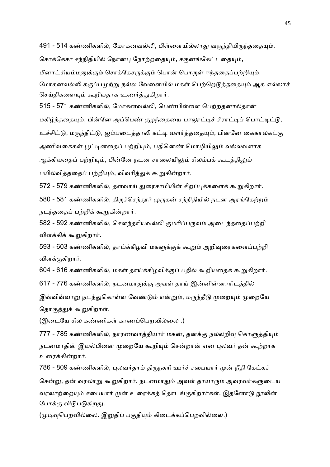491 - 514 கண்ணிகளில், மோகனவல்லி, பிள்ளையில்லாது வருந்தியிருந்ததையும்,

சொக்கேசர் சந்நிதியில் நோன்பு நோற்றதையும், சகுனங்கேட்டதையும்,

மீனாட்சியம்மனுக்கும் சொக்கேசருக்கும் பொன் பொருள் ஈந்ததைப்பற்றியும்,

மோகனவல்லி கருப்பமுற்று நல்ல வேளையில் மகள் பெற்றெடுத்ததையும் ஆக எல்லாச் செய்திகளையும் கூறியதாக உணர்த்துகிறார்.

515 - 571 கண்ணிகளில், மோகனவல்லி, பெண்பிள்ளை பெற்றதனால்தான் மகிழ்ந்ததையும், பின்னே அப்பெண் குழந்தையை பாலாட்டிச் சீராட்டிப் பொட்டிட்டு, உச்சிட்டு, மருந்திட்டு, ஐம்படைத்தாலி கட்டி வளர்த்ததையும், பின்னே கைகால்கட்கு அணிவகைகள் பூட்டினதைப் பற்றியும், பதினெண் மொழியிலும் வல்லவளாக ஆக்கியதைப் பற்றியும், பின்னே நடன சாலையிலும் சிலம்பக் கூடத்திலும் பயில்வித்ததைப் பற்றியும், விவரித்துக் கூறுகின்றார்.

572 - 579 கண்ணிகளில், தளவாய் துரைசாமியின் சிறப்புக்களைக் கூறுகிறார்.

580 - 581 கண்ணிகளில், திருச்செந்தூர் முருகன் சந்நிதியில் நடன அரங்கேற்றம் நடந்ததைப் பற்றிக் கூறுகின்றார்.

582 - 592 கண்ணிகளில், சௌந்தரியவல்லி குமரிப்பருவம் அடைந்ததைப்பற்றி விளக்கிக் கூறுகிறார்.

593 - 603 கண்ணிகளில், தாய்க்கிழவி மகளுக்குக் கூறும் அறிவுரைகளைப்பற்றி விளக்குகிறார்.

604 - 616 கண்ணிகளில், மகள் தாய்க்கிழவிக்குப் பதில் கூறியதைக் கூறுகிறார்.

617 - 776 கண்ணிகளில், நடனமாதுக்கு அவள் தாய் இன்னின்னாரிடத்தில்

இவ்விவ்வாறு நடந்துகொள்ள வேண்டும் என்றும், மருந்தீடு முறையும் முறையே தொகுத்துக் கூறுகிறாள்.

(இடையே சில கண்ணிகள் காணப்பெறவில்லை .)

777 - 785 கண்ணிகளில், நாரணவாத்தியார் மகன், தனக்கு நல்லறிவு கொளுத்தியும் நடனமாதின் இயல்பினை முறையே கூறியும் சென்றான் என புலவர் தன் கூற்றாக உரைக்கின்றார்.

786 - 809 கண்ணிகளில், புலவர்தாம் திருநகரி ஊர்ச் சபையார் முன் நீதி கேட்கச் சென்று, தன் வரலாறு கூறுகிறார். நடனமாதும் அவள் தாயாரும் அவரவர்களுடைய வரலாற்றையும் சபையார் முன் உரைக்கத் தொடங்குகிறார்கள். இதனோடு நூலின் போக்கு விடுபடுகிறது.

(முடிவுபெறவில்லை. இறுதிப் பகுதியும் கிடைக்கப்பெறவில்லை.)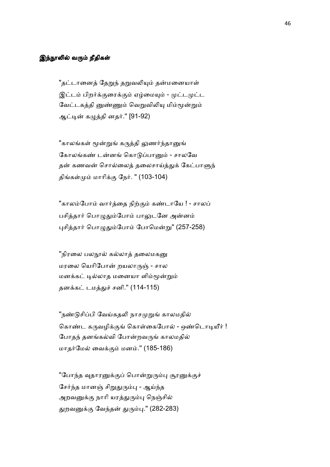# இந்நூலில் வரும் நீதிகள்

"தட்டானைத் தேறுந் தறுவலியும் தன்மனையாள் இட்டம் பிறர்க்குரைக்கும் ஏழ்மையும் - முட்டமுட்ட வேட்டகத்தி னுண்ணும் வெறுவிலியு மிம்மூன்றும் ஆட்டின் கழுத்தி னதர்.'' [91-92)

"காலங்கள் மூன்றுங் கருத்தி லுணர்ந்தானுங் கோலங்கண் டன்னங் கொடுப்பானும் - சாலவே தன் கணவன் சொல்லைத் தலைசாய்த்துக் கேட்பாளுந் திங்கள்மும் மாரிக்கு நேர். " (103-104) |

"காலம்போம் வார்த்தை நிற்கும் கண்டாயே ! - சாலப் பசித்தார் பொழுதும்போம் பாலுடனே அன்னம் புசித்தார் பொழுதும்போம் போமென்று" (257-258)

''நிரலை பலநூல் கல்லாத் தலைமகனு மரலை யெரிபோன் றயலாருஞ் - சால மனக்கட் டில்லாத மனையா ளிம்மூன்றும் தனக்கட் டமத்துச் சனி." (114-115)

"நண்டுசிப்பி வேய்கதலி நாசமுறுங் காலமதில் கொண்ட கருவழிக்குங் கொள்கைபோல் - ஒண்டொடியீர் ! போதந் தனங்கல்வி போன்றவருங் காலமதில் மாதர்மேல் வைக்கும் மனம்." (185-186)

"போந்த வுதாரனுக்குப் பொன்றுரும்பு சூரனுக்குச் சேர்ந்த மானஞ் சிறுதுரும்பு - ஆய்ந்த அறவனுக்கு நாரி யரத்துரும்பு நெஞ்சில் துறவனுக்கு வேந்தன் துரும்பு." (282-283)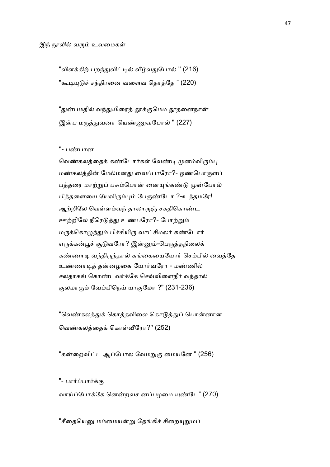#### இந் நூலில் வரும் உவமைகள்

"விளக்கிற் பறந்துவிட்டில் வீழ்வதுபோல் " (216) "கூடியுடுச் சந்திரனை வளைவ தொத்தே " (220)

"துன்பமதில் வந்துயிரைத் தூக்குமெம தூதனைநான் இன்ப மருத்துவனா யெண்ணுவபோல் " (227)

# "- பண்பான

வெண்கலத்தைக் கண்டோர்கள் வேண்டி முனம்விரும்பு மண்கலத்தின் மேல்மனது வைப்பாரோ?- ஒண்பொருளப் பத்தரை மாற்றுப் பசும்பொன் னையுங்கண்டு முன்போல் பித்தளையை யேவிரும்பும் பேருண்டோ ?-உத்தமரே! ஆற்றிலே வெள்ளம்வந் தாலாருஞ் சகதிகொண்ட ஊற்றிலே நீரெடுத்து உண்பரோ?- போற்றும் மருக்கொழுந்தும் பிச்சியிரு வாட்சிமலர் கண்டோர் எருக்கன்பூச் சூடுவரோ? இன்னும்-பெருத்தநிலைக் கண்ணாடி வந்திருந்தால் கங்கையையோர் செம்பில் வைத்தே உண்ணாடித் தன்னழகை யோர்வரோ - மண்ணில் சலதாகங் கொண்டவர்க்கே செவ்விளைநீர் வந்தால் குலமாகும் வேம்பிநெய் யாகுமோ ?" (231-236)

"வெண்கலத்துக் கொத்தவிலை கொடுத்துப் பொன்னான வெண்கலத்தைக் கொள்வீரோ?'' (252)

"கன்றைவிட்ட ஆப்போல வேமறுகு மையனே " (256)

"- பார்ப்பார்க்கு

வாய்ப்போக்கே னென்றவச னப்பழமை யுண்டே" (270)

"சீதையெனு மம்மையன்று தேங்கிச் சிறையுறுமப்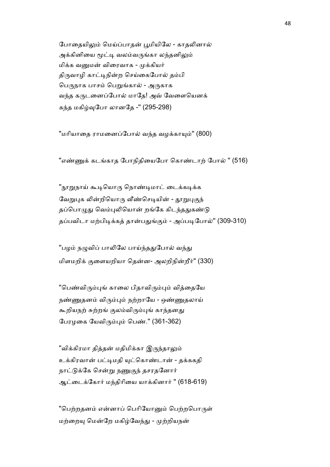போதையிலும் மெய்ப்பாதன் பூமியிலே - காதலினால் அக்கினியை மூட்டி வலம்வருங்கா லந்தனிலும் மிக்க வனுமன் விரைவாக - முக்கியர் திருவாழி காட்டிநின்ற செய்கைபோல் தம்பி பெருநாக பாசம் பெறுங்கால் - அருகாக வந்த கருடனைப்போல் மாதே! அவ் வேளையெனக் கந்த மகிழ்வுபோ லானதே -" (295-298)

"மரியாதை ராமனைப்போல் வந்த வழக்காயும்" (800)

"எண்ணுக் கடங்காத போநிதியைபோ கொண்டாற் போல் " (516)

"நூறுநாய் கூடியொரு நொண்டிமாட் டைக்கடிக்க வேறுபுக லின்றியொரு வீண்செடியின் - தூறுபுகுந் தப்பொழுது வெம்புலியொன் றங்கே கிடந்ததுகண்டு தப்பவிடா மற்பிடிக்கத் தான்பதுங்கும் - அப்படிபோல்" (309-310)

"பழம் நழுவிப் பாலிலே பாய்ந்ததுபோல் வந்து மிளமறிக் குளையறியா தென்ன- அலறிநின்றீர்" (330)

"பெண்விரும்புங் காலை பிதாவிரும்பும் வித்தையே நண்ணுதனம் விரும்பும் நற்றாயே - ஒண்ணுதலாய் கூறியநற் சுற்றங் குலம்விரும்புங் காந்தனது பேரழகை யேவிரும்பும் பெண்." (361-362)

''விக்கிரமா தித்தன் மதிமிக்கா இருந்தாலும் உக்கிரவான் பட்டிமதி யுட்கொண்டான் - தக்கககி நாட்டுக்கே சென்று நணுகுந் தசரதனோர் ஆட்டைக்கோர் மந்திரியை யாக்கினார் '' (618-619)

"பெற்றதனம் என்னாப் பெரியோனும் பெற்றபொருள் மற்றையு மென்றே மகிழ்வேந்து - முற்றியநன்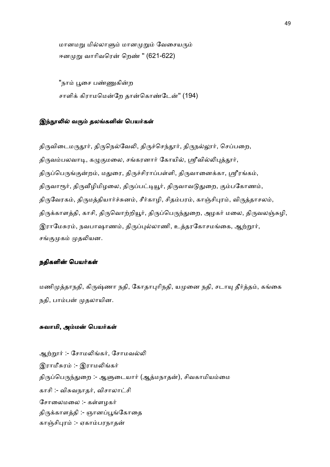மானமறு மில்லாளும் மானமுறும் வேசையரும் ஈனமுறு வாரிவரென் றெண் " (621-622)

"நாம் பூசை பண்ணுகின்ற சாளிக் கிராமமென்றே தான்கொண்டேன்" (194)

### இந்நூலில் வரும் தலங்களின் பெயர்கள்

திருவிடைமருதூர், திருநெல்வேலி, திருச்செந்தூர், திருநல்லூர், செப்பறை, திருவம்பலவாடி, கழுகுமலை, சங்கரனார் கோயில், ஸ்ரீவில்லிபுத்தூர், திருப்பெருங்குன்றம், மதுரை, திருச்சிராப்பள்ளி, திருவானைக்கா, ஸ்ரீரங்கம், திருவாரூர், திருவீழிமிழலை, திருப்பட்டியூர், திருவாவடுதுறை, கும்பகோணம், திருவேரகம், திருமத்தியார்ச்சுனம், சீர்காழி, சிதம்பரம், காஞ்சிபுரம், விருத்தாசலம், திருக்காளத்தி, காசி, திருவொற்றியூர், திருப்பெருந்துறை, அழகர் மலை, திருவலஞ்சுழி, இராமேசுரம், நவபாஷாணம், திருப்புல்லாணி, உத்தரகோசமங்கை, ஆற்றூர், சங்குமுகம் முதலியன.

### நதிகளின் பெயர்கள்

மணிமுத்தாநதி, கிருஷ்ணா நதி, கோதாபுரிநதி, யமுனை நதி, சடாயு தீர்த்தம், கங்கை நதி, பாம்பன் முதலாயின.

## சுவாமி, அம்மன் பெயர்கள்

ஆற்றூர் :- சோமலிங்கர், சோமவல்லி இராமீசுரம் :- இராமலிங்கர் திருப்பெருந்துறை :- ஆளுடையார் (ஆத்மநாதன்), சிவகாமியம்மை காசி :- விசுவநாதர், விசாலாட்சி சோலைமலை :- கள்ளமகர் திருக்காளத்தி :- ஞானப்பூங்கோதை காஞ்சிபுரம் :- ஏகாம்பரநாதன்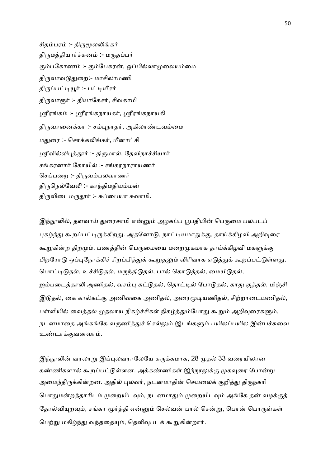சிதம்பரம் :- திருமூலலிங்கர் திருமத்தியார்ச்சுனம் :- மருதப்பர் கும்பகோணம் :- கும்பேசுரன், ஒப்பில்லாமுலையம்மை திருவாவடுதுறை:- மாசிலாமணி திருப்பட்டியூர் :- பட்டியீசர் திருவாரூர் :- தியாகேசர், சிவகாமி ஸ்ரீரங்கம் :- ஸ்ரீரங்கநாயகர், ஸ்ரீரங்கநாயகி திருவானைக்கா :- சம்புநாதர், அகிலாண்டவம்மை மதுரை :- சொக்கலிங்கர், மீனாட்சி ஸ்ரீவில்லிபுத்தூர் :- திருமால், தேவிநாச்சியார் சங்கரனார் கோயில் :- சங்கரநாராயணர் செப்பறை :- திருவம்பலவாணர் திருநெல்வேலி :- காந்திமதியம்மன் திருவிடைமருதூர் :- சுப்பையா சுவாமி.

இந்நூலில், தளவாய் துரைசாமி என்னும் அழகப்ப பூபதியின் பெருமை பலபடப் புகழ்ந்து கூறப்பட்டிருக்கிறது. அதனோடு, நாட்டியமாதுக்கு, தாய்க்கிழவி அறிவுரை கூறுகின்ற திறமும், பணத்தின் பெருமையை மறைமுகமாக தாய்க்கிழவி மகளுக்கு பிறரோடு ஒப்புநோக்கிச் சிறப்பித்துக் கூறுதலும் விரிவாக எடுத்துக் கூறப்பட்டுள்ளது. பொட்டிடுதல், உச்சிடுதல், மருந்திடுதல், பால் கொடுத்தல், மையிடுதல், ஐம்படைத்தாலி அணிதல், வசம்பு கட்டுதல், தொட்டில் போடுதல், காது குத்தல், மிஞ்சி இடுதல், கை கால்கட்கு அணிவகை அணிதல், அரைமூடியணிதல், சிற்றாடையணிதல், பள்ளியில் வைத்தல் முதலாய நிகழ்ச்சிகள் நிகழ்த்தும்போது கூறும் அறிவுரைகளும், நடனமாதை அங்கங்கே வருணித்துச் செல்லும் இடங்களும் பயிலப்பயில இன்பச்சுவை உண்டாக்குவனவாம்.

இந்நூலின் வரலாறு இப்புலவராலேயே சுருக்கமாக, 28 முதல் 33 வரையிலான கண்ணிகளால் கூறப்பட்டுள்ளன. அக்கண்ணிகள் இந்நூலுக்கு முகவுரை போன்று அமைந்திருக்கின்றன. அதில் புலவர், நடனமாதின் செயலைக் குறித்து திருநகரி பொதுமன்றத்தாரிடம் முறையிடவும், நடனமாதும் முறையிடவும் அங்கே தன் வழக்குத் தோல்வியுறவும், சங்கர மூர்த்தி என்னும் செல்வன் பால் சென்று, பொன் பொருள்கள் பெற்று மகிழ்ந்து வந்ததையும், தெளிவுபடக் கூறுகின்றார்.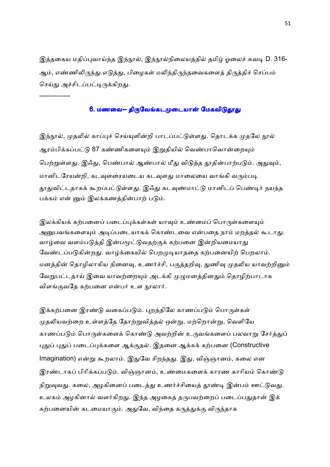இத்தகைய மதிப்புவாய்ந்த இந்நூல், இந்நூல்நிலையத்தில் தமிழ் ஓலைச் சுவடி D. 316-ஆம், எண்ணிலிருந்து எடுத்து, பிழைகள் மலிந்திருந்தவைகளைத் திருத்திச் செப்பம் செய்து அச்சிடப்பட்டிருக்கிறது.

### 6. மணவை-- திருவேங்கடமுடையான் மேகவிடுதூது

--------------

இந்நூல், முதலில் காப்புச் செய்யுளின்றி பாடப்பட்டுள்ளது. தொடக்க முதலே நூல் ஆரம்பிக்கப்பட்டு 87 கண்ணிகளையும் இறுதியில் வெண்பாவொன்றையும் பெற்றுள்ளது. இஃது, பெண்பால் ஆண்பால் மீது விடுத்த தூதின்பாற்படும். அதுவும், மானிடரேயன்றி, கடவுளரையடைய கடவுளது மாலையை வாங்கி வரும்படி தூதுவிட்டதாகக் கூறப்பட்டுள்ளது. இஃது கடவுண்மாட்டு மானிடப் பெண்டிர் நயந்த பக்கம் என் னும் இலக்கணத்தின்பாற் படும்.

இலக்கியக் கற்பனைப் படைப்புக்கள்கள் யாவும் உண்மைப் பொருள்களையும் அனுபவங்களையும் அடிப்படையாகக் கொண்டவை என்பதை நாம் மறத்தல் கூடாது. வாழ்வை வளம்படுத்தி இன்பமூட்டுவதற்குக் கற்பனை இன்றியமையாது வேண்டப்படுகின்றது. வாழ்க்கையில் பெறமுடியாததை கற்பனையிற் பெறலாம். மனத்தின் தொழிலாகிய நினைவு, உணர்ச்சி, பகுத்தறிவு, துணிவு முதலிய யாவற்றினும் வேறுபட்டதாய் இவை யாவற்றையும் அடக்கி முழுமனத்தினதும் தொழிற்பாடாக விளங்குவதே கற்பனை என்பர் உள நூலார்.

இக்கற்பனை இரண்டு வகைப்படும். புறத்திலே காணப்படும் பொருள்கள் முதலியவற்றை உள்ளத்தே தோற்றுவித்தல் ஒன்று. மற்றொன்று, வெளியே காணப்படும் பொருள்களைக் கொண்டு அவற்றின் உருவங்களைப் பலவாறு சேர்த்துப் புதுப் புதுப் படைப்புக்களை ஆக்குதல். இதனை ஆக்கக் கற்பனை (Constructive lmagination) என்று கூறலாம். இதுவே சிறந்தது. இது, விஞ்ஞானம், கலை என இரண்டாகப் பிரிக்கப்படும். விஞ்ஞானம், உண்மைகளைக் காரண காரியம் கொண்டு நிறுவுவது. கலை, அழகினைப் படைத்து உணர்ச்சியைத் தூண்டி இன்பம் ஊட்டுவது. உலகம் அழகினால் வளர்கிறது. இந்த அழகைத் தருபவற்றைப் படைப்பதுதான் இக் கற்பனையின் கடமையாகும். அதுவே, விந்தை கருத்துக்கு விருந்தாக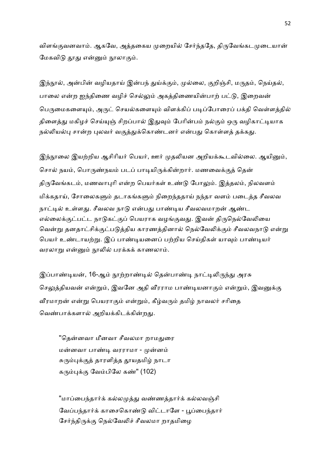விளங்குவனவாம். ஆகவே, அத்தகைய முறையில் சேர்ந்ததே, திருவேங்கடமுடையான் மேகவிடு தூது என்னும் நூலாகும்.

இந்நூல், அன்பின் வழியதாய் இன்பந் துய்க்கும், முல்லை, குறிஞ்சி, மருதம், நெய்தல், பாலை என்ற ஐந்திணை வழிச் செல்லும் அகத்திணையின்பாற் பட்டு, இறைவன் பெருமைகளையும், அருட் செயல்களையும் விளக்கிப் படிப்போரைப் பக்தி வெள்ளத்தில் திளைத்து மகிழச் செய்யுஞ் சிறப்பால் இதுவும் பேரின்பம் நல்கும் ஒரு வழிகாட்டியாக நல்லியல்பு சான்ற புலவர் வகுத்துக்கொண்டனர் என்பது கொள்ளத் தக்கது.

இந்நூலை இயற்றிய ஆசிரியர் பெயர், ஊர் முதலியன அறியக்கூடவில்லை. ஆயினும், சொல் நயம், பொருண்நயம் படப் பாடியிருக்கின்றார். மணவைக்குத் தென் திருவேங்கடம், மணவாபுரி என்ற பெயர்கள் உண்டு போலும். இத்தலம், நிலவளம் மிக்கதாய், சோலைகளும் தடாகங்களும் நிறைந்ததாய் நந்தா வளம் படைத்த சீவலவ நாட்டில் உள்ளது. சீவலவ நாடு என்பது பாண்டிய சீவலவமாறன் ஆண்ட எல்லைக்குட்பட்ட நாடுகட்குப் பெயராக வழங்குவது. இவன் திருநெல்வேலியை வென்று தனதாட்சிக்குட்படுத்திய காரணத்தினால் நெல்வேலிக்கும் சீவலவநாடு என்று பெயர் உண்டாயற்று. இப் பாண்டியனைப் பற்றிய செய்திகள் யாவும் பாண்டியர் வரலாறு என்னும் நூலில் பரக்கக் காணலாம்.

இப்பாண்டியன், 16-ஆம் நூற்றாண்டில் தென்பாண்டி நாட்டிலிருந்து அரசு செலுத்தியவன் என்றும், இவனே அதி வீரராம பாண்டியனாகும் என்றும், இவனுக்கு வீரமாறன் என்று பெயராகும் என்றும், கீழ்வரும் தமிழ் நாவலர் சரிதை வெண்பாக்களால் அறியக்கிடக்கின்றது.

"தென்னவா மீனவா சீவலமா றாமதுரை மன்னவா பாண்டி வரராமா - முன்னம் சுரும்புக்குத் தாரளித்த தூயதமிழ் நாடா கரும்புக்கு வேம்பிலே கண்" (102)

"மாப்பைந்தார்க் கல்லமுத்து வண்ணத்தார்க் கல்லவஞ்சி வேப்பந்தார்க் காசைகொண்டு விட்டாளே - பூப்பைந்தார் சேர்ந்திருக்கு நெல்வேலிச் சீவலமா றாதமிழை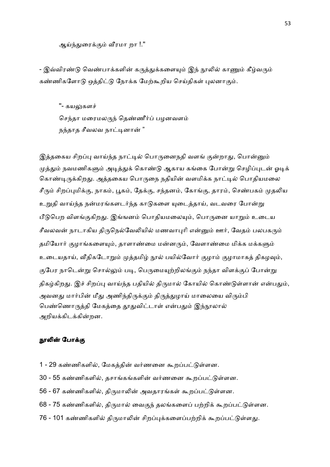ஆய்ந்துரைக்கும் வீரமா றா !."

- இவ்விரண்டு வெண்பாக்களின் கருத்துக்களையும் இந் நூலில் காணும் கீழ்வரும் கண்ணிகளோடு ஒத்திட்டு நோக்க மேற்கூறிய செய்திகள் புலனாகும்.

"- கயலுகளச்

செந்தா மரைமலருந் தெண்ணீர்ப் பழனவளம் நந்தாத சீவலவ நாட்டினான் "

இத்தகைய சிறப்பு வாய்ந்த நாட்டில் பொருனைநதி வளங் குன்றாது, பொன்னும் முத்தும் நவமணிகளும் அடித்துக் கொண்டு ஆகாய கங்கை போன்று செழிப்புடன் ஓடிக் கொண்டிருக்கிறது. அத்தகைய பொருநை நதியின் வளமிக்க நாட்டில் பொதியமலை சீரும் சிறப்புமிக்கு, நாகம், பூகம், தேக்கு, சந்தனம், கோங்கு, தாரம், செண்பகம் முதலிய உறுதி வாய்ந்த நன்மரங்களடர்ந்த காடுகளை யுடைத்தாய், வடவரை போன்று பீடுபெற விளங்குகிறது. இங்ஙனம் பொதியமலையும், பொருனை யாறும் உடைய சீவலவன் நாடாகிய திருநெல்வேலியில் மணவாபுரி என்னும் ஊர், வேதம் பலபகரும் தமியோர் குழாங்களையும், தாளாண்மை மன்னரும், வேளாண்மை மிக்க மக்களும் உடையதாய், வீதிகடோறும் முத்தமிழ் நூல் பயில்வோர் குழாம் குழாமாகத் திகழவும், குபேர நாடென்று சொல்லும் படி, பெருமையுற்றிலங்கும் நந்தா விளக்குப் போன்று திகழ்கிறது. இச் சிறப்பு வாய்ந்த பதியில் திருமால் கோயில் கொண்டுள்ளான் என்பதும், அவனது மார்பின் மீது அணிந்திருக்கும் திருத்துழாய் மாலையை விரும்பி பெண்ணொருத்தி மேகத்தை தூதுவிட்டாள் என்பதும் இந்நூலால் அறியக்கிடக்கின்றன.

### நூலின் போக்கு

- 1 29 கண்ணிகளில், மேகத்தின் வர்ணனை கூறப்பட்டுள்ளன.
- 30 55 கண்ணிகளில், தசாங்கங்களின் வர்ணனை கூறப்பட்டுள்ளன.
- 56 67 கண்ணிகளில், திருமாலின் அவதாரங்கள் கூறப்பட்டுள்ளன.
- 68 75 கண்ணிகளில், திருமால் வைகுந் தலங்களைப் பற்றிக் கூறப்பட்டுள்ளன.
- 76 101 கண்ணிகளில் திருமாலின் சிறப்புக்களைப்பற்றிக் கூறப்பட்டுள்ளது.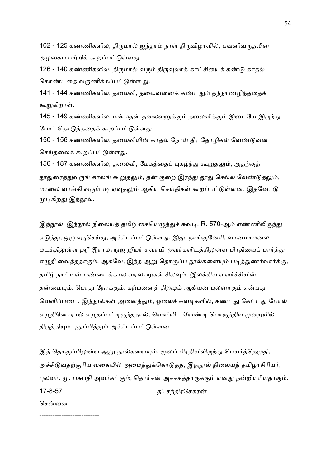102 - 125 கண்ணிகளில், திருமால் ஐந்தாம் நாள் திருவிழாவில், பவனிவருதலின் அழகைப் பற்றிக் கூறப்பட்டுள்ளது.

126 - 140 கண்ணிகளில், திருமால் வரும் திருவுலாக் காட்சியைக் கண்டு காதல் கொண்டதை வருணிக்கப்பட்டுள்ள து.

141 - 144 கண்ணிகளில், தலைவி, தலைவனைக் கண்டதும் தந்நாணழிந்ததைக் கூறுகிறாள்.

145 - 149 கண்ணிகளில், மன்மதன் தலைவனுக்கும் தலைவிக்கும் இடையே இருந்து போர் தொடுத்ததைக் கூறப்பட்டுள்ளது.

150 - 156 கண்ணிகளில், தலைவியின் காதல் நோய் தீர தோழிகள் வேண்டுவன செய்தலைக் கூறப்பட்டுள்ளது.

156 - 187 கண்ணிகளில், தலைவி, மேகத்தைப் புகழ்ந்து கூறுதலும், அதற்குத் தூதுரைத்துவருங் காலங் கூறுதலும், தன் குறை இரந்து தூது செல்ல வேண்டுதலும், மாலை வாங்கி வரும்படி ஏவுதலும் ஆகிய செய்திகள் கூறப்பட்டுள்ளன. இதனோடு முடிகிறது இந்நூல்.

இந்நூல், இந்நூல் நிலையத் தமிழ் கையெழுத்துச் சுவடி, R. 570-ஆம் எண்ணிலிருந்து எடுத்து, ஒழுங்குசெய்து, அச்சிடப்பட்டுள்ளது. இது, நாங்குனேரி, வானமாமலை மடத்திலுள்ள ஸ்ரீ இராமாநுஜ ஜீயர் சுவாமி அவர்களிடத்திலுள்ள பிரதியைப் பார்த்து எழுதி வைத்ததாகும். ஆகவே, இந்த ஆறு தொகுப்பு நூல்களையும் படித்துணர்வார்க்கு, தமிழ் நாட்டின் பண்டைக்கால வரலாறுகள் சிலவும், இலக்கிய வளர்ச்சியின் தன்மையும், பொது நோக்கும், கற்பனைத் திறமும் ஆகியன புலனாகும் என்பது வெளிப்படை. இந்நூல்கள் அனைத்தும், ஓலைச் சுவடிகளில், கண்டது கேட்டது போல் எழுதினோரால் எழுதப்பட்டிருந்ததால், வெளியிட வேண்டி பொருந்திய முறையில் திருத்தியும் புதுப்பித்தும் அச்சிடப்பட்டுள்ளன.

இத் தொகுப்பிலுள்ள ஆறு நூல்களையும், மூலப் பிரதியிலிருந்து பெயர்த்தெழுதி, அச்சிடுவதற்குரிய வகையில் அமைத்துக்கொடுத்த, இந்நூல் நிலையத் தமிழாசிரியர், புலவர். மு. பசுபதி அவர்கட்கும், தொர்சன் அச்சகத்தாருக்கும் எனது நன்றியுரியதாகும். 17-8-57 கி. சந்திரசேகரன் சென்னை

---------------------------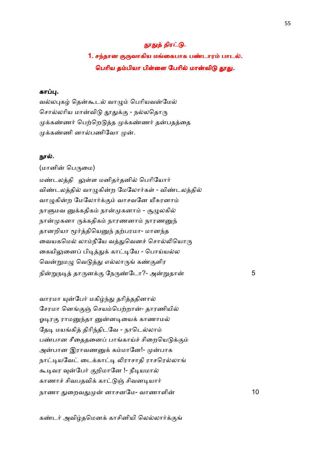## தூதுத் திரட்டு.

1. சந்தான குருவாகிய மங்கைபாக பண்டாரம் பாடல். பெரிய தம்பியா பிள்ளை பேரில் மான்விடு தூது.

# கா .

வல்லபுகழ் தென்கூடல் வாழும் பெரியவன்மேல் சொல்லரிய மான்விடு தூதுக்கு - நல்லதொரு முக்கண்ணர் பெற்றெடுத்த முக்கண்ணர் தன்பதத்தை முக்கண்ணி னால்பணிவோ முன்.

### நால்.

(மானின் பெருமை) மண்டலத்தி லுள்ள மனிதர்தனில் பெரியோர் விண்டலத்தில் வாழுகின்ற மேலோர்கள் - விண்டலத்தில் வாழுகின்ற மேலோர்க்கும் வாசவனே யீசுரனாம் நாளுமவ னுக்கதிகம் நான்முகனாம் - சூழுலகில் நான்முகனா ருக்கதிகம் நாரணனாம் நாரணனுந் தானறியா மூர்த்தியெனுந் தற்பரமா- மானந்த வையகமெல் லாம்நீயே வத்துவெனச் சொல்லியொரு கையிலுனைப் பிடித்துக் காட்டியே - பொய்யல்ல வென்றுமழு வெடுத்து எல்லாருங் கண்குளிர நி\$ந& தா'ன+. ேந'!ேடா?- அ\$தா 5

வாரமா யுன்பேர் மகிழ்ந்து தரித்ததினால் சேரமா னெங்குஞ் செயம்பெற்றான்- தாரணியில் ஓடிரகு ராமனுந்தா னுன்னடியைக் காணாமல் தேடி மயங்கித் திரிந்திடவே - நாடெல்லாம் பண்பான சீதைதனைப் பாங்காய்ச் சிறையெடுக்கும் அன்பான இராவணனுக் கம்மானே!- முன்பாக நாட்டியவேட் டைக்காட்டி லிராசாதி ராசரெல்லாங் கூடிவர வுன்பேர் குறிமானே !- நீடியமால் காணாச் சிவபதவிக் காட்டுஞ் சிவனடியார் நாணா -ைறவ- னாசனேம- வாணாளி 10

கண்டர் அவிழ்தமெனக் காசினியி லெல்லார்க்குங்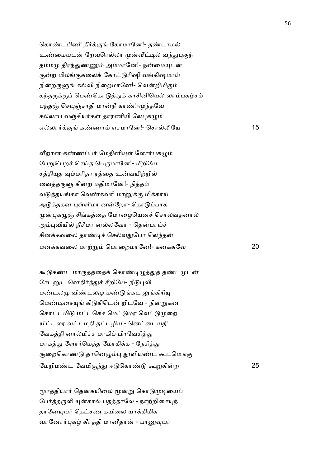கொண்டபிணி தீர்க்குங் கோமானே!- தண்டாமல் உண்மையுடன் றேவரெல்லா முன்வீட்டில் வந்துபுகுந் தம்மமு திரந்துண்ணும் அம்மானே!- நன்மையுடன் குன்ற மிலங்குகலைக் கோட்டுரிஷி வங்கிஷமாய் நின்றருளுங் கல்வி நிறைமானே!- வென்றிமிகும் கந்தருக்குப் பெண்கொடுத்துக் காசினியெல் லாம்புகழ்சம் பந்தஞ் செயுஞ்சாதி மான்நீ காண்!-முந்தவே சல்லாப வஞ்சியர்கள் தாரணியி லேபுகழும் எல்லார்க்குங் கண்ணாம் எசமானே!- சொல்லியே பார்க்கு பார்க்கும் ப

வீறான கண்ணப்பர் மேதினியுள் ளோர்புகழும் பேறுபெறச் செய்த பெருமானே!- மீறியே சத்தியுத வம்மரிதா ரத்தை உன்வயிற்றில் வைத்தருளு கின்ற மதிமானே!- நித்தம் வடுத்தயங்கா வெண்கவரி மானுக்கு மிக்காய் அடுத்தகன புள்ளிமா னன்றோ- தொடுப்பாக முன்புகழுஞ் சிங்கத்தை மோழையெனச் சொல்வதனால் அம்புவியில் நீசீமா னல்லவோ - தென்பாய்ச் சினக்கவலை தாண்டிச் செல்வதுபோ லெந்தன் மன+கவைல மா,\$ ெபாைறமாேன!- கன+கேவ 20

கூடுகண்ட மாருதத்தைக் கொண்டிழுத்துத் தண்டமுடன் சேடனுட னெதிர்த்துச் சீறியே- நீடுபுவி மண்டலமு விண்டலமு மண்டுங்கட லுங்கிரியு மெண்டிசையுங் கிடுகிடென் றிடவே - நின்றுகன கொட்டமிடு மட்டகெச மெட்டுமர வெட்டுமுறை யிட்டலர வட்டமதி தட்டழிய - னெட்டையதி வேகத்தி னால்மிச்ச மாகிப் பிரவேசித்து மாகத்து ளோர்மெத்த மோகிக்க - நேசித்து சூறைகொண்டு தானெழும்பு தூளியண்ட கூடமெங்கு ேமறிம!ட ேவமி.4- ஈ ெகா! ;\$கிற 25

மூர்த்தியார் தென்கயிலை மூன்று கொடுமுடியைப் பேர்த்தருளி யுன்கால் பதத்தாலே - நாற்றிசையுந் தானேயுயர் தெட்சண கயிலை யாக்கிமிக வானோர்புகழ் கீர்த்தி மானீதான் - பானுவுயர்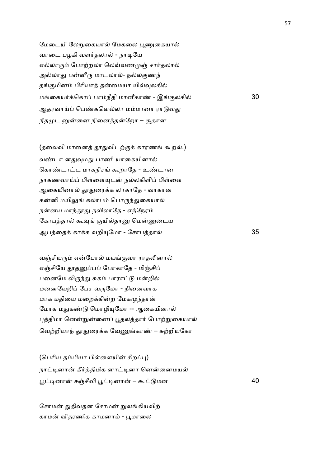மேடையி லேறுகையால் மேகலை பூணுகையால் வாடை பழகி வளர்தலால் - நாடியே எல்லாரும் போற்றலா லெவ்வணமுஞ் சார்தலால் அல்லாது பன்னீரு மாடலால்- நல்லகுணந் தங்குமினம் பிரியாக் தன்மையா யிவ்வுலகில் மைகய2+ெகா பாநீதி மானீகா! - இ.லகி 30 ஆதரவாய்ப் பெண்களெல்லா மம்மானா ராடுவது நீதமுட னுன்னை நினைத்தன்றோ – சூதான

(தலைவி மானைத் தூதுவிடற்குக் காரணங் கூறல்.) வண்டா னதுவுமது பாணி யாகையினால் கொண்டாட்ட மாகநிசங் கூறாதே - உண்டான நாகணவாய்ப் பிள்ளையுடன் நல்லகிளிப் பிள்ளை ஆகையினால் தூதுரைக்க லாகாதே - வாகான கன்னி மயிலுங் கலாபம் பொருந்துகையால் நன்னய மாந்தூது நவிலாதே - எந்நேரம் கோபத்தால் கூவுங் குயில்தானு மென்னுடைய ஆபைத+ கா+க வறி(ேமா - ேசாபதா 35

வஞ்சியரும் என்போல் மயங்குவா ராதலினால் எஞ்சியே தூதனுப்பப் போகாதே - மிஞ்சிப் பனைமே லிருந்து சுகம் பாராட்டு மன்றில் மனையேறிப் பேச வருமோ - நினைவாக மாக மதியை மறைக்கின்ற மேகமுந்தான் மோக மதுகண்டு மொழியுமோ -- ஆகையினால் புத்திமா னென்றுன்னைப் பூதலத்தார் போற்றுகையால் வெற்றியாந் தூதுரைக்க வேணுங்காண் – சுற்றியகோ

(பெரிய தம்பியா பிள்ளையின் சிறப்பு) நாட்டினான் கீர்த்திமிக னாட்டினா னென்னைமயல் N&னா சOசீவி N&னா – ; மன 40

சோமன் துதிவதன சோமன் றுலங்கியவிற் காமன் விதரணிக காமனாம் - பூமாலை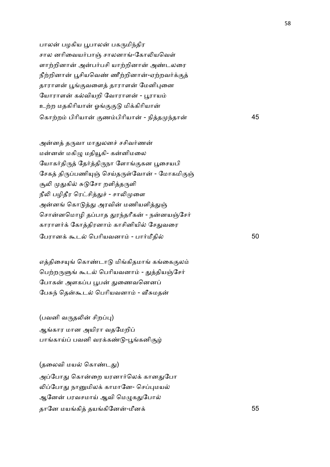பாலன் பழகிய பூபாலன் பகருமிந்திர சால னரிவையர்பாஞ் சாலனாங்-கோலியவெள் ளாற்றினான் அன்பர்பசி யாற்றினான் அண்டலரை நீற்றினான் பூசியவெண் ணீற்றினான்-ஏற்றவர்க்குத் தாராளன் பூங்குவளைத் தாராளன் மேனிபுனை யோராளன் கல்வியறி வோராளன் - பூராயம் உற்ற மதகிரியான் ஓங்குகுடு மிக்கிரியான் ெகா,ற பிாியா .ணபிாியா - நித 4தா 45

அன்னத் தருவா மாதுலனச் சசிவர்ணன் மன்னன் மகிழு மதியூகி- கன்னிமலை யோகர்திருத் தேர்த்திருநா ளோங்குகன பூசையபி சேகத் திருப்பணியுஞ் செய்தருள்வோன் - மோகமிகுஞ் சூலி முதுகில் சுடுசோ றளித்தருளி நீலி பழிதீர ரெட்சித்துச் - சாலிமுளை அன்னங் கொடுத்து அரவின் மணியளித்துஞ் சொன்னமொழி தப்பாத துரந்தரீகன் - நன்னயஞ்சேர் காராளர்க் கோத்திரனாம் காசினியில் சேதுவரை ேபரான+ ;ட ெபாியவனா - பா2மீதி 50

எத்திசையுங் கொண்டாடு மிங்கிதமாங் கங்கைகுலம் பெற்றருளுங் கூடல் பெரியவனாம் - துத்தியஞ்சேர் போகன் அளகப்ப பூபன் துணைவனெனப் பேசுந் தென்கூடல் பெரியவனாம் - வீசுமதன்

 $($ பவனி வருதலின் சிறப்பு $)$ ஆங்கார மான அயிரா வதமேறிப் பாங்காய்ப் பவனி வரக்கண்டு-பூங்கனிசூழ்

(தலைவி மயல் கொண்டது) அப்போது கொன்றை யரனார்லெக் கானதுபோ லிப்போது நானுமிலக் காமானே- செப்புமயல் ஆனேன் பரவசமாய் ஆவி மெழுகதுபோல் தானே மயங்கித் தயங்கினேன்-மீனக் $55$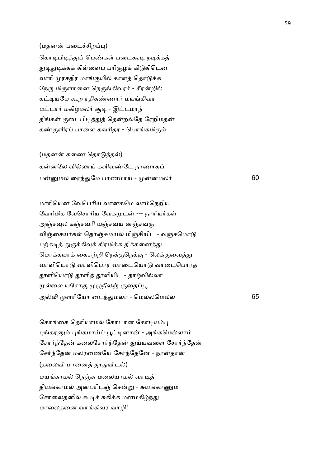## (மதனன் படைச்சிறப்பு)

கொடிபிடித்துப் பெண்கள் படைகூடி நடிக்கத் துடிதுடிக்கக் கிள்ளைப் பரிசூழக் கிடுகிடென வாரி முரசதிர மாங்குயில் காளத் தொடுக்க நேரு மிருளானை நெருங்கிவரச் - சீரன்றில் கட்டியமே கூற ரதிகண்ணார் மயங்கிவர மட்டார் மகிழ்மலர் சூடி - இட்டமாந் திங்கள் குடைபிடித்துத் தென்றல்தே ரேறிமதன் கண்குளிரப் பாளை கவரிதர - பொங்கமிகும்

(மதனன் கணை தொடுத்தல்) கன்னலே வில்லாய் களிவண்டே நாணாகப் பமல ைர4-ேம பாணமாC - னமல2 60

மாரியென வேபெரிய வானகமெ லாம்நெறிய வேரிமிக வேசொரிய வேகமுடன் --- நாரியர்கள் அஞ்சவுல கஞ்சவரி யஞ்சவய னஞ்சவரு விஞ்சையர்கள் தொஞ்சுமயல் மிஞ்சியிட - வஞ்சமொடு பற்கடித் துருக்கிவுக் கிரமிக்க திக்கனைத்து மொக்கயாக் கைசுற்றி நெக்குநெக்கு - லெக்குவைத்து வாளியொடு வாளிபொர வாடையொடு வாடைபொரத் தூளியொடு தூளித் தூளியிட - தாழ்வில்லா முல்லை யசோகு முழுநீலஞ் சூதைப்பூ அ5 ளாிேயா ைட4-மல2 - ெமலெமல 65

கொங்கை தெரியாமல் கோடான கோடியம்பு புங்கரனும் புங்கமாய்ப் பூட்டினான் - அங்கமெல்லாம் சோர்ந்தேன் கலைசோர்ந்தேன் துய்யவளை சோர்ந்தேன் சேர்ந்தேன் மலரணையே சேர்ந்தேனே - நான்தான் (தலைவி மானைத் தூதுவிடல்) மயங்காமல் நெஞ்சு மலையாமல் வாடித் தியங்காமல் அன்பரிடஞ் சென்று - சுயங்காணும் சோலைதனில் கூடிச் சுகிக்க மனமகிழ்ந்து மாைலதைன வாகிவர வாழி!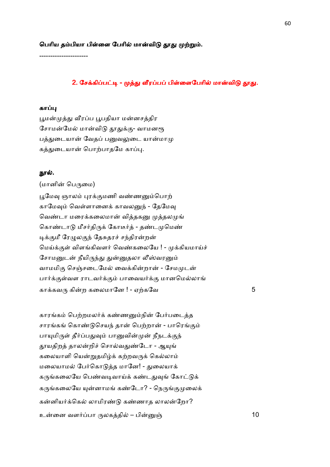----------------------

## 2. சேக்கிப்பட்டி - முத்து வீரப்பப் பிள்ளைபேரில் மான்விடு தூது.

## காப்பு

பூமன்முத்து வீரப்ப பூபதியா மன்னசத்திர சோமன்மேல் மான்விடு தூதுக்கு- வாமனரூ பத்துடையான் வேதப் பனுவலுடை யான்மாமு கத்துடையான் பொற்பாதமே காப்பு.

### நூல்.

#### (மானின் பெருமை)

பூமேவு ஞாலம் புரக்குமணி வண்ணனும்பொற் காமேவும் வெள்ளானைக் காவலனுந் - கேமேவு வெண்டா மரைக்கலைமான் வித்தகனு முத்தலமுங் கொண்டாடு மீசர்திருக் கோடீர்த் - தண்டமுமெண் டிக்குமீ ரேழுலகுந் தேசுதரச் சந்திரன்றன் மெய்க்குள் விளங்கிவளர் வெண்கலையே ! - முக்கியமாய்ச் சோமனுடன் நீயிருந்து துன்னுதலா லீஸ்வரனும் வாமமிகு செஞ்சடைமேல் வைக்கின்றான் - சேமமுடன் பார்க்குள்வள ராடவர்க்கும் பாவையர்க்கு மானமெல்லாங் கா+கவ' கிற கைலமாேன ! - ஏ,கேவ 5

காரங்கம் பெற்றமலர்க் கண்ணனும்நின் பேர்படைத்த சாரங்கங் கொண்டுசெயந் தான் பெற்றான் - பாரெங்கும் பாயுமிருள் தீர்ப்பதுவும் பானுவின்முன் நீநடக்குந் தூயதிறத் தாலன்றிச் சொல்வதுண்டோ - ஆயுங் கலையாளி யென்றுதமிழ்க் கற்றவருக் கெல்லாம் மலையாமல் பேர்கொடுத்த மானே! - துலையாக் கருங்கலையே பெண்வடிவாய்க் கண்டதுவுங் கோட்டுக் கருங்கலையே யுன்னாமங் கண்டோ? - நெருங்குமுலைக் கன்னியர்க்கெல் லாமிரண்டு கண்ணாத லாலன்றோ? உைன வள2பா 'லகதி – பிO 10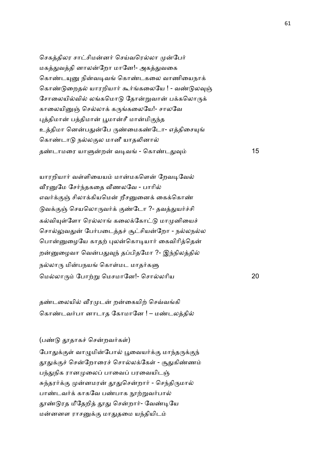செகத்திலர சாட்சிமன்னர் செய்வரெல்லா முன்பேர் மகத்துவத்தி னாலன்றோ மானே!- அகத்துவகை கொண்டயுனு நின்வடிவங் கொண்டகலை வாணியைநாக் கொண்டுறைதல் யாரறியார் கூர்ங்கலையே ! - வண்டுலவுஞ் சோலையில்வில் லங்கமொடு தோன்றுவான் பக்கலொருக் காலையினுஞ் செல்லாக் கருங்கலையே!- சாலவே புத்திமான் பத்திமான் பூமான்சீ மான்மிகுந்த உத்திமா னென்பதுன்பே ருண்மைகண்டோ- எத்திசையுங் கொண்டாடு நல்லகுல மானீ யாதலினால் த!டாமைர யா7ற வ&வ - ெகா!ட-8 15

யாரறியார் வள்ளியையம் மான்மகளென் றேவடிவேல் வீரனுமே சேர்ந்தகதை வீணலவே - பாரில் எவர்க்குஞ் சிலாக்கியமென் றீசனுனைக் கைக்கொண் டுவக்குஞ் செயலொருவர்க் குண்டோ ?- தவத்துயர்ச்சி கல்வியுள்ளோ ரெல்லாங் கலைக்கோட்டு மாமுனியைச் சொல்லுவதுன் பேர்படைத்தச் சூட்சியன்றோ - நல்லநல்ல பொன்னுழையே காதற் புலன்கொடியார் கைவிரித்தென் றன்னுழைவா வென்பதுவுந் தப்பிதமோ ?- இந்நிலத்தில் நல்லாரு மின்பநயங் கொள்மட மாதர்களு மெல்லாரும் போற்று மெசமானே!- சொல்லரிய 20

தண்டலையில் வீரமுடன் றன்கையிற் செவ்வங்கி கொண்டவர்பா னாடாத கோமானே ! – மண்டலத்தில்

#### $(u$ ண்டு தூதாகச் சென்றவர்கள்)

போதுக்குள் வாழுமின்போல் பூவையர்க்கு மாந்தருக்குந் தூதுக்குச் சென்றோரைச் சொல்லக்கேள் - சூதுகிண்ணம் பந்துநிக ரானமுலைப் பாவைப் பரவையிடஞ் சுந்தரர்க்கு முன்னமரன் தூதுசென்றார் - செந்திருமால் பாண்டவர்க் காகவே பண்பாக நூற்றுவர்பால் தூண்டுரத மீதேறித் தூது சென்றார்- வேண்டியே மன்னனள ராசனுக்கு மாதுதமை யந்தியிடம்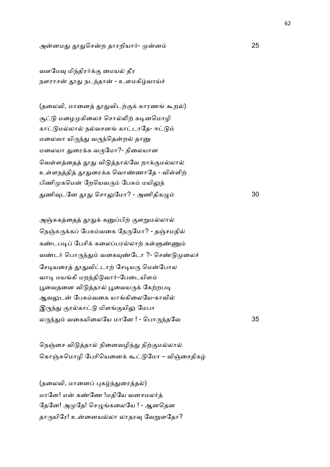அனம- -ெசற தாரறியா2- ன 25

வளமேவு மிந்திரர்க்கு மையல் தீர நளராசன் தூது நடந்தான் - உளமகிழ்வாய்ச்

(தலைவி, மானைத் தூதுவிடற்குக் காரணங் கூறல்) சூட்டு மழைமுகிலைச் சொல்லிற் கடினமொழி காட்டுமல்லால் நல்வசனங் காட்டாதே- ஈட்டும் மலைவா யிருந்து வருந்தென்றல் தானு மலையா துரைக்க வருமோ?- நிலையான வெள்ளத்தைத் தூது விடுத்தால்வே றாக்குமல்லால் உள்ளநத்தித் தூதுரைக்க வொண்ணாதே - விள்ளிற் பிணிமுகமென் றேயெவரும் பேசும் மயிலுந் -ணி8டேன - ெசா:ேமா? - அணிதிக= 30

அஞ்சுகத்தைத் தூதுக் கனுப்பிற் குளறுமல்லால் நெஞ்சுருக்கப் பேசும்வகை நேருமோ? - தஞ்சமதில் கண்டபடிப் பேசிக் கலைப்பரல்லாற் கள்ளுண்ணும் வண்டர் பொருந்தும் வகையுண்டோ ?- செண்டுமுலைச் சேடியரைத் தூதுவிட்டாற் சேடியரு மென்போல வாடி மயங்கி மறந்திடுவார்-பேடையிளம் பூவைதனை விடுத்தால் பூவையருக் கேற்றபடி ஆவலுடன் பேசும்வகை யாங்கிலையே-காவில் இருந்து குரல்காட்டு மிளங்குயிலு மேபா ல'4- வைகயிைலேய மாேன ! - ெபா'4தேவ 35

நெஞ்சை விடுத்தால் நினைவழிந்து நிற்குமல்லால் கொஞ்சுமொழி பேசியெனைக் கூட்டுமோ – விஞ்சைகிகம்

(தலைவி, மானைப் புகழ்ந்துரைத்தல்) மானே! என் கண்ணே !மதியே வனசமலர்த் தேனே! அமுதே! செழுங்கலையே ! - ஆனதென தாருயிரே! உன்னையல்லா லாதரவு வேறுளதோ? 62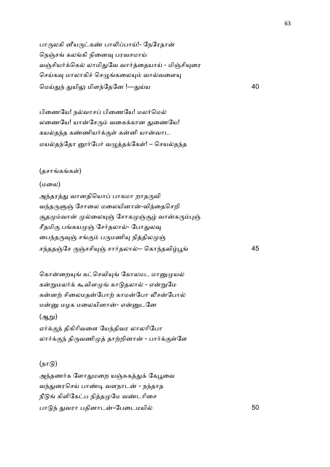பாருலகி னீயருட்கண் பாலிப்பாய்!- நேரேதான் நெஞ்சங் கலங்கி நினைவு பரவசமாய் வஞ்சியர்க்கெல் லாமிதுவே வார்த்தையாய் - மிஞ்சியுரை செய்கவு மாலாகிச் செழுங்கலையும் வால்வளையு மெய்துந் துயிலு மிளந்தேனே !—து  $\dot{u}$  and  $\dot{u}$  and  $\dot{u}$  and  $\dot{u}$  and  $\dot{u}$  and  $\dot{u}$  and  $\dot{u}$  and  $\dot{u}$  and  $\dot{u}$  and  $\dot{u}$  and  $\dot{u}$  and  $\dot{u}$  and  $\dot{u}$  and  $\dot{u}$  and  $\dot{u}$  and  $\dot{u}$  and  $\dot{u}$  and  $\dot{u}$  and  $\dot{u$ 

பிணையே! நல்வாசப் பிணையே! மலர்மெல் லணையே! யான்சேரும் வகைக்கான துணையே! கயல்தந்த கண்ணியர்க்குள் கன்னி யான்வாட மயல்தந்தோ னூர்பேர் வழுத்தக்கேள்! – செயல்தந்த

#### (தசாங்கங்கள்)

#### (மைல)

அந்தரத்து வானதியொப் பாகமா றாதருவி வந்தருளுஞ் சோலை மலையினான்-விந்தைசெறி சூதமும்வான் முல்லையுஞ் சோகமுஞ்சூழ் வான்கரும்புஞ் சீதமிகு பங்கயமுஞ் சேர்தலால்- போதுலவு பைந்தருவுஞ் சங்கும் பருமணியு நித்திலமுஞ் சந்ததஞ்சே ருஞ்சசியுஞ் சார்தலால்-- கொந்தவிழ்பூங்

கொன்றையுங் கட்செவியுங் கோலமட மானுமுயல் கன்றுமலர்க் கூவிளமுங் காடுதலால் - என்றுமே கன்னற் சிலைமதன்போற் காமன்போ லீசன்போல் மன்னு மழக மலையினான்- என்னுடனே  $(\mathfrak{A}$ m $)$ 

ஏர்க்குந் திகிரிவளை யேந்திவர லாலரிபோ லார்க்குந் திருவணிமுத் தாற்றினான் - பார்க்குள்ளே

## $(n \pi n)$

அந்தணர்க ளோதுமறை யஞ்சுகத்துக் கேபூவை வந்துரைசெய் பாண்டி வளநாடன் - நந்தாத நீடுங் கிளிகேட்ப நித்தமுமே வண்டரிசை பா 4 -வரா பதினாட-ேபைடமயி 50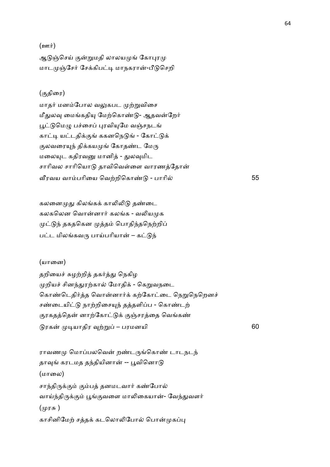### $(\underline{\text{em}}\,\dot{\bm{\tau}})$

ஆடுஞ்செய் குன்றுமதி லாலயமுங் கோபுரமு மாடமுஞ்சேர் சேக்கிபட்டி மாநகரான்-பீடுசெறி

# (.திைர)

மாதர் மனம்போல வலுகபட முற்றுவிசை மீதுலவு மைங்கதியு மேற்கொண்டு- ஆதவன்றேர் பூட்டுமெழு பச்சைப் புரவியுமே வஞ்சநடங் காட்டி யட்டதிக்குங் ககனநெடுங் - கோட்டுக் குலவரையுந் திக்கயமுங் கோதண்ட மேரு மலையுட கதிரவனு மானித் - துலவுமிட சாரிவல சாரியொடு தாவிவெள்ளை வாரணத்தோன் @ரவய வாபாிைய ெவ,றிெகா! - பாாி 55

கலனைமுது கிலங்கக் காலிலிடு தண்டை கலகலென வொன்னார் கலங்க - வலியமுக முட்டுந் தகதகென முத்தம் பொதிந்தநெற்றிப் பட்ட மிலங்கவரு பாய்பரியான் – கட்டுந்

#### (யானை)

தறியைச் சுழற்றித் தகர்த்து நெகிழ முறியச் சினந்துரற்கால் மோதிக் - கெறுவநடை கொண்டெதிர்த்த வொன்னார்க் கற்கோட்டை நெறுநெறெனச் சண்டையிட்டு நாற்றிசையுந் தத்தளிப்ப - கொண்டற் குரகதத்தென் னாற்கோட்டுக் குஞ்சரத்தை வெங்கண் ரக &யாதிர 8,\$ – பரமனயி 60

ராவணமு மொப்பலவென் றண்டருங்கொண் டாடநடந் தாவுங் கரடமத தந்தியினான் -- பூவினொடு (மாைல) சாந்திருக்கும் கும்பத் தனமடவார் கண்போல் வாய்ந்திருக்கும் பூங்குவளை மாலிகையான்- வேந்துவளர் (முரசு ) காசினிமேற் சத்தக் கடலொலிபோல் பொன்முகப்பு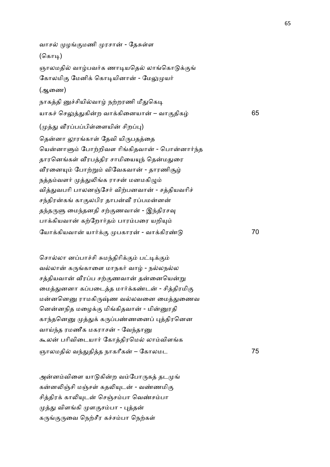வாசல் முழங்குமணி முரசான் - தேசுள்ள (கொடி) ஞாலமதில் வாழ்பவர்க ணாடியதெல் லாங்கொடுக்குங் கோலமிகு மேனிக் கொடியினான் - மேலுமுயர் (ஆைண) நாகத்தி னுச்சியில்வாழ் நற்றரணி மீதுகெடி யாக6 ெச:-கிற வா+கிைனயா – வா.திக 65 (முத்து வீரப்பப்பிள்ளையின் சிறப்பு) தென்னா லூரங்காள் தேவி யிருபதத்தை யென்னாளும் போற்றிவள ரிங்கிதவான் - பொன்னார்ந்த தாரனெங்கள் வீரபத்திர சாமியையுந் தென்மதுரை வீரனையும் போற்றும் விவேகவான் - தாரணிசூழ் நத்தம்வளர் முத்துலிங்க ராசன் மனமகிழும் வித்துவபரி பாலனஞ்சேர் விற்பனவான் - சத்தியவரிச் சந்திரன்கங் காகுலபிர தாபன்வீ ரப்பமன்னன் தந்தருளு மைந்தனதி சற்குணவான் - இந்திரசவு பாக்கியவான் கற்றோர்தம் பாரம்பரை யறியும் ேயா+கியவா யா2+. பகார - வா+கிர! 70

சொல்லா னப்பாச்சி சுமந்திரிக்கும் பட்டிக்கும் வல்லான் கருங்காளை மாநகர் வாழ் - நல்லநல்ல சத்தியவான் வீரப்ப சற்குணவான் தன்னையென்று மைத்துனனா கப்படைத்த மார்க்கண்டன் - சித்திரமிகு மன்னனெனு ராமகிருஷ்ண வல்லவனை மைத்துணைவ னென்னநித மழைக்கு மிங்கிதவான் - மின்னுரதி காந்தனெனு முத்துக் கருப்பண்ணனைப் புத்திரனென வாய்ந்த ரமணீக மகராசன் - வேந்தானு கூலன் பரிவிடையார் கோத்திரமெல் லாம்விளங்க ஞாலமதில் வந்துதித்த நாகரீகன் – கோலமட

அன்னம்விளை யாடுகின்ற வம்போருகத் தடமுங் கன்னலிஞ்சி மஞ்சள் கதலியுடன் - வண்ணமிகு சித்திரக் காலியுடன் செஞ்சம்பா வெண்சம்பா முத்து விளங்கி முளகுசம்பா - புத்தன் கருங்குருவை நெற்சீர கச்சம்பா நெற்கள்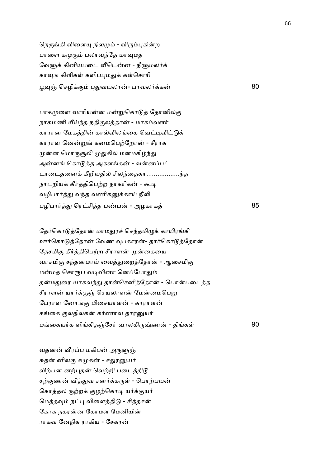நெருங்கி விளையு நிலமும் - விரும்புகின்ற பாளை கமுகும் பலாவுந்தே மாவுமத வேளுக் கினியபடை வீடென்ன - நீளுமலர்க் காவுங் கிளிகள் களிப்புமதுக் கள்சொரி பூவுஞ் செழிக்கும் புதுவயலான்- பாவலர்க்கன் 80

பாகமுளை வாரியன்ன மன்றுகொடுத் தோனிலகு நாகமணி யீய்ந்த நதிகுலத்தான் - மாகம்வளர் காரான மேகத்தின் கால்விலங்கை வெட்டிவிட்டுக் காராள னென்றுங் கனம்பெற்றோன் - சீராக முன்ன மொருசூலி முதுகில் மனமகிழ்ந்து அன்னங் கொடுத்த அகளங்கன் - வன்னப்பட் டாடைதனைக் கீறியதில் சிலந்தைகா....................ந்த நாடறியக் கீர்த்திபெற்ற நாகரிகன் - கூடி வழிபார்த்து வந்த வணிகனுக்காய் நீலி பழிபா2- ெரசித ப!ப - அழகாக 85

தேர்கொடுத்தோன் மாமதுரச் செந்தமிழுக் காயிரங்கி ஊர்கொடுத்தோன் வேண வுபகாரன்- தார்கொடுத்தோன் தேசமிகு கீர்த்திபெற்ற சீராளன் முன்கையை வாசமிகு சந்தனமாய் வைத்துறைத்தோன் - ஆசைமிகு மன்மத சொரூப வடிவினா னெப்போதும் தன்மதுரை யாகவந்து தான்செனித்தோன் - பொன்படைத்த சீராளன் யார்க்குஞ் செயலாளன் மேன்மைபெறு பேராள னோங்கு மிசையாளன் - காராளன் கங்கை குலதிலகன் கர்ணாவ தாரனுயர் மைகய2க ளிகிதOேச2 வாலகி'[ண - திக1 90

வதனன் வீரப்ப மகிபன் அருளுஞ் சுதன் னிலகு சுமுகன் - சதுரனுயர் விற்பன னற்புதன் வெற்றி படைத்திடு சற்குணன் வித்துவ சனர்க்கருள் - பொற்பயன் கொத்தல ருற்றக் குழற்கொடி யர்க்குயர் மெத்தவும் நட்பு விளைத்திடு - சித்தசன் கோக நகரன்ன கோமள மேனியின் ராகவ ேனநிக ராகிய - ேசகர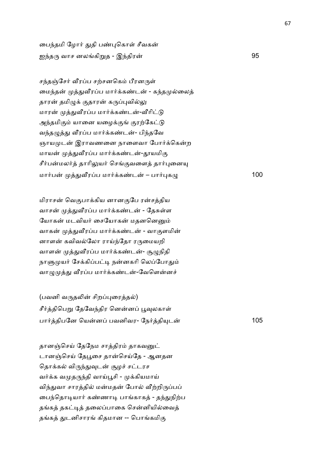பைந்தமி ழோர் துதி பண்புகொள் சீவகன் ஐ4த' வாச னலகி\$த - இ4திர 95

சந்தஞ்சேர் வீரப்ப சற்சனகெம் பீரனருள் மைந்தன் முத்துவீரப்ப மார்க்கண்டன் - கந்தமுல்லைத் தாரன் தமிழுக் குதாரன் கருப்புவில்லு மாரன் முத்துவீரப்ப மார்க்கண்டன்-வீரிட்டு அந்தமிகும் யானை யழைக்குங் குரற்கேட்டு வந்தழுத்து வீரப்ப மார்க்கண்டன்- பிந்தவே ஞாயமுடன் இராவணனை நாளைவா போர்க்கென்ற மாயன் முத்துவீரப்ப மார்க்கண்டன்-தூயமிகு சீர்பன்மலர்த் தாரிலுயர் செங்குவளைத் தார்புனையு மார்பன் முத்துவீரப்ப மார்க்கண்டன் – பார்புகழு $\,$ 

மிராசன் வெகுபாக்கிய னானகுபே ரன்சத்திய வாசன் முத்துவீரப்ப மார்க்கண்டன் - தேசுள்ள யோகன் மடவியர் சையோகன் மதனனெனும் வாகன் முத்துவீரப்ப மார்க்கண்டன் - வாகுளமின் னாளன் கவிவல்லோ ராய்ந்தோ ரருமையறி வாளன் முத்துவீரப்ப மார்க்கண்டன்- சூழுநிதி நாளுமுயர் சேக்கிப்பட்டி நன்னகரி லெப்போதும் வாழுமுத்து வீரப்ப மார்க்கண்டன்-வேளென்னச்

 $($ பவனி வருதலின் சிறப்புரைத்தல்) சீர்த்திபெறு தேவேந்திர னென்னப் பூவுலகாள் பார்த்திபனே யென்னப் பவனிவர- நேர்த்தியுடன் பான் பை 105

தானஞ்செய் தேநேம சாத்திரம் தாகவனுட் டானஞ்செய் தேபூசை தான்செய்தே - ஆனதன தொக்கல் விருந்துவுடன் சூழச் சட்டரச வர்க்க வமுதருந்தி வாய்பூசி - முக்கியமாய் விந்துவா சாரத்தில் மன்மதன் போல் வீற்றிருப்பப் பைந்தொடியார் கண்ணாடி பாங்காகத் - தந்துநிற்ப தங்கத் தகட்டித் தலைப்பாகை சென்னியில்வைத் தங்கத் துடனிசாரங் கிதமான -- பொங்கமிகு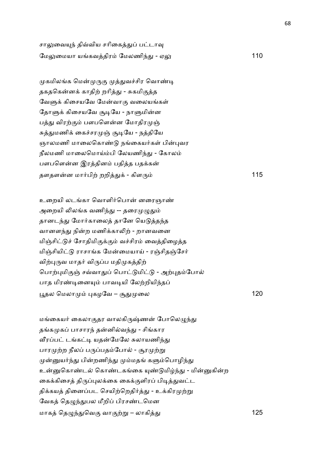சாலுவையுந் திவ்விய சரிகைத்துப் பட்டாவு ேம:ைமயா யகவதிர ேமலணி4- - ஏ: 110

முகமிலங்க மென்முருகு முத்துவச்சிர வொண்டி தகதகென்னக் காதிற் றரித்து - சுகமிகுத்த வேளுக் கிசையவே மேன்வாகு வலையங்கள் தோளுக் கிசையவே சூடியே - நாளுமின்ன பத்து விரற்கும் பளபளென்ன மோதிரமுஞ் சுத்துமணிக் கைச்சரமுஞ் சூடியே - நத்தியே ஞாலமணி மாலைகொண்டு நங்கையர்கள் பின்புவர நீலமணி மாலைமொய்ம்பி லேயணிந்து - கோலம் பளபளென்ன இரத்தினம் பதித்த பதக்கன் தளதளன மா2பி, றறி-+ - கிள' 115

உறையி லடங்கா வொளிர்பொன் னரைஞாண் அறையி லிலங்க வணிந்து -- தரைமுழுதும் தானடந்து மோர்காலைத் தானே யெடுத்தந்த வானளந்து நின்ற மணிக்காலிற் - றானவனை மிஞ்சிட்டுச் சோதிமிகுக்கும் வச்சிரம் வைத்திழைத்த மிஞ்சியிட்டு ராசாங்க மேன்மையாய் - ரஞ்சிதஞ்சேர் விற்புருவ மாதர் விருப்ப மதிமுகத்திற் பொற்புமிகுஞ் சவ்வாதுப் பொட்டுமிட்டு - அற்புதம்போல் பாத மிரண்டினையும் பாவடியி லேற்றியிந்தப் பூதல மெலாமும் புகழவே – சூதுமு ை *120* குறைப்பட்ட குறைப்பட்ட 120

மங்கையர் கைலாகுதர வாலகிருஷ்ணன் போலெழுந்து தங்கமுகப் பாசாரந் தன்னில்வந்து - சிங்கார வீரப்பட் டங்கட்டி யதன்மேலே சுலாயணிந்து பாரமுற்ற நீலப் பருப்பதம்போல் - சூரமுற்று முன்னுயர்ந்து பின்றணிந்து மும்மதங் களும்பொழிந்து உன்னுகொண்டல் கொண்டகங்கை யுண்டுமிழ்ந்து - மின்னுகின்ற கைக்கிசைத் திருப்புலக்கை கைக்குளிரப் பிடித்துவட்ட திக்கயத் தினைப்பட செயிற்றெதிர்த்து - உக்கிரமுற்று வேகத் தெழுந்துபல மீறிப் பிரசண்டமென மாகத் தெழுந்துவெகு வாகுற்று – லாகித்து  $125$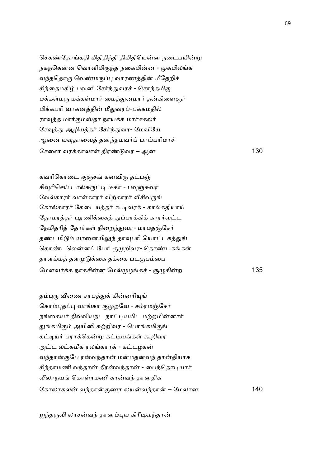செகண்தோங்கதி மிதிதிந்தி திமிதியென்ன நடைபயின்று நகநகென்ன வொளிமிகுந்த நகைமின்ன - முகமிலங்க வந்ததொரு வெண்மருப்பு வாரணத்தின் மீதேறிச் சிந்தைமகிழ் பவனி சேர்ந்துவரச் - சொந்தமிகு மக்கள்மரு மக்கள்மார் மைத்துனமார் தன்கிளைஞர் மிக்கபரி வாகனத்தின் மீதுவரப்-பக்கமதில் ராவுத்த மார்குமஸ்தா நாயக்க மார்சகலர் சேவுத்து ஆழியத்தர் சேர்ந்துவர- மேவியே ஆனை யவுதாவைத் தனந்தமவர்ப் பாய்பரிமாச் சேனை வரக்காலாள் திரண்டுவர – ஆன 130

கவரிகொடை குஞ்சங் கனவிரு தட்பஞ் சிவுரிசெய் டால்சுருட்டி டீகா - பவுஞ்சுவர வேல்காரர் வாள்காரர் விற்காரர் வீசிவருங் கோல்காரர் கேடையத்தர் கூடிவரக் - கால்கதியாய் தோமரத்தர் பூரணிக்கைத் துப்பாக்கிக் காரர்வட்ட நேமிதரித் தோர்கள் நிறைந்துவர- மாமதஞ்சேர் தண்டமிடும் யானையிலுந் தாவுபரி யொட்டகத்துங் கொண்டலென்னப் பேரி குமுறிவர- தொண்டகங்கள் தாளம்மத் தளமுடுக்கை தக்கை படகுபம்பை ேமளவ2+க நாகசின ேம ழக6 - W=கிற 135

தம்புரு வீணை சரபத்துக் கின்னரியுங் கொம்புதப்பு வாங்கா குமுறவே - சம்ரமஞ்சேர் நங்கையர் திவ்வியநட நாட்டியமிட மற்றமின்னார் துங்கமிகும் அயினி சுற்றிவர - பொங்கமிகுங் கட்டியர் பராக்கென்று கட்டியங்கள் கூறிவர அட்ட லட்சுமீக ரலங்காரக் - கட்டழகன் வந்தான்குபே ரன்வந்தான் மன்மதன்வந் தான்தியாக சிந்தாமணி வந்தான் தீரன்வந்தான் - பைந்தொடியார் லீலாநயங் கொள்ரமணீ கரன்வந் தானதிக ேகாலாகல வ4தா.ணா லயவ4தா – ேமலான 140

ஐந்தருவி லரசன்வந் தானம்புய கிரீடிவந்தான்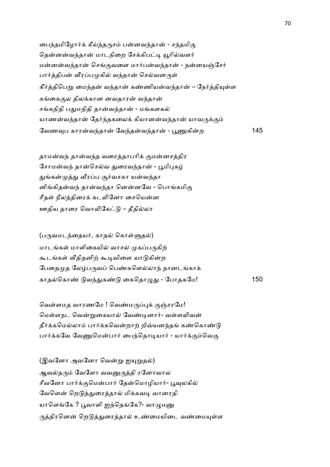பைந்தமிழோர்க் கீய்ந்தருசம் பன்னவந்தான் - சந்தமிகு தென்னன்வந்தான் மாடநிறை சேக்கிபட்டி யூரில்வளர் மன்னன்வந்தான் செங்குவளை மார்பன்வந்தான் - நன்னயஞ்சேர் பார்த்திபன் வீரப்பமுகில் வந்தான் செல்வனருள் கீர்த்திபெறு மைந்தன் வந்தான் கண்ணியன்வந்தான் – நேர்த்தியுள்ள கங்கைகுல திலக்கான னவதாரன் வந்தான் சங்கநிதி பதுமநிதி தான்வந்தான் - மங்களகல் யாணன்வந்தான் தேர்ந்தகலைக் கியானன்வந்தான் யாவருக்கும் ேவண8ப காரவ4தா ேவ4தவ4தா - NTகிற 145

தாமன்வந் தான்வந்த வரைத்தாபரிக் குமன்னசத்திர சோமன்வந் தான்செல்வ துரைவந்தான் - பூமிபுகழ் துங்கன்முத்து வீரப்ப சூர்வசகா யன்வந்தா னிங்கிதன்வந் தான்வந்தா னென்னவே - பொங்கமிகு சீதள் நீலத்திரைக் கடலினோ சையென்ன ஊதிய தாரை வொலிகேட்டு – தீதில்லா

 $(u_{\text{in}}\omega u)$ ந்தையர், காதல் கொள்ளுதல் மாடங்கள் மாளிகையில் வாசல் முகப்பருகிற் கூடங்கள் வீதிதனிற் கூடிவிளை யாடுகின்ற பேதைமுத லேழ்பருவப் பெண்களெல்லாந் தானடங்காக் காதெகா! வ4-க! ைகெதா=- - ேபாதகேம! 150

வெள்ளமத வாரணமே ! வெண்மருப்புக் குஞ்சரமே! மெள்ளநட வென்றுகையால் வேண்டினார்- வள்ளலிவன் தீர்க்கமெல்லாம் பார்க்கவென்றாற் றிவ்யனந்தங் கண்கொண்டு பார்க்கவே வேணுமென்பார் பைந்தொடியார் - யார்க்கும்வெகு

(இவனோ அவனோ வென்று ஐயுறுதல்) ஆவல்தரும் வேளோ வவனுருத்தி ரனோவால சீவனோ பார்க்குமென்பார் தேன்மொழியார்- பூவுலகில் வேளென் றெடுத்துரைத்தால் மிக்கவடி வானரதி யாளெங்கே ? பூவாளி ஐந்தெங்கே?- வாழுமனு ருத்திரனென் றெடுத்துரைத்தால் உண்மையிடை வண்மையுள்ள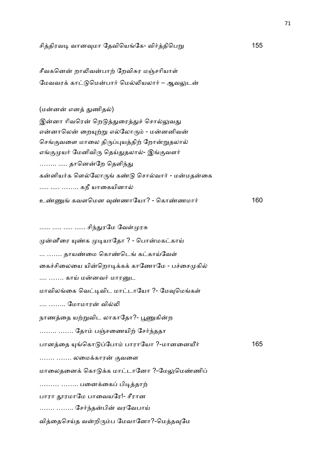| சித்திரவடி வானவுமா தேவியெங்கே- விர்த்திபெறு     | 155 |
|-------------------------------------------------|-----|
| சீவகனென் றாலிவன்பாற் றேவிசுர மஞ்சரியாள்         |     |
| மேவவரக் காட்டுமென்பார் மெல்லியலார் – ஆவலுடன்    |     |
| (மன்னன் எனத் துணிதல்)                           |     |
| இன்னா ரிவரென் றெடுத்துரைத்துச் சொல்லுவது        |     |
| என்னாலென் றையுற்று எல்லோரும் - மன்னனிவன்        |     |
| செங்குவளை மாலை திருப்புயத்திற் றோன்றுதலால்      |     |
| எங்குமுயர் மேனிவிரு தெய்துதலால்- இங்குவளர்      |     |
| ………  தானென்றே தெளிந்து                          |     |
| கன்னியர்க ளெல்லோருங் கண்டு சொல்வார் - மன்மதன்கை |     |
| கநீ யாகையினால்                                  |     |
| உண்ணுங் கவளமென வுண்ணாயோ? - கொண்ணமார்            | 160 |
| …… … … …… சிந்துரமே வேள்முரசு                   |     |
| முன்னீரை யுண்க முடியாதோ ? - பொன்மகட்காய்        |     |
| தாயண்மை கொண்டெங் கட்காய்வேள்                    |     |
| கைச்சிலையை யின்றொடிக்கக் காணோமே - பச்சைமுகில்   |     |
| …. ……. காய் மன்னவர் மாரனுட                      |     |
| மாவிலங்கை வெட்டிவிட மாட்டாயோ ?- மேவுமெங்கள்     |     |
| மோமாரன் வில்லி                                  |     |
| நாணத்தை யற்றுவிட லாகாதோ?- பூணுகின்ற             |     |
| ……… ……. தோம் பஞ்சணையிற் சேர்ந்ததா               |     |
| பானத்தை யுங்கொடுப்போம் பாராயோ ?-மானனையீர்       | 165 |
| ……. ……. லமைக்காரன் குவளை                        |     |
| மாலைதனைக் கொடுக்க மாட்டானோ ?-மேலுமெண்ணிப்       |     |
| ……… …… பனைக்கைப் பிடித்தாற்                     |     |
| பாரா தூரமாமே பாவையரே!- சீரான                    |     |
| சேர்ந்தன்பின் வரவேபாய்                          |     |
| வித்தைசெய்த வன்றிரும்ப மேவானோ?-மெத்தவுமே        |     |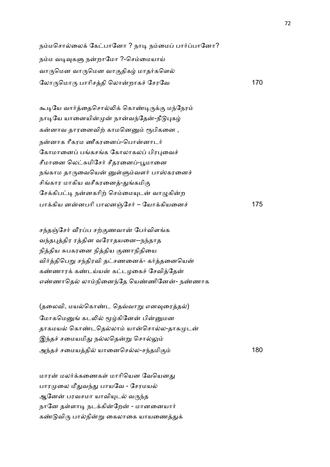நம்மசொல்லைக் கேட்பானோ ? நாடி நம்மைப் பார்ப்பானோ? நம்ம வடிவுகளு நன்றாமோ ?-செம்மையாய் வாருமென வாருமென வாகுதிகழ் மாதர்களெல் லோருமொரு பாரிசத்தி லொன்றாகச் சேரவே பான 170

கூடியே வார்த்தைசொல்லிக் கொண்டிருக்கு மந்நேரம் நாடியே யானையின்முன் நான்வந்தேன்-நீடுபுகழ் கன்னாவ தாரனைவிற் காமனெனும் ரூபிகனை , நன்னாக ரீகரம ணீகரனைப்-பொன்னாடர் கோமானைப் பங்கசங்க கோலாகலப் பிரபுவைச் சீமானை லெட்சுமிசேர் சீதரனைப்-பூமானை நங்காம தாருவையென் னுள்ளும்வளர் பாஸ்கரனைச் சிங்கார மாகிய வசீகரனைத்-துங்கமிகு சேக்கிபட்டி நன்னகரிற் செம்மையுடன் வாழுகின்ற பா+கிய னனபாி பாலனOேச2 – ேயா+கியைன6 175

சந்தஞ்சேர் வீரப்ப சற்குணவான் பேர்விளங்க வந்தபுத்திர ரத்தின வரோதயனை--நந்தாத நித்திய சுபகரனை நித்திய குணாநிதியை விர்த்திபெறு சந்திரவி தட்சணனைக்- கர்த்தனையென் கண்ணாரக் கண்டய்யன் கட்டழகைச் சேவித்தேன் எண்ணாதெல் லாம்நினைந்தே யெண்ணினேன்- நண்ணாக

(தலைவி, மயல்கொண்ட தெவ்வாறு எனவரைத்தல்) மோகமெனுங் கடலில் மூழ்கினேன் பின்னுமன தாகமயல் கொண்டதெல்லாம் யான்சொல்ல-தாகமுடன் இந்தச் சமையமிது நல்லதென்று சொல்லும் அ4த6 சைமயதி யாைனெசல-ச4தமி. 180

மாரன் மலர்க்கணைகள் மாரியென வேயெனது பாரமுலை மீதுவந்து பாயவே - சேரமயல் ஆனேன் பரவசமா யாவியுடல் வருந்த நானே தள்ளாடி நடக்கின்றேன் - மானனையார் கண்டுவிரு பால்நின்று கைலாகை யாயணைத்துக்

72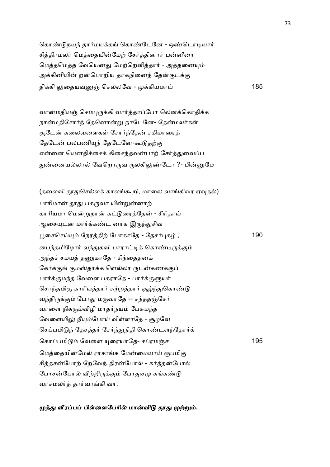கொண்டுநயந் தார்மயக்கங் கொண்டேனே - ஒண்டொடியார் சித்திரமலர் மெத்தையின்மேற் சேர்த்தினார் பன்னீரை மெத்தமெத்த வேயெனது மேற்றெளித்தார் - அத்தனையும் அக்கினியின் றன்பொறிய தாகநினைந் தேன்குடக்கு தி+கி :ைதயவO ெசலேவ - +கியமாC 185

வான்மதியஞ் செம்புருக்கி வார்த்தாப்போ லெனக்கொதிக்க நான்மதிசோர்ந் தேனொன்று நாடேனே- தேன்மலர்கள் சூடேன் கலைவளைகள் சோர்ந்தேன் சகிமாரைத் தேடேன் பலபணியுந் தேடேனே-கூடுதற்கு என்னை யெனதிச்சைக் கிசைந்தவன்பாற் சேர்த்துவைப்ப துன்னையல்லால் வேறொருவ ருலகிலுண்டோ ?- பின்னுமே

(தலைவி தூதுசெல்லக் காலங்கூறி, மாலை வாங்கிவர ஏவுதல்) பாரிமான் தூது பகருவா யின்றுன்னாற் காரியமா மென்றுநான் கட்டுரைத்தேன் - சீரிதாய் ஆசையுடன் மார்க்கண்ட னாக இருந்துசிவ பூசைசெய்யும் நேரத்திற் போகாதே - தேசர்புகழ் , பாது , 190 பைந்தமிழோர் வந்துகவி பாராட்டிக் கொண்டிருக்கும் அந்தச் சமயத் தணுகாதே - சிந்தைதனக் கேர்க்குங் குமஸ்தாக்க ளெல்லா ருடன்கணக்குப் பார்க்குமந்த வேளை பகராதே - பார்க்குளுயர் சொந்தமிகு காரியத்தார் சுற்றத்தார் சூழ்ந்துகொண்டு வந்திருக்கும் போது மருவாதே -- சந்ததஞ்சேர் வாளை நிகரும்விழி மாதர்நயம் பேசுமந்த வேளையிலு நீயும்போய் விள்ளாதே - சூழவே செப்பமிடுந் தேசத்தர் சேர்ந்துநிதி கொண்டளந்தோர்க் கொப்பமிடும் வேளை யுரையாதே- சப்ரமஞ்ச 195 முடி 195 மெத்தையின்மேல் ராசாங்க மேன்மையாய் ரூபமிகு சித்தசன்போற் றேவேந் திரன்போல் - கர்த்தன்போல் போசன்போல் வீற்றிருக்கும் போதுசமு கங்கண்டு வாசமலர்த் தார்வாங்கி வா.

முத்து வீரப்பப் பிள்ளைபேரில் மான்விடு தூது முற்றும்.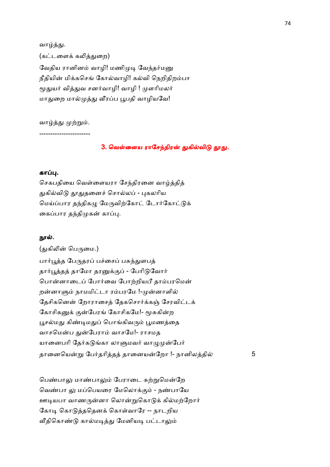வாழ்த்து. (கட்டளைக் கலித்துறை) வேதிய ரானினம் வாழி! மணிமுடி வேந்தர்மனு நீதியின் மிக்கசெங் கோல்வாழி! கல்வி நெறிதிறம்பா மூதுயர் வித்துவ சனர்வாழி! வாழி ! முளரிமலர் மாதுறை மால்முத்து வீரப்ப பூபதி வாழியவே!

வாழ்த்து முற்றும்.

-----------------------

### 3. வெள்ளைய ராசேந்திரன் துகில்விடு தூது.

## கா .

செகபதியை வெள்ளையரா சேந்திரனை வாழ்த்தித் துகில்விடு தூதுதனைச் சொல்லப் - புகலரிய மெய்ப்பார தந்திகமு மேருவிற்கோட் டோர்கோட்டுக் கைப்பார தந்திமுகன் காப்பு.

#### நூல்.

(துகிலின் பெருமை.) பார்பூத்த பேருதரப் பச்சைப் பசுந்துளபத் தார்பூத்தத் தாமோ தரனுக்குப் - பேரிடுவோர் பொன்னாடைப் போர்வை போற்றியபீ தாம்பரமென் றன்னாளும் நாமமிட்டா ரம்பரமே !-முன்னாளில் தேசிகனென் றோராசைத் தேகசொர்க்கள் சேரவிட்டக் கோசிகனுக் குன்பேரங் கோசிகமே!- மூசுகின்ற பூசல்மது கிண்டிமதுப் பொங்கிவரும் பூமணத்தை வாசமென்ப துன்பேராம் வாசமே!- ராசமத யானைபரி தேர்கடுங்கா லாளுமவர் வாழுமுன்பேர் தானையென்று பேர்தரித்தத் தானையன்றோ !- நானிலத்தில் 5

பெண்பாலு மாண்பாலும் பேராடை சுற்றுமென்றே வெண்பா லு மப்பெயரை மேலொக்கும் - நண்பாயே ஊடியபா வாணருன்னா லொன்றுகொடுக் கில்மற்றோர் கோடி கொடுத்ததெனக் கொள்வாரே -- நாடறிய வீதிகொண்டு கால்மடித்து மேனியடி பட்டாலும்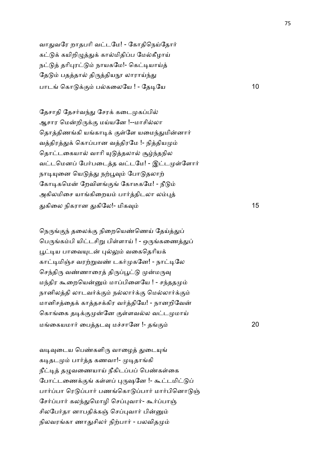வாதுவரே றாதபரி வட்டமே! - கோதிநெய்தோர் கட்டுக் கயிறிழுத்துக் கால்மிதிப்ப மேல்கீழாய் நட்டுத் தரிபுரட்டும் நாயகமே!- கெட்டியாய்த் தேடும் பதத்தால் திருத்தியநூ லாராய்ந்து பாடங் கொடுக்கும் பல்கலையே ! - தேடியே பாடங் கொடுக்கும்

தேசாதி தேசர்வந்து சேரக் கடைமுகப்பில் ஆசார மென்றிருக்கு மய்யனே !--மாசில்லா தொத்திணங்கி யங்காடிக் குள்ளே யமைந்துமின்னார் வத்திரத்துக் கொப்பான வத்திரமே !- நித்தியமும் தொட்டகையால் வாரி யுடுத்தலால் சூழ்ந்தநில வட்டமெனப் பேர்படைத்த வட்டமே! - இட்டமுள்ளோர் நாடியுனை யெடுத்து நற்பூவும் போடுதலாற் கோடிகமென் றேவிளங்குங் கோடீகமே! - நீடும் அகிலமிசை யாங்கிறையம் பார்த்திடலா லம்புத் -கிைல நிகரான -கிேல!- மிக8 15

நெருங்குந் தலைக்கு நிறையெண்ணெய் தேய்த்துப் பெருங்கம்பி யிட்டசிறு பிள்ளாய் ! - ஒருங்கணைத்துப் பூட்டிய பாவையுடன் புல்லும் வகைதெரியக் காட்டிமிஞ்ச வரற்றுவண் டகர்முகனே! - நாட்டிலே செந்திரு வண்ணாரைத் திருப்பூட்டு முன்மருவு மந்திர கூறையென்னும் மாப்பிளையே ! - சந்ததமும் நானிலத்தி லாடவர்க்கும் நல்லார்க்கு மெல்லார்க்கும் மானிசத்தைக் காத்தசக்கிர வர்த்தியே! - நானறிவேன் கொங்கை தடிக்குமுன்னே குள்ளவல்ல வட்டமுமாய் மைகயமா2 ைபதட8 ம6சாேன !- த. 20

வடிவுடைய பெண்களிரு வாழைத் துடையுங் கடிதடமும் பார்த்த கணவா!- முடிதாங்கி நீட்டித் தழுவணையாய் நீகிடப்பப் பெண்கள்கை போட்டணைக்குங் கள்ளப் புருஷனே !- கூட்டமிட்டுப் பார்ப்பா ரெடுப்பார் பணங்கொடுப்பார் மார்பினொடுஞ் சேர்ப்பார் கலந்துமொழி செப்புவார்- கூர்ப்பாஞ் சிலபேர்தா னாபதிக்கஞ் செப்புவார் பின்னும் நிலவரங்கா ணாதுசிலர் நிற்பார் - பலவிதமும்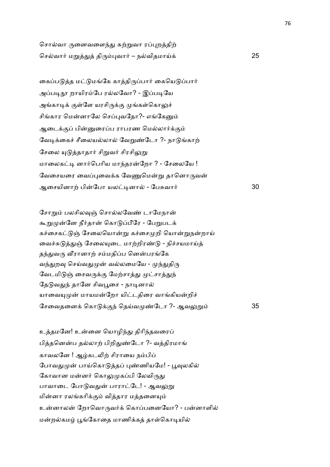சொல்வா ருனைவளைந்து சுற்றுவா ரப்புறத்திற் ெசவா2 ம\$- தி')வா2 – நவிதமாC+ 25

கைப்படுத்த மட்டுமங்கே காத்திருப்பார் கையெடுப்பார் அப்படிநூ றாயிரம்பே ரல்லவோ? - இப்படியே அங்காடிக் குள்ளே யரசிருக்கு முங்கள்கொலுச் சிங்கார மென்னாலே செப்புவதோ?- எங்கேனும் ஆடைக்குப் பின்னுரைப்ப ராபரண மெல்லார்க்கும் வேடிக்கைச் சீலையல்லால் வேறுண்டோ ?- நாடுங்காற் சேலை யுடுத்தாதார் சிறுவர் சிரசிலுறு மாலைகட்டி னார்பெரிய மாந்தரன்றோ ? - சேலையே ! வேசையரை வைப்புவைக்க வேணுமென்று தானொருவன் ஆைசயினா, பிேபா யல&னா - ேபJவா2 30

சோறும் பலசிலவுஞ் சொல்லவேண் டாமேநான் கூறுமுன்னே நீர்தான் கொடுப்பீரே - பேறுபடக் கச்சைகட்டுஞ் சேலையொன்று கச்சைமுறி யொன்றுநன்றாய் வைச்சுடுத்துஞ் சேலையுடை மாற்றிரண்டு - நிச்சயமாய்த் தந்துவரு வீரானாற் சம்மதிப்ப னென்பரங்கே வந்துறவு செய்வதுமுன் வல்லமையே - முந்துதிரு வேடமிடுஞ் சைவருக்கு மேற்சாத்து முட்சாத்துந் தேடுவதுந் தானே சிவபூசை - நாடினால் யாவையுமுன் மாயமன்றோ யிட்டதிரை வாங்கியன்றிச் ேசைவதைன+ ெகா +.4 ெதCவ !ேடா ?- ஆவ:\$ 35

உத்தமனே! உன்னை யொழிந்து திரிந்தவரைப் பித்தனென்ப தல்லாற் பிறிதுண்டோ ?- வத்திரமாங் காவலனே ! ஆம்கடலிற் சிராயை நம்பிப் போவதுமுன் பாய்கொடுத்தப் புண்ணியமே! - பூவுலகில் கோவான மன்னர் கொலுமுகப்பி லேவிருது பாவாடை போடுவதுன் பாராட்டே! - ஆவலுறு மின்னா ரலங்கரிக்கும் வித்தார மத்தனையும் உன்னாலன் றோவொருவர்க் கொப்பனையோ? - பன்னாளில் மன்றல்கமம் பூங்கோதை மாணிக்கக் தாள்கொடியில்

76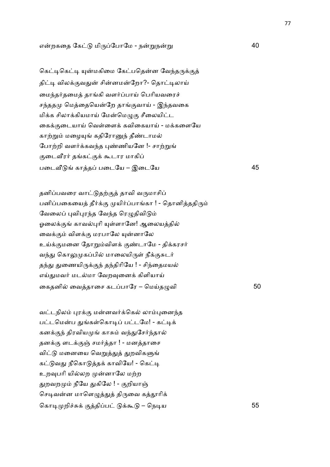## எறகைத ேக மி'ேபாேம - ந\$ந\$ 40

கெட்டிகெட்டி யுன்மகிமை கேட்பதென்ன வேந்தருக்குத் திட்டி விலக்குவதுன் சின்னமன்றோ?- தொட்டிலாய் மைந்தர்தமைத் தாங்கி வளர்ப்பாய் பெரியவரைச் சந்ததமு மெத்தையென்றே தாங்குவாய் - இந்தவகை மிக்க சிலாக்கியமாய் மேன்மெழுகு சீலையிட்ட கைக்குடையாய் வெள்ளைக் கவிகையாய் - மக்களையே காற்றும் மழையுங் கதிரோனுந் தீண்டாமல் போற்றி வளர்க்கவந்த புண்ணியனே !- சாற்றுங் குடைவீரர் தங்கட்குக் கூடார மாகிப் பைட@ காத பைடேய – இைடேய 45

தனிப்பவரை வாட்டுதற்குத் தாவி வருமாசிப் பனிப்பகையைத் தீர்க்கு முயிர்ப்பாங்கா ! - தொனித்ததிரும் வேலைப் புவிபுரந்த வேந்த ரெழுதிவிடும் ஓலைக்குங் காவல்புரி யுள்ளானே! ஆலையத்தில் வைக்கும் விளக்கு மரபாலே யுன்னாலே உய்க்குமனை தோறும்விளக் குண்டாமே - திக்கரசர் வந்து கொலுமுகப்பில் மாலையிருள் நீக்குசுடர் தந்து துணையிருக்குந் தந்திரியே ! - சிந்தைமயல் எய்துமவர் மடல்மா வேறவுனைக் கிளியாய் கைதனில் வைத்தாசை கடப்பாரே – மெய்தமுவி  $50$ 

வட்டநிலம் புரக்கு மன்னவர்க்கெல் லாம்புனைந்த பட்டமென்ப துங்கள்கொடிப் பட்டமே! - கட்டிக் கனக்குந் திரவியமுங் காசும் வந்துசேர்ந்தால் தனக்கு ளடக்குஞ் சமர்த்தா ! - மனத்தாசை விட்டு மனையை வெறுத்துத் துறவிகளுங் கட்டுவது நீகொடுத்தக் காவியே! - கெட்டி உறவுபரி யில்லற முன்னாலே மற்ற துறவறமும் நீயே துகிலே ! - குறியாஞ் செடிவன்ன மாளெழுத்துத் திருவை கத்தூரிக் ெகா& றி6J+ .திப +; – ெந&ய 55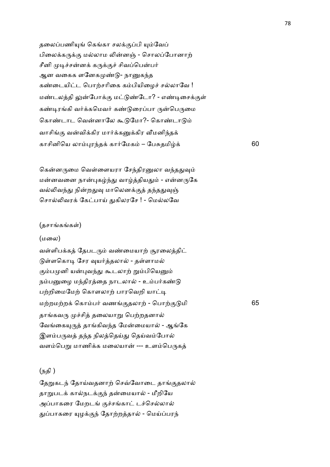தலைப்பணியுங் கெங்கா சலக்குப்பி யும்வேப் பிலைக்கருக்கு மல்லாம லின்னஞ் - சொலப்போனாற் சீனி முடிச்சன்னக் கருக்குச் சிவப்பென்பர் ஆன வகைக ளனேகமுண்டு- நானுகந்த கண்டையிட்ட பொற்சரிகை கம்பியிமைச் சல்லாவே ! மண்டலத்தி லுன்போக்கு மட்டுண்டோ? - எண்டிசைக்குள் கண்டிரங்கி வர்க்கமெவர் கண்டுரைப்பா ருன்பெருமை கொண்டாட வென்னாலே கூடுமோ?- கொண்டாடும் வாசிங்கு வன்விக்கிர மார்க்கனுக்கிர வீமனிந்தக் காசினிெய லா)ர4த+ கா2ேமக – ேபJதமி+ 60

கென்னருமை வெள்ளையரா சேந்திரனுலா வந்ததுவும் மன்னவனை நான்புகழ்ந்து வாழ்த்தியதும் - என்னருகே வல்லிவந்து நின்றதுவு மாலெனக்குத் தந்ததுவுஞ் சொல்லிவரக் கேட்பாய் துகிலரசே ! - மெல்லவே

#### (தசாங்கங்கள்)

#### (மைல)

வள்ளிபக்கத் தேபடரும் வண்மையாற் சூரலைத்திட் டுள்ளகொடி சேர வுயர்த்தலால் - தள்ளாமல் கும்பமுனி யன்புவந்து கூடலாற் றும்பியெனும் நம்பனுழை மந்திரத்தை நாடலால் - உம்பர்கண்டு பற்றிமைமேற் கொளலாற் பாரவெறி யாட்டி ம,றம,ற+ ெகாப2 வண.தலா, - ெபா,. மி 65 தாங்கவரு முச்சித் தலையாறு பெற்றதனால் வேங்கையுருத் தாங்கிவந்த மேன்மையால் - ஆங்கே இளம்பருவத் தந்த நிலத்தெய்து தெய்வம்போல் வளம்பெறு மாணிக்க மலையான் --- உளம்பெருகத்

## (நதி )

தேறுகடந் தோய்வதனாற் செவ்வோடை தாங்குதலால் தாறுபடக் கால்நடக்குந் தன்மையால் - மீறியே அப்பாகரை மேறடங் குச்சங்காட் டச்செல்லால் துப்பாகரை யுழக்குந் தோற்றத்தால் - மெய்ப்பரந்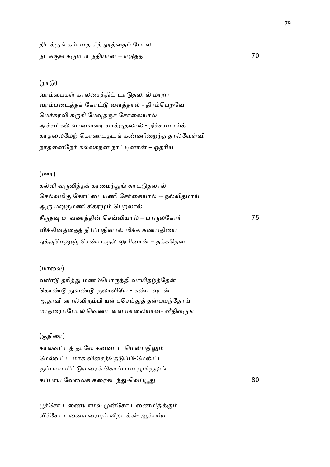திடக்குங் கம்பமத சிந்துரத்தைப் போல நட+. க'பா நதியா – எ த 70

## $(\mathbf{p} \mathbf{u})$

வரம்பைகள் காலசைத்திட் டாடுதலால் மாறா வரம்படைத்தக் கோட்டு வளத்தால் - திரம்பெறவே மெச்சுரவி சுருகி மேவுதருச் சோலையால் அச்சமிகல் வானவரை யாக்குதலால் - நிச்சயமாய்க் காதலைமேற் கொண்டதடங் கண்ணிறைந்த தால்வேள்வி நாதனைநேர் கல்லகநன் நாட்டினான் – ஓதரிய

#### $(\mathbf{em}\mathbf{r})$

கல்வி வருவித்தக் கரமைந்துங் காட்டுதலால் செல்வமிகு கோட்டையணி சேர்கையால் -- நல்விதமாய் ஆரு மறுகுமணி சிகரமும் பெறலால் சீ'த8 மாவணதி ெசDவியா – பா'லேகா2 75 விக்கினத்தைத் தீர்ப்பதினால் மிக்க கணபதியை ஒக்குமெனுஞ் செண்பகநல் லூரினான் – தக்கதென

## (மாலை)

வண்டு தரித்து மணம்பொருந்தி வாயிதழ்த்தேன் கொண்டு துவண்டு குலாவியே - கண்டவுடன் ஆதரவி னால்விரும்பி யன்புசெய்துத் தன்புயந்தோய் மாதரைப்போல் வெண்டளவ மாலையான்- வீதிவருங்

#### (.திைர)

கால்வட்டத் தாலே கனவட்ட மென்பதிலும் மேல்வட்ட மாக விசைத்தெடுப்பி-மேலிட்ட குப்பாய மிட்டுவரைக் கொப்பாய பூமிகுலுங் கப்பாய வேலைக் கரைகடந்து-வெப்பூது e a construction de la construction de la construction de la construction de la construction de la constructio<br>1800 : la construction de la construction de la construction de la construction de la construction de la const

பூச்சோ டணையாமல் முன்சோ டணைமிதிக்கும் வீச்சோ டனைவரையும் வீறடக்கி- ஆச்சரிய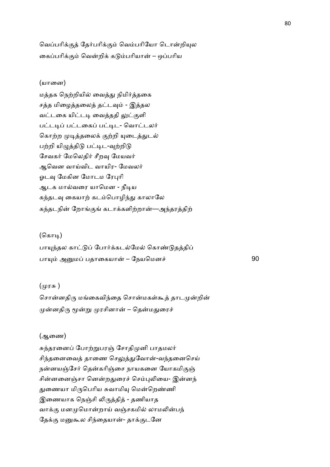வெப்பரிக்குத் தேர்பரிக்கும் வெம்பரியோ டொன்றியுல கைப்பரிக்கும் வென்றிக் கடும்பரியான் – ஒப்பரிய

## (யானை)

மத்தக நெற்றியில் வைத்து நிமிர்த்தகை சத்த மிழைத்தலைத் தட்டவும் - இத்தல வட்டகை யிட்டடி வைத்ததி லுட்குளி பட்டடிப் பட்டகைப் பட்டிட- வொட்டலர் கொற்ற முடித்தலைக் குற்றி யுடைத்துடல் பற்றி யிழுத்திடு பட்டிட-வற்றிடு சேவகர் மேலெகிர் சீறவு மேயவர் ஆவென வாய்விட வாயிர- மேவலர் ஓடவு மேகின மோடம ரேபுரி ஆடக மால்வரை யாமென - நீடிய கந்தடவு கையாற் கடம்பொழிந்து காலாலே கந்தடநின் றோங்குங் கடாக்களிற்றான்—அந்தரத்திற்

#### (கொடி)

பாயுந்தல காட்டுப் போர்க்கடல்மேல் கொண்டுதத்திப் பாயும் அனுமப் பதாகையான் – நேயமெனச் 90

#### (முரசு )

சொன்னதிரு மங்கைவிந்தை சொன்மகள்கூத் தாடமுன்றின் முன்னதிரு மூன்று முரசினான் – தென்மதுரைச்

#### (ஆைண)

சுந்தரனைப் போற்றுபரஞ் சோதிமுனி பாதமலர் சிந்தனைவைத் தாணை செலுத்துவோன்-வந்தனைசெய் நன்னயஞ்சேர் தென்கரிஞ்சை நாயகனை யோகமிகுஞ் சின்னனைஞ்சா னென்றதுரைச் செம்புலியை- இன்னந் துணையா மிருபெரிய சுவாமியு மென்றெண்ணி இணையாக நெஞ்சி லிருத்தித் - தணியாத வாக்கு மனமுமொன்றாய் வஞ்சகமில் லாமலின்பந் தேக்கு மனுகூல சிந்தையான்- தாக்குடனே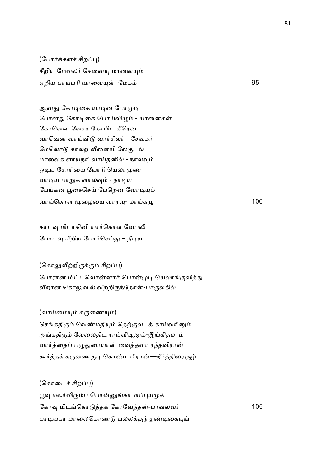(போர்க்களச் சிறப்பு) சீறிய மேவலர் சேனையு மானையும் ஏறிய பாCபாி யாைவ(1- ேமக 95

ஆனது கோடிகை யாடின பேர்முடி போனது கோடிகை போய்விழும் - யானைகள் கோவென வேசர கோபிட கீரென வாவென வாய்விடு வார்சிலர் - சேவகர் மேலொடு காலற வீளையி லேகுடல் மாலைக ளாய்நரி வாய்தனில் - நாலவும் ஓடிய சோரியை யோரி யெலாமுண வாடிய பாறுக ளாலவும் - நாடிய பேய்கன பூசைசெய் பேறென வோடியும் வாய்கொள மூழையை வாரவு- மாய்கமு $\frac{100}{100}$ 

காடவு மிடாகினி யார்கொள வேபலி போடவு மீறிய போர்செய்து – நீடிய

(கொலுவீற்றிருக்கும் சிறப்பு) போரான மிட்டவொன்னார் பொன்முடி யெலாங்குவித்து வீறான கொலுவில் வீற்றிருந்தோன்-பாருலகில்

(வாய்மையும் கருணையும்)

செங்கதிரும் வெண்மதியும் தெற்குவடக் காய்வரினும் அங்கதிரும் வேலைதிட ராய்விடினும்-இங்கிதமாம் வார்த்தைப் பழுதுரையான் வைத்தவா ரந்தவிரான் கூர்த்தக் கருணைகுடி கொண்டபிரான்—நீர்த்திரைசூழ்

(கொடைச் சிறப்பு) பூவு மலர்விரும்பு பொன்னுங்கா ளப்புயமுக் ேகா8 மிடெகா த+ ேகாேவ4த-பாவலவ2 105 பாடியபா மாலைகொண்டு பல்லக்குந் தண்டிகையுங்

81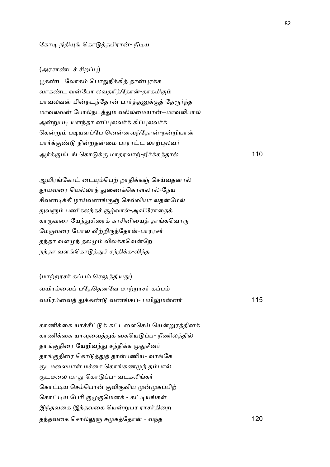## கோடி நிதியுங் கொடுத்தபிரான்- நீடிய

## (அரசாண்டச் சிறப்பு)

பூகண்ட லோகம் பொதுநீக்கித் தான்புரக்க வாகண்ட வன்போ லவதரித்தோன்-தாகமிகும் பாவலவன் பின்நடந்தோன் பார்த்தனுக்குத் தேரூர்ந்த மாவலவன் போல்நடத்தும் வல்லமையான்--மாவலிபால் அன்றுபடி யளந்தா னப்புலவர்க் கிப்புலவர்க் கென்றும் படியளப்பே னென்னவந்தோன்-நன்றியான் பார்க்குண்டு நின்றதன்மை பாராட்ட லாற்புலவர் ஆ2+.மிட ெகா +. மாதரவா,-றீ2+கதா 110

ஆயிரங்கோட் டையும்பெற் றாதிக்கள் செய்வதனால் தூயவரை யெல்லாந் துணைக்கொளலால்-நேய சிவனடிக்கீ ழாய்வணங்குஞ் செவ்வியா லதன்மேல் துவளும் பணிகலந்தச் சூழ்வால்-அவிரோதைக் காருவரை யேந்துசிரைக் காசினியைத் தாங்கவொரு மேருவரை போல வீற்றிருந்தோன்-பாரரசர் தந்தா வளமுந் தலமும் விலக்கவென்றே நந்தா வளங்கொடுத்துச் சந்திக்க-விந்த

(மாற்றரசர் கப்பம் செலுத்தியது) வயிரம்வைப் பதேதெனவே மாற்றரசர் கப்பம் வயிரைவ -+க! வணக- பயி:மன2 115

காணிக்கை யாச்சீட்டுக் கட்டளைசெய் யென்றுரத்தினக் காணிக்கை யாவுவைத்துக் கையெடுப்ப- நீணிலத்தில் தாங்குதிரை யேறிவந்து சந்திக்க முதுசீனர் தாங்குதிரை கொடுத்துத் தாள்பணிய- வாங்கே குடமலையாள் மச்சை கொங்கணமுந் தம்பால் குடமலை யாது கொடுப்ப- வடகலிங்கர் கொட்டிய செம்பொன் குவிகுவிய முன்முகப்பிற் கொட்டிய பேரி குமுகுமெனக் - கட்டியங்கள் இந்தவகை இந்தவகை யென்றுபர ராசர்திறை த4தவைக ெசா:O ச கேதா - வ4த 120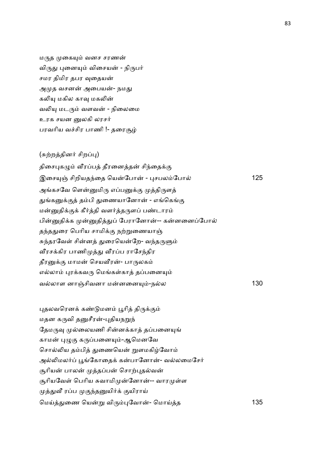மருத முகையும் வனச சரணன் விருது புனையும் விசையன் - நிருபர் சமர திமிர தபர வுதையன் அமுத வசனன் அபையன்- நமது கலியு மகில காவு மகலின் வலியு மடரும் வளவன் - நிலைமை உரக சயன வுலகி லாசர் பரவரிய வச்சிர பாணி !- தரைசூம்

## (சுற்றத்தினர் சிறப்பு)

திசைபுகழும் வீரப்பத் தீரனைத்தன் சிந்தைக்கு இைச(O சிறியத4ைத ெயேபா - )சபலேபா 125 அங்கசவே ளென்னுமிரு எப்பனுக்கு முத்திருளத் துங்கனுக்குத் தம்பி துணையானோன் - எங்கெங்கு மன்னுதிக்குக் கீர்த்தி வளர்த்தருளப் பண்டாரம் பின்னுதிக்க முன்னுதித்துப் பேரானோன்-- கன்னனைப்போல் தந்ததுரை பெரிய சாமிக்கு நற்றுணையாஞ் சுந்தரவேள் சின்னத் துரையென்றே- வந்தருளும் வீரசக்கிர பாணிமுத்து வீரப்ப ராசேந்திர தீரனுக்கு மாமன் செயவீரன்- பாருலகம் எல்லாம் புரக்கவரு மெங்கள்காத் தப்பனையும் வலாள னாOசிவனா மனைன(-நல 130

புதலவரெனக் கண்டுமனம் பூரித் திருக்கும் மதன கருவி தனுசீரன்-புதியநறுந் தேமருவு முல்லையணி சின்னக்காத் தப்பனையுங் காமன் புழுகு கருப்பனையும்-ஆமெனவே சொல்லிய தம்பித் துணையென் றுளமகிழ்வோம் அல்லிமலர்ப் பூங்கோதைக் கன்பானோன்- வல்லமைசேர் சூரியன் பாலன் முத்தப்பன் சொற்புதல்வன் சூரியவேள் பெரிய சுவாமிமுன்னோன்-- வாரமுள்ள முத்துவீ ரப்ப முகுந்தனுயிர்க் குயிராய் ெமC-ைண ெய\$ வி')ேவா- ெமாCத 135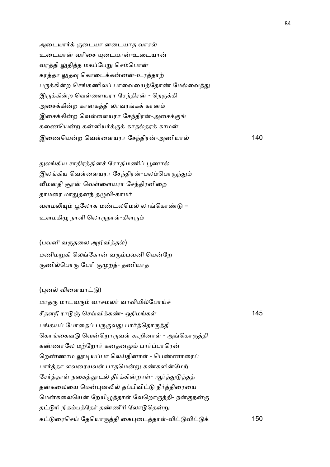அடையார்க் குடையா னடையாத வாசல் உடையான் வரிசை யுடையான்-உடையான் வரத்தி லுதித்த மகப்பேறு செம்பொன் கரத்தா லுதவு கொடைக்கன்னன்-உரத்தாற் பருக்கின்ற செங்கணிலப் பாவையைத்தோண் மேல்வைத்து இருக்கின்ற வெள்ளையரா சேந்திரன் - நெருக்கி அசைக்கின்ற கானகத்தி லாவரங்கக் கானம் இசைக்கின்ற வெள்ளையரா சேந்திரன்-அசைக்குங் கணையென்ற கன்னியர்க்குக் காதல்தரக் காமன் இைணெயற ெவ1ைளயரா ேச4திர-அணியா 140

துலங்கிய சாதிரத்தினச் சோதிமணிப் பூணால் இலங்கிய வெள்ளையரா சேந்திரன்-பலம்பொருந்தும் வீமனதி சூரன் வெள்ளையரா சேந்திரனிறை தாமரை மாதுதனந் தழுவி-காமர் வளமலியும் பூலோக மண்டலமெல் லாங்கொண்டு – உளமகிழு நாளி லொருநாள்-கிளரும்

 $($ பவனி வருதலை அறிவித்தல்) மணிமறுகி லெங்கோன் வரும்பவனி யென்றே குணில்பொரு பேரி குமுறத்- தணியாத

(புனல் விளையாட்டு) மாதரு மாடவரும் வாசமலர் வாவியில்போய்ச் சீதளநீ ரா O ெசDவி+க!- ஒதிமக1 145 பங்கயப் போதைப் பருகுவது பார்த்தொருத்தி கொங்கைவடு வென்றொருவள் கூறினாள் - அங்கொருத்தி கண்ணாலே மற்றோர் கனதனமும் பார்ப்பாரென் றெண்ணாம லாடியப்பா லெய்கினாள் - பெண்ணாரைப் பார்த்தா ளவரையவள் பாதமென்று கண்களின்மேற் சேர்த்தாள் நகைத்தூடல் தீர்க்கின்றாள்- ஆர்த்துடுத்தத் தன்கலையை மென்புனலில் தப்பிவிட்டு நீர்த்திரையை மென்கலையென் றேயிழுத்தாள் வேறொருத்தி- நன்குநன்கு தட்டுரி நிகம்பத்தேர் தண்ணீரி லோடுதென்று க ைரெசC ேதெயா'தி ைக)ைடதா1-வி வி + 150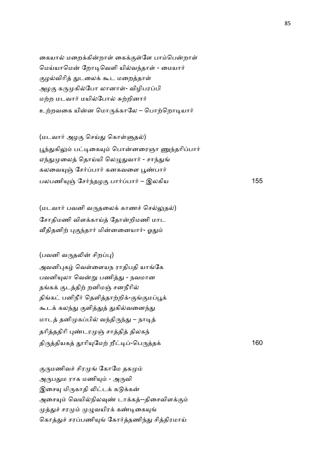கையால் மறைக்கின்றாள் கைக்குள்ளே பாம்பென்றாள் மெய்யாமென் றோடிவெளி யில்வந்தாள் - மையார் குழல்விரித் துடலைக் கூட மறைத்தாள் அழகு கருமுகில்போ லானாள்- விழிபரப்பி மற்ற மடவார் மயில்போல் சுற்றினார் உற்றவகை யின்ன மொருக்காலே – பொற்றொடியார்

(மடவார் அழகு செய்து கொள்ளுதல்) பூந்துகிலும் பட்டிகையும் பொன்னரைஞா ணுந்தரிப்பார் ஏந்துமுலைத் தொய்யி லெழுதுவார் - சாந்துங் கலவையுஞ் சேர்ப்பார் கனகவளை பூண்பார் பலபணியுஞ் சேர்ந்தழகு பார்ப்பார் – இலகிய 155

(மடவார் பவனி வருதலைக் காணச் செல்லுதல்) சோதிமணி விளக்காய்த் தோன்றிமணி மாட வீதிதனிற் புகுந்தார் மின்னனையார்- ஓதும்

 $($ பவனி வருதலின் சிறப்பு $)$ அவனிபுகழ் வெள்ளையந ராதிபதி யாங்கே பவனியுலா வென்று பணித்து - நவமான தங்கக் குடத்திற் றனிமஞ் சனநீரில் திங்கட் பனிநீர் தெளித்தாற்றிக்-குங்குமப்பூக் கூடக் கலந்து குளித்துத் துகில்வனைந்து மாடத் தனிமுகப்பில் வந்திருந்து – நாடித் தரித்ததிரி புண்டரமுஞ் சாத்தித் திலகந் தி'தியக ாி(ேம, றீ&-ெப'த+ 160

குருமணிவச் சிரமுங் கோமே தகமும் அருபதும ராக மணியும் - அருவி இசையு மிருகாதி லிட்டக் கடுக்கன் அசையும் வெயில்நிலவுண் டாக்கத்--திசைவிளக்கும் முத்துச் சரமும் முழுவயிரக் கண்டிகையுங் கொத்துச் சரப்பணியுங் கோர்த்தணிந்து சித்திரமாய்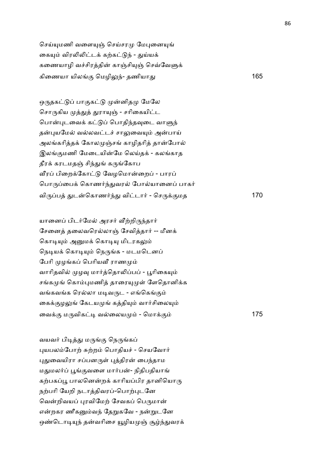செய்யுமணி வளையுஞ் செய்சரமு மேபுனையுங் கையும் விரலிலிட்டக் கற்கட்டுந் - துய்யக் கணையாழி வச்சிரத்தின் காஞ்சியுஞ் செவ்வேளுக் கிணையா யிலங்கு மெழிலுந்- தணியாது  $165$ 

ஒருதகட்டுப் பாகுகட்டு முன்னிதமு மேலே சொருகிய முத்துத் துராயுஞ் - சரிகையிட்ட பொன்புடவைக் கட்டுப் பொதிந்தவுடை வாளுந் தன்புயமேல் வல்லவட்டச் சாலுவையும் அன்பாய் அலங்கரித்தக் கோலமுஞ்சங் காழிதரித் தான்போல் இலங்குமணி மேடையின்மே லெய்தக் - கலங்காத தீரக் கரடமதஞ் சிந்துங் கருங்கோப வீரப் பிறைக்கோட்டு வேழமொன்றைப் - பாரப் பொருப்பைக் கொணர்ந்துவரல் போல்யானைப் பாகர் வி'ப -டெகாண24- விடா2 - ெச'+.மத 170

யானைப் பிடர்மேல் அரசர் வீற்றிருந்தார் சேனைத் தலைவரெல்லாஞ் சேவித்தார் -- மீனக் கொடியும் அனுமக் கொடியு மிடரகலும் நெடியக் கொடியும் நெருங்க - மடமடெனப் பேரி முழங்கப் பெரியவீ ராணமும் வாரிதவில் முழவு மார்த்தொலிப்பப் - பூரிகையும் சங்கமுங் கொம்புமணித் தாரையுமுள் ளேதொனிக்க வங்கவங்க ரெல்லா மடிவருட - எங்கெங்கும் கைக்குழலுங் கேடயமுங் கத்தியும் வார்சிலையும் ைவ+. ம'விக& வைலய - ெமா+. 175

வயவர் பிடித்து மருங்கு நெருங்கப் புயபலம்போற் சுற்றம் பொதியச் - செயவோர் புதுவையிரா சப்பனருள் புத்திரன் பைந்தாம மதுமலர்ப் பூங்குவளை மார்பன்- நிதிபதியாங் கற்பகப்பூ பாலனென்றக் காரியப்பிர தானியொரு நற்பரி யேறி நடாத்திவரப்-பொற்புடனே வென்றிவயப் புரவிமேற் சேவகப் பெருமான் என்றகர ணீகனும்வந் தேறுகவே - நன்றுடனே ஒண்டொடியுந் தன்வரிசை யூழியமுஞ் சூழ்ந்துவரக்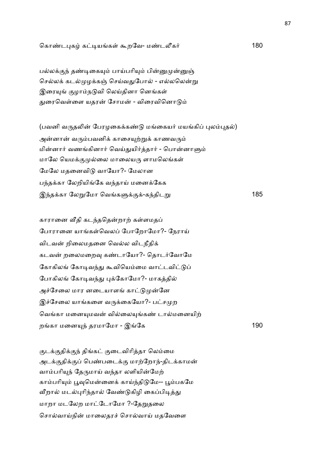## ெகா!ட)க க&யக1 ;றேவ- ம!ட\_க2 180

பல்லக்குந் தண்டிகையும் பாய்பரியும் பின்னுமுன்னுஞ் செல்லக் கடல்முழக்கஞ் செய்வதுபோல் - எல்லலென்று இரையுங் குழாம்நடுவி லெய்தினா னெங்கள் துரைவெள்ளை யதரன் சோமன் - விரைவினொடும்

(பவனி வருதலின் பேரழகைக்கண்டு மங்கையர் மயங்கிப் புலம்புதல்) அன்னான் வரும்பவனிக் காசையுற்றுக் காணவரும் மின்னார் வணங்கினார் வெய்துயிர்த்தார் - பொன்னாளும் மாலே யெமக்குமுல்லை மாலையரு ளாமலெங்கள் மேலே மதனைவிடு வாயோ?- மேலான பந்தக்கா லேறியிங்கே வந்தாய் மனைக்கேக இ4த+கா ேல\$ேமா ெவக7+.+-க4திட\$ 185

காரானை வீதி கடந்ததென்றாற் கள்ளமதப் போரானை யாங்கள்வெலப் போறோமோ?- நேராய் விடவன் றிலைமதனை வெல்ல விடநீதிக் கடவன் றலைமறைவு கண்டாயோ?- தொடர்வோமே கோகிலங் கோடிவந்து கூவியெம்மை வாட்டவிட்டுப் போகிலங் கோடிவந்து புக்கோமோ?- மாகத்தில் அச்சேலை மார னடையாளங் காட்டுமுன்னே இச்சேலை யாங்களை வருக்கையோ?- பட்சமுற வெங்கா மனையுமவன் வில்லையுங்கண் டால்மனையிற் றகா மைன(4 தரமாேமா - இேக 190

குடக்குதிக்குந் திங்கட் குடைவிரித்தா லெம்மை அடக்குதிக்குப் பெண்படைக்கு மாற்றோந்-திடக்காமன் வாம்பரியுந் தேருமாய் வந்தா லளியின்மேற் காம்பரியும் பூவுமென்னைக் காய்ந்திடுமே-- பூம்பகமே வீறால் மடல்புரிந்தால் வேண்டுகிழி கைப்பிடித்து மாறா மடலேற மாட்டோமோ ?-தேறுதலை சொல்வாய்நின் மாலைதரச் சொல்வாய் மதவேளை

87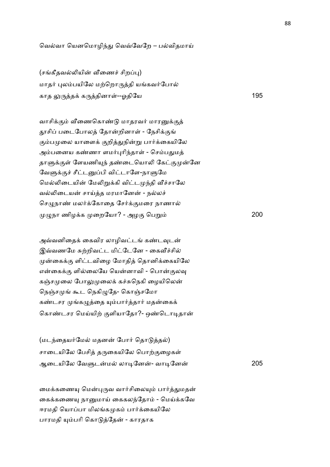வெல்வா யெனமொழிந்து வெவ்வேறே – பல்விதமாய்

(சங்கீதவல்லியின் வீணைச் சிறப்பு) மாதர் புலம்பயிலே மற்றொருத்தி யங்கவர்போல் காத :'த+ க'தினா1--ஓதிேய 195

வாசிக்கும் வீணைகொண்டு மாதரவர் மாரனுக்குத் தூசிப் படைபோலத் தோன்றினாள் - நேசிக்குங் கும்பமுலை யாளைக் குறித்துநின்று பார்க்கையிலே அம்பனைய கண்ணா ளமர்புரிந்தாள் - செம்பதுமத் தாளுக்குள் ளேயணியுந் தண்டையொலி கேட்குமுன்னே வேளுக்குச் சீட்டனுப்பி விட்டாளே-நாளுமே மெல்லிடையின் மேலிறுக்கி விட்டமுந்தி வீச்சாலே வல்லிடையன் சாய்த்த மரமானேன் - நல்லச் செழுநாண் மலர்க்கோதை சேர்க்குமரை நாணால் =நா ணிழ+க ைறேயா? - அழ. ெப\$ 200

அவ்வனிதைக் கைவிர லாழிவட்டங் கண்டவுடன் இவ்வணமே சுற்றிவட்ட மிட்டேனே - கைவீச்சில் முன்கைக்கு ளிட்டவிழை மோதித் தொனிக்கையிலே என்கைக்கு ளில்லையே யென்னாவி - பொன்குலவு கஞ்சமுலை போலுமுலைக் கச்சுநெகி ழையிலென் நெஞ்சமுங் கூட நெகிழுதே- கொஞ்சமோ கண்டசர முங்கழுத்தை யும்பார்த்தார் மதன்கைக் கொண்டசர மெய்யிற் குளியாதோ?- ஒண்டொடிதான்

(மடந்தையர்மேல் மதனன் போர் தொடுத்தல்) சாடையிலே பேசித் தருகையிலே பொற்குழைகள் ஆைடயிேல ேவ7டம லா&ேன- வா&ேன 205

மைக்கணையு மென்புருவ வார்சிலையும் பார்த்துமதன் கைக்கணையு நானுமாய் கைகலந்தோம் - மெய்க்கவே ஈரமதி யொப்பா மிலங்கமுகம் பார்க்கையிலே பாரமதி யும்பரி கொடுத்தேன் - காரதாக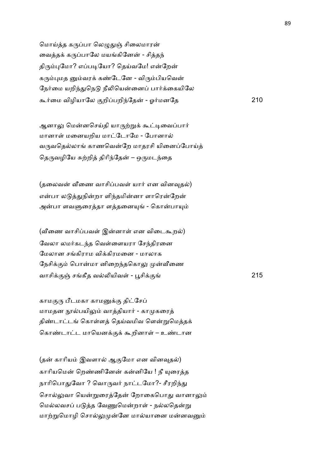மொய்த்த கருப்பா லெழுதுஞ் சிலைமாரன் வைத்தக் கருப்பாலே மயங்கினேன் - சித்தந் திரும்புமோ? எப்படியோ? தெய்வமே! என்றேன் கரும்புமத னும்வரக் கண்டேனே - விரும்பியவென் நேர்மை யறிந்துநெடு நீலியென்னைப் பார்க்கையிலே ;2ைம விழியாேல .றிபறி4ேத - ஓ2மனேத 210

ஆனாலு மென்னசெய்தி யாருற்றுக் கூட்டிவைப்பார் மானாள் மனையறிய மாட்டோமே - போனால் வருவதெல்லாங் காணவென்றே மாதரசி யினைப்போய்த் தெருவழியே சுற்றித் திரிந்தேன் – ஒருமடந்தை

(தலைவன் வீணை வாசிப்பவள் யார் என வினவுதல்) என்பா லடுத்துநின்றா ளிந்தமின்னா ளாரென்றேன் அன்பா ளவளுரைத்தா ளத்தனையுங் - கொன்பாயும்

(வீணை வாசிப்பவள் இன்னாள் என விடைகூறல்) வேலா லமர்கடந்த வெள்ளையரா சேந்திரனை மேலான சங்கிராம விக்கிரமனை - மாலாக நேசிக்கும் பொன்மா னிறைந்தகொலு முன்வீணை வாசி+.O சகீத வ5யிவ1 - Nசி+. 215

காமகுரு பீடமகா காமனுக்கு திட்சேப் மாமதன நூல்பயிலும் வாத்தியார் - காமுகரைத் திண்டாட்டங் கொள்ளத் தெய்வமிவ ளென்றுமெத்தக் கொண்டாட்ட மாயெனக்குக் கூறினாள் – உண்டான

(தன் காரியம் இவளால் ஆகுமோ என வினவுதல்) காரியமென் றெண்ணினேன் கன்னியே ! நீ யுரைத்த நாரிபொதுவோ ? வொருவர் நாட்டமோ?- சீரறிந்து சொல்லுவா யென்றுரைத்தேன் றோகைபொது வானாலும் மெல்லவசப் படுத்த வேணுமென்றாள் - நல்லதென்று மாற்றுமொழி சொல்லுமுன்னே மால்யானை மன்னவனும்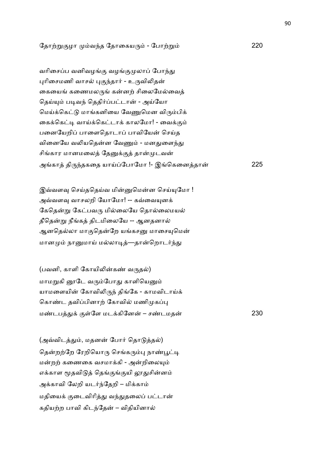ேதா,\$.ழா வ4த ேதாைகய' - ேபா,\$ 220

வரிசைப்ப வனிவழங்கு வழங்குமுலாப் போந்து புரிசைமணி வாசல் புகுந்தார் - உருவிலிதன் கையைங் கணைமலருங் கன்னற் சிலைமேல்வைத் தெய்யும் படிவந் தெதிர்ப்பட்டான் - அய்யோ மெய்க்கெட்டு மாங்கனியை வேணுமென விரும்பிக் கைக்கெட்டி வாய்க்கெட்டாக் காலமோ! - வைக்கும் பனையேறிப் பாளைதொடாப் பாவியேன் செய்த வினையே வலியதென்ன வேணும் - மனதுளைந்து சிங்கார மானமலைத் தேனுக்குத் தான்முடவன் அகா தி'4தகைத யாCேபாேமா !- இெகைனதா 225

இவ்வளவு செய்ததெய்வ மின்னுமென்ன செய்யுமோ ! அவ்வளவு வாசலறி யோமோ! -- கவ்வையுனக் கேதென்று கேட்பவரு மில்லையே தொல்லைமயல் தீதென்று நீங்கத் திடமிலையே -- ஆனதனால் ஆனதெல்லா மாகுதென்றே யங்கசனு மாசையுமென் மானமும் நானுமாய் மல்லாடித்—தான்றொடர்ந்து

 $($ பவனி, காளி கோயிலின்கண் வருதல்) மாமறுகி னூடே வரும்போது காளியெனும் யாமளையின் கோவிலிருந் திங்கே - காமவிடாய்க் கொண்ட தவிப்பினாற் கோவில் மணிமுகப்பு ம!டப-+ .1ேள மட+கிேன – ச!டமத 230

(அவ்விடத்தும், மதனன் போர் தொடுத்தல்) தென்றற்றே ரேறியொரு செங்கரும்பு நாண்பூட்டி மன்றற் கணைகை வசமாக்கி - அன்றிலையும் எக்காள மூதவிடுத் தெங்குங்குயி லூதுசின்னம் அக்காவி லேறி யடர்ந்தேறி – மிக்காம் மதியைக் குடைவிரித்து வந்துதலைப் பட்டான் கதியற்ற பாவி கிடந்தேன் – விதியினால்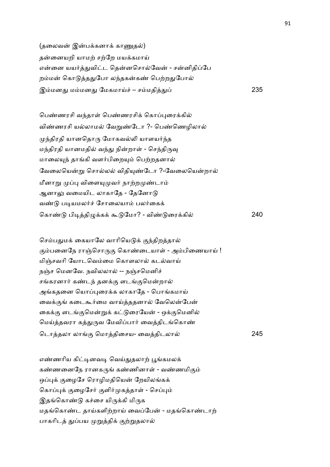(தலைவன் இன்பக்கனாக் காணுதல்) தன்னையறி யாமற் சற்றே மயக்கமாய் என்னை யயர்த்துவிட்ட தென்னசொல்வேன் - சன்னிதிப்பே றம்மன் கொடுத்ததுபோ லந்தகன்கண் பெற்றதுபோல் இம்மனது மம்மனது மேகமாய்ச் – சம்மதித்து ் *235* 

பெண்ணரசி வந்தாள் பெண்ணரசிக் கொப்புரைக்கில் விண்ணரசி யல்லாமல் வேறுண்டோ ?- பெண்ணெழிலால் முந்திரதி யானதொரு மோகவல்லி யாளயர்ந்த மந்திரதி யானமதில் வந்து நின்றாள் - செந்திருவு மாலையுந் தாங்கி வளர்பிறையும் பெற்றதனால் வேலையென்று சொல்லல் விதியுண்டோ ?-வேலையென்றால் மீனாறு முப்பு விளையுமுவர் நாற்றமுண்டாம் ஆனாலு வமையிட லாகாகே - கேனோடு வண்டு படியமலர்ச் சோலையாம் பலர்கைக் ெகா! பி&தி=+க+ ; ேமா? - வி! ைர+கி 240

செம்பதுமக் கையாலே வாரியெடுக் குந்திறத்தால் கும்பனைநே ராஞ்சொருகு கொண்டையாள் - அம்பிணையாய் ! மிஞ்சவரி யோடவெம்மை கொளலால் கடல்வாய் நஞ்ச மெனவே. நவிலலால் -- நஞ்சமெனிச் சங்கரனார் கண்டந் தனக்கு ளடங்குமென்றால் அங்கதனை யொப்புரைக்க லாகாதே - பொங்கமாய் வைக்குங் கடைகூர்மை வாய்த்ததனால் வேலென்பேன் கைக்கு ளடங்குமென்றுக் கட்டுரையேன் - ஒக்குமெனில் மெய்த்தவரா கத்துருவ மேவிப்பார் வைத்திடங்கொண் ெடாதலா லா. ெமாதிைசய- ைவதிடலா 245

எண்ணரிய கிட்டினவடி வெய்துதலாற் பூங்கமலக் கண்ணனைநே ரானகருங் கண்ணினாள் - வண்ணமிகும் ஒப்புக் குழைசே ரொழிமதியென் றேயிலங்கக் கொப்புக் குழைசேர் குளிர்முகத்தாள் - செப்பும் இதங்கொண்டு கச்சை யிருக்கி மிருக மதங்கொண்ட தாய்களிற்றாய் வைப்பேன் - மதங்கொண்டாற் பாகரிடத் துப்பய முறுத்திக் குற்றுதலால்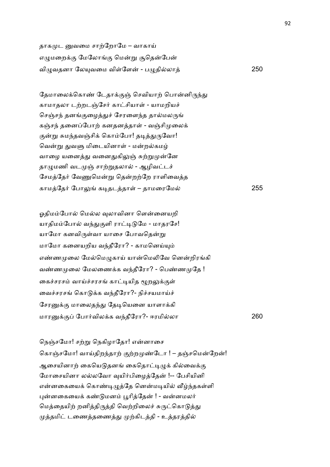தாகமுட னுவமை சாற்றோமே – வாகாய் எழுமறைக்கு மேலோங்கு மென்று சூதென்பேன் வி=வதனா ேல(வைம வி1ேள - ப=திலா 250

தேமாலைக்கொண் டேதாக்குஞ் செவியாற் பொன்னிருந்து காமாதலா டற்றடஞ்சேர் காட்சியாள் - யாமறியச் செஞ்சந் தனங்குழைத்துச் சேரளைந்த தால்மலருங் கஞ்சந் தனைப்போற் கனதனத்தாள் - வஞ்சிமுலைக் குன்று சுமந்தவஞ்சிக் கொம்போ! தடித்துருவோ! வென்று துவளு மிடையினாள் - மன்றல்கமழ் வாழை யனைத்து வனைதுகிலுஞ் சுற்றுமுன்னே தாழுமணி வடமுஞ் சாற்றுதலால் - ஆழிவட்டச் சேமத்தேர் வேணுமென்று தென்றற்றே ராளிவைத்த காமேத2 ேபா: க&தடதா1 – தாமைரேம 255

ஓதிமம்போல் மெல்ல வுலாவினா ளென்னையறி யாதிமம்போல் வந்துகுளி ராட்டிடுமே - மாதரசே! யாமோ கனவிருள்வா யாசை போவதென்று மாமோ கனையறிய வந்தீரோ? - காமனெய்யும் எண்ணமுலை மேல்மெழுகாய் யான்மெலிவே னென்றிரங்கி வண்ணமுலை மேலணைக்க வந்தீரோ? - பெண்ணமுதே ! கைச்சரசம் வாய்ச்சரசங் காட்டியித மூறலுக்குள் வைச்சரசங் கொடுக்க வந்தீரோ?- நிச்சயமாய்ச் சேரனுக்கு மாலைதந்து தேடியெனை யாளாக்கி மார+. ேபா2வில+க வ4தீேரா?- ஈரமிலா 260

நெஞ்சமோ! சற்று நெகிழாதோ! என்னாசை கொஞ்சமோ! வாய்திறந்தாற் குற்றமுண்டோ ! – தஞ்சமென்றேன்! ஆசையினாற் கையெடுதனங் கைதொட்டிழுக் கில்வைக்கு மோசையினா லல்லவோ வுயிர்பிமைத்தேன் !-- பேசியினி என்னகையைக் கொண்டிழுத்தே னென்மடியில் வீழ்ந்தகள்ளி புன்னகையைக் கண்டுமனம் பூரித்தேன் ! - வன்னமலர் மெத்தையிற் றனித்திருத்தி வெற்றிலைச் சுருட்கொடுத்து முத்தமிட் டணைத்தணைத்து முற்கிடத்தி - உத்தரத்தில்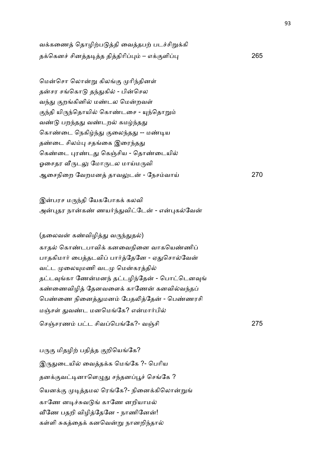வக்கணைத் தொழிற்படுத்தி வைத்தபற் படச்சிறுக்கி த+ெகன6 சினத&த திதிாி) – எ+.ளி) 265

மென்சொ லொன்று கிலங்கு முரிந்தினள் தன்சர சங்கொடு தந்துகில் - பின்செல வந்து குறங்கினில் மண்டல மென்றவள் குந்தி யிருந்தொயில் கொண்டசை - யுந்தொறும் வண்டு பறந்தது வண்டறல் கமழ்ந்தது கொண்டை நெகிழ்ந்து குலைந்தது -- மண்டிய தண்டை சிலம்பு சதங்கை இரைந்தது கெண்டை புரண்டது கெஞ்சிய - தொண்டையில் ஓசைதர வீருடலு மோருடல மாய்மருவி ஆைசநிைற ேவறமன தாவ:ட - ேநசவாC 270

இன்பரச மருந்தி யேகபோகக் கலவி அன்புதர நான்கண் ணயர்ந்துவிட்டேன் - என்புகல்வேன்

(தலைவன் கண்விழித்து வருந்துதல்) காதல் கொண்டபாவிக் கனவைநினை வாகயெண்ணிப் பாதகிமார் பைத்தடவிப் பார்த்தேனே - ஏதுசொல்வேன் வட்ட முலையுமணி வடமு மென்கரத்தில் தட்டவுங்கா ணேன்மனந் தட்டழிந்தேன் - பொட்டெனவுங் கண்ணைவிழித் தேனவளைக் காணேன் கனவில்வந்தப் பெண்ணை நினைத்துமனம் பேதலித்தேன் - பெண்ணரசி மஞ்சள் துவண்ட மனமெங்கே? என்மார்பில் செஞ்சரணம் பட்ட சிவப்பெங்கே?- வஞ்சி பட்டி மாவி 275

பருகு மிதழிற் பதித்த குறியெங்கே? இருதுடையில் வைத்தக்க மெங்கே ?- பெரிய தனக்குவட்டினாளெழுது சந்தனப்பூச் செங்கே ? யெனக்கு முடித்தமல ரெங்கே?- நினைக்கிலொன்றுங் காணே னடிச்சுவடுங் காணே னறியாமல் வீணே பதறி விழித்தேனே - நாணினேன்! கள்ளி சுகத்தைக் கனவென்று நானறிந்தால்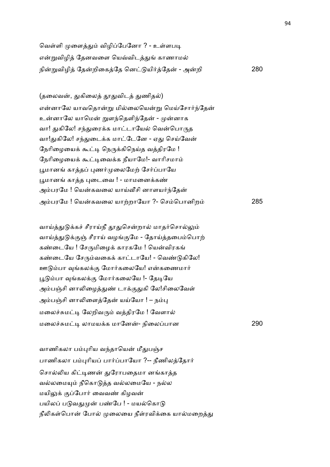வெள்ளி முளைத்தும் விழிப்பேனோ ? - உள்ளபடி என்றுவிழித் தேனவளை யெவ்விடத்துங் காணாமல் நி\$விழி ேதறிைகேத ென யி2ேத - அறி 280

(தலைவன், துகிலைத் தூதுவிடத் துணிதல்) என்னாலே யாவதொன்று மில்லையென்று மெய்சோர்ந்தேன் உன்னாலே யாமென் றுளந்தெளிந்தேன் - முன்னாக வா! துகிலே! சந்துரைக்க மாட்டாயேல் வென்பொருத வா!துகிலே! சந்துடைக்க மாட்டேனே - ஏது செய்வேன் நேரிழையைக் கூட்டி நெருக்கிநெய்த வத்திரமே ! நேரிழையைக் கூட்டிவைக்க நீயாமே!- வாரிசமாம் பூமானங் காத்தப் புணர்முலைமேற் சேர்ப்பாயே பூமானங் காத்த புடைவை ! - மாமனைக்கண் அம்பரமே ! யென்கவலை யாய்வீசி னாளயர்ந்தேன் அம்பரமே ! யென்கவலை யாற்றாயோ ?- செம்பொனிறம் 285

வாய்த்துடுக்கச் சீராய்நீ தூதுசென்றால் மாதர்சொல்லும் வாய்த்துடுக்குஞ் சீராய் வழங்குமே - தோய்த்தபைம்பொற் கண்டையே ! சேருமிழைக் காரகமே ! யென்விரகங் கண்டையே சேரும்வகைக் காட்டாயே! - வெண்டுகிலே! ஊடும்பா வங்கலக்கு மோர்கலையே! என்கணைமார் பூடும்பா வங்கலக்கு மோர்கலையே !- தேடியே அம்பஞ்சி னாலிழைத்துண் டாக்குதுகி லே!சிலைவேள் அம்பஞ்சி னாலிளைத்தேன் யய்யோ ! – நம்பு மலைச்சுமட்டி லேறிவரும் வத்திரமே ! வேளால் மைல6Jம& லாமய+க மாேன- நிைலபான 290

வாணிகலா பம்புரிய வந்தாயென் மீதுபஞ்ச பாணிகலா பம்புரியப் பார்ப்பாயோ ?-- நீணிலத்தோர் சொல்லிய கிட்டிணன் துரோபதைமா னங்காத்த வல்லமையும் நீகொடுத்த வல்லமையே - நல்ல மயிலுக் குப்போர் வைவண் கிழவன் பயிலப் படுவதுமுன் பண்பே ! - மயல்கொடு நீலிகள்பொன் போல் முலையை நீள்ரவிக்கை யால்மறைத்து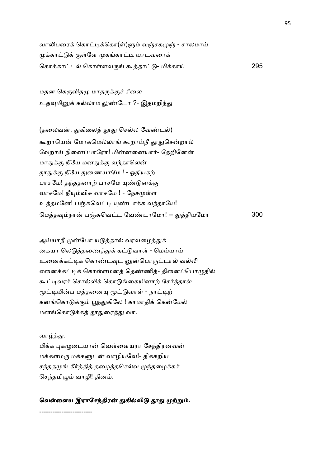வாலிபரைக் கொட்டிக்கொ(ள்)ளும் வஞ்சகமுஞ் - சாலமாய் முக்காட்டுக் குள்ளே முகங்காட்டி யாடவரைக் ெகா+காட ெகா1ளவ' ;தா - மி+காC 295

மதன கெருவிதமு மாதருக்குச் சீலை உதவுமினுக் கல்லாம லுண்டோ ?- இதமறிந்து

(தலைவன், துகிலைத் தூது செல்ல வேண்டல்) கூறாயென் மோகமெல்லாங் கூறாய்நீ தூதுசென்றால் வேறாய் நினைப்பாரோ! மின்னனையார்- தேறினேன் மாதுக்கு நீயே மனதுக்கு வந்தாலென் தூதுக்கு நீயே துணையாமே ! - ஓதியகற் பாசமே! தந்ததனாற் பாசமே யுண்டுனக்கு வாசமே! நீயும்விசு வாசமே ! - நேசமுள்ள உத்தமனே! பஞ்சுவெட்டி யுண்டாக்க வந்தாயே! ெமத8நா பOJெவட ேவ!டாேமா! -- -தியேமா 300

அய்யாநீ முன்போ யடுத்தால் வரவழைத்துக் கையா லெடுத்தணைத்துக் கட்டுவாள் - மெய்யாய் உனைக்கட்டிக் கொண்டவுட னுன்பொருட்டால் வல்லி எனைக்கட்டிக் கொள்ளமனத் தெண்ணித்- தினைப்பொழுதில் கூட்டிவரச் சொல்லிக் கொடுங்கையினாற் சேர்த்தால் மூட்டியின்ப மத்தனையு மூட்டுவாள் - நாட்டிற் கனங்கொடுக்கும் பூந்துகிலே ! காமாதிக் கென்மேல் மனங்கொடுக்கத் தூதுரைத்து வா.

#### வாழ்த்து.

மிக்க புகழுடையான் வெள்ளையரா சேந்திரனவன் மக்கள்மரு மக்களுடன் வாழியவே!- திக்கறிய சந்ததமுங் கீர்த்தித் தழைத்தசெல்வ முந்தழைக்கச் செந்தமிழும் வாழி! தினம்.

## வெள்ளைய இராசேந்திரன் துகில்விடு தூது முற்றும்.

------------------------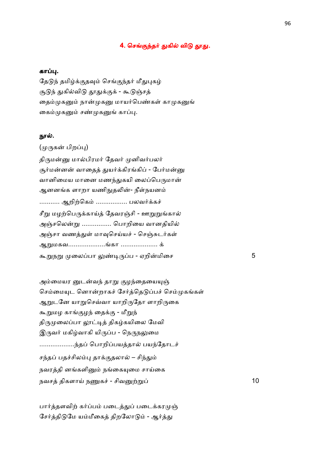## 4. செங்குந்தர் துகில் விடு தூது.

## கா .

தேடுந் தமிழ்க்குதவும் செங்குந்தர் மீதுபுகழ் சூடுந் துகில்விடு தூதுக்குக் - கூடுஞ்சத் தைம்முகனும் நான்முகனு மாயர்பெண்கள் காமுகனுங் கைம்முகனும் சண்முகனுங் காப்பு.

#### நூல்.

#### (முருகன் பிறப்பு)

திருமன்னு மால்பிரமர் தேவர் முனிவர்பலர் சூர்மன்னன் வாதைத் துயர்க்கிரங்கிப் - பேர்மன்னு வானிமைய மானை மணந்துகயி லைப்பெருமான் ஆனனங்க ளாறா யணிநுதலின்- நீள்நயனம் ……….. ஆறிற்கெம் …………….. பலவர்க்கச் சீறு மழற்பெருக்காய்த் தேவரஞ்சி - ஊறுறுங்கால் அஞ்சலென்று ............... பொறியை வானதியில் அஞ்சா வணத்துள் மாவுசெய்யச் - செஞ்சுடர்கள் ஆறுமகவ......................ங்கா ..................... க் ;\$ந\$ ைலபா :!&'ப - ஏறிமிைச 5

அம்மையர னுடன்வந் தாறு குழந்தையையுஞ் செம்மையுட னொன்றாகச் சேர்த்தெடுப்பச் செம்முகங்கள் ஆறுடனே யாறுசெவ்வா யாறிருதோ ளாறிருகை கூறுமழ காங்குழந் தைக்கு - மீறுந் திருமுலைப்பா லூட்டித் திகழ்கயிலை மேவி இருவர் மகிழ்வாகி யிருப்ப - நெருநலுமை .........................ந்தப் பொறிப்பயத்தால் பயந்தோடச் சந்தப் பதச்சிலம்பு தாக்குதலால் – சிந்தும் நவரத்தி னங்களினும் நங்கையுமை சாய்கை நவச திகளாC நTக6 - சிவ,\$ 10

பார்த்தளவிற் கர்ப்பம் படைத்துப் படைக்கரமுஞ் சேர்த்திடுமே யம்மீகைத் திறலோடும் - ஆர்த்து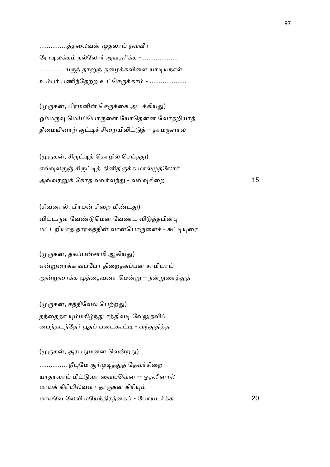…………..த்தலைவன் முதலாய் நவவீர ரோடிலக்கம் நல்லோர் அவதரிக்க - .................. ………… யருந் தானுந் தழைக்கவிளை யாடியநாள் உம்பர் பணிந்தேற்ற உட்செருக்காம் - ...................

(முருகன், பிரமனின் செருக்கை அடக்கியது) ஓம்மருவு மெய்ப்பொருளை யோதென்ன வோதறியாத் தீமையினாற் குட்டிச் சிறையிலிட்டுத் – தாமருளால்

(முருகன், சிருட்டித் தொழில் செய்தது) எவ்வுலகுஞ் சிருட்டித் தினிதிருக்க மால்முதலோர் அDவர+ ேகாத வவ2வ4- - வD8சிைற 15

(சிவனால், பிரமன் சிறை மீண்டது) விட்டருள வேண்டுமென வேண்ட விடுத்தபின்பு மட்டறியாத் தாரகத்தின் வான்பொருளைச் - சுட்டியுரை

(முருகன், தகப்பன்சாமி ஆகியது) என்றுரைக்க வப்போ திறைதகப்பன் சாமியாய் அன்றுரைக்க முத்தையனா மென்று – நன்றுரைத்துத்

(முருகன், சத்திவேல் பெற்றது) தந்தைதா யும்மகிழ்ந்து சத்திவடி வேலுதவிப் பைந்தடந்தேர் பூதப் படைகூட்டி - வந்துதித்த

(முருகன், சூரபதுமனை வென்றது) …........... நீயுமே சூர்முடித்துத் தேவர்சிறை யாதரவாய் மீட்டுவா வையவென -- ஓதலினால் மாயக் கிரியில்வளர் தாருகன் கிரியும் மாயேவ ேலவி மேய4திரைத - ேபாயட2+க 20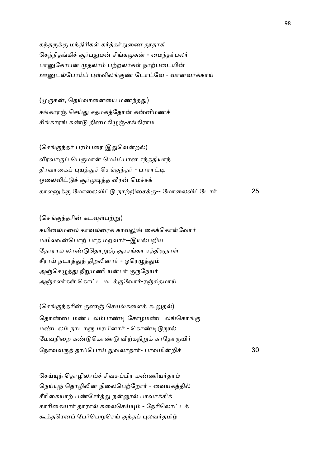கந்தருக்கு மந்திரிகள் கர்த்தர்துணை தூதாகி செந்நிதங்கிச் சூர்பதுமன் சிங்கமுகன் - மைந்தர்பலர் பானுகோபன் முதலாம் பற்றலர்கள் நாற்படையின் ஊனுடல்போய்ப் புள்விலங்குண் டோட்வே - வானவர்க்காய்

(முருகன், தெய்வானையை மணந்தது) சங்காரஞ் செய்து சதமகத்தோன் கன்னிமணச் சிங்காரங் கண்டு தினமகிழுஞ்-சங்கிராம

(செங்குந்தர் பரம்பரை இதுவென்றல்) வீரவாகுப் பெருமான் மெய்ப்பான சந்ததியாந் தீரவாகைப் புயத்துச் செங்குந்தர் - பாராட்டி ஓலைவிட்டுச் சூர்முடித்த வீரன் மெச்சக் கால+. ேமாைலவி நா,றிைச+.-- ேமாைலவிேடா2 25

(செங்குந்தரின் கடவுள்பற்று) கயிலைமலை காவலரைக் காவலுங் கைக்கொள்வோர் மயிலவன்பொற் பாத மறவார்--இயல்பறிய தோராம லாண்டுதொறுஞ் சூரசங்கா ரத்திருநாள் சீராய் நடாத்துந் திறலினார் - ஓரெழுத்தும் அஞ்செழுத்து நீறுமணி யன்பர் குருநேயர் அஞ்சலர்கள் கொட்ட மடக்குவோர்-ரஞ்சிதமாய்

(செங்குந்தரின் குணஞ் செயல்களைக் கூறுதல்) தொண்டைமண் டலம்பாண்டி சோழமண்ட லங்கொங்கு மண்டலம் நாடாளு மரபினார் - கொண்டிடுநூல் மேவநிறை கண்டுகொண்டு விற்கநிறுக் காதோருயிர் நோவவருத் தாப்பொய் நுவலாதார்- பாவமின்றிச் பாவலாக 30

செய்யுந் தொழிலாய்ச் சிவசுப்பிர மண்ணியர்தாம் நெய்யுந் தொழிலின் நிலைபெற்றோர் - வையகத்தில் சீரிகையாற் பண்சேர்த்து நன்னூல் பாவாக்கிக் காரிகையார் தாரால் கலைசெய்யும் - நேரிலொட்டக் கூத்தரெனப் பேர்பெறுசெங் குந்தப் புலவர்தமிழ்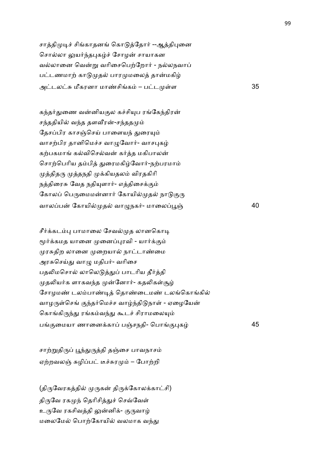சாத்திமுடிச் சிங்காதனங் கொடுத்தோர் --ஆத்திபுனை சொல்லா லுயர்ந்தபுகழ்ச் சோழன் சாயாகன வல்லானை வென்று வரிசைபெற்றோர் - நல்லநவாப் பட்டணமாற் காடுமுதல் பாரமுமலைத் தான்மகிழ் அடலJ மீகரனா மா!சிக – பட 1ள 35

கந்தர்துணை வன்னியகுல கச்சியுப ரங்கேந்திரன் சந்ததியில் வந்த தளவீரன்-சந்ததமும் தேசப்பிர காசஞ்செய் பாளையந் துரையும் வாசற்பிர தானிமெச்ச வாமுவோர்- வாசபுகம் கற்பகமாங் கல்விசெல்வன் கர்த்த மகிபாலன் சொற்பெரிய தம்பித் துரைமகிழ்வோர்-நற்பரமாம் முத்திதரு முத்தநதி முக்கியதலம் விரதகிரி நத்திரைசு வேத நதியுளார்- எத்திசைக்கும் கோலப் பெருமைமன்னார் கோயில்முதல் நாடுகுரு வாலப்பன் கோயில்முதல் வாழுநகர்- மாலைப்பூஞ் $\,$ 

சீர்க்கடம்பு பாமாலை சேவல்முத லானகொடி மூர்க்கமத யானை முனைப்புரவி - யார்க்கும் முரசுதிற லானை முறையால் நாட்டாண்மை அரசுசெய்து வாழு மதிபர்- வரிசை பதலிமசொல் லாலெடுத்துப் பாடரிய தீர்த்தி முதலியர்க ளாகவந்த முன்னோர்- கதலிகள்சூழ் சோழமண் டலம்பாண்டித் தொண்டைமண் டலங்கொங்கில் வாழருள்செங் குந்தர்மெச்ச வாழ்ந்திடுநாள் - ஏழையேன் கொங்கிருந்து ரங்கம்வந்து கூடச் சிராமலையும் ப.ைமயா ணாைன+கா பOசநதி- ெபா.)க 45

சாற்றுதிருப் பூந்துருத்தி தஞ்சை பாவநாசம் ஏற்றவலஞ் சுழிப்பட் டீச்சுரமும் – போற்றி

(திருவேரகத்தில் முருகன் திருக்கோலக்காட்சி) திருவே ரகமுந் தெரிசித்துச் செவ்வேள் உருவே ரகசிவத்தி லுன்னிக்- குருவாழ் மலைமேல் பொற்கோயில் வலமாக வந்து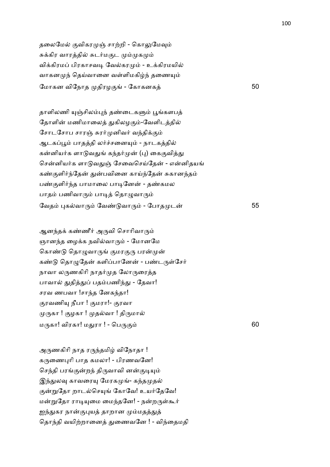தலைமேல் குவிகரமுஞ் சாற்றி - கொலுமேவும் சுக்கிர வாரத்தில் சுடர்மகுட மும்முகமும் விக்கிரமப் பிரகாசவடி வேல்கரமும் - உக்கிரமயில் வாகனமுந் தெய்வானை வள்ளிமகிழ்ந் தணையும் ேமாகன விேநாத திரழ. - ேகாகனக 50

தாளிலணி யுஞ்சிலம்புந் தண்டைகளும் பூங்களபத் தோளின் மணிமாலைத் துகிலழகும்-வேளிடத்தில் சோடசோப சாரஞ் சுரர்முனிவர் வந்திக்கும் ஆடகப்பூம் பாதத்தி லர்ச்சனையும் - நாடகத்தில் கன்னியர்க ளாடுவதுங் கந்தர்முன் (பு) கைகுவித்து சென்னியர்க ளாடுவதுஞ் சேவைசெய்தேன் - என்னிதயங் கண்குளிர்ந்தேன் துன்பவினை காய்ந்தேன் சுகானந்தம் பண்குளிர்ந்த பாமாலை பாடினேன் - தண்கமல பாதம் பணிவாரும் பாடித் தொழுவாரும் ேவத )கவா' ேவ! வா' - ேபாத ட 55

ஆனந்தக் கண்ணீர் அருவி சொரிவாரும் ஞானந்த மைக்க நவில்வாரும் - மோனமே கொண்டு தொழுவாருங் குமரகுரு பரன்முன் கண்டு தொழுதேன் களிப்பானேன் - பண்டருள்சேர் நாவா லருணகிரி நாதர்முத லோருரைத்த பாவால் துதித்துப் பதம்பணிந்து - தேவா! சரவ ணபவா !சாந்த னேகந்தா! குரவணியு நீபா ! குமரா!- குரவா முருகா ! குழகா ! முதல்வா ! திருமால் ம'கா! விரகா! ம-ரா ! - ெப'. 60

அருணகிரி நாத ரருந்தமிழ் விநோதா ! கருணைபுரி பாத கமலா! - பிரணவனே! செந்தி பரங்குன்றந் திருவாவி னன்குடியும் இந்துலவு காவரையு மேரகமுங்- கந்தமுதல் குன்றுதோ றாடல்செயுங் கோவே! உயர்தேவே! மன்றுதோ ராடியுமை மைந்தனே! - நன்றருள்கூர் ஐந்துகர நான்குபுயத் தாறான மும்மதத்துத் தொந்தி வயிற்றானைத் துணைவனே ! - விந்தைமதி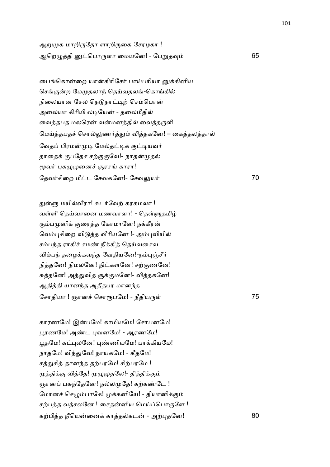ஆறுமுக மாறிருதோ ளாறிருகை சேரழகா ! ஆெற=தி ெபா'ளா ைமயேன! - ேப\$த8 65

பைங்கொன்றை யான்கிரிசேர் பாய்பரியா னுக்கினிய செங்குன்ற மேமுதலாந் தெய்வதலங்-கொங்கில் நிலையான சேல நெடுநாட்டிற் செம்பொன் அலையா கிரியி லடியேன் - தலைமீதில் வைத்தபத மலரென் வன்மனத்தில் வைத்தருளி மெய்த்தபதச் சொல்லுணர்த்தும் வித்தகனே! – கைத்தலத்தால் வேதப் பிரமன்முடி மேல்தட்டிக் குட்டியவர் தாதைக் குபதேச சற்குருவே!- நாதன்முதல் மூவர் புகழுமுனைச் சூரசங் காரா! தேவர்சிறை மீட்ட சேவகனே!- சேவலுயர் பார் முதல் பிரை மீட்ட 70

துள்ளு மயில்வீரா! சுடர்வேற் கரகமலா ! வள்ளி தெய்வானை மணவாளா! - தெள்ளுதமிழ் கும்பமுனிக் குரைத்த கோமானே! நக்கீரன் வெம்புசிறை விடுத்த வீரியனே !- அம்புவியில் சம்பந்த ராகிச் சமண் நீக்கித் தெய்வசைவ விம்பந் தழைக்கவந்த வேதியனே!-நம்புஞ்சீர் நித்தனே! நிமலனே! நிட்களனே! சற்குணனே! சுத்தனே! அத்துவித சூக்குமனே!- வித்தகனே! ஆதித்தி யானந்த அதீதபர மானந்த சோதியா ! ஞானச் சொரூபமே! - நீதியருள் பான் பான் பான் 75

காரணமே! இன்பமே! காமியமே! சோபனமே! பூரணமே! அண்ட புவனமே! - ஆரணமே! பூதமே! கட்புலனே! புண்ணியமே! பாக்கியமே! நாதமே! விந்துவே! நாயகமே! - கீதமே! சத்துசித் தானந்த தற்பரமே! சிற்பரமே ! முத்திக்கு வித்தே! முழுமுதலே!- தித்திக்கும் ஞானப் பசுந்தேனே! நல்லமுதே! கற்கண்டே ! மோனச் செழும்பாகே! முக்கனியே! - தியானிக்கும் சற்பத்த வத்சலனே ! சைதன்னிய மெய்ப்பொருளே ! கற்பித்த நீயென்னைக் காத்தல்கடன் - அற்புதனே! 80

101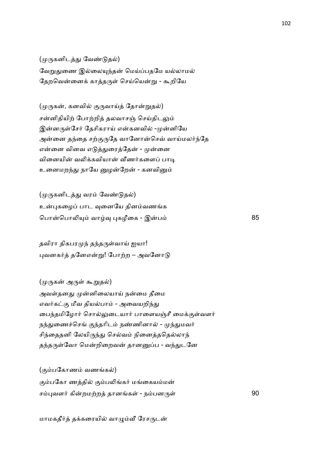(முருகனிடத்து வேண்டுதல்) வேறுதுணை இல்லையுந்தன் மெய்ப்பதமே யல்லாமல் தேறவென்னைக் காத்தருள் செய்யென்று - கூறியே

(முருகன், கனவில் குருவாய்த் தோன்றுதல்) சன்னிதியிற் போற்றித் தலவாசஞ் செய்திடலும் இன்னருள்சேர் தேசிகராய் என்கனவில் -முன்னியே அன்னை தந்தை சற்குருதே வானோன்செவ் வாய்மலர்ந்தே என்னை வினவ எடுத்துரைத்தேன் - முன்னை வினையின் வலிக்கவியான் வீணர்களைப் பாடி உனைமறந்து நாயே னுழன்றேன் - கனவினும்

(முருகனிடத்து வரம் வேண்டுதல்) உன்புகமைப் பாட வுனையே தினம்வணங்க பொன்பொலியும் வாழ்வு புகழீகை - இன்பம் 85

தவிரா திகபரமுந் தந்தருள்வாய் ஐயா! புவனகர்த் தனேஎன்று! போற்ற – அவனோடு

(முருகன் அருள் கூறுதல்) அவள்தனது முன்னிலையாய் நன்மை தீமை எவர்கட்கு மீவ தியல்பாம் - அவையறிந்து டைந்தமிழோர் சொல்லுடையார் பாளையஞ்சீ மைக்குள்வளர் நந்துணைச்செங் குந்தரிடம் நண்ணினால் - முந்துமவர் சிந்தைதனி லேயிருந்து செல்வம் நினைத்ததெல்லாந் தந்தருள்வோ மென்றிறைவன் தானனுப்ப - வந்துடனே

(கும்பகோணம் வணங்கல்) கும்பகோ ணத்தில் கும்பலிங்கர் மங்கையம்மன் சம்புவளர் கின்றமற்றத் தானங்கள் - நம்பனருள் 90

மாமகதீர்த் தக்கரையில் வாழும்வீ ரேசருடன்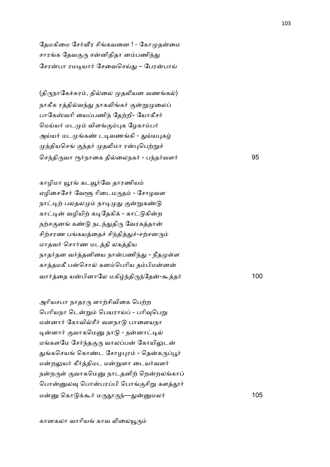தேமகிமை சேர்வீர சிங்கவனை ! - கோமுதன்மை சாரங்க தேவகுரு சன்னிதிதா னம்பணிந்து சேரன்பா ரமடியார் சேவைசெய்து – பேரன்பாய்

(திருநாகேச்சுரம், தில்லை முதலியன வணங்கல்) நாகீசு ரத்தில்வந்து நாகலிங்கர் குன்றுமுலைப் பாகேஸ்வரி யைப்பணிந் தேற்றி- யோகீசர் மெய்யர் மடமும் விளங்கும்புக ழேகாம்பர் அய்யர் மடமுங்கண் டடிவணங்கி - துய்யபுகழ் முந்தியசெங் குந்தர் முதலிமா ரன்புபெற்றுச் ெச4தி'வா Y2நாைக திைலநக2 - ப4த2வள2 95

காழிமா யூரங் கடவூர்வே தாரணியம் ஏழிசைசேர் வேளூ ரிடைமருதம் - சோழவள நாட்டிற் பலதலமும் நாடிமுது குன்றுகண்டு காட்டின் வழியிற் கடிதேகிக் - காட்டுகின்ற நற்சகுனங் கண்டு நடந்துதிரு வேரகத்தான் சிற்சரண பங்கயத்தைச் சிந்தித்துச்-சற்சனரும் மாதவர் சொர்ண மடத்தி லகத்திய நாதர்தன வர்த்தனியை நான்பணிந்து - நீதமுள்ள காத்தமகீ பன்சொல் கனம்பெரிய தம்பிமன்னன் வா2ைத யபினாேல மகி4தி'4ேத-;த2 100

அரியசபா நாதரரு ளாற்சிவிகை பெற்ற பெரியநா டென்றும் பெயராய்ப் - பரிவுபெறு மன்னார் கோவில்சீர் வளநாடு பாளையநா டின்னார் குவாகமெனு நாடு - நன்னாட்டில் மங்களமே சேர்ந்தகுரு வாலப்பன் கோயிலுடன் துங்கசெயங் கொண்ட சோழபுரம் - தென்கருப்பூர் மன்றலுயர் கீர்த்திமட மன்றுளா டையர்வளர் நன்றருள் குவாகமெனு நாடதனிற் றென்றலங்காப் பொன்னுலவு பொன்பரப்பி பொங்குசிறு களத்தூர் ம ெகா +;2 ம''4—-மல2 105

கானகலா வாரியங் காவ லிலையூரும்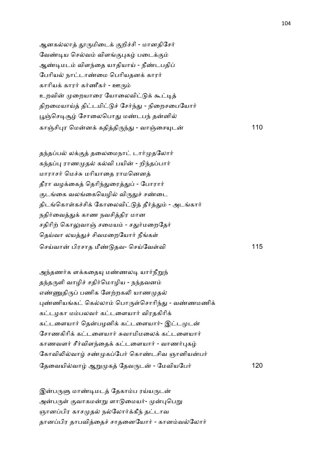ஆனகல்லாத் தூருமிடைக் குறிச்சி - மானதிசேர் வேண்டிய செல்வம் விளங்குபுகம் படைக்கும் ஆண்டிமடம் விளந்தை யாதியாய் - நீண்டபதிப் பேரியல் நாட்டாண்மை பெரியதனக் காரர் காரியக் காரர் கர்ணீகர் - ஊரும் உறவின் முறையாரை யோலைவிட்டுக் கூட்டித் திறமையாய்த் திட்டமிட்டுச் சேர்ந்து - நிறைசபையோர் பூஞ்செடிசூழ் சோலைபொது மண்டபந் தன்னில் காOசி)ர ெமன+ கதிதி'4- - வாOைச(ட 110

தந்தப்பல் லக்குத் தலைமைநாட் டார்முதலோர் கந்தப்பு ராணமுதல் கல்வி பயின் - றிந்தப்பார் மாராசர் மெச்சு மரியாதை ராமனெனக் தீரா வழக்கைத் தெரிந்துரைத்துப் - போரார் குடங்கை வலங்கையெழில் விருதுச் சண்டை திடங்கொள்கச்சிக் கோலைவிட்டுத் தீர்த்தும் - அடங்கார் நதிர்வைத்துக் காண நவசித்திர மான சதிரிற் கொலுவாஞ் சமையம் - சதுர்மறைதேர் தெய்வா லயத்துச் சிவமறையோர் நீங்கள் ெசCவா பிரசாத மீ! தவ- ெசCேவ1வி 115

அந்தணர்க ளக்கதையு மண்ணலடி யார்நீறுந் தந்தருளி வாழிச் சதிர்மொழிய - நந்தவனம் எண்ணுதிருப் பணிக ளேற்றகலி யாணமுதல் புண்ணியங்கட் கெல்லாம் பொருள்சொரிந்து - வண்ணமணிக் கட்டழகா மம்பலவர் கட்டளையார் விரதகிரிக் கட்டளையார் தென்பழனிக் கட்டளையார்- இட்டமுடன் சோணகிரிக் கட்டளையார் சுவாமிமலைக் கட்டளையார் காணவளர் சீர்விளந்தைக் கட்டளையார் - வாணர்புகழ் கோவிலில்வாழ் சண்முகப்பேர் கொண்டசிவ ஞானியன்பர் ேதைவயிவா ஆ\$ க ேதவ'ட - ேமவியேப2 120

இன்பருளு மாண்டிமடத் தேகாம்ப ரய்யருடன் அன்பருள் குவாகமன்று ளாடுமையர்- முன்புபெறு ஞானப்பிர காசமுதல் நல்லோர்க்கீந் தட்டாவ தானப்பிர தாபவித்தைச் சாதனையோர் - கானம்வல்லோர்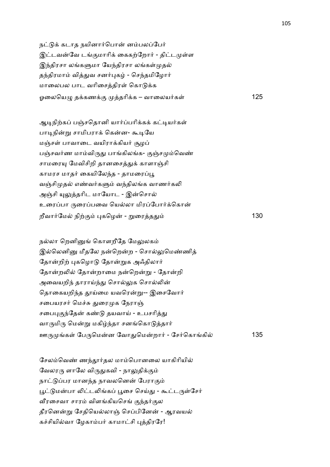நட்டுக் கடாத நயினார்பொன் னம்பலப்பேர் இட்டவன்வே டங்குமாரிக் கைகற்றோர் - திட்டமுள்ள இந்திரசா லங்களுமா யேந்திரசா லங்கள்முதல் தந்திரமாம் வித்துவ சனர்புகழ் - செந்தமிழோர் மாலைபல பாட வரிசைத்திரள் கொடுக்க ஓைலெய= த+கண+. தாி+க – வாைலய2க1 125

ஆடிநிற்கப் பஞ்சதொனி யார்ப்பரிக்கக் கட்டியர்கள் பாடிநின்று சாமிபராக் கென்ன- கூடியே மஞ்சள் பாவாடை வயிராக்கியர் சூழப் பஞ்சவர்ண மாம்விருது பாங்கிலங்க- குஞ்சமும்வெண் சாமரையு மேவிசிறி தானசைத்துக் காளாஞ்சி காமரச மாதர் கையிலேந்த - தாமரைப்பூ வஞ்சிமுதல் எண்வர்களும் வந்திலங்க வாணர்கலி அஞ்சி யுலுத்தரிட மாயோட - இன்சொல் உரைப்பா ருரைப்பவை யெல்லா மிரப்போர்க்கொன் றீவார்மேல் நிற்கும் புகழென் - றுரைத்ததும்  $\dot{a}$  130

நல்லா றெனினுங் கொளறீதே மேலுலகம் இல்லெனினு மீதலே நன்றென்ற - சொல்லுமெண்ணித் தோன்றிற் புகழொடு தோன்றுக அஃதிலார் தோன்றலில் தோன்றாமை நன்றென்று - தோன்றி அவையறிந் தாராய்ந்து சொல்லுக சொல்லின் தொகையறிந்த தூய்மை யவரென்று-- இசைவோர் சபையரசர் மெச்சு துரைமுக நேராஞ் சபைபுகுந்தேன் கண்டு தயவாய் - உபசரித்து வாருமிரு மென்று மகிழ்ந்தா சனங்கொடுத்தார் ஊ' க1 ேப'ெமன ேவா-ெமறா2 - ேச2ெகாகி 135

சேலம்வெண் ணந்தூர்தல மாம்பொனலை யாகிரியில் வேலரரு ளாலே விருதுகவி - நாலுதிக்கும் நாட்டுப்பர மானந்த நாவலனென் பேராகும் பூட்டுமன்பா லிட்டலிங்கப் பூசை செய்து - கூட்டருள்சேர் வீரசைவா சாரம் விளங்கியசெங் குந்தர்குல தீரனென்று சேதியெல்லாஞ் செப்பினேன் - ஆரவயல் கச்சியில்வா மேகாம்பர் காமாட்சி புத்திரரே!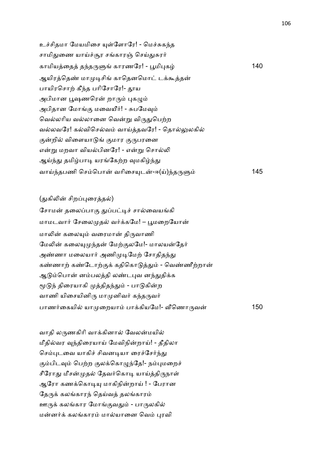உச்சிதமா மேயமிசை யுள்ளோரே! - மெச்சுகந்த சாமிதுணை யாய்ச்சூர சங்காரஞ் செய்துசுரர் காமியைத த4த'7 காரணேர! - Nமி)க 140 ஆயிரத்தெண் மாமுடிசிங் காதெனமொட் டக்கூத்தன் பாயிரசொற் கீந்த பரிசோரே!- தூய அபிமான பூஷணரென் றாரும் புகழும் அபிதான மோங்கு மவையீர்! - சுபமேவும் வெல்லரிய வல்லானை வென்று விருதுபெற்ற வல்லவரே! கல்விசெல்வம் வாய்த்தவரே! - தொல்லுலகில் குன்றில் விளையாடுங் குமார குருபரனை என்று மறவா வியல்பினரே! - என்று சொல்லி ஆய்ந்து தமிழ்பாடி யரங்கேற்ற வுமகிழ்ந்து வாC4தபணி ெசெபா வாிைச(ட-ஈ(C)4த'7 145

# (துகிலின் சிறப்புரைத்தல்)

சோமன் தலைப்பாகு துப்பட்டிச் சால்வையங்கி மாமடவார் சேலைமுதல் வர்க்கமே! – பூமறையோன் மாலின் கலையும் வரைமான் திருவாணி மேலின் கலையுமுந்தன் மேற்குலமே!- மாலயன்தேர் அண்ணா மலையார் அணிமுடிமேற் சோதிதந்து கண்ணாற் கண்டோற்குக் கதிகொடுத்தும் - வெண்ணீற்றான் ஆடும்பொன் னம்பலத்தி லண்டபுவ னந்துதிக்க மூடுந் திரையாகி முத்திதந்தும் - பாடுகின்ற வாணி யிசையினிரு மாமுனிவர் கந்தருவர் பாண2ைகயி யா ைறயா பா+கியேம!- @ெணா'வ 150

வாதி லருணகிரி வாக்கினால் வேலன்மயில் மீதில்வர வந்திரையாய் மேவிநின்றாய்! - தீதிலா செம்புடவை யாகிச் சிவனடியா ரைச்சேர்ந்து கும்பிடவும் பெற்ற குலக்கொழுந்தே!- நம்புமறைச் சீரோது மீசன்முதல் தேவர்கொடி யாய்த்திருநாள் ஆரோ கணக்கொடியு மாகிநின்றாய் ! - பேரான தேருக் கலங்காரந் தெய்வத் தலங்காரம் ஊருக் கலங்கார மோங்குவதும் - பாருலகில் மன்னர்க் கலங்காரம் மால்யானை வெம் புரவி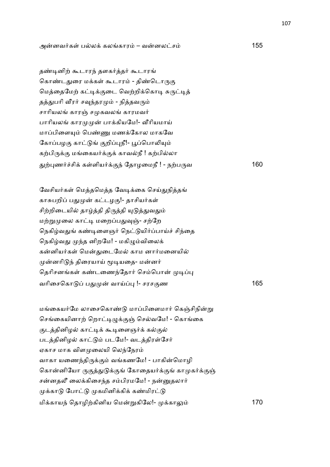அனவ2க1 பல+ கலகார – வனலச 155

தண்டினிற் கூடாரந் தளகர்த்தர் கூடாரங் கொண்டதுரை மக்கள் கூடாரம் - திண்டொருகு மெத்தைமேற் கட்டிக்குடை வெற்றிக்கொடி சுருட்டித் தத்துபரி வீரர் சவுந்தரமும் - நித்தவரும் சாரியலங் காரஞ் சமுகவலங் காரமவர் பாரியலங் காரமுமுன் பாக்கியமே!- வீரியமாய் மாப்பிளையும் பெண்ணு மணக்கோல மாகவே கோப்பழகு காட்டுங் குறிப்புநீ!- பூப்பொலியும் கற்பிருக்கு மங்கையர்க்குக் காவல்நீ ! கற்பில்லா -,)ண26சி+ க1ளிய2+.4 ேதாழைமநீ ! - ந,ப'வ 160

வேசியர்கள் மெத்தமெத்த வேடிக்கை செய்துநித்தங் காசுபறிப் பதுமுன் கட்டழகு!- தாசியர்கள் சிற்றிடையில் தாழ்த்தி திருத்தி யுடுத்துவதும் மற்றுமுலை காட்டி மறைப்பதுவுஞ்- சற்றே நெகிழ்வதுங் கண்டிளைஞர் நெட்டுயிர்ப்பாய்ச் சிந்தை நெகிழ்வது முந்த னிறமே! - மகிழும்விலைக் கன்னியர்கள் மென்துடைமேல் காம னார்மனையில் முன்னரிடுந் திரையாய் மூடியதை- மன்னர் தெரிசனங்கள் கண்டணைந்தோர் செம்பொன் முடிப்பு வாிைசெகா ப- வாC) !- சரச.ண 165

மங்கையர்மே லாசைகொண்டு மாப்பிளைமார் கெஞ்சிநின்று செங்கையினாற் றொட்டிழுக்குஞ் செல்வமே! - கொங்கை குடத்தினிழல் காட்டிக் கூடிளைஞர்க் கல்குல் படத்தினிழல் காட்டும் படமே!- வடத்திரள்சேர் ஏகாச மாக விளமுலையி லெந்நேரம் வாகா யணைந்திருக்கும் வங்கணமே! - பாகின்மொழி கொன்னியோ ருகுத்துடுக்குங் கோதையர்க்குங் காமுகர்க்குஞ் சன்னதலீ லைக்கிசைந்த சம்பிரமமே! - நன்னுதலார் முக்காடு போட்டு முகமினிக்கிக் கண்மிரட்டு மி+காய4 ெதாழி,கினிய ெம\$கிேல!- +கா: 170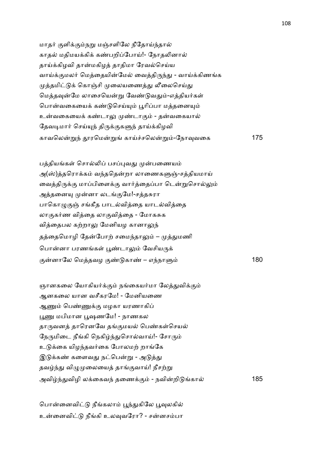மாதர் குளிக்கும்நறு மஞ்சளிலே நீதோய்ந்தால் காதல் மதிமயக்கிக் கண்பறிப்போய்!- நோதலினால் தாய்க்கிழவி தான்மகிழத் தாதிமா ரேவல்செய்ய வாய்க்குமலர் மெத்தையின்மேல் வைத்திருந்து - வாய்க்கிணங்க முத்தமிட்டுக் கொஞ்சி முலையணைத்து லீலைசெய்து மெத்தவுன்மே லாசையென்று வேண்டுவதும்-எத்தியர்கள் பொன்வகையைக் கண்டுசெய்யும் பூரிப்பா மத்தனையும் உன்வகையைக் கண்டாலு முண்டாகும் - தன்வகையால் தேவடிமார் செய்யுந் திருக்குகளுந் தாய்க்கிழவி காவெல\$4 ரெம\$ காC6செல\$-ேநா8வைக 175

பத்தியங்கள் சொல்லிப் பசப்புவது முன்பணையம் அ(ஸ்)த்தரொக்கம் வந்ததென்றா லாணைகளுஞ்-சத்தியமாய் வைத்திருக்கு மாப்பிளைக்கு வார்த்தைப்பா டென்றுசொல்லும் அத்தனையு முன்னா லடங்குமே!-சத்தசுரா பாகொமுகுஞ் சங்கீத பாடல்வித்தை யாடல்வித்தை லாகுகர்ண வித்தை லாகுவித்தை - மோகசுக வித்தைபல கற்றாலு மேனியழ கானாலுந் தத்தைமொழி தேன்போற் சமைந்தாலும் – முத்துமணி பொன்னா பரணங்கள் பூண்டாலும் வேசியருக் .னாேல ெமதவழ .! கா! – எ4நா7 180

ஞானகலை யோகியர்க்கும் நங்கையர்மா லேத்துவிக்கும் ஆனகைல யான வசீகரேம! - ேமனியைண ஆணும் பெண்ணுக்கு மழகா யரணாகிப் பூணு மபிமான பூஷணமே! - நாணகல தாருவனத் தாரெனவே தங்குமயல் பெண்கள்செயல் நேருமிடை நீங்கி நெகிழ்ந்துசொல்வாய்!- சோரும் உடுக்கை யிழந்தவர்கை போலமற் றாங்கே இடுக்கண் களைவது நட்பென்று - அடுத்து தவழ்ந்து விழுமுலையைத் தாங்குவாய்! நீசற்று அவி4-விழி ல+ைகவ4 தைண+. - நவிறி கா 185

பொன்னைவிட்டு நீங்கலாம் பூந்துகிலே பூவுலகில் உன்னைவிட்டு நீங்கி உலவுவரோ? - சன்னசம்பா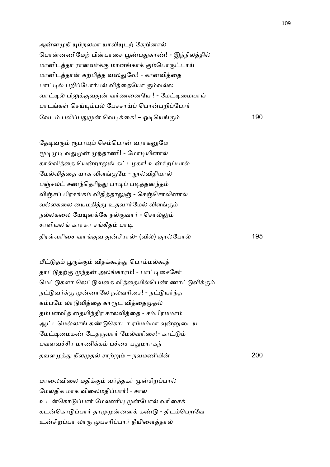அன்னமுநீ யும்நலமா யாவியுடற் கேறினால் பொன்னணிமேற் பின்பாசை பூண்பதுகாண்! - இந்நிலத்தில் மானிடத்தா ரானவர்க்கு மானங்காக் கும்பொருட்டாய் மானிடத்தான் கற்பித்த வஸ்துவே! - கானவித்தை பாட்டில் பறிப்போர்பல் விக்கையோ ரும்வல்ல வாட்டில் பிலுக்குவதுன் வர்ணனையே ! - மேட்டிமையாய் பாடங்கள் செய்யும்பல் பேச்சாய்ப் பொன்பறிப்போர் ேவட ப5ப- ெவ&+ைக! – ஓ&ெய. 190

தேடிவரும் ரூபாயும் செம்பொன் வராகனுமே மூடிமுடி வதுமுன் முந்தாணி! - மோடியினால் கால்வித்தை யென்றாலுங் கட்டழகா! உன்சிறப்பால் மேல்வித்தை யாக விளங்குமே - நூல்விதியால் பஞ்சலட் சணந்தெரிந்து பாடிப் படித்தனந்தம் விஞ்சப் பிரசங்கம் விதித்தாலுஞ் - செஞ்சொலினால் வல்லகலை யைமதித்து உதவார்மேல் விளங்கும் நல்லகலை யேயுனக்கே நல்குவார் - சொல்லும் சரளியலங் காரசுர சங்கீதம் பாடி திர1வாிைச வா.வ -சீரா- (வி) .ரேபா 195

மீட்டுதம் பூருக்கும் விதக்கூத்து பொம்மல்கூத் தாட்டுதற்கு முந்தன் அலங்காரம்! - பாட்டிசைசேர் மெட்டுகளா லெட்டுவகை வித்தையில்பெண் ணாட்டுவிக்கும் நட்டுவர்க்கு முன்னாலே நல்வரிசை! - நட்டுயர்ந்த கம்பமே லாடுவித்தை காரூட வித்தைமுதல் தம்பனவித் தையிந்திர சாலவித்தை - சம்பிரமமாம் ஆட்டமெல்லாங் கண்டுகொடா ரம்மம்மா வுன்னுடைய மேட்டிமைகண் டேதருவார் மேல்வரிசை!- காட்டும் பவளவச்சிர மாணிக்கம் பச்சை பதுமராகந் தவள - நீல த சா,\$ – நவமணியி 200

மாலைவிலை மதிக்கும் வர்த்தகர் முன்சிறப்பால் மேலதிக மாக விலைமதிப்பார்! - சால உடன்கொடுப்பார் மேலணியு முன்போல் வரிசைக் கடன்கொடுப்பார் தாமுமுன்னைக் கண்டு - திடம்பெறவே உன்சிறப்பா லாரு முபசரிப்பார் நீயிளைத்தால்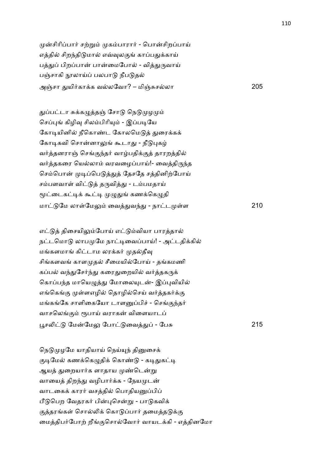முன்சிரிப்பார் சற்றும் முகம்பாரார் - பொன்சிறப்பாய் எத்தில் சிறந்திடுமால் எவ்வுலகுங் காப்பதுக்காய் பத்துப் பிறப்பான் பான்மைபோல் - வித்துருவாய் பஞ்சாகி நூலாய்ப் பலபாடு நீபடுதல் அOசா -யி2கா+க வலேவா? – மிOJசலா 205

துப்பட்டா சுக்கழுத்தஞ் சோடு நெடுமுழமும் செப்புங் கிழிவு சிலம்பிரியும் - இப்படியே கோடியினில் நீகொண்ட கோலமெடுத் துரைக்கக் கோடிகவி சொன்னாலுங் கூடாது - நீடுபுகழ் வர்த்தனராஞ் செங்குந்தர் வாழ்பதிக்குத் தாரறத்தில் வர்த்தகரை யெல்லாம் வரவழைப்பாய்!- வைத்திருந்த செம்பொன் முடிப்பெடுத்துத் தேசதே சத்தினிற்போய் சம்பளவாள் விட்டுத் தருவித்து - டம்பமதாய் மூட்டைகட்டிக் கூட்டி முழுதுங் கணக்கெழுதி மா ேம லா1ேம: ைவ-வ4- - நாட 1ள 210

எட்டுத் திசையிலும்போய் எட்டும்வியா பாரத்தால் நட்டமொடு லாபமுமே நாட்டிவைப்பாய்! - அட்டதிக்கில் மங்களமாங் கிட்டாம லரக்கர் முதல்தீவு சிங்களவங் காளமுதல் சீமையில்போய் - தங்கமணி கப்பல் வந்துசேர்ந்து கரைதுறையில் வர்த்தகருக் கொப்பந்த மாயெழுத்து மோலையுடன்- இப்புவியில் எங்கெங்கு முள்ளஎழில் தொழில்செய் வர்த்தகர்க்கு மங்கங்கே சாளிகையோ டாளனுப்பிச் - செங்குந்தர் வாசலெங்கும் ரூபாய் வராகன் விளையாடப் Nச5 ேமேம: ேபா ைவ- - ேபJ 215

நெடுமுழமே யாதியாய் நெய்யுந் தினுசைக் குடிமேல் கணக்கெழுதிக் கொண்டு - கடிதுகட்டி ஆயத் துறையார்க ளாதாய முண்டென்று வாயைத் திறந்து வழிபார்க்க - நேயமுடன் வாடகைக் காரர் வசத்தில் பொதியனுப்பிப் பீடுபெற வேதரகர் பின்புசென்று - பாடுகவிக் குத்தரங்கள் சொல்லிக் கொடுப்பார் தமைத்தடுக்கு மைத்திபர்போற் றீங்குசொல்வோர் வாயடக்கி - எத்தினமோ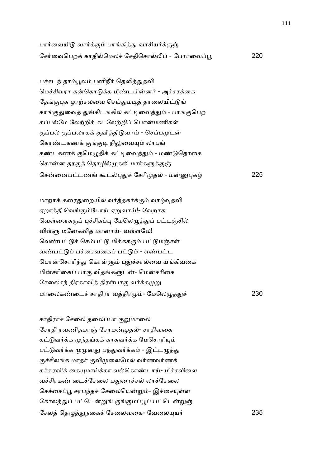| பார்வையிடு வார்க்கும் பாங்கித்து வாசியர்க்குஞ்    |     |
|---------------------------------------------------|-----|
| சேர்வைபெறக் காதில்மெலச் சேதிசொல்லிப் - போர்வைப்பூ | 220 |

பச்சடந் தாம்பூலம் பனிநீர் தெளித்துதவி மெச்சிவரா கன்கொடுக்க மீண்டபின்னர் - அச்சரக்கை தேங்குபுக ழாற்சலவை செய்துமடித் தாலையிட்டுங் காங்குதுவைத் துங்கிடங்கில் கட்டிவைத்தும் - பாங்குபெற கப்பல்மே லேற்றிக் கடலேற்றிப் பொன்மணிகள் குப்பல் குப்பலாகக் குவித்திடுவாய் - செப்பமுடன் கொண்டகணக் குங்குடி நிலுவையும் லாபங் கண்டகணக் குமெழுதிக் கட்டிவைத்தும் - மண்டுதொகை சொன்ன தரகுத் தொழில்முதலி மார்களுக்குஞ் ெசைனபடண ;ட)-6 ேசாி த - ம)க 225

மாறாக் கரைதுறையில் வர்த்தகர்க்கும் வாழ்வுதவி ஏறாத்தீ வெங்கும்போய் ஏறுவாய்!- வேறாக வெள்ளைகருப் புச்சிகப்பு மேலெழுத்துப் பட்டஞ்சில் விள்ளு மனேகவித மானாய்- வள்ளலே! வெண்பட்டுச் செம்பட்டு மிக்ககரும் பட்டுமஞ்சள் வண்பட்டுப் பச்சைவகைப் பட்டும் - எண்பட்ட பொன்சொரிந்து கொள்ளும் புதுச்சால்வை யங்கிவகை மின்சரிகைப் பாகு விதங்களுடன்- மென்சரிகை சேலைசந் திரகாவித் திரள்பாகு வர்க்கமுறு மாலைகண்டைச் சாதிரா வத்திரமும்- மேலெழுத்து

சாதிராச சேலை தலைப்பா குறுமாலை சோதி ரவணிதமாஞ் சோமன்முதல்- சாதிவகை கட்டுவர்க்க முந்தங்கக் காசுவர்க்க மேசொரியும் பட்டுவர்க்க முமுனது பந்துவர்க்கம் - இட்டழுத்து குச்சிலங்க மாதர் குவிமுலைமேல் வர்ணவர்ணக் கச்சுரவிக் கையுமாய்க்கா வல்கொண்டாய்- மிச்சவிலை வச்சிரகண் டைச்சேலை மதுரைச்சல் லாச்சேலை செச்சைப்பூ சரபந்தச் சேலையென்றும்- இச்சையுள்ள கோலத்துப் பட்டென்றுங் குங்குமப்பூப் பட்டென்றுஞ் ேசல ெத=-நைக6 ேசைலவைக- ேவைல(ய2 235

230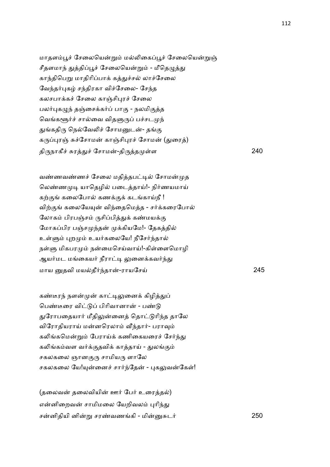மாதளம்பூச் சேலையென்றும் மல்லிகைப்பூச் சேலையென்றுஞ் சீதளமாந் துத்திப்பூச் சேலையென்றும் - மீதெழுத்து காந்திபெறு மாதிரிப்பாக் கத்துச்சல் லாச்சேலை வேந்தர்புகழ் சந்திரகா விச்சேலை- சேந்த கலசபாக்கச் சேலை காஞ்சிபுரச் சேலை பலர்புகழுந் தஞ்சைக்கர்ப் பாகு - நலமிகுத்த வெங்களூர்ச் சால்வை விதளுருப் பச்சடமுந் துங்கதிரு நெல்வேலிச் சோமனுடன்- தங்கு கருப்புரஞ் சுச்சோமன் காஞ்சிபுரச் சோமன் (துரைத்) திருநாகீச் சுரத்துச் சோமன்-திருத்தமு 1ள 240

வண்ணவண்ணச் சேலை மதித்தபட்டில் சோமன்முத லெண்ணமுடி யாதெழில் படைத்தாய்!- நிர்ணயமாய் கற்குங் கலைபோல் கணக்குக் கடங்காய்நீ ! விற்குங் கலையேயுன் விந்தைமெத்த - சர்க்கரைபோல் லோகம் பிரபஞ்சம் ருசிப்பித்துக் கண்மயக்கு மோகப்பிர பஞ்சமுந்தன் முக்கியமே!- தேகத்தில் உள்ளும் புறமும் உயர்கலையே! நீசேர்ந்தால் நள்ளு மிகபரமும் நன்மைசெய்வாய்!-கிள்ளைமொழி ஆயர்மட மங்கையர் நீராட்டி லுனைக்கவர்ந்து மாய தவி மயதீ24தா-ராயேசC 245

கண்டீரந் நளன்முன் காட்டிலுனைக் கிழித்துப் பெண்டீரை விட்டுப் பிரிவானான் - பண்டு துரோபதையார் மீதிலுன்னைத் தொட்டுரிந்த தாலே விரோதியராய் மன்னரெலாம் வீந்தார்- பராவும் கலிங்கமென்றும் பேராய்க் கணிகையரைச் சேர்ந்து கலிங்கம்வள வர்க்குதவிக் காத்தாய் - துலங்கும் சகலகலை ஞானகுரு சாமியரு ளாலே சகலகலை யே!யுன்னைச் சார்ந்தேன் - புகலுவன்கேள்!

(தலைவன் தலைவியின் ஊர் பேர் உரைத்தல்) என்னிறைவன் சாமிமலை யேறிவலம் புரிந்து சனிதியி னி\$ சர!வணகி - மிJட2 250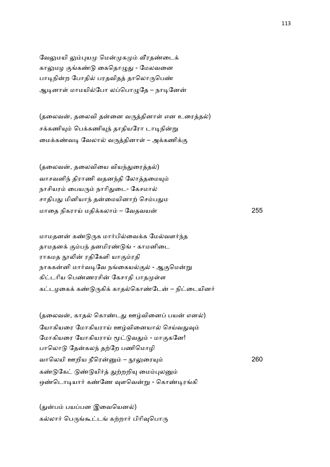வேலுமயி லும்புயமு மென்முகமும் வீரதண்டைக் காலுமழ குங்கண்டு கைதொழுது - மேலவனை பாடிநின்ற போதில் பரதவிதத் தாலொருபெண் ஆடினாள் மாமயில்போ லப்பொழுதே – நாடினேன்

(தலைவன், தலைவி தன்னை வருத்தினாள் என உரைத்தல்) சக்கணியும் பெக்கணியுந் தாதியரோ டாடிநின்று மைக்கண்வடி வேலால் வருத்தினாள் – அக்கணிக்கு

(தலைவன், தலைவியை வியந்துரைத்தல்) வாசவனிந் திராணி வதனந்தி லோத்தமையும் நாசியரம் பையரும் நாரிதுடை- கேசமால் சாதிபது மினியாந் தன்மையினாற் செம்பதும மாதை நிகராய் மதிக்கலாம் – வேதவயன் – பாய் – மாதை மாதிக்கலா மாதிக்கலாம் – ப

மாமதனன் கண்டுருக மார்பில்வைக்க மேல்வளர்ந்த தாமதனக் கும்பந் தனமிரண்டுங் - காமனிடை ராகமத நூலின் ரதிகேளி யாகும்ரதி நாககன்னி மார்வடிவே நங்கையல்குல் - ஆகுமென்று கிட்டரிய பெண்ணரசின் கேசாதி பாதமுள்ள கட்டழகைக் கண்டுருகிக் காதல்கொண்டேன் – நிட்டையினர்

(தலைவன், காதல் கொண்டது ஊழ்வினைப் பயன் எனல்) யோகியரை மோகியராய் ஊழ்வினையால் செய்வதுவும் மோகியரை யோகியராய் மூட்டுவதும் - மாகுகனே! பாலொடு தேன்கலந் தற்றே பணிமொழி வாெலயி ஊறிய நீெர – 0:ைர( 260 கண்டுகேட் டுண்டுயிர்த் துற்றறியு மைம்புலனும் ஒண்டொடியார் கண்ணே வுளவென்று - கொண்டிரங்கி

(துன்பம் பயப்பன இவையெனல்) கல்லார் பெருங்கூட்டங் கற்றார் பிரிவுபொரு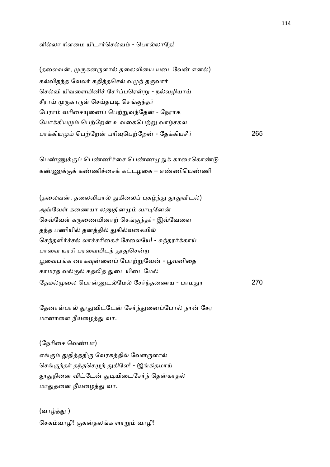ளில்லா ரிளமை யிடார்செல்வம் - பொல்லாதே!

(தலைவன், முருகனருளால் தலைவியை யடைவேன் எனல்) கல்விதந்த வேலர் கதித்தசெல் வமுந் தருவார் செல்வி யிவளையினிச் சேர்ப்பரென்று - நல்வழியாய் சீராய் முருகரருள் செய்தபடி செங்குந்தர் பேராம் வரிசையுனைப் பெற்றுவந்தேன் - நேராக யோக்கியமும் பெற்றேன் உவகைபெற்று வாழ்சகல பா+கிய ெப,ேற பாி8ெப,ேற - ேத+கியசீ2 265

பெண்ணுக்குப் பெண்ணிச்சை பெண்ணமுதுக் காசைகொண்டு கண்ணுக்குக் கண்ணிச்சைக் கட்டழகை – எண்ணியெண்ணி

(தலைவன், தலைவிபால் துகிலைப் புகழ்ந்து தூதுவிடல்) அவ்வேள் கணையா லனுதினமும் வாடினேன் செவ்வேள் கருணையினாற் செங்குந்தர்- இவ்வேளை தந்த பணியில் தனத்தில் துகில்வகையில் செந்தளிர்ச்சல் லாச்சரிகைச் சேலையே! - சுந்தரர்க்காய் பாவை யரசி பரவையிடந் தூதுசென்ற பூவைபங்க னாகவுன்னைப் போற்றுவேன் - பூவனிதை காமரத வல்குல் கதலித் துடையிடைமேல் தேமல்முலை பொன்னுடல்மேல் சேர்ந்தணைய - பாமது

தேனாள்பால் தூதுவிட்டேன் சேர்ந்துனைப்போல் நான் சேர மானாளை நீயழைத்து வா.

(நேரிசை வெண்பா) எங்கும் துதித்ததிரு வேரகத்தில் வேளருளால் செங்குந்தர் தந்தசெழுந் துகிலே! - இங்கிதமாய் தூதுநினை விட்டேன் துடியிடைசேர்ந் தென்காதல் மாதுதனை நீயழைத்து வா.

(வாழ்த்து ) செகம்வாழி! குகன்தலங்க ளாறும் வாழி! 270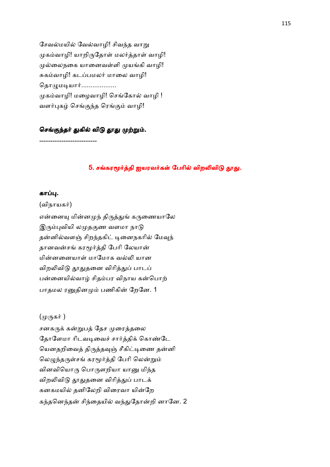சேவல்மயில் வேல்வாழி! சிவந்த வாறு முகம்வாழி! யாறிருதோள் மலர்த்தாள் வாழி! முல்லைநகை யானைவள்ளி முயங்கி வாழி! சுகம்வாழி! கடப்பமலர் மாலை வாழி! தொமுமடியார்................... முகம்வாழி! மழைவாழி! செங்கோல் வாழி ! வளர்புகழ் செங்குந்த ரெங்கும் வாழி!

## செங்குந்தர் துகில் விடு தூது முற்றும்.

--------------------------

## 5. சங்கரமூர்த்தி ஐயரவர்கள் பேரில் விறலிவிடு தூது.

### கா .

(விநாயகர்)

என்னையு மின்னமுந் திருத்துங் கருணையாலே இரும்புவியி லமுதகுண வளமா நாடு தன்னில்வளஞ் சிறந்தகிட் டினைநகரில் மேவுந் தானவன்சங் கரமூர்த்தி பேரி லேயான் மின்னனையாள் மாமோக வல்லி யான விறலிவிடு தூதுதனை விரித்துப் பாடப் பன்னையில்வாழ் சிதம்பர விநாய கன்பொற் பாதமல ரனுதினமும் பணிகின் றேனே. 1

### (முருகர் )

சனகருக் கன்றுபத் தேச முரைத்தலை தோளேமா ரிடவடிவைச் சார்த்திக் கொண்டே யெனதறிவைத் திருத்தவுஞ் சீகிட்டிணை தன்னி லெழுந்தருள்சங் கரமூர்த்தி பேரி லென்றும் வினவியொரு பொருளறியா யானு மிந்த விறலிவிடு தூதுதனை விரித்துப் பாடக் கனகமயில் தனிலேறி விரைவா யின்றே கந்தனெந்தன் சிந்தையில் வந்துதோன்றி னானே. 2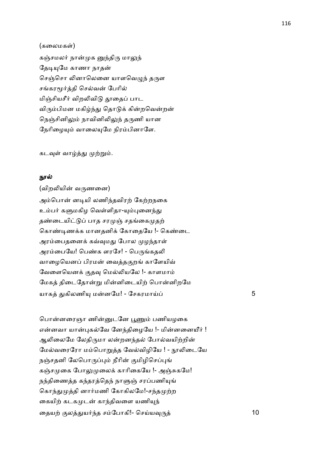## (கலைமகள்)

கஞ்சமலர் நான்முக னுந்திரு மாலுந் தேடியுமே காணா நாதன் செஞ்சொ லினாலெனை யாளவெழுந் தருள சங்கரமூர்த்தி செல்வன் பேரில் மிஞ்சியசீர் விறலிவிடு தூதைப் பாட விரும்பிமன மகிழ்ந்து தொடுக் கின்றவென்றன் நெஞ்சினிலும் நாவினிலிலுந் தருணி யான நேரிழையும் வாலையுமே நிரம்பினாளே.

கடவுள் வாழ்த்து முற்றும்.

#### நூல்

(விறலியின் வருணனை) அம்பொன் னடியி லணிந்தவிரற் கேற்றநகை உம்பர் களுமகிழ வெள்ளிதா-யும்புனைந்து தண்டையிட்டுப் பாத சரமுஞ் சதங்கைமுதற் கொண்டிணக்க மானதனிக் கோதையே !- கெண்டை அரம்பைதனைக் கவ்வுமது போல முழந்தாள் அரம்பையே! பெண்க ளரசே! - பெருங்கதலி வாழையெனப் பிரமன் வைத்தகுறங் காளேயிவ் வேளையெனக் குதவு மெல்லியலே !- காளமாம் மேகத் திடைதோன்று மின்னிடையிற் பொன்னிறமே யாக -கிலணி( மனேம! - ேசகரமாC 5

பொன்னரைஞா ணின்னுடனே பூணும் பணியழகை என்னவா யான்புகல்வே னேந்திழையே !- மின்னனையீர் ! ஆலிலைமே லேதிருமா லன்றனந்தல் போல்வயிற்றின் மேல்வரைரோ மம்பொறுத்த வேல்விழியே ! - நூலிடையே நஞ்சதனி லேபொருப்பும் நீரின் குமிழிசெப்புங் கஞ்சமுகை போலுமுலைக் காரிகையே !- அஞ்சுகமே! நந்திணைத்த கந்தரத்தெந் நாளுஞ் சரப்பணியுங் கொந்துமுத்தி னார்மணி கோகிலமே!-சந்தமுற்ற கையிற் கடகமுடன் காந்திவளை யணியுந் ைதய, .ல-ய24த சேபாகி!- ெசCய8' 10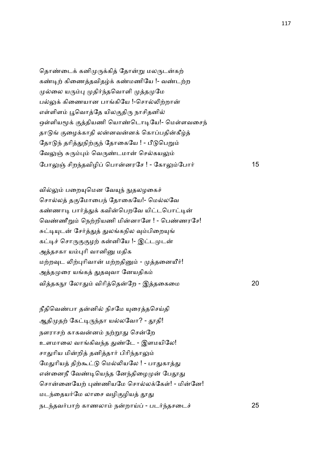தொண்டைக் கனிமுருக்கித் தோன்று மலருடன்கற் கண்டிற் கிணைத்தவிதழ்க் கண்மணியே !- வண்டற்ற முல்லை யரும்பு முதிர்ந்தவொளி முத்தமுமே பல்லுக் கிணையான பாங்கியே !-சொல்லிற்றான் எள்ளிளம் பூவொத்தே யிலகுதிரு நாசிதனில் ஒள்ளியமூக் குத்தியணி யொண்டொடியே!- மெள்ளவசைந் தாடுங் குழைக்காதி லன்னவன்னக் கொப்பதின்கீழ்த் தோடுந் தரித்துநிற்குந் தோகையே ! - பீடுபெறும் வேலுஞ் சுரும்பும் வெருண்டமான் செல்கயலும் ேபா:O சிற4தவிழி ெபானரேச ! - ேகா:ேபா2 15

வில்லும் பறையுமென வேயுந் நுதலழகைச் சொல்லத் தகுமோபைந் தோகையே!- மெல்லவே கண்ணாடி பார்த்துக் கவின்பெறவே யிட்டபொட்டின் வெண்ணீறும் நெற்றியணி மின்னாளே ! - பெண்ணரசே! சுட்டியுடன் சேர்த்துத் துலங்கநில வும்பிறையுங் கட்டிச் சொருகுகுழற் கன்னியே !- இட்டமுடன் அத்தசகா யம்புரி வானினு மதிக மற்றவுட லிற்புரிவான் மற்றதினும் - முத்தனையீர்! அத்தமுரை யங்கத் துதவுவா னேயதிகம் விதக0 ேலா- விாிெதேற - இதைகைம 20

நீதிவெண்பா தன்னில் நிசமே யுரைத்தசெய்தி ஆதிமுதற் கேட்டிருந்தா யல்லவோ? - தூதி! நளராசற் காகவன்னம் நற்றூது சென்றே உளமாலை வாங்கிவந்த துண்டே - இளமயிலே! சாதுரிய மின்றித் தனித்தார் பிரிந்தாலும் மேதுரியத் திற்கூட்டு மெல்லியலே ! - பாதுகாத்து என்னைநீ வேண்டியெந்த னேந்திழைமுன் பேதூது சொன்னையேற் புண்ணியமே சொல்லக்கேள்! - மின்னே! மடந்தையர்மே லாசை வழிகுழியத் தூது நட4தவ2பா, காணலா நறாC - பட24தசைட6 25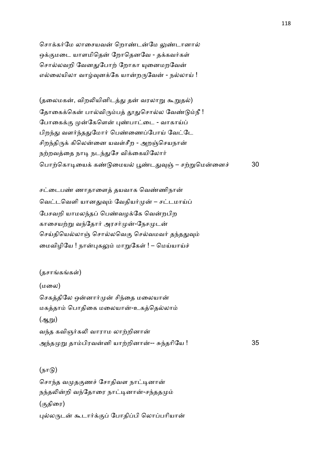சொக்கர்மே லாசையவன் றொண்டன்மே லுண்டானால் ஒக்குமடை யாளமிதென் றோதெனவே - தக்கவர்கள் சொல்லவறி வேனதுபோற் றோகா யுனைமறவேன் எல்லையிலா வாழ்வுனக்கே யான்றருவேன் - நல்லாய் !

(தலைமகன், விறலியினிடத்து தன் வரலாறு கூறுதல்) தோகைக்கென் பால்விரும்பத் தூதுசொல்ல வேண்டும்நீ ! போகைக்கு முன்கேளென் புண்பாட்டை - வாகாய்ப் பிறந்து வளர்ந்ததுமோர் பெண்ணைப்போய் வேட்டே சிறந்திருக் கிலென்னை யவள்சீற - அறஞ்செயநான் நற்றவத்தை நாடி நடந்துசே விக்கையிலோர் பொற்கொடியைக் கண்டுமையல் பூண்டதுவுஞ் – சற்றுமென்னைச் 30

சட்டைபண் ணாதாளைத் தயவாக வெண்ணிநான் வெட்டவெளி யானதுவும் வேதியர்முன் – சட்டமாய்ப் பேசவறி யாமலந்தப் பெண்வழக்கே வென்றபிற காசையற்று வந்தோர் அரசர்முன்-நேசமுடன் செய்தியெல்லாஞ் சொல்லவெகு செல்வமவர் தந்ததுவும் மைவிழியே ! நான்புகலும் மாறுகேள் ! – மெய்யாய்ச்

(தசாங்கங்கள்) (மைல) செகத்திலே ஒன்னார்முன் சிந்தை மலையான் மகத்தாம் பொதிகை மலையான்-உகத்தெல்லாம்  $(g<sub>k</sub>m)$ வந்த கவிஞர்கலி வாராம லாற்றினான் அ4த \$ தாபிரவனி யா,றினா-- J4தாிேய ! 35

 $(\mathbf{b}\mathbf{u}(\mathbf{b}))$ சொந்த வமுதகுணச் சோதிவள நாட்டினான் நந்தலின்றி வந்தோரை நாட்டினான்-சந்ததமும் (.திைர) புல்லருடன் கூடார்க்குப் போதிப்பி லொப்பரியான்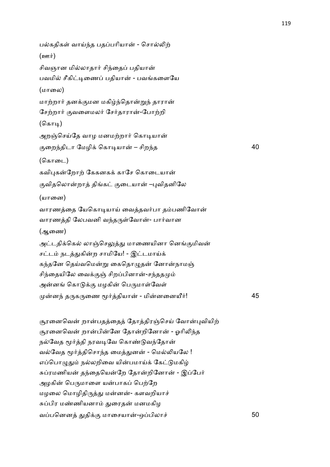பல்கதிகள் வாய்ந்த பதப்பரியான் - சொல்லிற்  $(20$ ள்) சிவஞான மில்லாதார் சிந்தைப் பதியான் பவமில் சீகிட்டிணைப் பதியான் - பவங்களையே (மாைல) மாற்றார் தனக்குமன மகிழ்ந்தொன்றுந் தாரான் சேற்றார் குவளைமலர் சேர்தாரான்-போற்றி (கொடி) அறஞ்செய்தே வாழ மனமற்றார் கொடியான் .ைற4திடா ேமழி+ ெகா&யா – சிற4த 40 (கொடை) கவிபுகன்றோற் கேகனகக் காசே கொடையான் குவிதலொன்றாத் திங்கட் குடையான் –புவிதனிலே (யானை) வாரணத்தை யேகொடியாய் வைத்தவர்பா தம்பணிவோன் வாரணத்தி லேபவனி வந்தருள்வோன்- பார்வான (ஆைண) அட்டதிக்கெல் லாஞ்செலுத்து மாணையினா னெங்குமிவன் சட்டம் நடத்துகின்ற சாமியே! - இட்டமாய்க் கந்தனே தெய்வமென்று கைதொழுதன் னோன்நாமஞ் சிந்தையிலே வைக்குஞ் சிறப்பினான்-சந்ததமும் அன்னங் கொடுக்கு மழகின் பெருமாள்வேள் ன4 த'க'ைண U2தியா - மினைனQ2! 45

சூரனைவென் றான்பதத்தைத் தோத்திரஞ்செய் வோன்புவியிற் சூரனைவென் றான்பின்னே தோன்றினோன் - ஓரிலிந்த நல்வேத மூர்த்தி நரவடிவே கொண்டுவந்தோன் வல்வேத மூர்த்திசொந்த மைத்துனன் - மெல்லியலே ! எப்பொழுதும் நல்லறிவை யின்பமாய்க் கேட்டுமகிழ் சுப்ரமணியன் தந்தையென்றே தோன்றினோன் - இப்பேர் அழகின் பெருமாளை யன்பாகப் பெற்றே மழலை மொழிதிருத்து மன்னன்- களவறியாச் சுப்பிர மண்ணியனாம் துரைதன் மனமகிழ வபெனன -தி+. மாைசயா-ஒபிலா6 50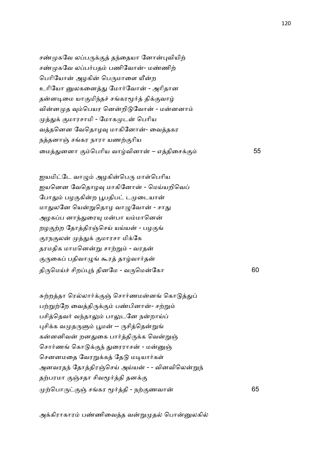சண்முகவே லப்பருக்குத் தந்தையா னோன்புவியிற் சண்முகவே லப்பர்பதம் பணிவோன்- மண்ணிற் பெரியோன் அழகின் பெருமாளை யீன்ற உரியோ னுலகனைத்து மோர்வோன் - அரிதான தன்னடிமை யாகுமிந்தச் சங்கரமூர்த் திக்குவாழ் வின்னமுத வும்பெயர னென்றிடுவோன் - மன்னனாம் முத்துக் குமாரசாமி - மோகமுடன் பெரிய வத்தனென வேதொழவு மாகினோன்- வைத்தகர நத்தனாஞ் சங்கர நாரா யணற்குரிய மைத்துனனா கும்பெரிய வாழ்வினான் – எத்திசைக்கும் 55

ஜயமிட்டே வாழும் அழகின்பெரு மாள்பெரிய ஐயனென வேதொழவு மாகினோன் - மெய்யறிவெப் போதும் பழகுகின்ற பூபதிபட் டமுடையான் மாதுலனே யென்றுதொழ வாழுவோன் - சாது அழகப்ப னாந்துரையு மன்பா யம்மானென் றழகுற்ற தோத்திரஞ்செய் யய்யன் - பழகுங் குரநகுலன் முத்துக் குமாரசா மிக்கே தரமதிக மாமனென்று சாற்றும் - வரதன் குருகைப் பதிவாழுங் கூரத் தாழ்வார்தன் தி'ெமC6 சிற)4 தினேம - வ'ெமேகா 60

சுற்றத்தா ரெல்லார்க்குஞ் சொர்ணமன்னங் கொடுத்துப் பற்றுற்றே வைத்திருக்கும் பண்பினான்- சற்றும் பசித்தெவர் வந்தாலும் பாலுடனே நன்றாய்ப் புசிக்க வமுதருளும் பூமன் -- ருசித்தென்றுங் கன்னனிவன் றனதுகை பார்த்திருக்க வென்றுஞ் சொர்ணங் கொடுக்குந் துரைராசன் - மன்னுஞ் செனனமதை வேரறுக்கத் தேடு மடியார்கள் அனவரதந் தோத்திரஞ்செய் அய்யன் - - வினவிலென்றுந் தற்பரமா குஞ்சதா சிவமூர்த்தி தனக்கு ,ெபா'.O சகர U2தி - ந,.ணவா 65

அக்கிராகாரம் பண்ணிவைத்த வன்றுமுதல் பொன்னுலகில்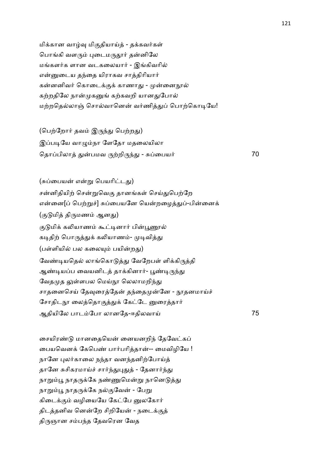மிக்கான வாழ்வு மிகுதியாய்த் - தக்கவர்கள் பொங்கி வளரும் புடைமருதூர் தன்னிலே மங்களர்க ளான வடகலையார் - இங்கிவரில் என்னுடைய தந்தை யிராகவ சாத்திரியார் கன்னனிவர் கொடைக்குக் காணாது - முன்னைநூல் கற்றதிலே நான்முகனுங் கற்கவறி யானதுபோல் மற்றதெல்லாஞ் சொல்வானென் வர்ணித்துப் பொற்கொடியே!

(பெற்றோர் தவம் இருந்து பெற்றது) இப்படியே வாழும்நா ளேதோ மகலையிலா ெதாபிலா -பமவ ',றி'4- - Jைபய2 70

(சுப்பையன் என்று பெயரிட்டது) சன்னிதியிற் சென்றுவெகு தானங்கள் செய்துபெற்றே என்னை[ப் பெற்றுச்] சுப்பையனே யென்றழைத்துப்-பின்னைக் (குடுமித் திருமணம் ஆனது) குடுமிக் கலியாணம் கூட்டினார் பின்பூணூல் கடிதிற் பொருத்துக் கலியாணம்- முடிவித்து (பள்ளியில் பல கலையும் பயின்றது) வேண்டியதெல் லாங்கொடுத்து வேறேபள் ளிக்கிருத்தி ஆண்டியப்ப வையனிடத் தாக்கினார்- பூண்டிருந்து வேதமுத லுள்ளபல மெய்நூ லெலாமறிந்து சாதனைசெய் தேவுரைத்தேன் தந்தைமுன்னே - நூதனமாய்ச் சோதிடநூ லைத்தொகுத்துக் கேட்டே னுரைத்தார் ஆதியிேல பாடேபா லானேத-ஈதிலவாC 75

சையிரண்டு மானதையென் னையனறிந் தேவேட்கப் பையவெனக் கேபெண் பார்பரித்தான்-- மைவிழியே ! நானே புலர்காலை நந்தா வனந்தனிற்போய்த் தானே சுசிகரமாய்ச் சார்ந்துபுதுத் - தேனார்ந்து நாறும்பூ நாதருக்கே நண்ணுமென்று நானெடுத்து நாறும்பூ நாதருக்கே நல்குவேன் - பேறு கிடைக்கும் வழியையே கேட்பே வுலகோர் திடத்தனிவ னென்றே சிறியேன் - நடைக்குத் திருஞான சம்பந்த தேவரென வேத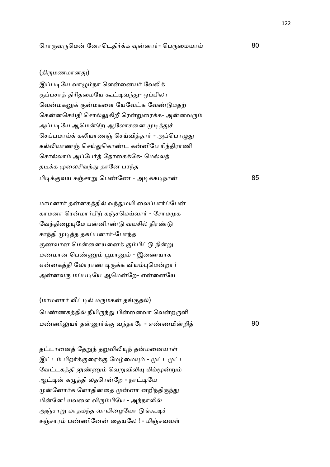### (திருமணமானது)

இப்படியே வாழும்நா ளென்னையர் வேலிக் குப்பசாத் திரிதமையே கூட்டிவந்து- ஒப்பிலா வென்மகனுக் குன்மகளை யேவேட்க வேண்டுமதற் கென்னசெய்தி சொல்லுகிறீ ரென்றுரைக்க- அன்னவரும் அப்படியே ஆமென்றே ஆலோசனை முடித்துச் செப்பமாய்க் கலியாணஞ் செய்வித்தார் - அப்பொழுது கல்லியாணஞ் செய்துகொண்ட கன்னிபே ரிந்திராணி சொல்லாம் அப்பேர்த் தோகைக்கே- மெல்லத் தடிக்க முலைசிவந்து தானே பரந்த பிடிக்குவய சஞ்சாறு பெண்ணே - அடிக்கடிநான் 85

மாமனார் தன்னகத்தில் வந்துமயி லைப்பார்ப்பேன் காமனா ரென்மார்பிற் கஞ்சமெய்வார் - சோமமுக வேந்திழையுமே பன்னிரண்டு வயசில் திரண்டு சாந்தி முடித்த தகப்பனார்-போந்த குணவான மென்னையனைக் கும்பிட்டு நின்று மணமான பெண்ணும் பூமானும் - இணையாக என்னகத்தி லோராண் டிருக்க வியம்புமென்றார் அன்னவரு மப்படியே ஆமென்றே- என்னையே

(மாமனார் வீட்டில் மருமகன் தங்குதல்) பெண்ணகத்தில் நீயிருந்து பின்னைவா வென்றருளி மண்ணிலுயர் தன்னூர்க்கு வந்தாரே - எண்ணமின்றித் 90

தட்டானைத் தேறுந் தறுவிலியுந் தன்மனையாள் இட்டம் பிறர்க்குரைக்கு மேழ்மையும் - முட்டமுட்ட வேட்டகத்தி லுண்ணும் வெறுவிலியு மிம்மூன்றும் ஆட்டின் கழுத்தி லதரென்றே - நாட்டியே முன்னோர்க ளோதினதை முன்னா னறிந்திருந்து மின்னே! யவளை விரும்பியே - அந்நாளில் அஞ்சாறு மாதமந்த வாயிழையோ டுங்கூடிச் சஞ்சாரம் பண்ணினேன் தையலே ! - மிஞ்சவவள்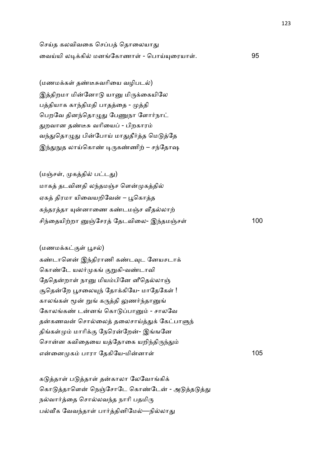செய்த கலவிவகை செப்பத் தொலையாது வைய்யி லடிக்கில் மனங்கோணாள் - பொய்யுரையாள். 95

 $($ மணமக்கள் தண்டீசுவரியை வழிபடல் $)$ இத்திறமா மின்னோடு யானு மிருக்கையிலே பத்தியாக காந்திமதி பாதத்தை - முத்தி பெறவே தினந்தொழுது பேணுநா ளோர்நாட் துறவான தண்டீசு வரியைப் - பிறகாரம் வந்துதொழுது பின்போய் மாதுதீர்த்த மெடுத்தே இந்துநுத லாய்கொண் டிருகண்ணிற் – சந்தோஷ

(மஞ்சள், முகத்தில் பட்டது) மாகத் தடவினதி லந்தமஞ்ச ளென்முகத்தில் ஏகத் திரமா யிவையறிவேன் – பூகொத்த கந்தரத்தா யுன்னாணை கண்டமஞ்ச வீதல்லாற் சி4ைதயி,றா Oேசர ேதடவிைல- இ4தமOச1 100

# $(\omega$ ணமக்கட்குள் பூசல்)

கண்டாளென் இந்திராணி கண்டவுட னேயசடாக் கொண்டே யலர்முகங் குறுகி-வண்டாவி தேதென்றாள் நானு மியம்பினே னீதெல்லாஞ் சூதென்றே பூசலையுந் தோக்கியே- மாதேகேள் ! காலங்கள் மூன் றுங் கருத்தி லுணர்ந்தானுங் கோலங்கண் டன்னங் கொடுப்பானும் - சாலவே தன்கணவன் சொல்லைத் தலைசாய்த்துக் கேட்பாளுந் திங்கள்மும் மாரிக்கு நேரென்றேன்- இங்ஙனே சொன்ன கவிதையை யத்தோகை யறிந்திருந்தும் எைன க பாரா ேதகிேய-மினா1 105

கடுத்தாள் படுத்தாள் தன்காலா லேவோங்கிக் கொடுத்தாளென் நெஞ்சோடே கொண்டேன் - அடுத்தடுத்து நல்வார்த்தை சொல்லவந்த நாரி பதமிரு பல்வீக வேவந்தாள் பார்த்தினிமேல்—நில்லாது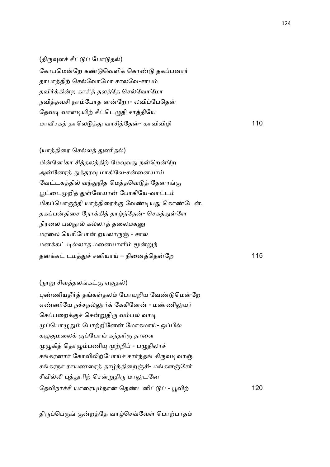(திருவுளச் சீட்டுப் போடுதல்) கோபமென்றே கண்டுவெளிக் கொண்டு தகப்பனார் தாபாத்திற் செல்வோமோ சாலவே-சாபம் தவிர்க்கின்ற காசித் தலத்தே செல்வோமோ நவித்தவசி நாம்போத னன்றோ- லவிப்பேதென் தேவடி வாளடியிற் சீட்டெழுதி சாத்தியே மா@ரக தாெல - வாசிேத- காவிவிழி 110

(யாத்திரை செல்லத் துணிதல்) மின்னே!கா சித்தலத்திற் மேவுவது நன்றென்றே அன்னேரத் துத்தரவு மாகிவே-சன்னையாய் வேட்டகத்தில் வந்துநித மெத்தவெடுத் தேனரங்கு பூட்டைமுறித் துள்ளேயான் போகியே-வாட்டம் மிகப்பொருந்தி யாத்திரைக்கு வேண்டியது கொண்டேன். தகப்பன்திசை நோக்கித் தாழ்ந்தேன்- செகத்துள்ளே நிரலை பலநூல் கல்லாத் தலைமகனு மரலை யெரிபோன் றயலாருஞ் - சால மனக்கட் டில்லாத மனையாளிம் மூன்றுந் தன+க டம-6 சனியாC – நிைனெதேற 115

(நூறு சிவத்தலங்கட்கு ஏகுதல்) புண்ணியதீர்த் தங்கள்தலம் போயறிய வேண்டுமென்றே எண்ணியே நச்சநல்லூர்க் கேகினேன் - மண்ணிலுயர் செப்பறைக்குச் சென்றுதிரு வம்பல வாடி முப்பொழுதும் போற்றினேன் மோகமாய்- ஒப்பில் கழுகுமலைக் குப்போய் கந்தரிரு தாளை முழுகித் தொழும்பணியு முற்றிப் - பழுதிலாச் சங்கரனார் கோவிலிற்போய்ச் சார்ந்தங் கிருவடிவாஞ் சங்கரநா ராயணரைத் தாழ்ந்திறைஞ்சி- மங்களஞ்சேர் சீவில்லி புத்தூரிற் சென்றுதிரு மாலுடனே ேதவிநா6சி யாைர(நா ெத!டனி - Nவி, 120

திருப்பெருங் குன்றத்தே வாழ்செவ்வேள் பொற்பாதம்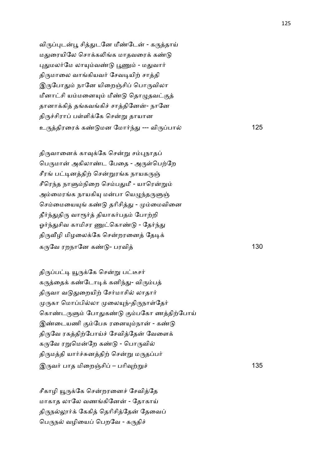விருப்புடன்பூ சித்துடனே மீண்டேன் - கருத்தாய் மதுரையிலே சொக்கலிங்க மாதவரைக் கண்டு புதுமலர்மே லாயும்வண்டு பூணும் - மதுவார் திருமாலை வாங்கியவர் சேவடியிற் சாத்தி இருபோதும் நானே யிறைஞ்சிப் பொருவிலா மீனாட்சி யம்மனையும் மீண்டு தொழுதவட்குத் தானாக்கித் தங்கவங்கிச் சாத்தினேன்- நானே திருச்சிராப் பள்ளிக்கே சென்று தாயான உ'திரைர+ க! மன ேமா24- --- வி'பா 125

திருவானைக் காவுக்கே சென்று சம்பநாதப் பெருமான் அகிலாண்ட பேதை - அருள்பெற்றே சீரங் பட்டினத்திற் சென்றுரங்க நாயகருஞ் சீரெந்த நாளும்நிறை செம்பதுமீ - யாரென்றும் அம்மைரங்க நாயகியு மன்பா யெழுந்தருளுள் செம்மையையுங் கண்டு தரிசித்து - மும்மைவினை தீர்ந்துதிரு வாரூர்த் தியாகர்பதம் போற்றி ஓர்ந்துசிவ காமிசர ணுட்கொண்டு - தேர்ந்து திருவீழி மிழலைக்கே சென்றரனைத் தேடிக் கருவே ரறநானே கண்டு- பரவிக் பான் மாவி 130

திருப்பட்டி யூருக்கே சென்று பட்டீசர் கருத்தைக் கண்டோடிக் கனிந்து- விரும்பத் திருவா வடுதுறையிற் சேர்மாசில் லாதார் முருகா மொப்பில்லா முலையுந்-திருநாள்தேர் கொண்டருளும் போதுகண்டு கும்பகோ ணத்திற்போய் இண்டையணி கும்பேசு ரனையும்நான் - கண்டு திருவே ரகத்திற்போய்ச் சேவித்தேன் வேளைக் கருவே ரறுமென்றே கண்டு - பொருவில் திருமத்தி யார்ச்சுனத்திற் சென்று மருதப்பர் இ'வ2 பாத மிைறOசி – பாி8,\$6 135

சீகாழி யூருக்கே சென்றரனைச் சேவித்தே மாகாத லாலே வணங்கினேன் - தோகாய் திருநல்லூர்க் கேகித் தெரிசித்தேன் தேவைப் பெருநல் வழியைப் பெறவே - கருதிச்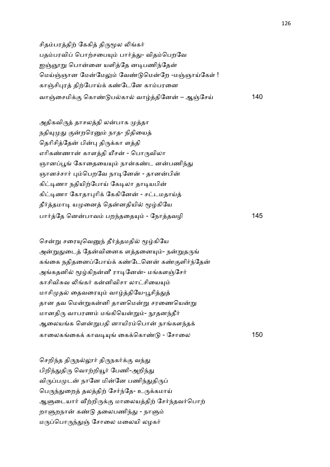சிதம்பரத்திற் கேகித் திருமூல லிங்கர் பதம்பரவிப் பொற்சபையும் பார்த்து- விதம்பெறவே ஐஞ்ஞாறு பொன்னை யளித்தே னடிபணிந்தேன் மெய்ஞ்ஞான மேன்மேலும் வேண்டுமென்றே -மஞ்ஞாய்கேள் ! காஞ்சிபுரத் திற்போய்க் கண்டேனே காம்பரனை வாOைசமி+. ெகா! பகா வாதிேன – ஆOேசC 140

அதிகவிருத் தாசலத்தி லன்பாக முத்தா நதியுமுது குன்றரெனும் நாத- நிதியைத் தெரிசித்தேன் பின்பு திருக்கா ளத்தி எரிகண்ணான் காளத்தி யீசன் - பொருவிலா ஞானப்பூங் கோதையையும் நான்கண்ட னன்பணிந்து ஞானச்சார் பும்பெறவே நாடினேன் - தானன்பின் கிட்டிணா நதியிற்போய் கேடிலா தாடியபின் கிட்டிணா கோதாபுரிக் கேகினேன் - சட்டமதாய்த் தீர்த்தமாடி யமுனைத் தென்னதியில் மூழ்கியே பா2ேத ெனபாவ பற4தைத( - ேநாதவழி 145

சென்று சரையுவெனுந் தீர்த்தமதில் மூழ்கியே அன்றுதுடைத் தேன்வினைக ளத்தனையும்- நன்றுதருங் கங்கை நதிதனைப்போய்க் கண்டேனென் கண்குளிர்ந்தேன் அங்கதனில் மூழ்கிநன்னீ ராடினேன்- மங்களஞ்சேர் காசிவிசுவ லிங்கர் கன்னிவிசா லாட்சியையும் மாசிமுதல் தைவரையும் வாழ்த்தியே-பூசித்துத் தான தவ மென்றுகன்னி தானமென்று சரணையென்று மானதிரு வாபரணம் மங்கியென்றும்- நூதனந்தீர் ஆலையங்க ளென்றுபதி னாயிரம்பொன் நாங்களந்தக் காைலகைக+ காவ&( ைக+ெகா! - ேசாைல 150

செறிந்த திருநல்லூர் திருநகர்க்கு வந்து பிறிந்துதிரு வொற்றியூர் பேணி-அறிந்து விருப்பமுடன் நானே மின்னே பணிந்துதிருப் பெருந்துறைத் தலத்திற் சேர்ந்தே- உருக்கமாய் ஆளுடையார் வீற்றிருக்கு மாலையத்திற் சேர்ந்தவர்பொற் றாளுறநான் கண்டு தலைபணிந்து - நாளும் மருப்பொருந்துஞ் சோலை மலையி லழகர்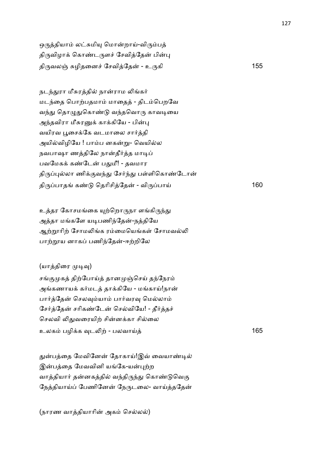ஒருத்தியாம் லட்சுமியு மொன்றாய்-விரும்பத் திருவிழாக் கொண்டருளச் சேவித்தேன் பின்பு தி'வலO Jழிதைன6 ேசவிேத - உ'கி 155

நடந்துரா மீசுரத்தில் நான்ராம லிங்கர் மடந்தை பொற்பதமாம் மாதைத் - திடம்பெறவே வந்து தொழுதுகொண்டு வந்தவொரு காவடியை அந்தவிரா மீசுரனுக் காக்கியே - பின்பு வயிரவ பூசைக்கே வடமாலை சார்த்தி அயில்விழியே ! பாம்ப னகன்று- வெயில்ல நவபாஷா ணத்திலே நான்தீர்த்த மாடிப் பவமேகக் கண்டேன் பதுமீ! - தவமார திருப்புல்லா ணிக்குவந்து சேர்ந்து பள்ளிகொண்டோன் தி'பாத க! ெதாிசிேத - வி'பாC 160

உத்தர கோசமங்கை யுற்றொருநா ளங்கிருந்து அத்தா மங்களே யடிபணிந்தேன்-நத்தியே ஆற்றாரிற் சோமலிங்க ரம்மையெங்கள் சோமவல்லி பாற்றூய னாகப் பணிந்தேன்-ஈற்றிலே

(யாத்திரை முடிவு)

சங்குமுகத் திற்போய்த் தானமுஞ்செய் தந்நேரம் அங்கணாயக் கர்மடத் தாக்கியே - மங்காய்!நான் பார்த்தேன் செலவும்யாம் பார்வரவு மெல்லாம் சேர்த்தேன் சரிகண்டேன் செல்வியே! - தீர்த்தச் செலவி லிதுவரையிற் சின்னக்கா சில்லை உலக பழி+க 8ட5, - பலவாC 165

துன்பத்தை மேவினேன் தோகாய்!இவ் வையாண்டில் இன்பத்தை மேவவினி யங்கே-யன்புற்ற வாத்தியார் தன்னகத்தில் வந்திருந்து கொண்டுவெகு நேத்தியாய்ப் பேணினேன் நேருடலை- வாய்த்ததேன்

(நாரண வாத்தியாரின் அகம் செல்லல்)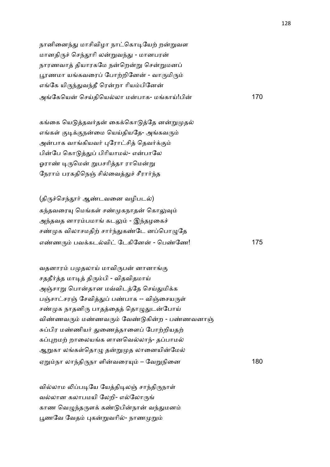நானினைந்து மாசிவிழா நாட்கொடியேற் றன்றுவள மானதிருச் செந்தூரி லன்றுவந்து - மானபரன் நாரணவாத் தியாரகமே நன்றென்று சென்றுமனப் பூரணமா யங்கவரைப் போற்றினேன் - வாருமிரும் எங்கே யிருந்துவந்தீ ரென்றா ரியம்பினேன் அேகெய ெசCதிெயலா மபாக- மகாC!பி 170

கங்கை யெடுத்தவர்தன் கைக்கொடுத்தே னன்றுமுதல் எங்கள் குடிக்குநன்மை யெய்தியதே- அங்கவரும் அன்பாக வாங்கியவர் புரோட்சிக் கெவர்க்கும் பின்பே கொடுத்துப் பிரியாமல்- என்பாலே ஓராண் டிருமென் றுபசரித்தா ராமென்று நேராம் பரகதிநெஞ் சில்வைத்துச் சீரார்ந்த

 $(g)$ ருச்செந்தூர் ஆண்டவனை வழிபடல்) கந்தவரையு மெங்கள் சண்முகநாதன் கொலுவும் அந்தவத னாரம்பமாங் கடலும் - இந்தழகைச் சண்முக விலாசமதிற் சார்ந்துகண்டே னப்பொழுதே எ!ண' பவ+கடவி ேடகிேன - ெப!ேண! 175

வதனாரம் பமுதலாய் மாவிருபன் னானாங்கு சததீர்த்த மாடித் திரும்பி - விதவிதமாய் அஞ்சாறு பொன்தான மவ்விடத்தே செய்துமிக்க பஞ்சாட்சரஞ் சேவித்துப் பண்பாக -- விஞ்சையருள் சண்முக நாதனிரு பாதத்தைத் தொழுதுடன்போய் விண்ணவரும் மண்ணவரும் வேண்டுகின்ற - பண்ணவனாஞ் சுப்பிர மண்ணியர் துணைத்தாளைப் போற்றியதற் கப்புறமற் றாலையங்க ளானவெல்லாந்- தப்பாமல் ஆறுகா லங்கள்தொழு தன்றுமுத லானையின்மேல் ஏ\$நா லா4தி'நா ளிவைர( – ேவ\$நிைன 180

வில்லாம லிப்படியே யேத்திடிலஞ் சாந்திருநாள் வல்லான கலாபமயி லேறி- எல்லோருங் காண வெழுந்தருளக் கண்டுபின்நான் வந்துமனம் பூணவே வேதம் புகன்றுவரில்- நாணமுறும்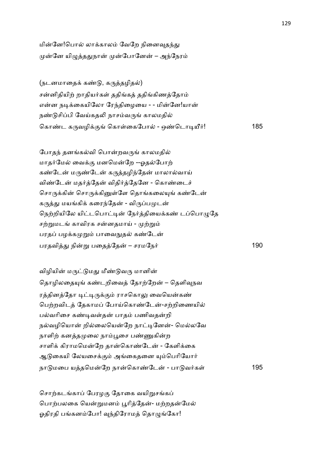மின்னே!பொல் லாக்காலம் வேறே நினைவுதந்து முன்னே யிழுத்ததுநான் முன்போனேன் – அந்நேரம்

(நடனமாதைக் கண்டு, கருத்தழிதல்) சன்னிதியிற் றாதியர்கள் ததிங்கத் ததிங்கிணத்தோம் என்ன நடிக்கையிலோ ரேந்திழையை - - மின்னே!யான் நண்டுசிப்பி வேய்கதலி நாசம்வருங் காலமதில் ெகா!ட க'வழி+. ெகா1ைகேபா - ஒ!ெடா&Q2! 185

போதந் தனங்கல்வி பொன்றவருங் காலமதில் மாதர்மேல் வைக்கு மனமென்றே --ஓதல்போற் கண்டேன் மருண்டேன் கருத்தழிந்தேன் மாலால்வாய் விண்டேன் மதர்த்தேன் விதிர்த்தேனே - கொண்டைச் சொருக்கின் சொருக்கினுள்ளே தொங்கலையுங் கண்டேன் கருத்து மயங்கிக் கரைந்தேன் - விருப்பமுடன் நெற்றியிலே யிட்டபொட்டின் நேர்த்தியைக்கண் டப்பொழுதே சற்றுமடங் காவிரக சன்னதமாய் - முற்றும் பரதப் பழக்கமுறும் பாவைநுதல் கண்டேன் பரதவி- நி\$ பைதேத – சரமேந2 190

விழியின் மருட்டுமது மீண்டுவரு மானின் தொழிலதையுங் கண்டறிவைத் தோற்றேன் – தெளிவுநவ ரத்தினத்தோ டிட்டிருக்கும் ராசகொலு வையென்கண் பெற்றவிடத் தேகாமப் போய்கொண்டேன்-சற்றிணையில் பல்வரிசை கண்டிவள்தன் பாதம் பணிவதன்றி நல்வழியொன் றில்லையென்றே நாட்டினேன்- மெல்லவே நாளிற் கனத்தமுலை நாம்பூசை பண்ணுகின்ற சாளிக் கிராமமென்றே தான்கொண்டேன் - கேளிக்கை ஆடுகையி லேயசைக்கும் அங்கைகளை யும்பெரியோர் நா மைப யதெமேற நாெகா!ேட - பா வ2க1 195

சொற்கடங்காப் பேரழகு தோகை வயிறுசங்கப் பொற்பலகை யென்றுமனம் பூரித்தேன்- மற்றதன்மேல் ஓதிரதி பங்கனம்போ! வுந்திரோமத் தொழுங்கோ!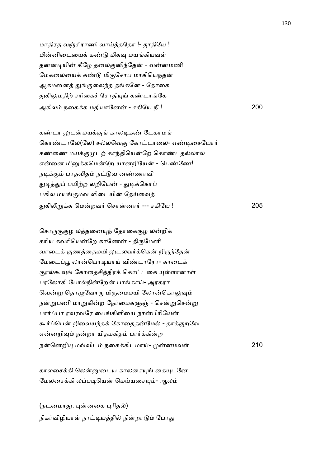மாதிரத வஞ்சிராணி வாய்த்ததோ !- தூதியே ! மின்னிடையைக் கண்டு மிகவு மயங்கியவள் தன்னடியின் கீழே தலைகுனிந்தேன் - வன்னமணி மேகலையைக் கண்டு மிகுசோப மாகியெந்தன் ஆகமனைத் துங்குலைந்த தங்கனே - தோகை துகிலுமதிற் சரிகைச் சோதியுங் கண்டாங்கே அகில நைக+க மதியாேன - சகிேய நீ ! 200

கண்டா லுடன்மயக்குங் காலடிகண் டேகாமங் கொண்டாலே(லே) சல்லவெகு கோட்டாலை- எண்டிசையோர் கண்ணை மயக்குமுடற் காந்தியென்றே கொண்டதல்லால் என்னை மினுக்கமென்றே யானறியேன் - பெண்ணே! நடிக்கும் பரதவிதம் நட்டுவ னண்ணாவி துடித்துப் பயிற்ற லறியேன் - துடிக்கொப் பகில மயங்குமவ ளிடையின் தேய்வைத் -கி5\$+க ெமறவ2 ெசானா2 --- சகிேய ! 205

சொருகுகுழ லத்தனையுந் தோகைகுழ லன்றிக் கரிய கவரியென்றே காணேன் - திருமேனி வாடைக் குணத்தைமயி லுடலவர்க்கென் றிருந்தேன் மேடைப்பூ லான்பொடியாய் விண்டாரோ- காடைக் குரல்கூவுங் கோதைசித்திரக் கொட்டகை யுள்ளானாள் பரலோகி போல்நின்றேன் பாங்காய்- அரகரா வென்று தொழுவோரு மிருமைமயி லோன்கொலுவும் நன்றுபணி மாறுகின்ற நேர்மைகளுஞ் - சென்றுசென்று பார்ப்பா ரவரவரே பைங்கிளியை நான்பிரியேன் கூர்ப்பென் றிவையந்தக் கோதைதன்மேல் - தாக்குறவே என்னறிவும் நன்றா யிதமகிதம் பார்க்கின்ற நெனறி( மDவிட நைக+கிடமாC- னமவ1 210

காலசைக்கி லென்னுடைய காலசையுங் கையுடனே மேலசைக்கி லப்படியென் மெய்யசையும்- ஆலம்

(நடனமாது, புன்னகை புரிதல்) நிகர்விழியாள் நாட்டியத்தில் நின்றாடும் போது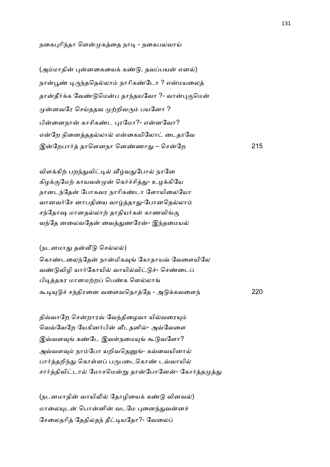நகைபுரிந்தா ளென்முகத்தை நாடி - நகைபலவாய்

(அம்மாதின் புன்னகையைக் கண்டு, தவப்பயன் எனல்) நான்பூண் டிருந்ததெல்லாம் நாரிகண்டோ ? என்மயலைத் தான்தீர்க்க வேண்டுமென்ப தாந்தயவோ ?- வான்புகுமென் முன்னவரே செய்ததவ முற்றிவரும் பயனோ ? பின்னைநான் காசிகண்ட புரமோ?- என்னவோ? என்றே நினைத்ததல்லால் என்கையிலோட் டைதரவே இேறபா2 தாெளனநா ென!ணா- – ெசேற 215

விளக்கிற் பறந்துவிட்டில் வீழ்வதுபோல் நானே கிழக்குமேற் காயவள்முன் கெர்ச்சித்து- உழக்கியே நானடந்தேன் போகவர நாரிகண்டா ளோயிலையோ வானவர்சே னாபதியை வாழ்த்தாது-போனதெல்லாம் சந்தோஷ மானதல்லாற் தாதியர்கள் காணவிங்கு வந்தே னலைவதேன் வைத்துணரேன்- இந்தமையல்

### (நடனமாது தன்வீடு செல்லல்)

கொண்டலைந்தேன் நான்மிகவுங் கோதாயவ் வேளையிலே வண்டுவிழி யார்கோயில் வாயில்விட்டுச்- செண்டைப் பிடித்தகர மானமற்றப் பெண்க ளெல்லாங் கூடியுடுச் சந்திரனை வளைவதொத்தே - அடுக்கவளைந் $220$ 

திவ்வாறே சென்றாரவ் வேந்திழைவா யில்வரையும் வெவ்வேறே யேகினர்பின் வீடதனில்- அவ்வேளை இவ்வளவுங் கண்டே இவள்நமையுங் கூடுவளோ? அவ்வளவும் நாம்போ யறிவதெனுங்- கவ்வையினால் பார்த்தறிந்து கொள்ளப் பருபடைகொண் டவ்வாயில் சார்த்திவிட்டால் மோசமென்று தான்போனேன்- கோர்த்தமுத்து

(நடனமாதின் வாயிலில் தோழியைக் கண்டு வினவல்) மாலையுடன் பொன்னின் வடமே புனைந்துவன்னச் சேலைதரித் தேதிலதந் தீட்டியதோ?- வேலைப்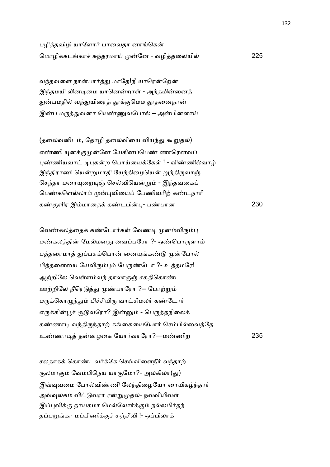பழித்தவிழி யாளோர் பாவைதா னாங்கென் ெமாழி+கடகா6 J4தரமாC ேன - வழிதைலயி 225

வந்தவளை நான்பார்த்து மாதே!நீ யாரென்றேன் இந்தமயி லினடிமை யானென்றாள் - அந்தமின்னைத் துன்பமதில் வந்துயிரைத் தூக்குமெம தூதனைநான் இன்ப மருத்துவனா யெண்ணுவபோல் – அன்பினளாய்

(தலைவனிடம், தோழி தலைவியை வியந்து கூறுதல்) எண்ணி யுனக்குமுன்னே யேகினப்பெண் ணாரெனவப் புண்ணியவாட் டிபுகன்ற பொய்யைக்கேள் ! - விண்ணில்வாம் இந்திராணி யென்றுமாதி யேந்திழையென் றுந்திருவாஞ் செந்தா மரையுறையுஞ் செல்வியென்றும் - இந்தவகைப் பெண்களெல்லாம் முன்புவியைப் பேணிவரிற் கண்டநாரி க!.ளிர இமாைத+ க!டபி)- ப!பான 230

வெண்கலத்தைக் கண்டோர்கள் வேண்டி முனம்விரும்பு மண்கலத்தின் மேல்மனது வைப்பரோ ?- ஒண்பொருளாம் பத்தரைமாத் துப்பசும்பொன் னையுங்கண்டு முன்போல் பித்தளையை யேவிரும்பும் பேருண்டோ ?- உத்தமரே! ஆற்றிலே வெள்ளம்வந் தாலாருஞ் சகதிகொண்ட ஊற்றிலே நீரெடுத்து முண்பாரோ ?-- போற்றும் மருக்கொழுந்தும் பிச்சியிரு வாட்சிமலர் கண்டோர் எருக்கின்பூச் சூடுவரோ? இன்னும் - பெருத்தநிலைக் கண்ணாடி வந்திருந்தாற் கங்கையையோர் செம்பில்வைத்தே உ!ணா& தனழைக ேயா2வாேரா?—ம!ணி, 235

சலதாகக் கொண்டவர்க்கே செவ்விளைநீர் வந்தாற் குலமாகும் வேம்பிநெய் யாகுமோ?- அலகிலா(து) இவ்வுவமை போல்விண்ணி லேந்திழையோ ரையிகழ்ந்தார் அவ்வுலகம் விட்டுவரா ரன்றுமுதல்- நவ்வியிவள் இப்புவிக்கு நாயகமா மெல்லோர்க்கும் நல்லமிர்தந் தப்பறுங்கா மப்பிணிக்குச் சஞ்சீவி !- ஒப்பிலாக்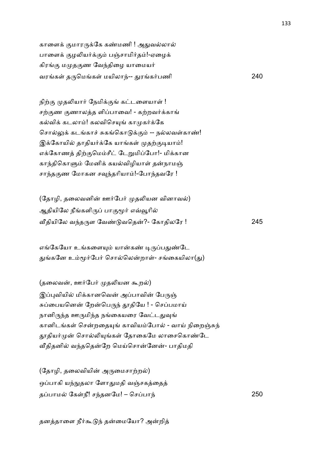காளைக் குமாரருக்கே கண்மணி ! அதுவல்லால் பாளைக் குழலியர்க்கும் பஞ்சாமிர்தம்!-ஏழைக் கிரங்கு மமுதகுண வேந்திழை யாமையர் வரக1 த'ெமக1 மயிலா4-- -ரக2பணி 240

நிற்கு முதலியார் நேமிக்குங் கட்டளையாள் ! சற்குண குணாலத்த ளிப்பாவை! - கற்றவர்க்காங் கல்விக் கடலாம்! கலவிசெயுங் காமுகர்க்கே சொல்லுக் கடங்காச் சுகங்கொடுக்கும் -- நல்லவள்காண்! இக்கோயில் தாதியர்க்கே யாங்கள் முதற்குடியாம்! எக்கோணத் திற்குமெம்சீட் டேறுமிப்போ!- மிக்கான காந்திகொளும் மேனிக் கயல்விழியாள் தன்நாமஞ் சாந்தகுண மோகன சவந்தரியாம்!-போந்தவரே !

(தோழி, தலைவனின் ஊர்பேர் முதலியன வினாவல்) ஆதியிலே நீங்களிருப் பாகுமூர் எவ்வூரில் @தியிேல வ4த'ள ேவ! வெத?- ேகாதிலேர ! 245

எங்கேயோ உங்களையும் யான்கண் டிருப்பதுண்டே துங்கனே உம்மூர்பேர் சொல்லென்றாள்- சங்கையிலா(து)

(தலைவன், ஊர்பேர் முதலியன கூறல்) இப்புவியில் மிக்கானவென் அப்பாவின் பேருஞ் சுப்பையனென் றேன்பெருந் தூதியே ! - செப்பமாய் நானிருந்த ஊருமிந்த நங்கையரை வேட்டதுவுங் கானிடங்கள் சென்றதையுங் காவியம்போல் - வாய் நிறைஞ்சுந் தூதியர்முன் சொல்லியுங்கள் தோகைமே லாசைகொண்டே வீதிதனில் வந்ததென்றே மெய்சொன்னேன்- பாதிமதி

(தோழி, தலைவியின் அருமைசாற்றல்) ஒப்பாகி யந்நுதலா ளோதுமதி வஞ்சகத்தைத் தபாம ேக1நீ! ச4தனேம! – ெசபா4 250

தனத்தாளை நீர்கூடுந் தன்மையோ? அன்றித்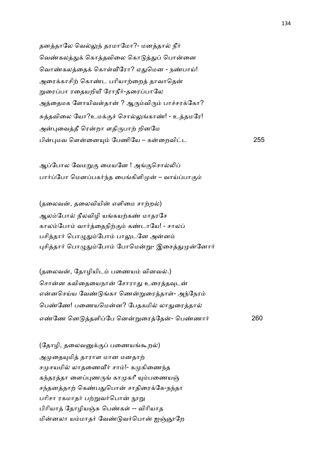தனத்தாலே வெல்லுந் தரமாமோ?- மனத்தால் நீர் வெண்கலத்துக் கொத்தவிலை கொடுத்துப் பொன்னை வொண்கலத்தைக் கொள்வீரோ? ஏதுமென - நண்பாய்! அரைக்காசிற் கொண்ட பரியாற்றைத் தாவாதென் றுரைப்பா ரதையறியீ ரோநீர்-தரைப்பாலே அத்தைமக ளோயிவள்தான் ? ஆரும்விரும் பாச்சரக்கோ? சுத்தவிலை யோ?உமக்குச் சொல்லுங்காண்! - உத்தமரே! அன்புவைத்தீ ரென்றா ளதிருபாற் றினமே பி)மவ ெளைன( ேபணிேய – கைறவிட 255

ஆப்போல வேமறுகு மையனே ! அங்குசொல்லிப் பார்ப்போ மெனப்பகர்ந்த பைங்கிளிமுன் – வாய்ப்பாகும்

(தலைவன், தலைவியின் எளிமை சாற்றல்) ஆலம்போல் நீலவிழி யங்கயற்கண் மாதரசே காலம்போம் வார்த்தைநிற்கும் கண்டாயே! - சாலப் பசித்தார் பொழுதும்போம் பாலுடனே அன்னம் புசித்தார் பொழுதும்போம் போமென்று- இசைத்துமுன்னோர்

(தலைவன், தோழியிடம் பணையம் வினவல்.) சொன்ன கவிதையைநான் சோராது உரைத்தவுடன் என்னசெய்ய வேண்டுங்கா ணென்றுரைத்தாள்- அந்நேரம் பெண்ணே! பணையமென்ன? பேதகமில் லாதுரைத்தால் எ!ேண ென தளிேப ென\$ைரேத- ெப!ணா2 260

(தோழி, தலைவனுக்குப் பணையங்கூறல்) அமுதையுமித் தாராள மான மனதாற் சமுசயமில் லாதணைவீர் சாம்!- கமுகிணைந்த கந்தரத்தா ளைப்புணருங் காமுகரீ யும்பணையஞ் சந்தனத்தாற் கெண்பதுபொன் சாதிரைக்கே-நந்தா பரிசா ரகமாதர் பற்றுவர்பொன் நூறு பிரியாத் தோழியஞ்சு பெண்கள் -- விரியாத மின்னலா யம்மாதர் வேண்டுவர்பொன் <u>ஐஞ்ஞ</u>ாறே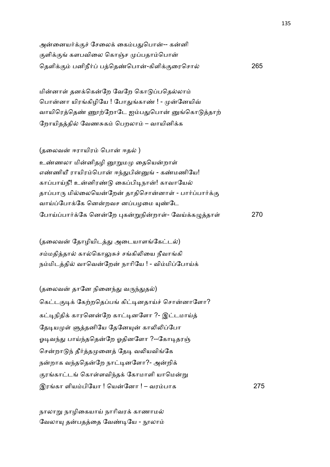| அன்னையர்க்குச் சேலைக் கைம்பதுபொன்-- கன்னி       |     |
|-------------------------------------------------|-----|
| குளிக்குங் களபவிலை கொஞ்ச முப்பதாம்பொன்          |     |
| தெளிக்கும் பனிநீர்ப் பத்தெண்பொன்-கிளிக்குரைசொல் | 265 |

மின்னாள் தனக்கென்றே வேறே கொடுப்பதெல்லாம் பொன்னா யிரங்கிழியே ! போதுங்காண் ! - முன்னேயிவ் வாயிரெத்தெண் ணூற்றோடே ஐம்பதுபொன் னுங்கொடுத்தாற் ரோயிதத்தில் வேணசுகம் பெறலாம் – வாயினிக்க

(தலைவன் ஈராயிரம் பொன் ஈதல் ) உண்ணலா மின்னிதழி னூறுமமு தையென்றாள் எண்ணியீ ராயிரம்பொன் ஈந்துபின்னுங் - கண்மணியே! காப்பாய்நீ! உன்னிரண்டு கைப்பிடிநான்! காவாயேல் தாப்பாரு மில்லையென்றேன் தாதிசொன்னாள் - பார்ப்பார்க்கு வாய்ப்போக்கே னென்றவச னப்பழமை யுண்டே ேபாCபா2+ேக ெனேற )க\$நிறா1- ேவC+க=தா1 270

(தலைவன் தோழியிடத்து அடையாளங்கேட்டல்) சம்மதித்தால் கால்கொலுசுச் சங்கிலியை நீவாங்கி நம்மிடத்தில் வாவென்றேன் நாரியே ! - விம்மிப்போய்க்

(தலைவன் தானே நினைந்து வருந்துதல்) கெட்டகுடிக் கேற்றதெப்பங் கிட்டினதாய்ச் சொன்னாளோ? கட்டிநிதிக் காரனென்றே காட்டினளோ ?- இட்டமாய்த் தேடியமுள் ளுத்தனியே தேனேயுன் காலிலிப்போ ஓடிவந்து பாய்ந்ததென்றே ஓதினளோ ?--கோடிதரஞ் சென்றாடுந் தீர்த்தமுனைத் தேடி வலியவிங்கே நன்றாக வந்ததென்றே நாட்டினளோ?- அன்றிக் குரங்காட்டங் கொள்ளவிந்தக் கோமாளி யாமென்று இரகா ளியபிேயா ! ெயேனா ! – வரபாக 275

நாலாறு நாழிகையாய் நாரிவரக் காணாமல் வேலாயு தன்பதத்தை வேண்டியே - நூலாம்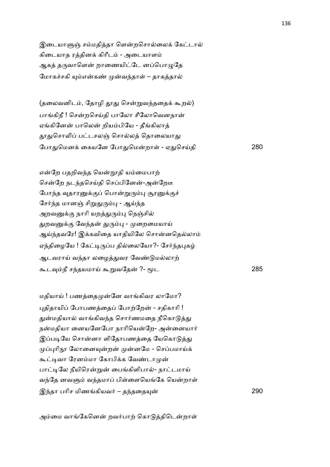இடையாளுஞ் சம்மதித்தா ளென்றசொல்லைக் கேட்டால் கிடையாத ரத்தினக் கிரீடம் - அடையாளம் ஆகத் தருவாளென் றாணையிட்டே னப்பொழுதே மோகச்சகி யும்என்கண் முன்வந்தாள் – தாகத்தால்

(தலைவனிடம், தோழி தூது சென்றுவந்ததைக் கூறல்) பாங்கிநீ ! சென்றசெய்தி பாலோ சீலோவெனநான் ஏங்கினேன் பாலென் றியம்பியே - தீங்கிலாக் தூதுசொலிப் பட்டசலஞ் சொல்லத் தொலையாது ேபா-ெமன+ ைகயேன ேபா-ெமறா1 - ஏ-ெசCதி 280

என்றே பதறிவந்த யென்றூதி யம்மைபாற் சென்றே நடந்தசெய்தி செப்பினேன்-அன்றேடீ போந்த வுதாரனுக்குப் பொன்றுரும்பு சூரனுக்குச் சேர்ந்த மானஞ் சிறுதுரும்பு - ஆய்ந்த அறவனுக்கு நாரி யறத்துரும்பு நெஞ்சில் துறவனுக்கு வேந்தன் துரும்பு - முறைமையாய் ஆய்ந்தவரே! இக்கவிதை யாதியிலே சொன்னதெல்லாம் ஏந்திழையே ! கேட்டிருப்ப தில்லையோ?- சேர்ந்தபுகழ் ஆடவராய் வந்தா லழைத்துவர வேண்டுமல்லாற் ;ட8நீ ச4தயமாC ;\$வேத ?- Uட 285

மதியாய் ! பணத்தைமுன்னே வாங்கிவர லாமோ? புதிதாயிப் போபணத்தைப் போற்றேன் - சதிகாரி ! துன்மதியால் வாங்கிவந்த சொர்ணமதை நீகொடுத்து நன்மதியா னையனேபோ நாரியென்றே- அன்னையார் இப்படியே சொன்னா ளிதோபணத்தை யேகொடுத்து முப்புரிநூ லோனையுன்றன் முன்னமே - செப்பமாய்க் கூட்டிவா ரேனம்மா கோபிக்க வேண்டாமுன் பாட்டிலே நீயிரென்றுன் பைங்கிளிபால்- நாட்டமாய் வந்தே னவளும் வந்தமாப் பிள்ளையெங்கே யென்றாள் இ4தா பாிச மிணகியவ2 – த4தைத( 290

அம்மை வாங்கேனென் றவர்பாற் கொடுத்திடென்றாள்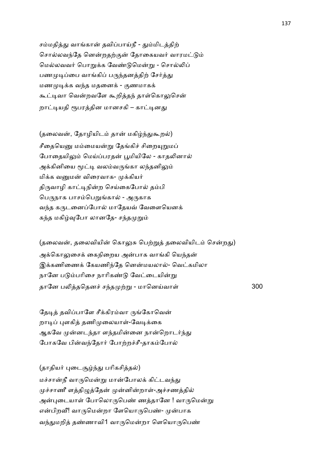சம்மதித்து வாங்கான் தவிப்பாய்நீ - தும்மிடத்திற் சொல்லவந்தே னென்றதற்குன் தோகையவர் வாரமட்டும் மெல்லவவர் பொறுக்க வேண்டுமென்று - சொல்லிப் பணமுடிப்பை வாங்கிப் பருந்தனத்திற் சேர்த்து மணமுடிக்க வந்த மதனைக் - குணமாகக் கூட்டிவா வென்றவளே கூறித்தந் தாள்கொலுசென் றாட்டியதி ரூபரத்தின மானசகி – காட்டினது

(தலைவன், தோழியிடம் தான் மகிழ்ந்துகூறல்) சீதையெனு மம்மையன்று தேங்கிச் சிறையுறுமப் போதையிலும் மெய்ப்பரதன் பூமியிலே - காதலினால் அக்கினியை மூட்டி வலம்வருங்கா லந்தனிலும் மிக்க வனுமன் விரைவாக- முக்கியர் திருவாழி காட்டிநின்ற செய்கைபோல் தம்பி பெருநாக பாசம்பெறுங்கால் - அருகாக வந்த கருடனைப்போல் மாதேயவ் வேளையெனக் கந்த மகிழ்வுபோ லானதே- சந்தமுறும்

(தலைவன், தலைவியின் கொலுசு பெற்றுத் தலைவியிடம் சென்றது) அக்கொலுசைக் கைநிறைய அன்பாக வாங்கி யெந்தன் இக்கணிணைக் கேயணிந்தே னென்மயலால்- வெட்கமிலா நானே படும்பரிசை நாரிகண்டு வேட்டையின்று தாேன ப5தெதன6 ச4த ,\$ - மாெனCவா1 300

தேடித் தவிப்பாளே சீக்கிரம்வா ருங்கோவென் றாடிப் புளகித் தணிமுலையாள்-வேடிக்கை ஆகவே முன்னடந்தா ளந்தமின்னை நான்றொடர்ந்து போகவே பின்வந்தோர் போற்றச்சீ-தாகம்போல்

(தாதியர் புடைசூழ்ந்து பரிகசித்தல்) மச்சான்நீ வாருமென்று மான்போலக் கிட்டவந்து முச்சாணீ ளத்திழுத்தேன் முன்னின்றாள்-அச்சணத்தில் அன்படையாள் போலொருபெண் ணத்தானே ! வாருமென்று என்பிறவீ! வாருமென்றா ளேயொருபெண்- முன்பாக வந்துமறித் தண்ணாவி1 வாருமென்றா ளெயொருபெண்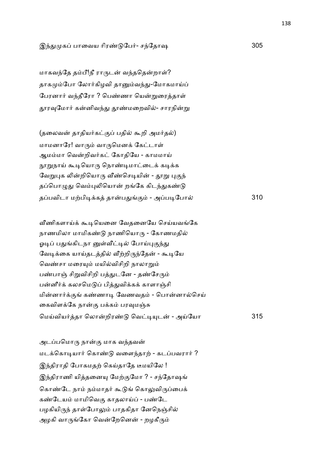### இ4- க பாைவய ாிர! ேப2- ச4ேதாஷ 305

மாகவந்தே தம்பீ!நீ ராருடன் வந்ததென்றாள்? தாகமும்போ லோர்கிழவி தானும்வந்து-மோகமாய்ப் பேரனார் வந்தீரோ ? பெண்ணா யென்றுரைத்தாள் தூரவுமோர் கன்னிவந்து தூண்மறைவில்- சாரநின்று

(தலைவன் தாதியர்கட்குப் பதில் கூறி அமர்தல்) மாமனாரே! வாரும் வாருமெனக் கேட்டாள் ஆமம்மா வென்றிவர்கட் கோகியே - காமமாய் நூறுநாய் கூடியொரு நொண்டிமாட்டைக் கடிக்க வேறுபுக லின்றியொரு வீண்செடியின் - தூறு புகுந் தப்பொழுது வெம்புலியொன் றங்கே கிடந்துகண்டு தபவிடா ம,பி&+க தாப-. - அப&ேபா 310

வீணிகளாய்க் கூடியெனை வேதனையே செய்யவங்கே நாணமிலா மாமிகண்டு நாணியொரு - கோணமதில் ஓடிப் பதுங்கிடநா னுள்வீட்டில் போய்புகுந்து வேடிக்கை யாய்தடத்தில் வீற்றிருந்தேன் - கூடியே வெண்சா மரையும் மயில்விசிறி நாலாறும் பண்பாஞ் சிறுவிசிறி பத்துடனே - தண்சேரும் பன்னீர்க் கலசமெடுப் பித்துவிக்கக் காளாஞ்சி மின்னார்க்குங் கண்ணாடி வேணவதம் - பொன்னால்செய் கைவிளக்கே நான்கு பக்கம் பரவுமஞ்சு ெமCவிய2தா ெலாறிர! ெவ&(ட - அCேயா 315

அடப்பமொரு நான்கு மாக வந்தவன் மடக்கொடியார் கொண்டு வளைந்தாற் - கடப்பவரார் ? இந்திராதி போகமதற் கெய்தாதே டீமயிலே ! இந்திராணி யித்தனையு மேற்குமோ ? - சந்தோஷங் கொண்டே நாம் நம்மாதர் கூடுங் கொலுவிருப்பைக் கண்டேயம் மாமிவெகு காதலாய்ப் - பண்டே பழகியிருந் தாள்போலும் பாதகிதா னேநெஞ்சில் அழகி வாருங்கோ வென்றேனென் - றழகீரும்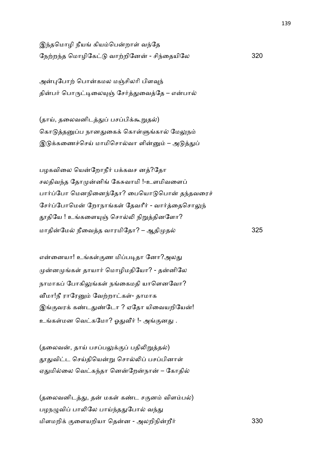இந்தமொழி நீயங் கியம்பென்றாள் வந்தே ேந,ற4த ெமாழிேக வா,றிேன - சி4ைதயிேல 320

அன்புபோற் பொன்கமல மஞ்சிலரி பிளவுந் தின்பர் பொருட்டிலையுஞ் சேர்த்துவைத்தே – என்பால்

(தாய், தலைவனிடத்துப் பசப்பிக்கூறுதல்) கொடுத்தனுப்ப நானதுகைக் கொள்ளுங்கால் மேலுநம் இடுக்கணைச்செய் மாமிசொல்வா ளின்னும் – அடுத்துப்

பழகவிலை யென்றோநீர் பக்கவச னத்?தோ சலதிவந்த தோமுன்னிங் கேசுவாமி !-உளமிவளைப் பார்ப்போ மெனநினைந்தோ? பையொடுபொன் தந்தவரைச் சேர்ப்போமென் றோநாங்கள் தேவரீர் - வார்த்தைசொலுந் தூதியே ! உங்களையுஞ் சொல்லி நிறுத்தினளோ? மாதின்மேல் நீவைத்த வாரமிதோ? – ஆதிமுதல் த 325

என்னையா! உங்கள்குண மிப்படிதா னோ?அலது முன்னமுங்கள் தாயார் மொழிமதியோ? - தன்னிலே நாமாகப் போகிலுங்கள் நங்கைமதி யாளெனவோ? வீமா!நீ ராரேனும் வேற்றாட்கள்- தாமாக இங்குவரக் கண்டதுண்டோ ? ஏதோ யிவையறியேன்! உங்கள்மன வெட்கமோ? ஓதுவீர் !- அங்குனது .

 $(g$ லைவன், தாய் பசப்பலுக்குப் பதிலிறுத்தல்) தூதுவிட்ட செய்தியென்று சொல்லிப் பசப்பினாள் ஏதுமில்லை வெட்கந்தா னென்றேன்நான் – கோதில்

(தலைவனிடத்து, தன் மகள் கண்ட சகுனம் விளம்பல்) பழநழுவிப் பாலிலே பாய்ந்ததுபோல் வந்து மிளமறி+ .ைளயறியா ெதன - அலறிநிறீ2 330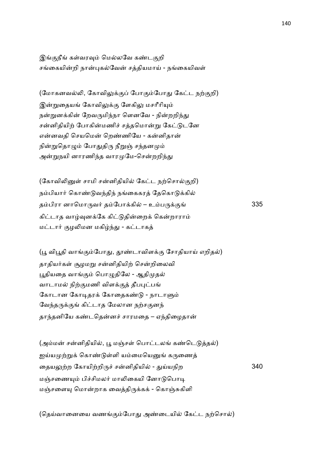இங்குநீங் கள்வரவும் மெல்லவே கண்டகுறி சங்கையின்றி நான்புகல்வேன் சக்கியமாய் - நங்கையிவள்

(மோகனவல்லி, கோவிலுக்குப் போகும்போது கேட்ட நற்குறி) இன்றுதையங் கோவிலுக்கு ளேகிலு மசரீரியும் நன்றுனக்கின் றேவருமிந்நா ளெனவே - நின்றறிந்து சன்னிதியிற் போகின்மணிச் சத்தமொன்று கேட்டுடனே என்னவதி செயமென் றெண்ணியே - கன்னிதான் நின்றுதொழும் போதுதிரு நீறுஞ் சந்தனமும் அன்றுநயி னாரணிந்த வாரமுமே-சென்றறிந்து

(கோவிலினுள் சாமி சன்னிதியில் கேட்ட நற்சொல்குறி) நம்பியார் கொண்டுவந்திந் நங்கைகரத் தேகொடுக்கில் தம்பிரா னாமொருவர் தம்போக்கில் – உம்பருக்குங் $335$ கிட்டாத வாழ்வுனக்கே கிட்டுதின்றைக் கென்றாராம் மட்டார் குழலிமன மகிழ்ந்து - கட்டாகத்

(பூ விபூதி வாங்கும்போது, தூண்டாவிளக்கு சோதியாய் எறிதல்) தாதியர்கள் சூழமறு சன்னிதியிற் சென்றிலைவி பூதியதை வாங்கும் பொழுதிலே - ஆதிமுதல் வாடாமல் நிற்குமணி விளக்குத் தீபபுட்பங் கோடான கோடிதரக் கோதைகண்டு - நாடாளும் வேந்தருக்குங் கிட்டாத மேலான நற்சகுனந் தாந்தனியே கண்டதென்னச் சாரமதை – ஏந்திழைதான்

(அம்மன் சன்னிதியில், பூ மஞ்சள் பொட்டலங் கண்டெடுத்தல்) ஐய்யமுற்றுக் கொண்டுள்ளி யம்மையெனுங் கருணைத் ைதய:,ற ேகாயி,றி'6 சனிதியி - -Cயநிற 340 மஞ்சணையும் பிச்சிமலர் மாலிகையி னோடுபொடி மஞ்சளையு மொன்றாக வைத்திருக்கக் - கொஞ்சுகிளி

(தெய்வானையை வணங்கும்போது அண்டையில் கேட்ட நற்சொல்)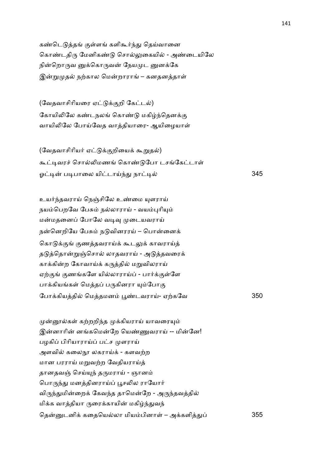கண்டெடுத்தங் குள்ளங் களிகூர்ந்து தெய்வானை கொண்டதிரு மேனிகண்டு சொல்லுகையில் - அண்டையிலே நின்றொருவ னுக்கொருவன் நேயமுட னுனக்கே இன்றுமுதல் நற்கால மென்றாராங் – கனதனத்தாள்

(வேதவாசிரியரை ஏட்டுக்குறி கேட்டல்) கோயிலிலே கண்டநலங் கொண்டு மகிழ்ந்தெனக்கு வாயிலிலே போய்வேத வாத்தியாரை- ஆயிழையாள்

(வேதவாசிரியர் ஏட்டுக்குறியைக் கூறுதல்) கூட்டிவரச் சொல்லிமணங் கொண்டுபோ டசங்கேட்டாள் ஓ& ப&பாைல யிடாC4- நா& 345

உயர்ந்தவராய் நெஞ்சிலே உண்மை யுளராய் நயம்பெறவே பேசும் நல்லாராய் - வயம்புரியும் மன்மதனைப் போலே வடிவு முடையவராய் நன்னெறியே பேசும் நடுவினரரய் – பொன்னைக் கொடுக்குங் குணத்தவராய்க் கூடலுக் காவராய்த் தடுத்தொன்றுஞ்சொல் லாதவராய் - அடுத்தவரைக் காக்கின்ற கோவாய்க் கருத்தில் மறுவிலராய் ஏற்குங் குணங்களே யில்லாராய்ப் - பார்க்குள்ளே பாக்கியங்கள் மெத்தப் பருகினரா யும்போகு ேபா+கியதி ெமதமன N!டவராC- ஏ,கேவ 350

முன்னூல்கள் கற்றறிந்த முக்கியராய் யாவரையும் இன்னாரின் னங்கமென்றே யெண்ணுவராய் -- மின்னே! பழகிப் பிரியாராய்ப் பட்ச முளராய் அளவில் கலைநூ லகராய்க் - களவற்ற மான பரராய் மறுவற்ற வேதியராய்த் தானதவஞ் செய்யுந் தருமராய் - ஞானம் பொருந்து மனத்தினராய்ப் பூசலில ராயோர் விருந்துமின்றைக் கேவந்த தாமென்றே - அருந்தவத்தில் மிக்க வாத்தியா ருரைக்காயின் மகிழ்ந்துவந் தென்னுடனிக் கதையெல்லா மியம்பினாள் – அக்களித்துப்

355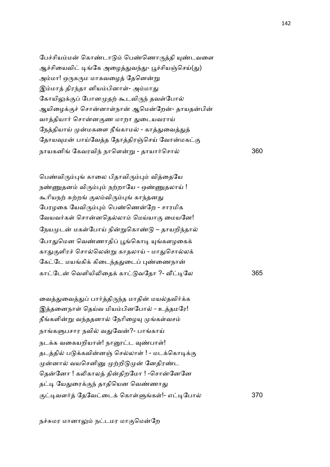| பேச்சியம்மன் கொண்டாடும் பெண்ணொருத்தி யுண்டவளை      |     |
|----------------------------------------------------|-----|
| ஆச்சியைவிட் டிங்கே அழைத்துவந்து- பூச்சியஞ்செய்(து) |     |
| அம்மா! ஒருகரும மாகவழைத் தேனென்று                   |     |
| இம்மாத் திரந்தா னியம்பினாள்- அம்மாது               |     |
| கோயிலுக்குப் போனமுதற் கூடவிருந் தவள்போல்           |     |
| ஆயிழைக்குச் சொன்னாள்நான் ஆமென்றேன்- தாயதன்பின்     |     |
| வாத்தியார் சொன்னகுண மாறா துடையவராய்                |     |
| நேத்தியாய் முன்மகளை நீங்காமல் - காத்துவைத்துத்     |     |
| தோயவுமன் பாய்வேத்த தோத்திரஞ்செய் வோன்மகட்கு        |     |
| நாயகனிங் கேவரவிந் நாளென்று - தாயார்சொல்            | 360 |

பெண்விரும்புங் காலை பிதாவிரும்பும் வித்தையே நண்ணுதனம் விரும்பும் நற்றாயே - ஒண்ணுதலாய் ! கூரியநற் சுற்றங் குலம்விரும்புங் காந்தனது பேரழகை யேவிரும்பும் பெண்ணென்றே - சாரமிக வேயவர்கள் சொன்னதெல்லாம் மெய்யாகு மையனே! நேயமுடன் மகள்போய் நின்றுகொண்டு – தாயறிந்தால் போதுமென வெண்ணாதிப் பூங்கொடி யுங்களழகைக் காதுகுளிரச் சொல்லென்று காதலாய் - மாதுசொல்லக் கேட்டே மயங்கிக் கிடைந்ததுடைப் புண்ணைநான் காேட ெவளியி5ைத+ கா வேதா ?- @&ேல 365

வைத்துவைத்துப் பார்த்திருந்த மாதின் மயல்தவிர்க்க இத்தனைநாள் தெய்வ மியம்பினபோல் - உத்தமரே! நீங்களின்று வந்ததனால் நேரிழையு முங்கள்வசம் நாங்களுபசார நவில் வதுவேன்?- பாங்காய் நடக்க வகையறியாள்! நாரைட்ட வுண்பாள்! தடத்தில் படுக்கவின்னஞ் செல்லாள் ! - மடக்கொடிக்கு முன்னால் வயசெனினு முற்றிடுமுன் னேதிரண்ட தென்னோ ! கலிகாலத் தின்திறமோ ! -சொன்னேனே தட்டி யேதுரைக்குந் தாதியென வெண்ணாது .&வள2 ேதேவைட+ ெகா17க1!- எ&ேபா 370

நச்சுமர மானாலும் நட்டமர மாகுமென்றே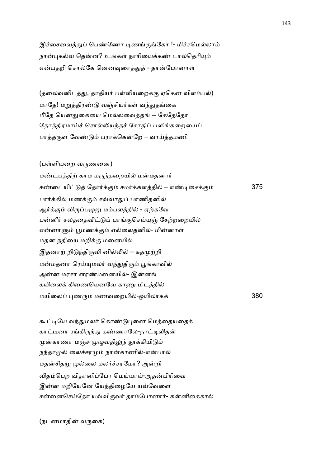இச்சைவைத்துப் பெண்ணோ டிணங்குங்கோ !- மிச்சமெல்லாம் நான்புகல்வ தென்ன? உங்கள் நாரியைக்கண் டால்தெரியும் என்பதறி சொல்கே னெனவுரைத்துத் - தான்போனாள்

(தலைவனிடத்து, தாதியர் பள்ளியறைக்கு ஏகென விளம்பல்) மாதே! மறுத்திரண்டு வஞ்சியர்கள் வந்துதங்கை மீதே யெனதுகையை மெல்லவைத்தங் -- கேதேதோ தோத்திரமாய்ச் சொல்லியந்தச் சோதிப் பளிங்கறையைப் பாத்தருள வேண்டும் பராக்கென்றே – வாய்த்தமணி

(பள்ளியறை வருணனை) மண்டபத்திற் காம மருந்தறையில் மன்மதனார் சண்டையிட்டுத் தோர்க்கும் சமர்க்களத்தில் – எண்டிசைக்கும் 375 பார்க்கில் மணக்கும் சவ்வாதுப் பாணிதனில் ஆர்க்கும் விருப்பமுறு மம்பலத்தில் - ஏற்கவே பன்னீர் சலத்தைவிட்டுப் பாங்குசெய்யுஞ் சேற்றறையில் என்னாளும் பூமணக்கும் எல்லைதனில்- மின்னாள் மதன நதியை மறிக்கு மனையில் இதனாற் றிடுந்திருவி னில்லில் – கதமுற்றி மன்மதனா ரெய்யுமலர் வந்துதிரும் பூங்காவில் அன்ன மரசா ளரண்மனையில்- இன்னங் கயிலைக் கிணையெனவே காணு மிடத்தில் மயிைல )ண' மணவைறயி-ஒயிலாக+ 380

கூட்டியே வந்துமலர் கொண்டுபுனை மெத்தையதைக் காட்டினா ரங்கிருந்து கண்ணாலே-நாட்டிலிதன் முன்காணா மஞ்ச முழுவதிலுந் தூக்கியிடும் நந்தாமுல் லைச்சரமும் நான்காணில்-என்பால் மதன்சிதறு முல்லை மலர்ச்சரமோ? அன்றி விதம்பெற விதானிப்போ மெய்யாய்-அதன்பிரிவை இன்ன மறியேனே யேந்திழையே யவ்வேளை சன்னைசெய்தோ யவ்விருவர் தாம்போனார்- கன்னிகைகால்

(நடனமாதின் வருகை)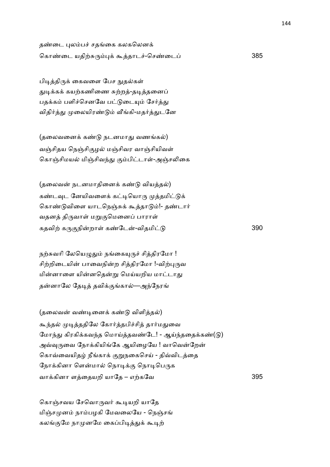தண்டை புலம்பச் சதங்கை கலகலெனக் ெகா!ைட யதி,J')+ ;தாட6-ெச!ைட 385

பிடித்திருக் கைவளை பேச நுதல்கள் துடிக்கக் கயற்கணிணை சுற்றத்-தடித்தனைப் பதக்கம் பளிச்செனவே பட்டுடையும் சேர்த்து விதிர்த்து முலையிரண்டும் வீங்கி-மதர்த்துடனே

(தலைவனைக் கண்டு நடனமாது வணங்கல்) வஞ்சிதய நெஞ்சிகுழல் மஞ்சிவர வாஞ்சியிவள் கொஞ்சிமயல் மிஞ்சிவந்து கும்பிட்டாள்-அஞ்சலிகை

(தலைவன் நடனமாதினைக் கண்டு வியத்தல்) கண்டவுட னேயிவளைக் கட்டியொரு முத்தமிட்டுக் கொண்டுவிளை யாடநெஞ்சுக் கூத்தாடும்!- தண்டார் வதனத் திருவாள் மறுகுமெனைப் பாராள் கதவி, க'.நிறா1 க!ேட-விதமி 390

நற்சுவரி லேயெழுதும் நங்கையுருச் சித்திரமோ ! சிற்றிடையின் பாவைநின்ற சித்திரமோ !-விற்புருவ மின்னாளை யின்னதென்று மெய்யறிய மாட்டாது தன்னாலே தேடித் தவிக்குங்கால்—அந்நேரங்

 $(g$ லைவன் வண்டினைக் கண்டு விளித்தல்) கூந்தல் முடித்ததிலே கோர்த்தபிச்சித் தார்மதுவை மோந்து கிரகிக்கவந்த மொய்த்தவண்டே! - ஆய்ந்ததைக்கண்(டு) அவ்வுருவை நோக்கியிங்கே ஆயிழையே ! வாவென்றேன் கொவ்வையிதழ் நீங்காக் குறுநகைசெய் - திவ்விடத்தை நோக்கினா ளென்மால் நொடிக்கு நொடிபெருக வா+கினா ளைதயறி யாேத – எ,கேவ 395

கொஞ்சவய சேவொருவர் கூடியறி யாதே மிஞ்சமுனம் நாம்பழகி மேவலையே - நெஞ்சங் கலங்குமே நாமுனமே கைப்பிடித்துக் கூடிற்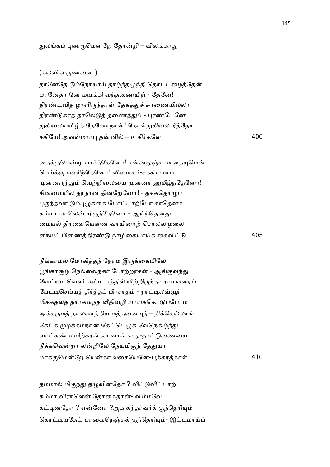#### துலங்கப் புணருமென்றே தோன்றி – விலங்காது

### (கலவி வ'ணைன )

தானேதே டும்நோயாய் தாழ்ந்தமுந்தி தொட்டழைத்தேன் மானேதா னே மயங்கி வந்தணையிற் - தேனே! திரண்டவித ழாளிருந்தாள் தேகத்துச் சுரணையில்லா திரண்டுகரத் தாலெடுத் தணைத்துப் - புரண்டேனே துகிலையவிழ்த் தேனோநான்! தோள்துகிலை நீத்தோ சகிேய! அவ1மா2) தனி – உகி2கேள 400

தைக்குமென்று பார்த்தேனோ! சன்னதுஞ்ச பாதையுமென் மெய்க்கு மணிந்தேனோ! வீணாகச்-சக்கியமாம் முன்னருந்தும் வெற்றிலையை முன்னா னுமிழ்ந்தேனோ! சின்னமயில் தரநான் தின்றேனோ! - தக்கதொழுப் புகுந்தவா டும்புழுக்கை போட்டாற்போ காதெனச் சும்மா மாலென் றிருந்தேனோ - ஆய்ந்தெனது மையல் திரளையென்ன வாயினாற் சொல்லமுலை ைநய பிைணதிர! நாழிைகயாC+ ைகவி 405

நீங்காமல் மோகித்தந் நேரம் இருக்கையிலே பூங்காசூழ் நெல்லைநகர் போற்றரசன் - ஆங்குவந்து வேட்டைவெளி மண்டபத்தில் வீற்றிருந்தா ராமவரைப் பேட்டிசெய்யத் தீர்த்தப் பிரசாதம் - நாட்டிலவ்வூர் மிக்கதலத் தார்களந்த வீதிவழி யாய்க்கொடுப்போம் அக்கருமத் தால்வாத்திய மத்தனையுந் – திக்கெல்லாங் கேட்க முழக்கம்நான் கேட்டெழுக வேநெகிழ்ந்து வாட்கண் மயிற்கரங்கள் வாங்காது-தாட்டுணையை நீக்கவென்றா லன்றிலே நேயமிகுந் தேதுயர மா+.ெமேற ெயகா லைசேயேன-N+கரதா1 410

தம்மால் மிகுந்து தழுவினதோ ? விட்டுவிட்டாற் சும்மா விராளென் தோகைதான்- விம்மவே கட்டினகோ ? என்னோ ?அக் கந்தர்வர்க் குந்தெரியும் கொட்டியதேட் பாவைநெஞ்சுக் குந்தெரியும்- இட்டமாய்ப்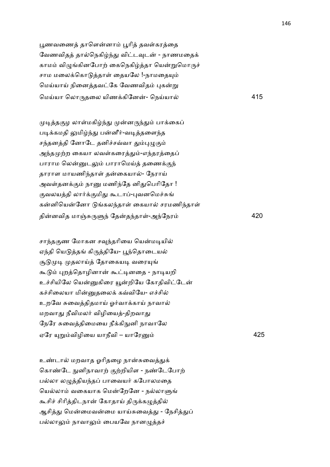பூணவணைத் தாளென்னாம் பூரித் தவள்கரத்தை வேணவிதத் தால்நெகிழ்ந்து விட்டவுடன் - நாணமதைக் காமம் விழுங்கினபோற் கைநெகிழ்த்தா யென்றுமொருச் சாம மலைக்கொடுத்தாள் தையலே !-நாமதையும் மெய்யாய் நினைத்தவட்கே வேணவிதம் புகன்று ெமCயா ெலா'தைல யிண+கிேன- ெநCயா 415

முடித்தகுழ லாள்மகிழ்ந்து முன்னருந்தும் பாக்கைப் படிக்கமதி லுமிழ்ந்து பன்னீர்-வடித்தளைந்த சந்தனத்தி னோடே தனிச்சவ்வா தும்புழுகும் அந்தமுற்ற கையா லவள்கரைத்தும்-எந்தரத்தைப் பாராம லென்னுடலும் பாராமெய்த் தணைக்குந் தாராள மாயணிந்தாள் தன்கையால்- நேராய் அவள்தனக்கும் நானு மணிந்தே னிதுபெரிதோ ! குவலயத்தி லார்க்குமிது கூடாப்-புவனமெச்சுங் கன்னியென்னோ டுங்கலந்தாள் கையால் சரமணிந்தாள் தினவித மாOJ'74 ேதத4தா1-அ4ேநர 420

சாந்தகுண மோகன சவுந்தரியை யென்மடியில் ஏந்தி யெடுத்தங் கிருத்தியே- பூந்தொடையல் சூடுமுடி முதலாய்த் தோகையடி வரையுங் கூடும் புறத்தொழினான் கூட்டினதை - நாடியறி உச்சியிலே யென்னுகிரை யூன்றியே கோதிவிட்டேன் கச்சிலையா மின்னுதலைக் கவ்வியே- எச்சில் உறவே சுவைத்திதமாய் ஓர்வாக்காய் நாவால் மறவாது நீவிமலர் விழியைத்-திறவாது நேரே சுவைத்திமையை நீக்கிநுனி நாவாலே ஏேர (\$விழிைய யாநீவி – யாேர 425

உண்டால் மறவாத ஓரிதழை நான்சுவைத்துக் கொண்டே நுனிநாவாற் குற்றியிள - நண்டேபோற் பல்லா லழுத்தியந்தப் பாவையர் கபோலமதை யெல்லாம் வகையாக மென்றேனே - நல்லாளுங் கூசிச் சிரித்திடநான் கோதாய் திருக்கழுத்தில் ஆசித்து மென்மைவன்மை யாய்சுவைத்து - நேசித்துப் பல்லாலும் நாவாலும் பையவே நானமுத்தச்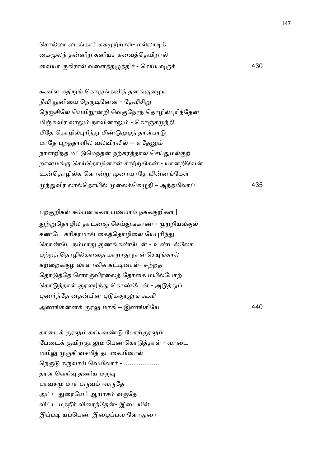சொல்லா லடங்காச் சுகமுற்றாள்- மல்லாடிக் கைமூலந் தன்னிற் கனியச் சுவைத்தெயிறால் ைவயா 'கிரா வைளத=தி6 - ெசCய8'+ 430

கூவிள மதிநுங் கொழுங்கனித் தனங்குழைய நீவி நுனியை நெருடினேன் - தேவிசிறு நெஞ்சிலே யெயிறூன்றி வெகுநேரந் தொழில்புரிந்தேன் மிஞ்சுவிர லாலும் நாவினாலும் - கொஞ்சமுந்தி மீதே தொழில்புரிந்து மீண்டுமுழந் தாள்பரடு மாதே புறந்தாளில் வல்விரலில் -- ஏதேனும் நானறிந்த மட்டுமெந்தன் நற்கரத்தால் செய்துமல்குற் றானமங்கு செய்தொழினான் சாற்றுகேன் - யானறிவேன் உன்தொழில்க ளொன்று முரையாதே யின்னங்கேள் 4-விர லாெதாயி ைல+ெக=தி – அ4தமிலா 435

பற்குறிகள் சும்பனங்கள் பண்பாம் நகக்குறிகள் $|$ துற்றுதொழில் தாடனஞ் செய்துங்காண் - முற்றியல்குல் கண்டே கரிகரமாங் கைத்தொழிலை யேபுரிந்து கொண்டே நம்மாது குணங்கண்டேன் - உண்டல்லோ மற்றத் தொழில்களதை மாறாது நான்செயுங்கால் கற்றைக்குழ லாளாவிக் கட்டினாள்- சுற்றத் தொடுத்தே னொருவிரலைத் தோகை மயில்போற் கொடுத்தாள் குரலறிந்து கொண்டேன் - அடுத்துப் புணர்ந்தே னதன்பின் புடுக்குரலுங் கூவி அணகன+ .ர: மாகி – இணகிேய 440

காடைக் குரலும் கரியவண்டு போற்குரலும் பேடைக் குயிற்குரலும் பெண்கொடுக்காள் - வாடை மயிலு முருகி வசமித் தடகையினால் நெருடு கருவாய் வெயிலார் - .................. தரள வெரிவு தணிய மருவு பரவசமு மார பருவம் -வருதே அட்ட துரையே ! ஆயாசம் வருதே விட்ட மதநீர் விரைந்தேன்- இடையில் இப்படி யப்பெண் இழைப்பவ ளோதுரை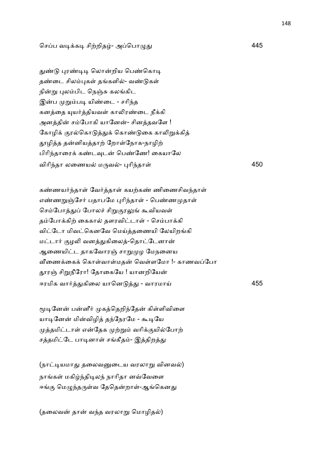## செப்ப வடிக்கடி சிற்றிதழ்- அப்பொழுது

துண்டு புரண்டிடி லொன்றிய பெண்கொடி தண்டை சிலம்புகள் தங்களில்- வண்டுகள் நின்று புலம்பிட நெஞ்சு கலங்கிட இன்ப முறும்படி யிண்டை - சரிந்த கனத்தை யுயர்த்தியவள் காலிரண்டை நீக்கி அனத்தின் சம்போகி யானேன்- சினத்தவளே ! கோழிக் குரல்கொடுத்துக் கொண்டுகை காலிறுக்கித் தூழித்த தன்னியத்தாற் றோள்நோக-நாழிற் பிரிந்தாரைக் கண்டவுடன் பெண்ணே! கையாலே விாி4தா லைணய ம'வ- )ாி4தா1 450

கண்ணயர்ந்தாள் வேர்த்தாள் கயற்கண் ணிணைசிவந்தாள் எண்ணறுஞ்சேர் பதாபமே புரிந்தாள் - பெண்ணமுதாள் செம்போத்துப் போலச் சிறுகுரலுங் கூவியவள் தம்போக்கிற் கைகால் தளரவிட்டாள் - செம்பாக்கி விட்டோ மிவட்கெனவே மெய்த்தணையி லேயிறங்கி மட்டார் குழலி வனத்துகிலைத்-தொட்டேனான் ஆணையிட்ட தாகவோரஞ் சாறுமுழ மேநனைய வீணைக்கைக் கொள்வாள்மதன் வெள்ளமோ !- காணவப்போ தூரன் சிறுநீரோ! தோகையே ! யானறியேன் ஈரமிக வா2-கிைல யாென - - வாரமாC 455

மூடினேன் பன்னீர் முகத்தெறிந்தேன் கிள்ளிவிளை யாடினேன் மின்விழித் தந்நேரமே - கூடியே முத்தமிட்டாள் என்தேக முற்றும் வரிக்குயில்போற் சத்தமிட்டே பாடினாள் சங்கீதம்- இத்திறத்து

(நாட்டியமாது தலைவனுடைய வரலாறு வினவல்) நாங்கள் மகிழ்ந்திடிலந் நாரிதா னவ்வேளை ஈங்கு மெழுந்தருள்வ தேதென்றாள்-ஆங்கெனது

(தலைவன் தான் வந்த வரலாறு மொழிதல்)

<u>445 and 2001 and 2001 and 2001 and 2001 and 2001 and 2001 and 2001 and 2001 and 2001 and 2001 and 2001 and 20</u>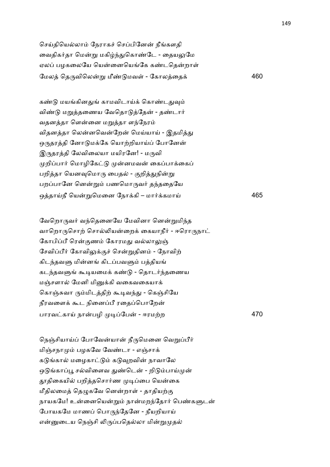செய்தியெல்லாம் நேராகச் செப்பினேன் நீங்களதி வைதிகர்தா மென்று மகிழ்ந்துகொண்டே - தையலுமே ஏலப் பழகலையே யென்னையெங்கே கண்டதென்றாள் ேமல ெத'விெல\$ மீ! மவ1 - ேகாலைத+ 460

கண்டு மயங்கினதுங் காமவிடாய்க் கொண்டதுவும் விண்டு மறுத்தணைய வேதொடுத்தேன் - தண்டார் வதனத்தா ளென்னை மறுத்தா ளந்நேரம் விதனத்தா லென்னவென்றேன் மெய்யாய் - இதமித்து ஒருதரத்தி னோடுமக்கே யொற்றியாய்ப் போனேன் இருதரத்தி லேவிலையா மயிரனே! - மருவி முறிப்பார் மொழிகேட்டு முன்னமவன் கைப்பாக்கைப் பறித்தா யெனவுமொரு பைதல் - குறித்துநின்று பறப்பானே னென்றும் பணமொருவர் தந்ததையே ஒதாCநீ ெய\$ெமைன ேநா+கி – மா2+கமாC 465

வேறொருவர் வந்தெனையே மேவினா னென்றுமிந்த வாறொருசொற் சொல்லியன்றைக் கையாநீர் - ஈரொருநாட் கோபிப்பீ ரென்குணம் கோரமது வல்லாலுஞ் சேவிப்பீர் கோவிலுக்குச் சென்றுதினம் - நோவிற் கிடந்தவளு மின்னங் கிடப்பவளும் பத்தியங் கடந்தவளுங் கூடியமைக் கண்டு - தொடர்ந்தணைய மஞ்சளால் மேனி மினுக்கி வகைவகையாக் கொஞ்சுவா ரும்மிடத்திற் கூடிவந்து - கெஞ்சியே நீரவளைக் கூட நினைப்பீ ரதைப்பொறேன் பாரவகாC நாபழி &ேப - ஈரம,ற 470

நெஞ்சியாய்ப் போவேன்யான் நீருமெனை வெறுப்பீர் மிஞ்சநாமும் பழகவே வேண்டா - எஞ்சாக் கடுங்கால் மழைகாட்டும் கடுவுறவின் நாவாலே ஒடுங்காப்பூ சல்விளைவ துண்டென் - றிடும்பாய்முன் தூதிகையில் பறித்தசொர்ண முடிப்பை யென்கை மீதிலமைத் தெழுகவே னென்றாள் - தாதியற்கு நாயகமே! உன்னையென்றும் நான்மறந்தோர் பெண்களுடன் போயகமே மாணப் பொருந்தேனே - நீயறியாய் என்னுடைய நெஞ்சி லிருப்பதெல்லா மின்றுமுதல்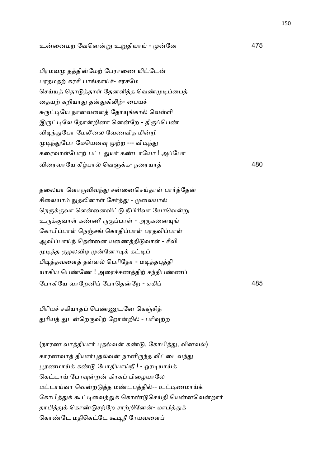உைனமற ேவென\$ உ\$தியாC - ேன 475

பிரமவமு தத்தின்மேற் பேராணை யிட்டேன் பரதமதற் கரசி பாங்காய்ச்- சரசமே செய்யத் தொடுத்தாள் தேனளித்த வெண்முடிப்பைத் தையற் கறியாது தன்துகிலிற்- பையச் சுருட்டியே நானவளைத் தோயுங்கால் வெள்ளி இருட்டிலே தோன்றினா னென்றே - திருப்பெண் விடிந்துபோ மேலீலை வேணவித மின்றி முடிந்துபோ மேயெனவு முற்ற --- விடிந்து கரைவாள்போற் பட்டதுயர் கண்டாயோ ! அப்போ விைரவாேய கீபா ெவ7+க- நைரயா 480

தலையா ளொருவிவந்து சன்னைசெய்தாள் பார்த்தேன் சிலையாம் நுதலினாள் சேர்த்து - முலையால் நெருக்குவா ளென்னைவிட்டு நீபிரிவா யோவென்று உருக்குவாள் கண்ணீ ருகுப்பாள் - அருகனையுங் கோபிப்பாள் நெஞ்சங் கொதிப்பாள் பரதவிப்பாள் ஆவிப்பாய்ந் தென்னை யணைத்திடுவாள் - சீவி முடித்த குழலவிழ முன்னோடிக் கட்டிப் பிடித்தவளைத் தள்ளல் பெரிதோ - மடித்தபுத்தி யாகிய பெண்ணே ! அரைச்சணத்திற் சந்திபண்ணப் போகியே வாறேனிப் போதென்றே - ஏகிப் பார் மாவை முடி 485

பிரியச் சகியாதப் பெண்ணுடனே கெஞ்சித் துரியத் துடன்றெருவிற் றோன்றில் - பரிவுற்ற

(நாரண வாத்தியார் புதல்வன் கண்டு, கோபித்து, வினவல்) காரணவாத் தியார்புதல்வன் நானிருந்த வீட்டைவந்து பூரணமாய்க் கண்டு போதியாய்நீ ! - ஓரடியாய்க் கெட்டாய் போவுன்றன் கிரகப் பிழையாலே மட்டாய்வா வென்றடுத்த மண்டபத்தில்-- உட்டிணமாய்க் கோபித்துக் கூட்டிவைத்துக் கொண்டுசெய்தி யென்னவென்றார் தாபித்துக் கொண்டுசற்றே சாற்றினேன்- மாபித்துக் கொண்டே மதிகெட்டே கூடிநீ ரேயவளைப்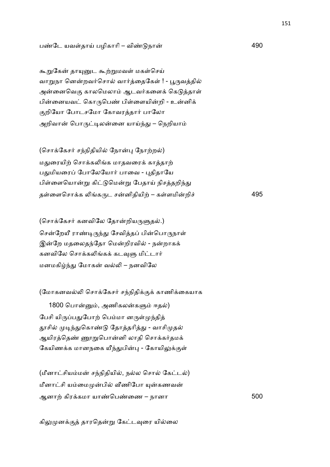## ப!ேட யவ1தாC பழிகாாி – வி! நா 490

கூறுகேன் தாயுனுட கூற்றுமவள் மகள்செய் வாறுநா னென்றவர்சொல் வார்த்தைகேள் ! - பூருவத்தில் அன்னைவெகு காலமெலாம் ஆடவர்களைக் கெடுத்தாள் பின்னையவட் கொருபெண் பிள்ளையின்றி - உன்னிக் குறியோ போடசமோ கோவரத்தார் பாலோ அறிவான் பொருட்டிலன்னை யாய்ந்து – நெறியாம்

(சொக்கேசர் சந்நிதியில் நோன்பு நோற்றல்) மதுரையிற் சொக்கலிங்க மாதவரைக் காத்தாற் பதுமியரைப் போலேயோர் பாவை - புதிதாயே பிள்ளையொன்று கிட்டுமென்று பேதாய் நிசத்தறிந்து த1ைளெசா+க 5க'ட சனிதியி, – க1ளமிறி6 495

(சொக்கேசர் கனவிலே தோன்றியருளுதல்.) சென்றேயீ ராண்டிருந்து சேவித்தப் பின்பொருநாள் இன்றே மதலைதந்தோ மென்றிரவில் - நன்றாகக் கனவிலே சொக்கலிங்கக் கடவுளு மிட்டார் மனமகிழ்ந்து மோகன் வல்லி – நனவிலே

(மோகனவல்லி சொக்கேசர் சந்நிதிக்குக் காணிக்கையாக

1800 பொன்னும், அணிகலன்களும் ஈதல்) பேசி யிருப்பதுபோற் பெம்மா னருள்முந்தித் தூசில் முடிந்துகொண்டு தோத்தரித்து - வாசிமுதல் ஆயிரத்தெண் <u>ரை</u>றுபொன்னி லாதி சொக்கர்தமக் கேயிணக்க மானநகை யீந்துபின்பு - கோயிலுக்குள்

(மீனாட்சியம்மன் சந்நிதியில், நல்ல சொல் கேட்டல்) மீனாட்சி யம்மைமுன்பில் வீணிபோ யுன்கணவன் ஆனா, கிர+கமா யா!ெப!ைண – நானா 500

கிலுமுனக்குத் தாரதென்று கேட்டவுரை யில்லை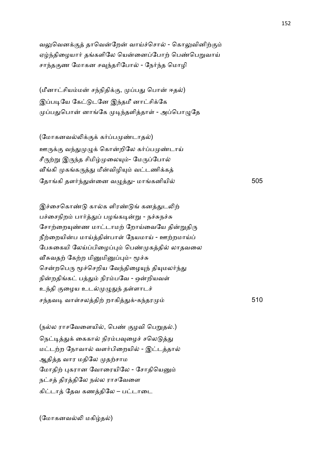வலுவெனக்குத் தாவென்றேன் வாய்ச்சொல் - கொலுவினிற்கும் ஏழ்ந்திழையார் தங்களிலே யென்னைப்போற் பெண்பெறுவாய் சாந்தகுண மோகன சவந்தரிபோல் - நேர்ந்த மொழி

(மீனாட்சியம்மன் சந்நிதிக்கு, முப்பது பொன் ஈதல்) இப்படியே கேட்டுடனே இந்தமீ னாட்சிக்கே முப்பதுபொன் னாங்கே முடிந்தளித்தாள் - அப்பொழுதே

(மோகனவல்லிக்குக் கர்ப்பமுண்டாதல்) ஊருக்கு வந்துமுழுக் கொன்றிலே கர்ப்பமுண்டாய் சீருற்று இருந்த சிமிழ்முலையும்- மேருப்போல் வீங்கி முகங்கருத்து மீன்விழியும் வட்டணிக்கத் ேதாகி தள24-ைன வ=-- மாகனியி 505

இச்சைகொண்டு கால்க ளிரண்டுங் கனத்துடலிற் பச்சைநிறம் பார்த்துப் பழங்கடின்று - நச்சுநச்சு சோற்றையுண்ண மாட்டாமற் றோய்வையே தின்றுதிரு நீற்றையின்ப மாய்த்தின்பாள் நேயமாய் - ஊற்றமாய்ப் பேசுகையி லேய்ப்பிழைப்பும் பெண்முகத்தில் லாதவலை வீசுவதற் கேற்ற மினுமினுப்பும்- மூச்சு சென்றபெரு மூச்செறிய வேந்திழையுந் தியுமலர்ந்து நின்றதிங்கட் பத்தும் நிரம்பவே - ஒன்றியவள் உந்தி குழைய உடல்முழுதுந் தள்ளாடச் சந்தவடி வாள்சலத்திற் றாகித்துக்-கந்தரமு ம் 510

(நல்ல ராசவேளையில், பெண் குழவி பெறுதல்.) நெட்டித்துக் கைகால் நிரம்பவுழைச் சலெடுத்து மட்டற்ற நோவால் வளர்பிறையில் - இட்டத்தால் ஆதித்த வார மதிலே முதற்சாம மோதிற் புகரான வோரையிலே - சோதியெனும் நட்சத் திரத்திலே நல்ல ராசவேளை கிட்டாத் தேவ கணத்திலே – பட்டாடை

(மோகனவல்லி மகிழ்தல்)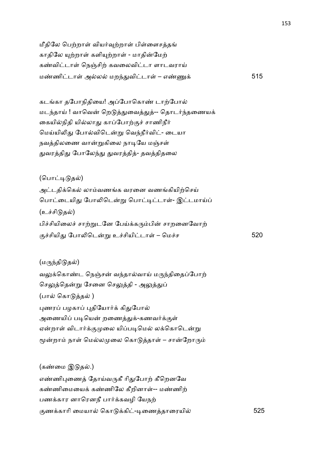மீதிலே பெற்றாள் வியர்வுற்றாள் பிள்ளைசத்தங் காதிலே யுற்றாள் களியுற்றாள் - மாதின்மேற் கண்விட்டாள் நெஞ்சிற் கவலைவிட்டா ளாடவராய் ம!ணிடா1 அல மற4-விடா1 – எ!T+ 515

கடங்கா தபோநிதியை! அப்போகொண் டாற்போல் மடந்தாய் ! வாவென் றெடுத்துவைத்துத்-- தொடர்ந்தணையக் கையில்நிதி யில்லாது காப்போற்குச் சாணிநீர் மெய்யிலிது போல்விடென்று வெந்நீர்விட்- டையா நவத்திலணை வான்றுகிலை நாடியே மஞ்சள் துவரத்திது போலேந்து துவரத்தித்- தவத்திதலை

(பொட்டிடுதல்)

அட்டதிக்கெல் லாம்வணங்க வரனை வணங்கியிற்செய் பொட்டையிது போலிடென்று பொட்டிட்டாள்- இட்டமாய்ப் (உச்சிடுதல்) பிச்சியிலைச் சாற்றுடனே பேய்க்கரும்பின் சாறனைவோற் .6சியி- ேபா5ெட\$ உ6சியிடா1 – ெம6ச 520

 $(\mu$ ருந்திடுதல்) வலுக்கொண்ட நெஞ்சன் வந்தால்வாய் மருந்திதைப்போற் செலுத்தென்று சேனை செலுத்தி - அலுத்துப் (பால் கொடுத்தல் ) புணரப் பழகாப் புதியோர்க் கிதுபோல் அணையிப் படியென் றணைத்துக்-கணவர்க்குள் ஏன்றாள் விடார்க்குமுலை யிப்படிமெல் லக்கொடென்று மூன்றாம் நாள் மெல்லமுலை கொடுத்தாள் – சான்றோரும்

(கண்மை இடுதல்.) எண்ணிபுணைத் தோய்வருகீ ரிதுபோற் கீறெனவே கண்ணிமையைக் கண்ணிலே கீறினாள்-- மண்ணிற் பணக்கார னாரெனநீ பார்க்கவழி யேநற் .ண+காாி ைமயா ெகா +கி-&ைணதாைரயி 525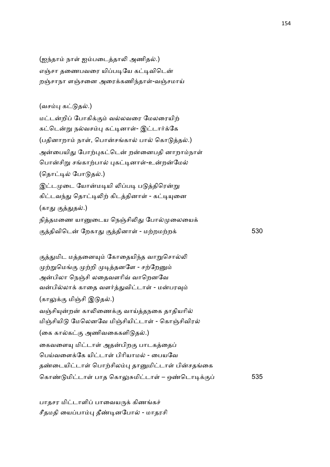(ஐந்தாம் நாள் ஐம்படைத்தாலி அணிதல்.) எஞ்சா தணைபவரை யிப்படியே கட்டிவிடென் றஞ்சாநா ளஞ்சனை அரைக்கணிந்தாள்-வஞ்சமாய்

## (வசம்பு கட்டுதல்.)

மட்டன்றிப் போகிக்கும் வல்லவரை மேலரையிற் கட்டென்று நல்வசம்பு கட்டினாள்- இட்டார்க்கே (பதினாறாம் நாள், பொன்சங்கால் பால் கொடுத்தல்.) அன்பையிது போற்புகட்டென் றன்னைபதி னாறாம்நாள் பொன்சிறு சங்காற்பால் புகட்டினாள்-உன்றன்மேல் (தொட்டில் போடுதல்.) இட்டமுடை யோன்மடியி லிப்படி படுத்திரென்று கிட்டவந்து தொட்டிலிற் கிடத்தினாள் - கட்டியுனை (காது குத்துதல்.) நித்தமணை யானுடைய நெஞ்சிலிது போல்முலையைக் .திவிெட ேறகா- .தினா1 - ம,றம,ற+ 530

குத்துமிட மத்தனையும் கோதையிந்த வாறுசொல்லி முற்றுமெங்கு முற்றி முடித்தனளே - சற்றேனும் அன்பிலா நெஞ்சி லதைவளரிவ் வாறெனவே வன்பில்லாக் காதை வளர்த்துவிட்டாள் - மன்பரவும் (காலுக்கு மிஞ்சி இடுதல்.) வஞ்சியுன்றன் காலிணைக்கு வாய்த்தநகை தாதியரில் மிஞ்சியிடு மேலெனவே மிஞ்சியிட்டாள் - கொஞ்சிவிரல் (கை கால்கட்கு அணிவகைகளிடுதல்.) கைவளையு மிட்டாள் அதன்பிறகு பாடகத்தைப் பெய்வளைக்கே யிட்டாள் பிரியாமல் - பையவே தண்டையிட்டாள் பொற்சிலம்பு தானுமிட்டாள் பின்சதங்கை ெகா! மிடா1 பாத ெகா:Jமிடா1 – ஒ!ெடா&+. 535

பாதசர மிட்டாளிப் பாவையருக் கிணங்கச் சீதமதி யைப்பாம்பு தீண்டினபோல் - மாதரசி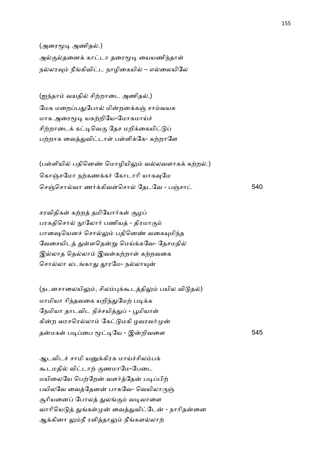(அரைமூடி அணிதல்.) அல்குல்தனைக் காட்டா தரைமூடி யையணிந்தாள் நல்லரவும் நீங்கிவிட்ட நாழிகையில் – எல்லையிலே

(ஐந்தாம் வயதில் சிற்றாடை அணிதல்,) மேக மறைப்பதுபோல் மின்றனக்கஞ் சாம்வயசு மாக அரைமூடி யகற்றியே-மோகமாய்ச் சிற்றாடைக் கட்டிவெகு தேச மறிக்கையிட்டுப் பற்றாக வைத்துவிட்டாள் பள்ளிக்கே- கற்றாளே

(பள்ளியில் பதினெண் மொழியிலும் வல்லவளாகக் கற்றல்.) கொஞ்சமோ நற்கணக்கர் கோடாரி யாகவுமே செஞ்சொல்வா ணர்க்கிவள்சொல் தேடவே - பஞ்சாட் பார் நிசி 540

சரவிதிகள் கற்றத் தமியோர்கள் சூழப் பரகதிசொல் நூலோர் பணியத் - திரமாகும் பாஷையெனச் சொல்லும் பதினெண் வகையுமிந்த வேசையிடத் துள்ளதென்று மெய்க்கவே- தேசமதில் இல்லாத தெல்லாம் இவள்கற்றாள் கற்றவகை சொல்லா லடங்காது தூரமே- நல்லாயுன்

(நடனசாலையிலும், சிலம்புக்கூடத்திலும் பயில விடுதல்) மாமியா ரிந்தவகை யறிந்துமேற் படிக்க நேமியா தாடவிட நிச்சயித்துப் - பூமியாள் கின்ற வரசரெல்லாம் கேட்டுமகி ழவரவர்முன் தமக1 ப&ைப U&ேய - இறிவைள 545

ஆடவிடச் சாமி யனுக்கிரக மாய்ச்சிலம்பக் கூடமதில் விட்டாற் குணமாமே-பேடை மயிலையே பெற்றேன் வளர்த்தேன் படிப்பிற் பயிலவே வைத்தேனன் பாகவே- வெயிலாருஞ் சூரியனைப் போலத் துலங்கும் வடிவாளை வாரியெடுத் துங்கள்முன் வைத்துவிட்டேன் - நாரிதன்னை ஆக்கினா லும்நீ ரளித்தாலும் நீங்களல்லாற்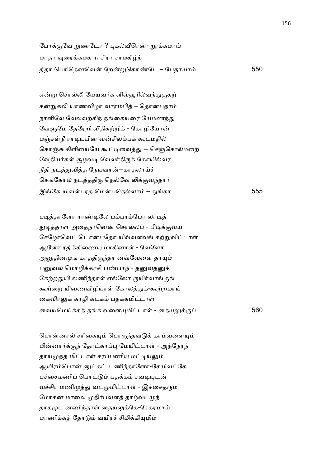போக்குவே றுண்டோ ? புகல்வீரென்- றூக்கமாய் மாதா வுரைக்கமக ராசிரா சாமகிழ்ந் தீதா ெபாிெதனெவ ேற\$ெகா!ேட – ேபதாயா 550

என்று சொல்லி யேயவர்க ளிவ்வூரில்வந்துகுகற் கன்றுகலி யாணவிழா வாரம்பித் – தொன்பதாம் நாளிலே வேலவற்கிந் நங்கையரை யேமணந்து வேளுமே தேரேறி வீதிசுற்றிக் - கோழியோன் மஞ்சள்நீ ராடியபின் வன்சிலம்பக் கூடமதில் கொஞ்சு கிளியையே கூட்டிவைத்து -- செஞ்சொல்மறை வேதியர்கள் சூழவடி வேலர்திருக் கோயில்வர நீதி நடத்துவித்த நேயவான்--காதலாய்ச் செங்கோல் நடத்ததிரு நெல்வே லிக்குவந்தார் இேக யிவ1பரத ெமபெதலா – -கா 555

படித்தாளோ ராண்டிலே பம்பரம்போ லாடித் துடித்தாள் அதைநானென் சொல்லப் - பிடிக்குவய சேழோவெட் டொன்பதோ யிவ்வளவுங் கற்றுவிட்டாள் ஆளோ ரதிக்கிணையு மாகினாள் - வேளோ அனுதினமுங் காத்திருந்தா னவ்வேளை தாயும் பனுவல் மொழிக்கரசி பண்பாந் - தனுவதனுக் கேற்றதுயி லணிந்தாள் எல்லோ ருயிர்வாங்குங் கூற்றை யிணைவிழியாள் கோலத்துக்-கூற்றமாய் கைவிரலுக் காழி கடகம் பதக்கமிட்டாள் ைவயெமC+க தக வைள(மிடா1 - ைதய:+. 560

பொன்னால் சரிகையும் பொருந்தவடுக் காம்வளையும் மின்னார்க்குந் தோட்காப்பு மேயிட்டாள் - அந்நேரந் தாய்முத்த மிட்டாள் சரப்பணியு மட்டியலும் ஆயிரம்பொன் னுட்கட் டணிந்தாளோ-சேயிவட்கே பச்சைமணிப் பொட்டும் பதக்கம் சவடியுடன் வச்சிர மணிமுத்து வடமுமிட்டாள் - இச்சைதரும் மோகன மாலை முதிர்பவளத் தாழ்வடமுந் தாகமுட னணிந்தாள் தையலுக்கே-சேகரமாம் மாணிக்கக் கோடும் வயிரச் சிமிக்கியுமிம்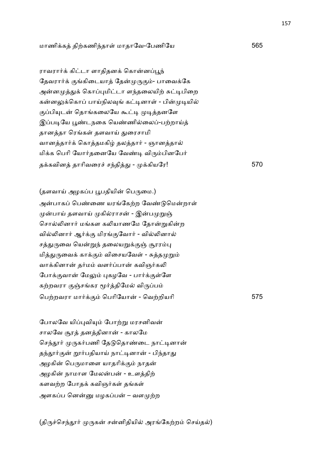ராவரார்க் கிட்டா ளாதிதனக் கொன்னப்பூந் தேவரார்க் குங்கிடையாத் தேன்முருகும்- பாவைக்கே அன்னமுத்துக் கொப்புமிட்டா ளந்தலையிற் சுட்டிபிறை கன்னலுக்கொப் பாய்நிலவுங் கட்டினாள் - பின்முடியில் குப்பியுடன் தொங்கலையே கூட்டி முடித்தனளே இப்படியே பூண்டநகை யெண்ணில்லைப்-பற்றாய்த் தானத்தா ரெங்கள் தளவாய் துரைசாமி வானத்தார்க் கொத்தமகிழ் தலத்தார் - ஞானத்தால் மிக்க பெரி யோர்தனையே வேண்டி விரும்பினபேர் த+கவின தாாிவைர6 ச4தி- - +கியேர! 570

(தளவாய் அழகப்ப பூபதியின் பெருமை.) அன்பாகப் பெண்ணை யரங்கேற்ற வேண்டுமென்றாள் முன்பாய் தளவாய் முகில்ராசன் - இன்பமுறுஞ் சொல்லினார் மங்கள கலியாணமே தோன்றுகின்ற வில்லினார் ஆர்க்கு மிரங்குவோர் - வில்லினால் சத்துருவை யென்றுந் தலையறுக்குஞ் சூரரம்பு மித்துருவைக் காக்கும் விசையவேள் - சுத்தமுறும் வாக்கினான் தர்மம் வளர்ப்பான் கவிஞர்கலி போக்குவான் மேலும் புகழவே - பார்க்குள்ளே கற்றவரா குஞ்சங்கர மூர்த்திமேல் விருப்பம் ெப,றவரா மா2+. ெபாிேயா - ெவ,றியாி 575

போலவே யிப்புவியும் போற்று மரசனிவன் சாலவே சூரத் தனத்தினான் - காலமே செந்தூர் முருகர்பணி தேடுதொண்டை நாட்டினான் தந்தூர்குன் றூர்பதியாய் நாட்டினான் - பிந்தாது அழகின் பெருமாளை யாதரிக்கும் நாதன் அழகின் நாமாள மேலன்பன் - உளத்திற் களவற்ற போதக் கவிஞர்கள் தங்கள் அளகப்ப னென்னு மழகப்பன் – வளமுற்ற

(திருச்செந்தூர் முருகன் சன்னிதியில் அரங்கேற்றம் செய்தல்)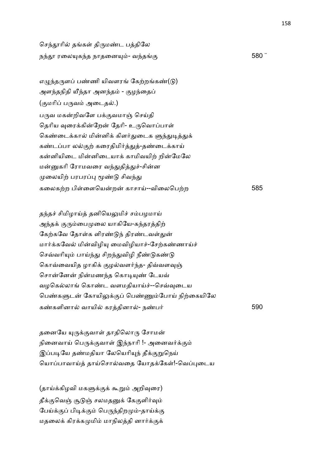செந்தூரில் தங்கள் திருமண்ட பத்திலே நந்தூ ரலையுகந்த நாதனையும்- வந்தங்கு  $580$  ¨

எழுந்தருளப் பண்ணி யிவளரங் கேற்றங்கண் $($ டு $)$ அளந்தநிதி யீந்தா அனந்தம் - குழந்தைப் (குமரிப் பருவம் அடைதல்.) பருவ மகன்றிவளே பக்குவமாஞ் செய்தி தெரிய வரைக்கின்றேன் தேரி- உருவொப்பாள் கெண்டைக்கால் மின்னிக் கிளர்துடைக ளுந்துடித்துக் கண்டப்பா லல்குற் கரைதிமிர்த்துத்-தண்டைக்காய் கன்னியிடை மின்னிடையாக் காமிவயிற் றின்மேலே மன்னுகரி ரோமவரை வந்துதித்துச்-சின்ன முலையிற் பரபரப்பு மூண்டு சிவந்து கைலக,ற பி1ைளெயற காசாC--விைலெப,ற 585

தந்தச் சிமிழாய்த் தனியெலுமிச் சம்பழமாய் அந்தக் குரும்பைமுலை யாகியே-கந்தரத்திற் கேற்கவே தோள்க ளிரண்டுந் திரண்டவள்துன் மார்க்கவேல் மின்விழியு மைவிழியாச்-சேற்கண்ணாய்ச் செவ்வரியும் பாய்ந்து சிறந்துவிழி நீண்டுகண்டு கொவ்வையித ழாகிக் குழல்வளர்ந்த- திவ்வளவுஞ் சொன்னேன் நின்மணந்த கொடியுண் டேயவ் வழகெல்லாங் கொண்ட வளமதியாய்ச்--செவ்வுடைய பெண்களுடன் கோயிலுக்குப் பெண்ணும்போய் நிற்கையிலே கண்களினால் வாயில் கரத்தினால்- நண்பர் பாயி கண்களினால் வாயில் கரத்தினால்- நண்பர்

தனையே யுருக்குவாள் தாதிலொரு சோமன் நினைவாய் பெருக்குவாள் இந்நாரி !- அனைவர்க்கும் இப்படியே தண்மதியா லேயெரியுந் தீக்குறுநெய் யொப்பாவாய்த் தாய்சொல்வதை யோதக்கேள்!-வெப்புடைய

 $(g\pi\dot{\mu}\dot{\sigma}g)$ மகளுக்குக் கூறும் அறிவுரை தீக்குவெஞ் சூடுஞ் சலமதனுக் கேகுளிர்வும் பேய்க்குப் பிடிக்கும் பெருந்திறமும்-தாய்க்கு மதலைக் கிரக்கமுமிம் மாநிலத்தி னார்க்குக்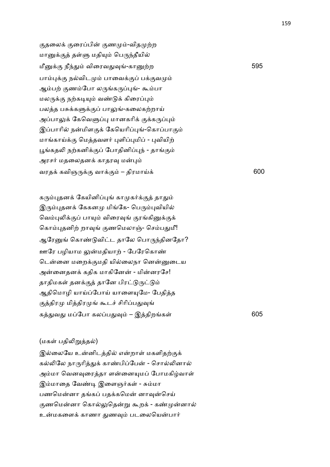குதலைக் குரைப்பின் குணமும்-விதமுற்ற மானுக்குத் தள்ளு மதியும் பெருந்தீயில் மீ+. நீ4- விைரவ-8-கா,ற 595 பாம்புக்கு நல்விடமும் பாவைக்குப் பக்குவமும் ஆம்பற் குணம்போ லருங்கருப்புங்- கூம்பா மலருக்கு நற்கடியும் வண்டுக் கிரைப்பும் பலத்த பசுக்களுக்குப் பாலுங்-கலைகற்றாய் அப்பாலுக் கேவெளுப்பு மானகரிக் குக்கருப்பும் இப்பாரில் நன்மிளகுக் கேயெரிப்புங்-கொப்பாகும் மாங்காய்க்கு மெத்தவளர் புளிப்புமிப் - புவியிற் பூங்கதலி நற்கனிக்குப் போதினிப்புந் - தாங்கும் அரசர் மதலைதனக் காதரவு மன்பும் வரதக் கவிஞருக்கு வாக்கும் – திரமாய்க்  $600$ 

கரும்புதனக் கேயினிப்புங் காமுகர்க்குத் தாதும் இரும்புதனக் கேகனமு மிங்கே- பெரும்புவியில் வெம்புலிக்குப் பாயும் விரைவுங் குரங்கினுக்குக் கொம்புதனிற் றாவுங் குணமெலாஞ்- செம்பதுமீ! ஆரேனுங் கொண்டுவிட்ட தாலே பொருந்தினதோ? ஊரே பழியாம லுன்மதியாற் - பேரேகொண் டென்னை மறைக்குமதி யில்லைநா னென்னுடைய அன்னைதனக் கதிக மாகினேன் - மின்னரசே! தாதிமகள் தனக்குத் தானே பிரட்டுருட்டும் ஆதிமொழி யாய்ப்போய் யாளையுமே- பேதித்த குத்திரமு மித்திரமுங் கூடச் சிரிப்பதுவுங் க-வ- மேபா கலப-8 – இதிறக1 605

## (மகள் பதிலிறுத்தல்)

இல்லையே உன்னிடத்தில் என்றாள் மகளிதற்குக் கல்லிலே நாருரித்துக் காண்பிப்பேன் - சொல்லினால் அம்மா வெனவுரைத்தா ளன்னையுமப் போமகிழ்வாள் இம்மாதை வேண்டி இளைஞர்கள் - சும்மா பணமென்னா தங்கப் பதக்கமென் னாவுன்செய் குணமென்னா கொல்லுதென்று கூறக் - கண்முன்னால் உன்மகளைக் காணா துணவும் படலையென்பார்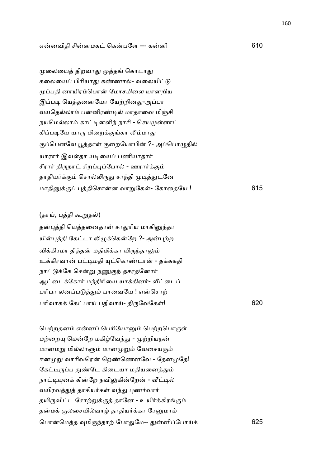### எனவிதி சினமக ெகபேள --- கனி 610

முலையைத் திறவாது முத்தங் கொடாது கலையைப் பிரியாது கண்ணால்- வலையிட்டு முப்பதி னாயிரம்பொன் மோசமிலை யானறிய இப்படி யெத்தனையோ யேற்றினது-அப்பா வயதெல்லாம் பன்னிரண்டில் மாதாவை மிஞ்சி நயமெல்லாம் காட்டினளிந் நாரி - செயமுள்ளாட் கிப்படியே யாரு மிறைக்குங்கா லிம்மாது குப்பெனவே பூத்தாள் குறையோபின் ?- அப்பொழுதில் யாரார் இவள்தா யடியைப் பணியாதார் சீரார் திருநாட் சிறப்புப்போல் - ஊரார்க்கும் தாதியர்க்கும் சொல்லிருது சாந்தி முடித்துடனே மாதி+. )திெசான வா\$ேக1- ேகாைதேய ! 615

(தாய், புத்தி கூறுதல்)

தன்புத்தி யெத்தனைதான் சாதுரிய மாகினுந்தா யின்புத்தி கேட்டா லிழுக்கென்றே ?- அன்புற்ற விக்கிரமா தித்தன் மதிமிக்கா யிருந்தாலும் உக்கிரவான் பட்டிமதி யுட்கொண்டான் - தக்ககதி நாட்டுக்கே சென்று நணுகுந் தசரதனோர் ஆட்டைக்கோர் மந்திரியை யாக்கினர்- வீட்டைப் பரிபா லனப்படுத்தும் பாவையே ! என்சொற் பாிவாக+ ேகபாC பதிவாC- தி'ேவேக1! 620

பெற்றதனம் என்னப் பெரியோனும் பெற்றபொருள் மற்றையு மென்றே மகிழ்வேந்து - முற்றியநன் மானமறு மில்லாளும் மானமுறும் வேசையரும் ஈனமுறு வாரிவரென் றெண்ணெனவே - தேனமுதே! கேட்டிருப்ப துண்டே கிடையா மதியனைத்தும் நாட்டியுனக் கின்றே நவிலுகின்றேன் - வீட்டில் வயிரவத்துத் தாசியர்கள் வந்து புணர்வார் தயிருவிட்ட சோற்றுக்குத் தானே - உயிர்க்கிரங்கும் தன்மக் குலசையில்வாழ் தாதியர்க்கா ரேனுமாம் ெபாெமத 8மி'4தா, ேபா-ேம-- -னிேபாC+ 625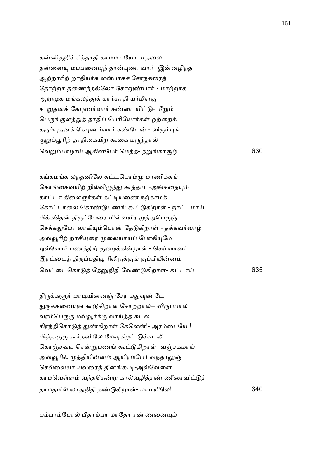கன்னிகுறிச் சித்தாதி காமமா யோர்மதலை தன்னையு மப்பனையுந் தான்புணர்வார்- இன்னழிந்த ஆற்றாரிற் றாதியர்க ளன்பாகச் சோநகரைத் தோற்றா தணைந்தல்லோ சோறுண்பார் - மாற்றாக ஆறுமுக மங்கலத்துக் காந்தாதி யர்மிளகு சாறுதனக் கேபுணர்வார் சண்டையிட்டு- மீறும் பெருங்குளத்துத் தாதிப் பெரியோர்கள் ஒற்றைக் கரும்புதனக் கேபுணர்வார் கண்டேன் - விரும்புங் குறும்பூரிற் தாதிகையிற் கூகை மருந்தால் ெவ\$பாழாC ஆகினேப2 ெமத- ந\$காW 630

கங்கமங்க லந்தனிலே கட்டபொம்மு மாணிக்கங் கொங்கைவயிற் றில்விழுந்து கூத்தாட-அங்கதையும் காட்டா திளைஞர்கள் கட்டியணை நற்காமக் கோட்டாலை கொண்டுபணங் கூட்டுகிறாள் - நாட்டமாய் மிக்கதென் திருப்பேரை மின்வயிர முத்துபெருஞ் செக்கதுபோ லாகியும்பொன் தேடுகிறாள் - தக்கவர்வாழ் அவ்வூரிற் றாசியுரை முலையாய்ப் போகியுமே ஒவ்வோர் பணத்திற் குழைக்கின்றாள் - செவ்வானர் இரட்டைத் திருப்பதியூ ரிலிருக்குங் குப்பியின்னம் ெவைடெகா ேதநிதி ேவ! கிறா1- கடாC 635

திருக்களூர் மாடியின்னஞ் சேர மதுவுண்டே துருக்கனையுங் கூடுகிறாள் சோற்றால்-- விருப்பால் வரம்பெருகு மவ்வூர்க்கு வாய்த்த சுடலி கிரந்திகொடுத் துண்கிறாள் கேளென்!- அரம்பையே ! மிஞ்சுகுரு கூர்தனிலே மேவுகிழட் டுச்சுடலி கொஞ்சவய சென்றுபணங் கூட்டுகிறாள்- வஞ்சகமாய் அவ்வூரில் முத்தியின்னம் ஆயிரம்பேர் வந்தாலுஞ் செவ்வையா யவரைத் தினங்கூடி-அவ்வேளை காமவெள்ளம் வந்ததென்று கால்வழித்தண் ணீரைவிட்டுத் தாமதமி லா-நிதி த! கிறா1- மாமயிேல! 640

பம்பரம்போல் பீதாம்பர மாதோ ரண்ணனையும்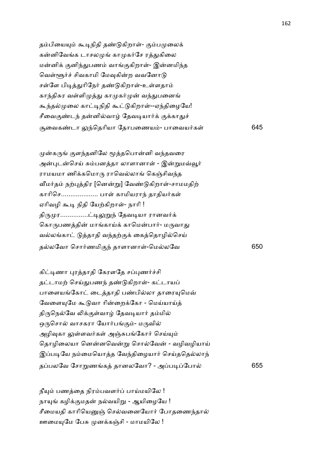| தம்பியையும் கூடிநிதி தண்டுகிறாள்- கும்பமுலைக்   |     |
|-------------------------------------------------|-----|
| கன்னிவேங்க டாசலமுங் காமுகர்சே ரத்துகிலை         |     |
| மன்னிக் குனிந்துபணம் வாங்குகிறாள்- இன்னமிந்த    |     |
| வெள்ளூர்ச் சிவகாமி மேவுகின்ற வவனோடு             |     |
| சள்ளே பிடித்துரிநேர் தண்டுகிறாள்-உள்ளதாம்       |     |
| காந்திசுர வள்ளிமுத்து காமுகர்முன் வந்துபனைங்    |     |
| கூந்தல்முலை காட்டிநிதி கூட்டுகிறாள்--ஏந்திழையே! |     |
| சீவைகுண்டந் தன்னில்வாழ் தேவடியார்க் குக்காதுச்  |     |
| சூவைகண்டா லுந்தெரியா தோபணையம்- பாவையர்கள்       | 645 |

முன்கருங் குளந்தனிலே மூத்தபொன்னி வந்தவரை அன்புடன்செய் சும்பனத்தா லாளானாள் - இன்றுமவ்வூர் ராமயமா ணிக்கமொரு ராவெல்லாங் கெஞ்சிவந்த வீமர்தம் நற்புத்திர [னென்று] வேண்டுகிறாள்-சாமமதிற் காரிசெ.................... பாள் காமியராந் தாதியர்கள் ஏரிவழி கூடி நிதி யேற்கிறாள்- நாரி ! திருமுர..............ட்டிலுறுந் தேவடியா ரானவர்க் கொருபணத்தின் மாங்காய்க் காமென்பார்- மருவாது வல்லங்காட் டுத்தாதி வந்தற்குக் கைத்தொழில்செய் தலேவா ெசா2ணமி.4 தாளானா1-ெமலேவ 650

கிட்டிணா புரத்தாதி கேரளதே சப்புணர்ச்சி தட்டாமற் செய்துபணந் தண்டுகிறாள்- கட்டாயப் பாளையங்கோட் டைத்தாதி பண்பில்லா தாரையுமெவ் வேளையுமே கூடுவா ரின்றைக்கோ - மெய்யாய்த் திருநெல்வே லிக்குள்வாழ் தேவடியார் தம்மில் ஒருசொல் வாசகரா யோர்பங்கும்- மருவில் அழிவுகா லுள்ளவர்கள் அஞ்சுபங்கோர் செய்யும் தொழிலையா னென்னவென்று சொல்வேன் - வழிவழியாய் இப்படியே நம்மையொத்த வேந்திழையார் செய்ததெல்லாந் தபலேவ ேசா\$ணக தானலேவா? - அப&ேபா 655

நீயும் பணத்தை நிரம்பவளர்ப் பாய்மயிலே ! நாயுங் கழிக்குமதன் நல்வயிறு - ஆயிழையே ! சீமையதி காரியெனுஞ் செல்வனையோர் போதணைந்தால் ஊமையுமே பேசு முனக்கஞ்சி - மாமயிலே !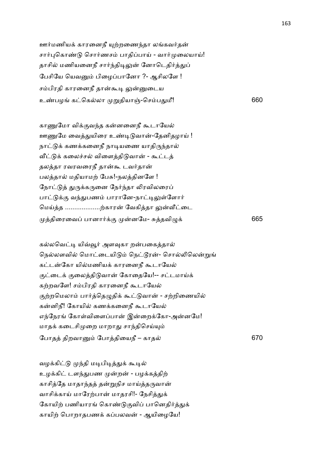ஊர்மணியக் காரனைநீ யுற்றணைந்தா லங்கவர்தன் சார்புகொண்டு சொர்ணசம் பாதிப்பாய் - வார்முலையாய்! தாசில் மணியனைநீ சார்ந்திடிலுன் னோடெதிர்த்துப் பேசியே யெவனும் பிழைப்பானோ ?- ஆசிலளே ! சம்பிரதி காரனைநீ தான்கூடி லுன்னுடைய உண்பழங் கட்கெல்லா முறுதியாஞ்-செம்பது மீ! 660

காணுமோ விக்குவந்த கன்னனைநீ கூடாயேல் ஊணுமே வைத்துயிரை உண்டிடுவான்-தேனிதழாய் ! நாட்டுக் கணக்கனைநீ நாடியணை யாதிருந்தால் வீட்டுக் கலைச்சல் விளைத்திடுவான் - கூட்டத் தலத்தா ரவரவரைநீ தான்கூ டவர்தான் பலத்தால் மதியாமற் பேசு!-நலத்தினளே ! நோட்டுத் துருக்கருனை நேர்ந்தா லிரவிலரைப் பாட்டுக்கு வந்துபணம் பாரானே-நாட்டிலுள்ளோர் மெய்த்த ....................ற்காரன் வேகித்தா லுன்வீட்டை திைரைவ பானா2+. னேம- Jதவி=+ 665

கல்லவெட்டி யிவ்வூர் அளவுகா றன்பகைத்தால் நெல்லளவில் மொட்டையிடும் நெட்டூரன்- சொல்லிலென்றுங் கட்டன்கோ யில்மணியக் காரனைநீ கூடாயேல் குட்டைக் குலைத்திடுவான் கோதையே!-- சட்டமாய்க் கற்றவளே! சம்பிரதி காரனைநீ கூடாயேல் குற்றமெலாம் பார்த்தெழுதிக் கூட்டுவான் - சற்றிணையில் கன்னிநீ! கோயில் கணக்கனைநீ கூடாயேல் எந்நேரங் கோள்விளைப்பான் இன்றைக்கோ-அன்னமே! மாதக் கடைசிமுறை மாறாது சாந்திசெய்யும் ேபாத திறவா ேபாதிையநீ – காத 670

வழக்கிட்டு முந்தி மடிபிடித்துக் கூடில் உழக்கிட் டளந்துபண முன்றன் - பழக்கத்திற் காசித்தே மாதாந்தத் தன்றுநிச மாய்த்தருவான் வாசிக்காய் மாரேற்பான் மாதரசி!- நேசித்துக் கோயிற் பணியாரங் கொண்டுகுவிப் பானெதிர்த்துக் காயிற் பொறாதபணக் கப்பலவன் - ஆயிழையே!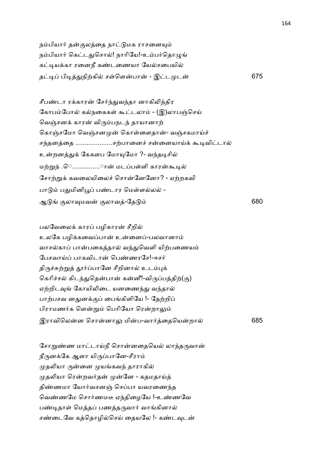நம்பியார் தன்குலத்தை நாட்டுமக ராசனையும் நம்பியார் கெட்டதுசொல்! நாரியே!-உம்பர்தொழுங் கட்டியக்கா ரனைநீ கண்டணையா யேல்சபையில் த& பி&-நி,கி ச1ெளபா - இட ட 675

சீபண்டா ரக்காரன் சேர்ந்துவந்தா னாகிலிந்திர கோபம்போல் கல்நகைகள் கூட்டலாம் - (இ)லாபஞ்செய் வெஞ்சனக் காரன் விரும்பநடந் தாயானாற் கொஞ்சமோ வெஞ்சனமுன் கொள்ளைதான்- வஞ்சகமாய்ச் சந்தனத்தை ............................சற்பானைச் சன்னையாய்க் கூடிவிட்டால் உன்றனத்துக் கேகளப மோயுமோ ?- வந்தடிசில் மற்றுந் .ெ..............ான் மடப்பள்ளி காரன்கூடில் சோற்றுக் கவலையிலைச் சொன்னேனோ? - ஏற்றகவி பாடும் பதுமினிபூப் பண்டார மெள்ளல்லல் -ஆ .லா8மவ .லாவ-ேத 680

பலவேலைக் காரப் பழிகாரன் சீறில் உலகே பழிக்கவைப்பான் உன்னைப்-பலவானாம் வாசல்காப் பான்பகைத்தால் வந்துவெளி யிற்பணையம் பேசவாய்ப் பாகவிடான் பெண்ணரசே!-ஈசர் திருச்சுற்றுத் தூர்ப்பானே சீறினால் உடம்புக் கெரிச்சல் கிடந்துதென்பான் கன்னீ!-விருப்பத்திற்(கு) ஏற்றிடவுங் கோயிலிடை யனணைந்து வந்தால் பாற்பசவ னதுனக்குப் பைங்கிளியே !- தேற்றிப் பிராமணர்க ளென்றும் பெரியோ ரென்றாலும் இராவிெலன ெசானா: மிப-வா2ைதெயறா 685

சோறுண்ண மாட்டாய்நீ சொன்னதையெல் லாந்தருவான் நீருனக்கே ஆளா யிருப்பானே-சீராம் முதலியா ருன்னை முயங்கவந் தாராகில் முதலியா ரென்றவர்தன் முன்னே - கதமதாய்த் திண்ணமா யோர்வசனஞ் செப்பா யவரணைந்த வெண்ணமே சொர்ணமடீ ஏந்திழையே !-உண்ணவே பண்டிதாள் மெத்தப் பணத்தருவார் வாங்கினால் சண்டைவே கக்கொழில்செய் கையலே !- கண்டவுடன்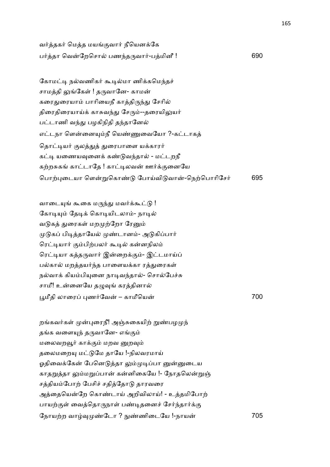வர்த்தகர் மெத்த மயங்குவார் நீயெனக்கே ப2தா ெவேறெசா பண4த'வா2-பமினீ ! 690

கோமட்டி நல்வணிகர் கூடில்மா ணிக்கமெந்தச் சாமத்தி லுங்கேள் ! தருவானே- காமன் கரைதுரையாம் பாரியைநீ காத்திருந்து சேரில் திரைதிரையாய்க் காசுவந்து சேரும்--தரையிலுயர் பட்டாணி வந்து பழகிநிதி தந்தானேல் எட்டநா ளென்னையும்நீ யெண்ணுவையோ ?-கட்டாகத் தொட்டியர் குலத்துத் துரைபாளை யக்காரர் கட்டி யணையவுனைக் கண்டுவந்தால் - மட்டறநீ கற்றசுகங் காட்டாதே ! காட்டிலவன் ஊர்க்குனையே பொற்புடையா ளென்றுகொண்டு போய்விடுவான்-நெற்பொரிசேர் 695

வாடையுங் கூகை மருந்து மவர்க்கூட்டு ! கோடியும் தேடிக் கொடியிடலாம்- நாடில் வடுகத் துரைகள் மறமுற்றோ ரேனும் முடுகப் பிடித்தாயேல் முண்டானம்- அடுகிப்பார் ரெட்டியார் கும்பிற்பலர் கூடில் கன்னநிலம் ரெட்டியா கத்தருவார் இன்றைக்கும்- இட்டமாய்ப் பல்கால் மறத்தயர்ந்த பாளையக்கா ரத்துரைகள் நல்வாக் கியம்பியுனை நாடிவந்தால்- சொல்பேச்சு சாமீ! உன்னையே தழுவுங் கரத்தினால் Nமீதி லாைர )ண2ேவ – காமீெய 700

றங்கவர்கள் முன்புரைநீ! அஞ்சுகையிற் றுண்பழமுந் தங்க வளையுந் தருவானே- எங்கும் மலைவறவூர் காக்கும் மறவ னுறவும் தலைமறையு மட்டுமே தாயே !-நிலவரமாய் ஓதிவைக்கேன் பேனெடுத்தா லும்முடிப்பா னுன்னுடைய காதறுத்தா லும்மறுப்பான் கன்னிகையே !- நோதலென்றுஞ் சத்தியம்போற் பேசிச் சதித்தோடு தாரவரை அத்தையென்றே கொண்டாய் அறிவிலாய்! - உத்தமிபோற் பாயற்குள் வைத்தொருநாள் பண்டிதனைச் சேர்ந்தார்க்கு

ேநாய,ற வா8 !ேடா ? ^!ணிைடேய !-நாய 705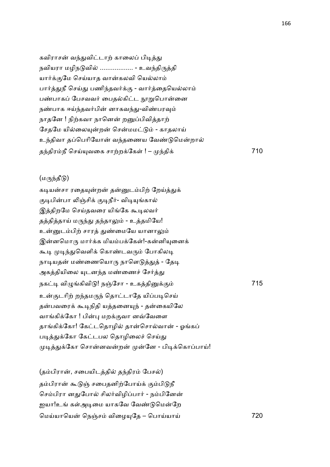கவிராசன் வந்துவிட்டாற் காலைப் பிடித்து நவியரா மழிநடுவில் .................. - உவந்திருத்தி யார்க்குமே செய்யாத வான்கலவி யெல்லாம் பார்த்துநீ செய்து பணிந்தவர்க்கு - வார்த்தையெல்லாம் பண்பாகப் பேசவவர் பைதல்கிட்ட நூறுபொன்னை நண்பாக ஈய்ந்தவர்பின் னாகவந்து-விண்பரவும் நாதனே ! நிற்கவா நானென் றனுப்பிவித்தாற் சேதமே யில்லையுன்றன் சென்மமட்டும் - காதலாய் உந்திவா தப்பெரியோன் வந்தணைய வேண்டுமென்றால் த4திரநீ ெசC(வைக சா,ற+ேக1 ! – 4தி+ 710

# $(\mu$ ருந்தீடு)

கடியன்சா ரதையுன்றன் தன்னுடம்பிற் றேய்த்துக் குடிபின்பா லிஞ்சிக் குடிநீர்- விடியுங்கால் இத்திறமே செய்தவரை யிங்கே கூடிலவர் தத்தித்தாய் மருந்து தந்தாலும் - உத்தமியே! உன்னுடம்பிற் சாரத் துண்மையே யானாலும் இன்னமொரு மார்க்க மியம்பக்கேள்!-கன்னியுனைக் கூடி முடிந்துவெளிக் கொண்டவரும் போகிலடி நாடியதன் மண்ணையொரு நாளெடுத்துத் - தேடி அகத்தியிலை யுடனந்த மண்ணைச் சேர்த்து நக& வி=கிவி ! நOேசா - உகதி+. 715 உன்குடரிற் றந்தமருந் தொட்டாதே யிப்படிசெய் தன்பவரைக் கூடிநிதி யத்தனையுந் - தன்கையிலே வாங்கிக்கோ ! பின்பு மறக்குவா னவ்வேளை தாங்கிக்கோ! கேட்டதொழில் தான்சொல்வான் - ஓங்கப் படித்துக்கோ கேட்டபல தொழிலைச் செய்து முடித்துக்கோ சொன்னவன்றன் முன்னே - பிடிக்கொப்பாய்!

| (தம்பிரான், சபையிடத்தில் தந்திரம் பேசல்)     |     |
|----------------------------------------------|-----|
| தம்பிரான் கூடுஞ் சபைதனிற்போய்க் கும்பிடுநீ   |     |
| செம்பிரா னதுபோல் சிலர்விழிப்பார் - நம்பினேன் |     |
| ஐயா!உங் கள்அடிமை யாகவே வேண்டுமென்றே          |     |
| மெய்யாயென் நெஞ்சம் விழையுதே – பொய்யாய்       | 720 |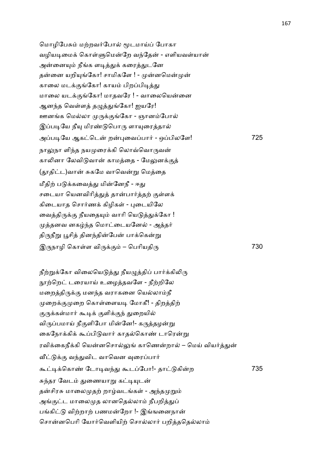மொழிபேசும் மற்றவர்போல் மூடமாய்ப் போகா வழியடிமைக் கொள்ளுமென்றே வந்தேன் - எளியவள்யான் அன்னையும் நீங்க ளடித்துக் கரைத்துடனே தன்னை யறியுங்கோ! சாமிகளே ! - முன்னமென்முன் காலை மடக்குங்கோ! காயம் பிறப்பிடித்து மாலை யடக்குங்கோ! மாதவரே ! - வாலையென்னை ஆனந்த வெள்ளத் தழுத்துங்கோ! ஐயரே! ஊனங்க மெல்லா முருக்குங்கோ - ஞானம்போல் இப்படியே நீயு மிரண்டுபொரு ளாயுரைத்தால் அப்படியே ஆகட்டென் றன்புவைப்பார் - ஒப்பிலளே! 725 நாலுநா ளிந்த நயமுரைக்கி லொவ்வொருவன் காலினா லேவிடுவான் காமத்தை - மேலுனக்குத் (தூதிட்ட)வான் சுகமே வாவென்று மெத்தை மீதிற் படுக்கவைத்து மின்னேநீ - ஈது சடையா யெனவிரித்துத் தான்பார்த்தற் குள்ளக் கிடையாக சொர்ணக் கிழிகள் - புடையிலே வைத்திருக்கு நீயதையும் வாரி யெடுத்துக்கோ ! முத்தனவ னகழ்ந்த மொட்டையனேல் - அத்தர் திருநீறு பூசித் தினந்தின்பேன் பாக்கென்று இருநாழி கொள்ள விருக்கும் – பெரியதிரு $30$ 

நீற்றுக்கோ விலையெடுத்து நீயழுத்திப் பார்க்கிலிரு நூற்றெட் டரையாய் உழைத்தவளே - நீற்றிலே மறைத்திருக்கு மனந்த வராகனை யெல்லாம்நீ முறைக்குமுறை கொள்ளையடி மோகீ! - திறத்திற் குருக்கள்மார் கூடிக் குளிக்குந் துறையில் விருப்பமாய் நீகுளிபோ மின்னே!- கருத்தழன்று கைநோக்கிக் கூப்பிடுவார் காதல்கொண் டாரென்று ரவிக்கைநீக்கி யென்னசொல்லுங் காணென்றால் – மெய் வியர்த்துன் வீட்டுக்கு வந்துவிட வாவென வுரைப்பார் ;&+ெகா! ேடா&வ4- ;டேபா!- தா கிற 735 சுந்தர வேடம் துணையாறு கட்டியுடன் தன்சிரசு மாலைமுதற் றாழ்வடங்கள் - அந்தமுறும் அங்குட்ட மாலைமுத லானதெல்லாம் நீபறித்துப் பங்கிட்டு விற்றாற் பணமன்றோ !- இங்ஙனைநான் சொன்னபெரி யோர்வெளியிற் சொல்லார் பறித்ததெல்லாம்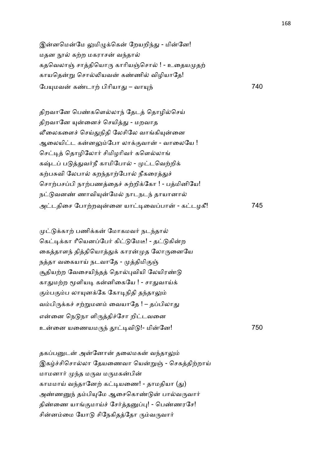இன்னமென்மே லுமிழுக்கென் றேயறிந்து - மின்னே! மதன நூல் கற்ற மகராசன் வந்தால் கதவெலாஞ் சாத்தியொரு காரியஞ்சொல் ! - உதையமுதற் காயதென்று சொல்லியவன் கண்ணில் விழியாதே! ேப(மவ க!டா, பிாியா- – வா(4 740

திறவானே பெண்களெல்லாந் தேடத் தொழில்செய் திறவானே யுன்னைச் செயித்து - மறவாத லீலைகளைச் செய்துநிதி லேசிலே வாங்கியுன்னை ஆலையிட்ட கன்னலும்போ லாக்குவான் - வாலையே ! செட்டித் தொழிலோர் சிமிழரிவர் களெல்லாங் கஷ்டப் படுத்துவர்நீ காமிபோல் - முட்டவெற்றிக் கற்பசுவி லேபால் கறந்தாற்போல் நீகரைத்துச் சொற்பசப்பி நாற்பணத்தைச் சுற்றிக்கோ ! - பத்மினியே! நட்டுவனண் ணாவியுன்மேல் நாடநடந் தாயானால் அடதிைச ேபா,ற8ைன யா&ைவபா - கடழகீ! 745

முட்டுக்காற் பணிக்கன் மோகமவர் நடந்தால் கெட்டிக்கா ரீயெனப்பேர் கிட்டுமேடீ! - தட்டுகின்ற கைத்தாளந் தித்தியொத்துக் காரன்முத லோருனையே நத்தா வகையாய் நடவாதே - முத்திமிகுஞ் சூதியற்ற வேசையிந்தத் தொல்புவியி லேயிரண்டு காதுமற்ற மூளியடி கன்னிகையே ! - சாதுவாய்க் கும்பகும்ப லாயுனக்கே கோடிநிதி தந்தாலும் வம்பிருக்கச் சற்றுமனம் வையாதே ! – தப்பிலாது என்னை நெடுநா ளிருத்திச்சோ றிட்டவனை உைன யைணயம'4 &வி !- மிேன! 750

தகப்பனுடன் அன்னோன் தலைமகன் வந்தாலும் இகழ்ச்சிசொல்லா தேயணைவா யென்றுஞ் - செகத்திற்றாய் மாமனார் முந்த மருவ மருமகன்பின் காமமாய் வந்தானேற் கட்டியணை! - தாமதியா (து) அண்ணனுந் தம்பியுமே ஆசைகொண்டுன் பால்வருவார் திண்ணை யாங்குமாய்ச் சேர்த்தனுப்பு! - பெண்ணரசே! சின்னம்மை யோடு சிநேகிதத்தோ ரும்வருவார்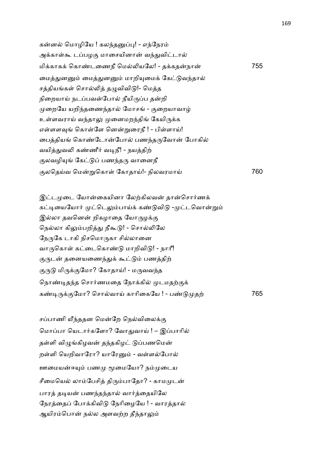கன்னல் மொழியே ! கலந்தனுப்பு! - எந்நேரம் அக்காள்கூ டப்பழகு மாசையினான் வந்துவிட்டால் மி+காக+ ெகா!டைணநீ ெம5யேல! - த+கதநா 755 மைத்துனனும் மைத்துனனும் மாறியுமைக் கேட்டுவந்தால் சத்தியங்கள் சொல்லித் தழுவிவிடு!- மெத்த நிறையாய் நடப்பவள்போல் நீயிருப்ப தன்றி முறையே யறிந்தணைந்தால் மோசங் - குறையாவாழ் உள்ளவராய் வந்தாலு முனைமறந்திங் கேயிருக்க எள்ளளவுங் கொள்ளே னென்றுரைநீ ! - பிள்ளாய்! மைத்தியங் கொண்டோன்போல் பணந்தருவோன் போகில் வயித்துவலி கண்ணீர் வடிநீ! - நயத்திற் குலவழியுங் கேட்டுப் பணந்தரு வானைநீ .லெதCவ ெம\$ெகா1 ேகாதாC!- நிலவரமாC 760

இட்டமுடை யோன்கையினா லேற்கிலவன் தான்சொர்ணக் கட்டியையோர் முட்டெலும்பாய்க் கண்டுவிடு -முட்டவொன்றும் இல்லா தவனென் றிகழாதை யோருழக்கு நெல்லா கிலும்பறித்து நீகூடு! - சொல்லிலே நேருகே டாகி நிசமொருகா சில்லானை வாருகொள் கட்டைகொண்டு மாறிவிடு! - நாரீ! குருடன் தனையணைந்துக் கூட்டும் பணத்திற் குருடு மிருக்குமோ? கோதாய்! - மருவவந்த நொண்டிதந்த சொர்ணமதை நோக்கில் முடமதற்குக் கண்டிருக்குமோ? சொல்வாய் காரிகையே ! - பண்டுமுதற்

சப்பாணி யீந்ததன மென்றே நெல்விலைக்கு மொப்பா யெடார்களோ? வோதுவாய் ! – இப்பாரில் தள்ளி விமுங்கிழவன் தந்தகிழட் டுப்பணமென் றள்ளி யெறிவாரோ? யாரேனும் - வள்ளல்போல் ஊமையன்ஈயும் பணமு மூமையோ? நம்முடைய சீமையெல் லாம்பேசித் திரும்பாதோ? - காமமுடன் பாரத் தடியன் பணந்தந்தால் வார்த்தையிலே நேரத்தைப் போக்கிவிடு நேரிழையே ! - வாரத்தால் ஆயிரம்பொன் நல்ல அளவற்ற தீந்தாலும்

த, 765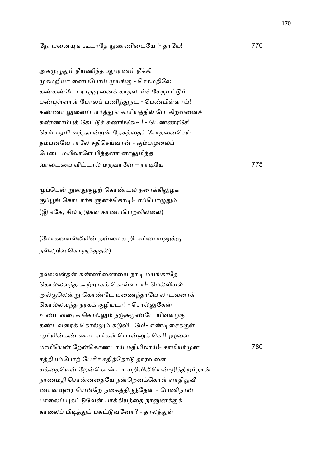ேநாயைன( ;டாேத ^!ணிைடேய !- தாேய! 770

அகமுழுதும் நீயணிந்த ஆபரணம் நீக்கி முகமறியா னைப்போய் முயங்கு - செகமதிலே கண்கண்டோ ராருமுனைக் காதலாய்ச் சேருமட்டும் பண்புள்ளாள் போலப் பணிந்துநட - பெண்பிள்ளாய்! கண்ணா லுனைப்பார்த்துங் காரியத்தில் போகிறவனைச் சுண்ணாம்புக் கேட்டுச் சுணங்கேடீ ! - பெண்ணரசே! செம்பதுமீ! வந்தவன்றன் தேகத்தைச் சோதனைசெய் தம்பனவே ராலே சதிசெய்வான் - கும்பமுலைப் பேடை மயிலாளே பித்தனா னாலுமிந்த வாடையை விட்டால் மருவானே – நாடியே

முப்பென் றுனதுகுழற் கொண்டல் நரைக்கிலுழக் குப்பூங் கொடார்க ளுனக்கொடி!- எப்பொழுதும் (இங்கே, சில ஏடுகள் காணப்பெறவில்லை)

(மோகனவல்லியின் தன்மைகூறி, சுப்பையனுக்கு நல்லறிவு கொளுத்துதல்)

நல்லவள்தன் கண்ணிணையை நாடி மயங்காதே கொல்லவந்த கூற்றாகக் கொள்ளடா!- மெல்லியல் அல்குலென்று கொண்டே யணைந்தாயே லாடவரைக் கொல்லவந்த நரகக் குழியடா! - சொல்லுகேன் உண்டவரைக் கொல்லும் நஞ்சுமுண்டே யிவளழகு கண்டவரைக் கொல்லும் கடுவிடமே!- எண்டிசைக்குள் பூமியின்கண் ணாடவர்கள் பொன்னுக் கெரிபுழுவை மாமியென் றேன்கொண்டாய் மதியிலாய்!- காமியர்முன் 780 சத்தியம்போற் பேசிச் சதித்தோடு தாரவளை யத்தையென் றேன்கொண்டா யறிவிலியென்-றித்திறம்நான் நாணமதி சொன்னதையே நன்றெனக்கொள் ளாதிதுவீ ணானவுரை யென்றே நகைத்திருந்தேன் - பேணிநான் பாலைப் புகட்டுவேன் பாக்கியத்தை நானுனக்குக் காலைப் பிடித்துப் புகட்டுவனோ? - தாலத்துள்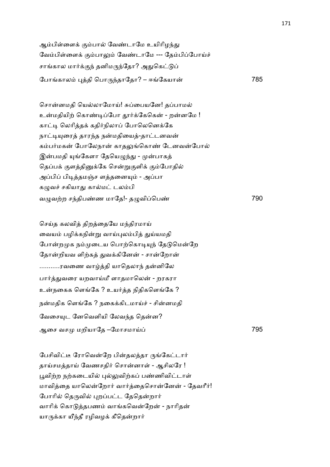ஆம்பிள்ளைக் கும்பால் வேண்டாமே உயிரிழந்து வேம்பிள்ளைக் கும்பாலும் வேண்டாமே --- தேம்பிப்போய்ச் சாங்கால மார்க்குந் தனிமருந்தோ? அதுகெட்டுப் ேபாகால )தி ெபா'4தாேதா? – ஈேகயா 785

சொன்னமதி யெல்லாமோய்! சுப்பையனே! தப்பாமல் உன்மதியிற் கொண்டிப்போ தூர்க்கேகென் - றன்னமே ! காட்டி லெரித்தக் கதிர்நிலாப் போலெனெக்கே நாட்டியுரைத் தாரந்த நன்மதியைத்-தாட்டனவன் கம்பர்மகன் போலேநான் காதலுங்கொண் டேனவன்போல் இன்பமதி யுங்கேளா தேயெழுந்து - முன்பாகத் தெப்பக் குளத்தினுக்கே சென்றுகுளிக் கும்போதில் அப்பிப் பிடித்தமஞ்ச ளத்தனையும் - அப்பா கழுவச் சகியாது கால்மட் டலம்பி வ=வ,ற ச4திப!ண மாேத!- த=விெப! 790

செய்த கலவித் திறத்தையே மந்திரமாய் வையம் பழிக்கநின்று வாய்புலம்பித் துய்யமதி போன்றமுக நம்முடைய பொற்கொடியுந் தேடுமென்றே தோன்றியவ ளிற்கத் துவக்கினேன் - சான்றோன் ...........ரவணை வாழ்த்தி யாதெலாந் தன்னிலே பார்த்துவரை யறவாய்மீ ளாதமாலென் - றரகரா உன்நகைக ளெங்கே ? உயர்த்த நிதிகளெங்கே ? நன்மதிக ளெங்கே ? நகைக்கிடமாய்ச் - சின்னமதி வேசையுட னேவெளியி லேவந்த தென்ன? ஆைச வச மறியாேத –ேமாசமாC 795

பேசிவிட்டீ ரோவென்றே பின்தலத்தா ருங்கேட்டார் தாய்சமத்தாய் வேணசதிர் சொன்னாள் - ஆசிலரே ! பூவிற்ற நற்கடையில் புல்லுவிற்கப் பண்ணிவிட்டாள் மாவித்தை யாலென்றோர் வார்த்தைசொன்னேன் - தேவரீர்! போரில் தெருவில் புறப்பட்ட தேதென்றார் வாரிக் கொடுத்தபணம் வாங்கவென்றேன் - நாரிதன் யாருக்கா யீந்தீ ரழிவழக் கீதென்றார்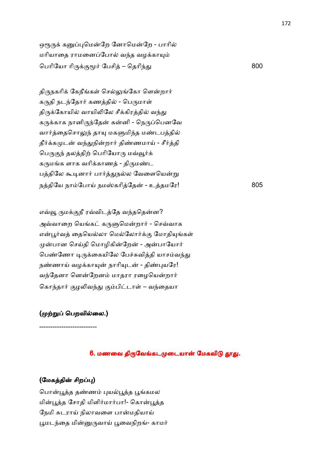ஒரூருக் கனுப்புமென்றே னோமென்றே - பாரில் மரியாதை ராமனைப்போல் வந்த வழக்காயும் பெரியோ ரிருக்குமூர் பேசித் – தெரிந்து en andere de la segunda de la segunda de la segunda de la segunda de la segunda de la segunda de la segunda d<br>En la segunda de la segunda de la segunda de la segunda de la segunda de la segunda de la segunda de la segund

திருநகரிக் கேநீங்கள் செல்லுங்கோ ளென்றார் கருதி நடந்தோர் கணத்தில் - பெருமாள் திருக்கோயில் வாயிலிலே சீக்கிரத்தில் வந்து கருக்காக நானிருந்தேன் கன்னி - நெருப்பெனவே வார்த்தைசொலுந் தாயு மகளுமிந்த மண்டபத்தில் தீர்க்கமுடன் வந்துநின்றார் திண்ணமாய் - சீர்த்தி பெருகுந் தலத்திற் பெரியோரு மவ்வூர்க் கருமங்க ளாக வரிக்காணத் - திருமண்ட பத்திலே கூடினார் பார்த்துநல்ல வேளையென்று நத்தியே நாம்போய் நமஸ்கரித்தேன் - உத்தமரே! 805

எவ்வூ ருமக்குநீ ரவ்விடத்தே வந்ததென்ன? அவ்வாறை யெங்கட் கருளுமென்றார் - செவ்வாக என்பூர்வத் தையெல்லா மெல்லோர்க்கு மோதியங்கள் முன்பான செய்தி மொழிகின்றேன் - அன்பாயோர் பெண்ணோ டிருக்கையிலே பேச்சுவித்தி யாசம்வந்து நண்ணாய் வழக்காயுன் நாரியுடன் - திண்புயரே! வந்தேனா னென்றேனம் மாதரா ரழையென்றார் கொந்தார் குழலிவந்து கும்பிட்டாள் – வந்தையா

## (முற்றுப் பெறவில்லை.)

--------------------------

### 6. மணவை திருவேங்கடமுடையான் மேகவிடு தூது.

## (மேகத்தின் சிறப்பு)

பொன்பூத்த தண்ணம் புயல்பூத்த பூங்கமல மின்பூத்த சோதி மிளிர்மார்பா!- கொன்பூத்த நேமி சுடராய் நிலாவளை பான்மதியாய் பூமடந்தை மின்னுருவாய் பூவைநிறங்- காமர்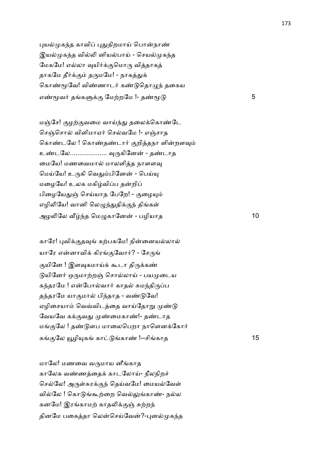புயல்முகந்த காவிப் புதுநிறமாய் பொன்நாண் இயல்முகந்த வில்லி னியல்பாய் - செயல்முகந்த மேகமே! எல்லா வுயிர்க்குமொரு வித்தாகத் தாகமே தீர்க்கும் தருமமே! - நாகத்துக் கொண்மூவே! விண்ணாடர் கண்டுகொமுந் தகைய எண்மூவர் தங்களுக்கு மேற்றமே !- தண்மூடு  $5$ 

மஞ்சே! குழற்குவமை வாய்ந்து தலைக்கொண்டே செஞ்சொல் விளிமாஏர் செல்வமே !- எஞ்சாத கொண்டலே ! கொண்கண்டார் குறித்தநா ளின்றளவும் உண்டலே................... வுருகினேன் - தண்டாக மையே! மணவைமால் மாலளித்த நாளளவு மெய்யே! உருகி வெதும்பினேன் - பெய்யு மழையே! உலக மகிழ்விப்ப தன்றிப் பிழையேதுஞ் செய்யாத பேறே! - குழையும் எழிலியே! வானி லெழுந்துதிக்குந் திங்கள் அழ5ேல @4த ெம=காேன - பழியாத 10

காரே! புவிக்குதவுங் கற்பகமே! நின்னையல்லால் யாரே என்னாவிக் கிரங்குவோர்? - சேருங் குயினே ! இளவுகமாய்க் கூடா திருக்கண் டுயினேர் ஒருமாற்றஞ் சொல்லாய் - பயமுடைய கந்தரமே ! என்போல்வார் காதல் சுமந்திருப்ப தந்தரமே யாகுமால் பிந்தாத - வண்டுவே! ஏழிசையாம் வெவ்விடத்தை வாய்தோறு முண்டு வேயவே கக்குவது முண்மைகாண்!- தண்டாத மங்குலே ! தண்டுளப மாலைபெறா நாளெனக்கோர் கங்குலே யூழியுகங் காட்டுங்காண் !--சிங்காத 15

மாேல! மணைவ வ'மாய னீகாத காலேக வண்ணத்தைக் காடலோய்- நீலநிறச் செல்லே! அருள்சுரக்குந் தெய்வமே! மையல்வேள் வில்லே ! கொடுங்கூற்றை வெல்லுங்காண்- நல்ல கனமே! இரங்காமற் காதலிக்குஞ் சுற்றந் தினமே பகைத்தா லென்செய்வேன்?-புனல்முகந்த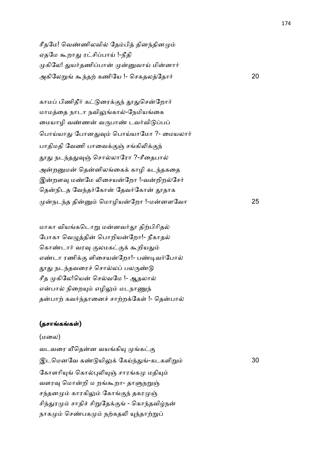சீதமே! வெண்ணிலவில் தேம்பித் தினந்தினமும் ஏதமே கூறாது ரட்சிப்பாய் !-நீதி முகிலே! துயர்தணிப்பான் முன்னுவாய் மின்னார் அகிேல\$ ;4த, கணிேய !- ெசகதலேதா2 20

காமப் பிணிதீர் கட்டுரைக்குந் தூதுசென்றோர் மாமத்தை நாடா நவிலுங்கால்-நேமியங்கை மையாழி வண்ணன் வருபாண் டவர்விடுப்பப் பொய்யாது போனதுவும் பொய்யாமோ ?- மையலார் பாதிமதி வேணி பாவைக்குஞ் சங்கிலிக்குந் தூது நடந்ததுவுஞ் சொல்லாரோ ?-சீதைபால் அன்றனுமன் தென்னிலங்கைக் காழி கடந்தகதை இன்றளவு மண்மே லிசையன்றோ !-வன்றிறல்சேர் தென்நிடத வேந்தர்கோன் தேவர்கோன் தூதாக நட4த தி ெமாழியேறா !-மனளேவா 25

மாகா வியங்கடொறு மன்னவர்தூ திற்பிரிதல் போகா வெழுத்தின் பொறியன்றோ!- நீகாதல் கொண்டார் வரவு குலமகட்குக் கூறியதும் எண்டா ரணிக்கு ளிசையன்றோ!- பண்டிவர்போல் தூது நடந்தவரைச் சொல்லப் பலருண்டு சீத முகிலே!யென் செல்வமே !- ஆதலால் என்பால் நிறையும் எழிலும் மடநாணுந் தன்பாற் கவர்ந்தானைச் சாற்றக்கேள் !- தென்பால்

#### (தசாங்கங்கள்)

#### (மைல)

வடவரை யீதென்ன வயங்கியு முங்கட்கு இடெமனேவ க! யி:+ ேகC4--கடகளி\$ 30 கோளரியுங் கொல்புலியுஞ் சாரங்கமு மதியும் வளரவு மொன்றி ம றங்கூறா- தாளுநறுஞ் சந்தனமும் காரகிலும் கோங்குந் தகரமுஞ் சிந்துரமும் சாதிச் சிறுதேக்குங் - கொந்தவிழ்நன் நாகமும் செண்பகமும் நற்கதலி யுந்தாற்றுப்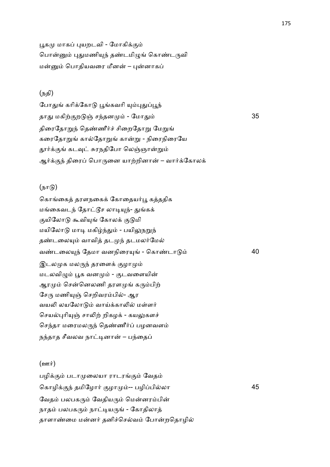பூகமு மாகப் புயறடவி - மோகிக்கும் பொன்னும் புதுமணியுந் தண்டமிழுங் கொண்டருவி மன்னும் பொதியவரை மீனன் – புன்னாகப்

# (நதி)

போதுங் கரிக்கோடு பூங்கவரி யும்புதுப்பூந் தாது மகிற்குறடுஞ் சந்தனமும் - மோது  $\dot{\omega}$  35 திரைதோறுந் தெண்ணீர்ச் சிறைதோறு மேறுங் கரைதோறுங் கால்தோறுங் கான்று - நிரைநிரையே தூர்க்குங் கடவுட் சுரநதிபோ லெஞ்ஞான்றும் ஆர்க்குந் திரைப் பொருனை யாற்றினான் – வார்க்கோலக்

# $(\mathbf{b}\mathbf{u}(\mathbf{b}))$

கொங்கைத் தரளநகைக் கோதையர்பூ கத்ததிக மங்கைவடந் தோட்டூச லாடியுந்- துங்கக் குயிலோடு கூவியுங் கோலக் குடுமி மயிலோடு மாடி மகிழ்ந்தும் - பயிலுநறுந் தண்டலையும் வாவித் தடமுந் தடமலர்மேல் வ!டைல(4 ேதமா வனநிைர( - ெகா!டா 40 இடலமுக மலருந் தரளைக் குழாமும் மடலவிழும் பூக வனமும் - குடவளையின் ஆரமும் சென்னெலணி தரளமுங் கரும்பிற் சேரு மணியுஞ் செறிவரம்பில்- ஆர வயலி லயலோடும் வாய்க்காலில் மள்ளர் செயல்புரியுஞ் சாலிற் றிகழக் - கயலுகளச் செந்தா மரைமலருந் தெண்ணீர்ப் பழனவளம் நந்தாத சீவலவ நாட்டினான் – பந்தைப்

## $(2m\dot{\pi})$

பழிக்கும் படாமுலையா ராடரங்கும் வேதம் ெகாழி+.4 தமிேழா2 .ழா -- பழிபிலா 45 வேதம் பலபகரும் வேதியரும் மென்னரம்பின் நாதம் பலபகரும் நாட்டியருங் - கோதிலாத் தாளாண்மை மன்னர் தனிச்செல்வம் போன்றதொழில்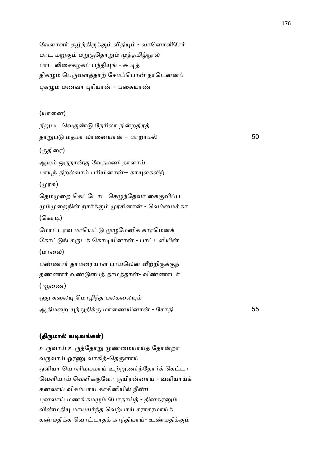வேளாளர் சூழ்ந்திருக்கும் வீதியும் - வானொளிசேர் மாட மறுகும் மறுகுதொறும் முத்தமிழ்நூல் பாட லிசைகழகப் பந்தியுங் - கூடித் திகழும் பெருவளத்தாற் சேமப்பொன் நாடென்னப் புகழும் மணவா புரியான் – பகையரண்

(யானை) நீறுபட வெகுண்டு நேரிலா நின்றதிரத் தா\$ப மதமா லாைனயா – மாறாம 50 (.திைர) ஆயும் ஒருநான்கு வேதமணி தாளாய் பாயுந் திறல்வாம் பரியினான்-- காயுலகலிற் (முரசு) தெம்முறை கெட்டோட செழுந்தேவர் கைகுவிப்ப மும்முறைநின் றார்க்கும் முரசினான் - வெம்மைக்கா  $($ கொடி $)$ மோட்டரவ மாயெட்டு முழுமேனிக் காரமெனக் கோட்டுங் கருடக் கொடியினான் - பாட்டளியின் (மாலை) பண்ணார் தாமரையாள் பாயலென வீற்றிருக்குந் தண்ணார் வண்டுளபத் தாமத்தான்- விண்ணாடர் (ஆைண) ஓது கலையு மொழிந்த பலகலையும் ஆதிமைற (4-தி+. மாைணயினா - ேசாதி 55

#### (திருமால் வடிவங்கள்)

உருவாய் உருத்தோறு முண்மையாய்த் தோன்றா வருவாய் ஓரணு வாகித்-தெருளாய் ஒளியா யொளிமயமாய் உற்றுணர்ந்தோர்க் கெட்டா வெளியாய் வெளிக்குளோ ருயிரன்னாய் - வளியாய்க் கனலாய் விசும்பாய் காசினியில் நீண்ட புனலாய் மணங்கமழும் போதாய்த் - தினகரனும் விண்மதியு மாயுயர்ந்த வெற்பாய் சராசரமாய்க் கண்மதிக்க வொட்டாதக் காந்தியாய்- உண்மதிக்கும்

176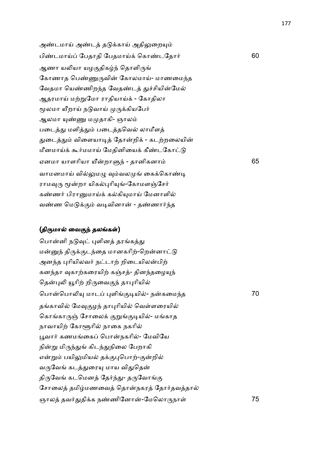அண்டமாய் அண்டத் தடுக்காய் அதிலுறையும் பிண்டமாய்ப் பேதாதி பேதமாய்க் கொண்டதோர் பார்ட் பார்ட் 60 ஆணா யலியா யழகுதிகழ்ந் தொளிருங் கோணாத பெண்ணுருவின் கோலமாய்- மாணமைந்த வேதமா யெண்ணிறந்த வேதண்டத் துச்சியின்மேல் ஆதரமாய் மற்றுமோ ராதியாய்க் - கோதிலா மூலமா யீறாய் நடுவாய் முருக்கியபேர் ஆலமா யுண்ணு மமுதாகி- ஞாலம் படைத்து மளித்தும் படைத்தவெல் லாமீளத் துடைத்தும் விளையாடித் தோன்றிக் - கடற்றலையின் மீனமாய்க் கூர்மமாய் மேதினியைக் கீண்டகோட்டு ஏனமா யாளாியா Qறா74 - தானிகனா 65 வாமனமாய் வில்லுமழு வும்வலமுங் கைக்கொண்டி ராமவுரு மூன்றா யிகல்புரியுங்-கோமளஞ்சேர் கண்ணர் பிரானுமாய்க் கல்கியுமாய் மேனாளில் வண்ண மெடுக்கும் வடிவினான் - தண்ணார்ந்த

## (திருமால் வைகுந் தலங்கள்)

பொன்னி நடுவுட் புளினத் தரங்கத்து மன்னுந் திருக்குடந்தை மானகரிற்-றென்னாட்டு அனந்த புரியிலவர் நட்டாற் றிடையிலன்பிற் கனந்தா வுகாற்கரையிற் கஞ்சத்- தினந்தழையுந் தென்புலி யூரிற் றிருவைகுந் தாபுரியில் ெபாெபா5( மாட )ளி.&யி- நகைம4த 70 தங்காவில் மேவுகுழந் தாபுரியில் வெள்ளரையில் கொங்காருஞ் சோலைக் குறுங்குடியில்- மங்காத நாவாயிற் கோளூரில் நாகை நகரில் பூவார் கணமங்கைப் பொன்நகரில்- மேவியே நின்று மிருந்துங் கிடந்துநிலை பேறாகி என்றும் பயிலுமியல் தக்குபுபொற்-குன்றில் வருவேங் கடத்துரையு மாய விதுதென் திருவேங் கடமெனத் தேர்ந்து- தருவோங்கு சோலைத் தமிழ்மணவைத் தொன்நகரத் தோர்தவத்தால் ஞால தவ2-தி+க ந!ணிேனா-ேமெலா'நா1 75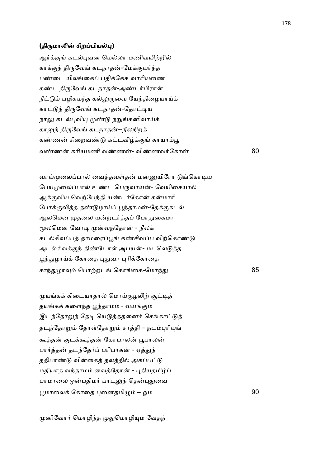#### (திருமாலின் சிறப்பியல்பு)

ஆர்க்குங் கடல்புவன மெல்லா மணிவயிற்றில் காக்குந் திருவேங் கடநாதன்-மேக்குயர்ந்த பண்டை யிலங்கைப் பதிக்கேக வாரியணை கண்ட திருவேங் கடநாதன்-அண்டர்பிரான் நீட்டும் பழிசுமந்த கல்லுருவை யேந்திழையாய்க் காட்டுந் திருவேங் கடநாதன்-தோட்டிய நாலு கடல்புவியு முண்டு நறுங்கனிவாய்க் காலுந் திருவேங் கடநாதன்--நீலநிறக் கண்ணன் சிறைவண்டு கட்டவிழ்க்குங் காயாம்பூ வண்ணன் கரியமணி வண்ணக்- விண்ணவர்கோன் 80

வாய்முலைப்பால் வைத்தவள்தன் மன்னுயிரோ டுங்கொடிய பேய்முலைப்பால் உண்ட பெருவாயன்- வேயிசையால் ஆக்குவிய வெற்பேந்தி யண்டர்கோன் கன்மாரி போக்குவித்த தண்டுழாய்ப் பூந்தாமன்-தேக்குகடல் ஆலமென முதலை யன்றடர்த்தப் போதுகைமா மூலமென வோடி முன்வந்தோன் - நீலக் கடல்சிவப்பத் தாமரைப்பூங் கண்சிவப்ப விற்கொண்டு அடல்சிவக்குந் திண்டோள் அபயன்- மடலெடுத்த பூந்துழாய்க் கோதை புதுவா புரிக்கோதை சாந்துழாவும் பொற்றடங் கொங்கை-மோந்து <u>and a strategic control and strategic control and strategic control and strategic control and strategic control and strategic control and strategic control and strategic control and strategic control and strategic control</u>

முயங்கக் கிடையாதால் மொய்குழலிற் சூட்டித் தயங்கக் களைந்த பூந்தாமம் - வயங்கும் இடந்தோறுந் தேடி யெடுத்ததனைச் செங்காட்டுத் தடந்தோறும் தோள்தோறும் சாத்தி – நடம்புரியுங் கூத்தன் குடக்கூத்தன் கோபாலன் பூபாலன் பார்த்தன் தடந்தேர்ப் பரிபாகன் - ஏத்துந் ததிபாண்டு வின்கைத் தலத்தில் அகப்பட்டு மதியாத வந்தாமம் வைத்தோன் - புதியதமிழ்ப் பாமாலை ஒன்பதிமர் பாடலுந் தென்புதுவை  $\mu$ மாலைக் கோதை புனைதமிமும் – ஒம  $90$ 

முனிவோர் மொழிந்த முதுமொழியும் வேதந்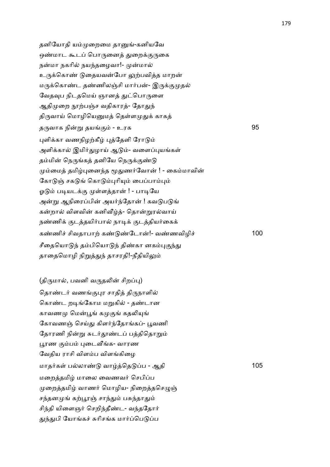தனியோதி யம்முறைமை தானுங்-கனியவே ஒண்மாட கூடப் பொருனைத் துறைக்குருகை நன்மா நகரில் நயந்தழைவா!- முன்மால் உருக்கொண் டுதையவன்போ லுற்பவித்த மாறன் மருக்கொண்ட தண்ணிலஞ்சி மார்பன்- இருக்குமுதல் வேதவுப நிடதமெய் ஞானத் துட்பொருளை ஆதிமுறை நூற்பஞ்ச வதிகாரத்- தோதுந் திருவாய் மொழியெனுமத் தெள்ளமுதுக் காகத் த'வாக நி\$ தய. - உரக 95 புளிக்கா வணநிழற்கீழ் புத்தேளி ரோடும் அளிக்கால் இமிர்துழாய் ஆடும்- வளைப்புயங்கள் தம்மின் நெருங்கத் தனியே நெருக்குண்டு மும்மைத் தமிழ்புனைந்த மூதுணர்வோன் ! - கைம்மாவின் கோடுஞ் சகடுங் கொடும்புரியும் பைப்பாம்பும் ஓடும் படியடக்கு முள்ளத்தான் ! - பாடியே அன்று ஆநிரைப்பின் அயர்ந்தோன் ! கவடுபடுங் கன்றால் விளவின் கனிவீழ்த்- தொன்றுரல்வாய் நண்ணிக் குடத்தயிர்பால் நாடிக் குடத்தியர்கைக் க!ணி6 சிவதாபா, க! !ேடா!- வ!ணவிழி6 100 சீதையொடுந் தம்பியொடுந் திண்கா னகம்புகுந்து தாதைமொழி நிறுத்துந் தாசரதி!-நீதியிலும்

(திருமால், பவனி வருதலின் சிறப்பு) தொண்டர் வணங்குபுர சாதித் திருநாளில் கொண்ட றடிங்கோம மறுகில் - தண்டான காவணமு மென்பூங் கமுகுங் கதலியுங் கோவணஞ் செய்து கிளர்ந்தோங்கப்- பூவணி தோரணி நின்று சுடர்தூண்டப் பத்திதொறும் பூரண கும்பம் புடைவீங்க- வாரண வேதிய ராசி விளம்ப விளங்கிழை மாதர்கள் பல்லாண்டு வாழ்த்தெடுப்ப - ஆதி 105 மறைத்தமிழ் மாலை வைணவர் செபிப்ப முறைத்தமிழ் வாணர் மொழிய- நிறைத்தசெழுஞ் சந்தனமுங் கற்பூரஞ் சாந்தும் பசுந்தாதும் சிந்தி யிளைஞர் செறிந்தீண்ட- வந்ததோர் துந்துபி யோங்கச் சுரிசங்க மார்ப்பெடுப்ப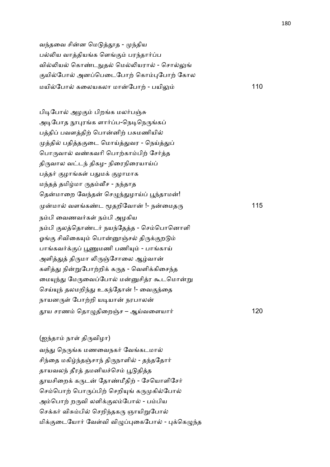வந்தவை சின்ன மெடுத்தூத - முந்திய பல்லிய வாத்தியங்க ளெங்கும் பரந்தார்ப்ப வில்லியல் கொண்டநுதல் மெல்லியரால் - சொல்லுங் குயில்போல் அனப்பெடைபோற் கொம்புபோற் கோல மயிேபா கைலயகலா மாேபா, - பயி: 110

பிடிபோல் அழகும் பிறங்க மலர்பஞ்சு அடிபோத நூபுரங்க ளார்ப்ப-நெடிநெருங்கப் பத்திப் பவளத்திற் பொன்னிற் பசுமணியில் முத்தில் பதித்தகுடை மொய்த்துவர - நெய்த்துப் பொருவால் வண்கவரி பொற்காம்பிற் சேர்த்த திருவால வட்டந் திகழ- நிரைநிரையாய்ப் பத்தர் குழாங்கள் பதுமக் குழாமாக மந்தத் தமிழ்மா ருதம்வீச - நந்தாத தென்மாறை வேந்தன் செழுந்துழாய்ப் பூந்தாமன்! மா வளக!ட Uதறிேவா !- நைமத' 115 நம்பி வைணவர்கள் நம்பி அழகிய நம்பி குலத்தொண்டர் நயந்தேத்த - செம்பொனொளி ஓங்கு சிவிகையும் பொன்னூஞ்சல் திருக்குறடும் பாங்கவர்க்குப் பூணுமணி பணியும் - பாங்காய் அளித்துத் திருமா லிருஞ்சோலை ஆழ்வான் களித்து நின்றுபோற்றிக் கருத - வெளிக்கிசைந்த மையுந்து மேருவைப்போல் மன்னுசித்ர கூடமொன்று செய்யுந் தலமறிந்து உகந்தோன் !- வைகுந்தை நாயனருள் போற்றி யடியான் நரபாலன் ய சரண ெதா=திைறOச – ஆCவைளயா2 120

(ஐந்தாம் நாள் திருவிழா) வந்து நெருங்க மணவைநகர் வேங்கடமால் சிந்தை மகிழ்ந்தஞ்சாந் திருநாளில் - தந்ததோர் தாயவலந் தீரத் தமனியச்செம் பூடுதித்த தூயசிறைக் கருடன் தோண்மீதிற் - சேயொளிசேர் செம்பொற் பொருப்பிற் செறியுங் கருமுகில்போல் அம்பொற் றருவி லளிக்குலம்போல் - பம்பிய செக்கர் விசும்பில் செறிந்தகரு ஞாயிறுபோல் மிக்குடையோர் வேள்வி விழுப்புகைபோல் - புக்கெழுந்த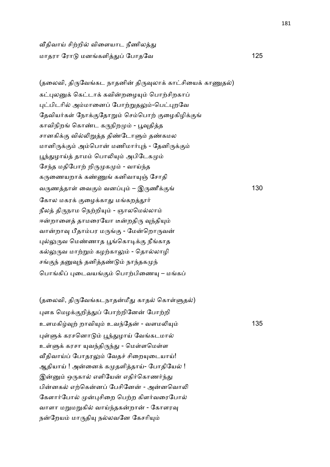வீதிவாய் சிற்றில் விளையாட நீணிலத்து மாதரா ேரா மனகளி- ேபாதேவ 125

(தலைவி, திருவேங்கட நாதனின் திருவுலாக் காட்சியைக் காணுதல்) கட்புலனுக் கெட்டாக் கவின்றமையும் பொற்சிறகாப் புட்பிடரில் அம்மானைப் போற்றுதலும்-பெட்புறவே தேவியர்கள் நோக்குதோறும் செம்பொற் குழைகிழிக்குங் காவிநிறங் கொண்ட கருநிறமும் - பூவுதித்த சானகிக்கு வில்லிறுத்த திண்டோளும் தண்கமல மானிருக்கும் அம்பொன் மணிமார்புந் - தேனிருக்கும் பூந்துழாய்த் தாமம் பொலியும் அபிடேகமும் சேந்த மதிபோற் றிருமுகமும் - வாய்ந்த கருணையறாக் கண்ணுங் கனிவாயுஞ் சோதி வருணத்தாள் வைகும் வனப்பும் – இருணீக்குங் $130$ கோல மகரக் குழைக்காது மங்கறத்தூர் நீலத் திருநாம நெற்றியும் - ஞாலமெல்லாம் ஈன்றாளைத் தாமரையோ டீன்றதிரு வந்தியும் வான்றாவு பீதாம்பர மருங்கு - மேன்றொருவன் புல்லுருவ மெண்ணாத பூங்கொடிக்கு நீங்காத கல்லுருவ மாற்றும் கழற்காலும் - தொல்லாழி சங்குந் தனுவுந் தனித்தண்டும் நாந்தகமுந் பொங்கிப் புடைவயங்கும் பொற்பிணையு – மங்கப்

(தலைவி, திருவேங்கடநாதன்மீது காதல் கொள்ளுதல்) புளக மெழக்குறித்துப் போற்றினேன் போற்றி உளமகி8, றாவி( உவ4ேத - வளம5( 135 புள்ளுக் கரசனொடும் பூந்துழாய் வேங்கடமால் உள்ளுக் கரசா யுவந்திருந்து - மெள்ளமெள்ள வீதிவாய்ப் போதரலும் வேதச் சிறையடையாய்! ஆதியாய் ! அன்னைக் கமுதளித்தாய்- போதியேல் ! இன்னும் ஒருகால் எளியேன் எதிர்கொணர்ந்து பின்னகல் எற்கென்னப் பேசினேன் - அன்னவொலி கேளார்போல் முன்புசிறை பெற்ற கிளர்வரைபோல் வாளா மறுமறுகில் வாய்ந்தகன்றான் - கோளரவு நன்றேயம் மாருதியு நல்லவனே கேசரியும்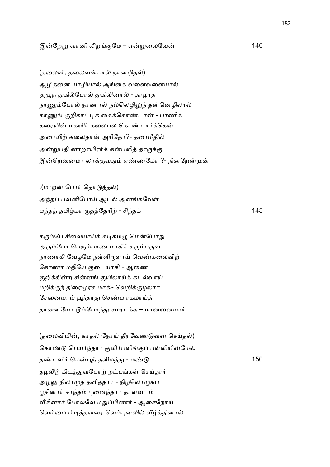## இேற\$ வானி 5ற.ேம – எ\$ைலேவ 140

(தலைவி, தலைவன்பால் நானழிதல்) ஆழிதனை யாழியால் அங்கை வளைவளையால் சூழுந் துகில்போல் துகிலினால் - தாழாத நாணும்போல் நாணால் நல்லெழிலுந் தன்னெழிலால் காணுங் குறிகாட்டிக் கைக்கொண்டான் - பாணிக் கரையின் மகளிர் கலைபல கொண்டார்க்கென் அரையிற் கலைதான் அரிதோ?- தரைமீதில் அன்றுபதி னாறாயிரர்க் கன்பளித் தாருக்கு இன்றெனைமா லாக்குவதும் எண்ணமோ ?- நின்றேன்முன்

.(மாறன் போர் தொடுத்தல்) அந்தப் பவனிபோய் ஆடல் அனங்கவேள் ம4த தமிமா 'தேதாி, - சி4த+ 145

கரும்பே சிலையாய்க் கடிகமழு மென்போது அரும்போ பெரும்பாண மாகிச் சுரும்புருவ நாணாகி வேழமே நள்ளிருளாய் வெண்கலைவிற் கோணா மதியே குடையாகி - ஆணை குறிக்கின்ற சின்னங் குயிலாய்க் கடல்வாய் மறிக்குந் திரைமுரச மாகி- வெறிக்குழலார் சேனையாய் பூந்தாது செண்ப ரகமாய்த் தானையோ டும்போந்து சமரடக்க – மானனையார்

(தலைவியின், காதல் நோய் தீரவேண்டுவன செய்கல்) கொண்டு பெயர்ந்தார் குளிர்பளிங்குப் பள்ளியின்மேல் த!டளி2 ெமN4 தளிம- - ம! 150 தழலிற் கிடத்துவபோற் றட்பங்கள் செய்தார் அழலு நிலாமுத் தளித்தார் - நிழலொழுகப் பூசினார் சாந்தம் புனைந்தார் தரளவடம் வீசினார் போலவே மதுப்பினார் - ஆசைநோய் வெம்மை பிடித்தவரை வெம்புனலில் வீழ்த்தினால்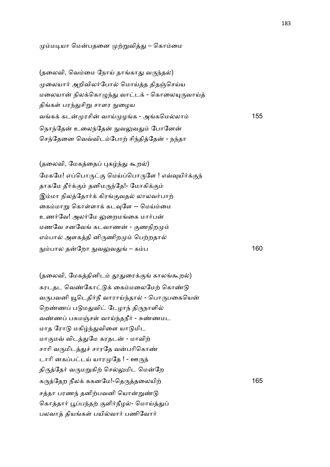## மும்மடியா மென்பதனை முற்றுவித்து – கொம்மை

(தலைவி, வெம்மை நோய் தாங்காது வருந்தல்) முலையார் அறிவிலர்போல் மொய்த்த திதஞ்செய்ய மலையான் நிலக்கொழுந்து வாட்டக் - கொலையுருவாய்த் திங்கள் பரந்துசிறு சாளர நுழைய வக+ கட ரசி வாC ழக - அகெமலா 155 நொந்தேன் உலைந்தேன் நுவலுவதும் போனேன் செந்தேனை வெவ்விடம்போற் சிந்தித்தேன் - நந்தா

(தலைவி, மேகத்தைப் புகழ்ந்து கூறல்) மேகமே! எப்பொருட்கு மெய்ப்பொருளே ! எவ்வுயிர்க்குந் தாகமே தீர்க்கும் தனிமருந்தே!- மோகிக்கும் இம்மா நிலத்தோர்க் கிரங்குவதல் லாலவர்பாற் கைம்மாறு கொள்ளாக் கடவுளே -- மெய்ம்மை உணர்வே! அலர்மே லுறைமங்கை மார்பன் மணவே சனவேங் கடவாணன் - குணநிறமும் எம்பால் அளகத்தி னிருணிறமும் பெற்றதால் நும்பால தன்றோ நுவலுவதுங் – கம்ப $\,$  160 $\,$ 

(தலைவி, மேகத்தினிடம் தூதுரைக்குங் காலங்கூறல்) கரடதட வெண்கோட்டுக் கைம்மலைமேற் கொண்டு வருபவனி யூடெதிர்நீ வாராய்ந்தால் - பொருபகையென் றெண்ணப் படுமதுவிட் டேழாந் திருநாளில் வண்ணப் பசுமஞ்சள் வாய்ந்தநீர் - சுண்ணமட மாத ரோடு மகிழ்ந்துவிளை யாடுமிட மாகுமவ் விடத்துமே கரதடன் - மாவிற் சாரி வருமிடத்துச் சாரதே வன்பரிகொண் டாரி னகப்பட்டய் யாரமுதே ! - ஊருந் திருத்தேர் வருமறுகிற் செல்லுமிட மென்றே கருத்தேற நீலக் ககனமே!-தெருத்தலையிற் பார் கான் பெர் 165 சத்தா பரணந் தனிற்பவனி யொன்றுண்டு கொத்தார் பூப்பந்தற் குளிர்நீழல்- மொய்த்துப் பலவாக் கியங்கள் பயில்வார் பணிவோர்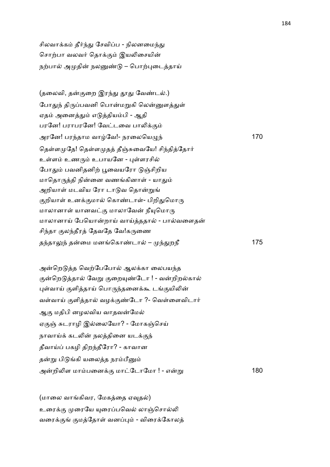சிலவாக்கம் தீர்ந்து சேவிப்ப - நிலனமைந்து சொற்பா வலவர் தொக்கும் இயலிசையின் நற்பால் அமுதின் நலனுண்டு – பொற்புடைத்தாய்

(தலைவி, தன்குறை இரந்து தூது வேண்டல்.) போதுந் திருப்பவனி பொன்மறுகி லென்னுளத்துள் ஏதம் அனைத்தும் எடுத்தியம்பி - ஆதி பரனே! பராபரனே! வேட்டவை பாலிக்கும் அரேன! பர4தாம வாேவ!- நரைலெய=4 170 தெள்ளமுதே! தெள்ளமுதத் தீஞ்சுவையே! சிந்தித்தோர் உள்ளம் உணரும் உபாயனே - புள்ளரசில் போதும் பவனிதனிற் பூவையரோ டுஞ்சிறிய மாதொருத்தி நின்னை வணங்கினாள் - யாதும் அறியாள் மடவிய ரோ டாடுவ தொன்றுங் குறியாள் உனக்குமால் கொண்டாள்- பிறிதுமொரு மாலானாள் யானவட்கு மாலாவேன் நீயுமொரு மாலானாய் பேயொன்றாய் வாய்த்ததால் - பால்வளைதன் சிந்தா குலந்தீரத் தேவதே வே!கருணை தந்தாலுந் தன்மை மனங்கொண்டால் – முந்து றநீ 175

அன்றெடுத்த வெற்பேபோல் ஆலக்கா லைபயந்த குன்றெடுத்தால் வேறு குறையுண்டோ ! - வன்றிறல்கால் புள்வாய் குளித்தாய் பொருந்தனைக்கூ டங்குயிலின் வள்வாய் குளித்தால் வழக்குண்டோ ?- வெள்ளைவிடார் ஆ. மதிபி னழலவிய வாதவேம ஏகுஞ் சுடராழி இல்லையோ? - மோகஞ்செய் நாவாய்க் கடலின் நலத்தினை யடக்குந் தீவாய்ப் பகழி திறந்தீரோ? - காவான தன்று பிடுங்கி யலைத்த நரம்பீனும் அறி5ள மாபைன+. மாேடாேமா ! - எ\$ 180

(மாலை வாங்கிவர, மேகத்தை ஏவுதல்) உரைக்கு முரையே யுரைப்பவெல் லாஞ்சொல்லி வரைக்குங் குமத்தோள் வனப்பும் - விரைக்கோலத்